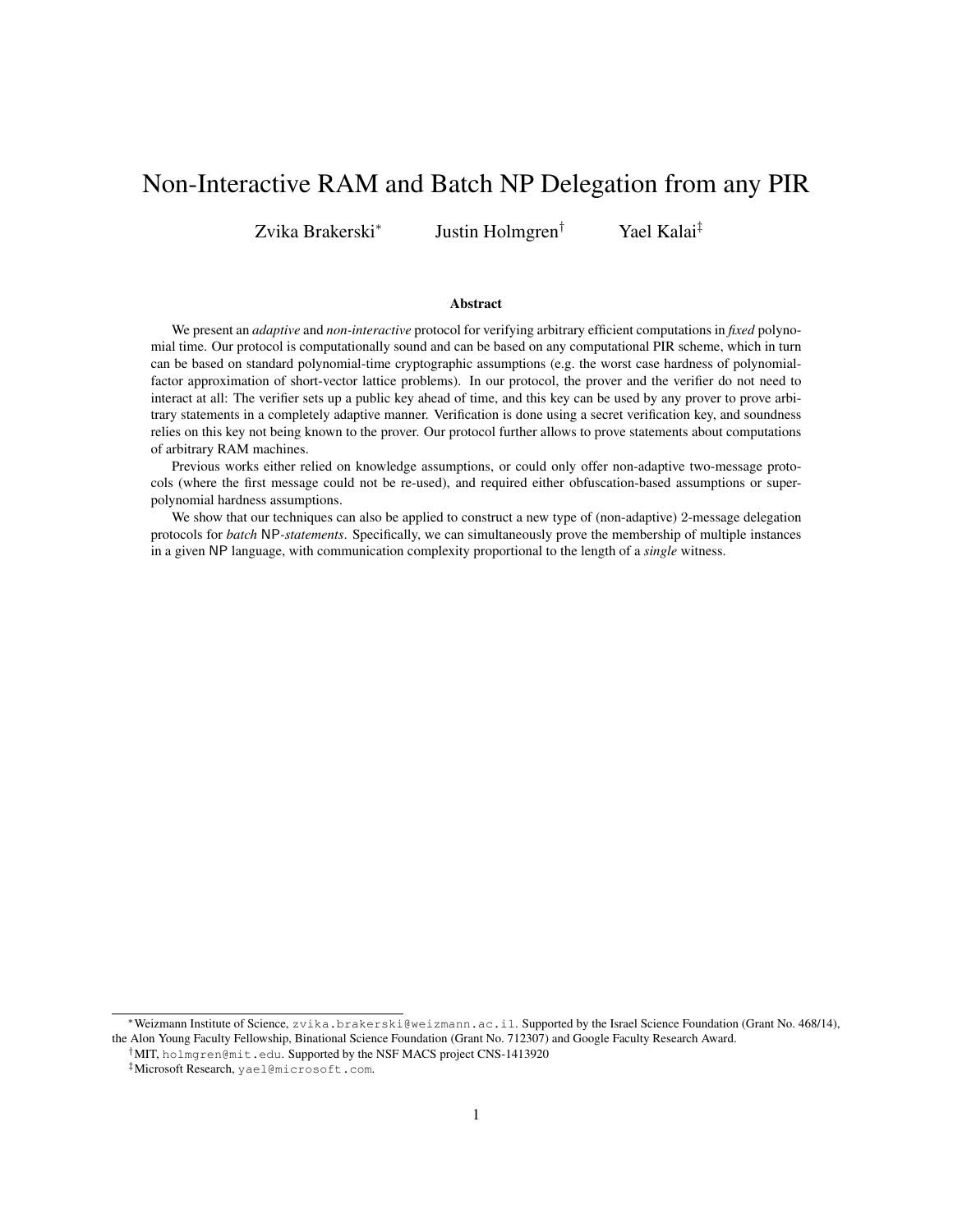# Non-Interactive RAM and Batch NP Delegation from any PIR

Zvika Brakerski<sup>∗</sup>

Justin Holmgren† Yael Kalai‡

#### Abstract

We present an *adaptive* and *non-interactive* protocol for verifying arbitrary efficient computations in *fixed* polynomial time. Our protocol is computationally sound and can be based on any computational PIR scheme, which in turn can be based on standard polynomial-time cryptographic assumptions (e.g. the worst case hardness of polynomialfactor approximation of short-vector lattice problems). In our protocol, the prover and the verifier do not need to interact at all: The verifier sets up a public key ahead of time, and this key can be used by any prover to prove arbitrary statements in a completely adaptive manner. Verification is done using a secret verification key, and soundness relies on this key not being known to the prover. Our protocol further allows to prove statements about computations of arbitrary RAM machines.

Previous works either relied on knowledge assumptions, or could only offer non-adaptive two-message protocols (where the first message could not be re-used), and required either obfuscation-based assumptions or superpolynomial hardness assumptions.

We show that our techniques can also be applied to construct a new type of (non-adaptive) 2-message delegation protocols for *batch* NP*-statements*. Specifically, we can simultaneously prove the membership of multiple instances in a given NP language, with communication complexity proportional to the length of a *single* witness.

<sup>∗</sup>Weizmann Institute of Science, zvika.brakerski@weizmann.ac.il. Supported by the Israel Science Foundation (Grant No. 468/14), the Alon Young Faculty Fellowship, Binational Science Foundation (Grant No. 712307) and Google Faculty Research Award.

<sup>†</sup>MIT, holmgren@mit.edu. Supported by the NSF MACS project CNS-1413920

<sup>‡</sup>Microsoft Research, yael@microsoft.com.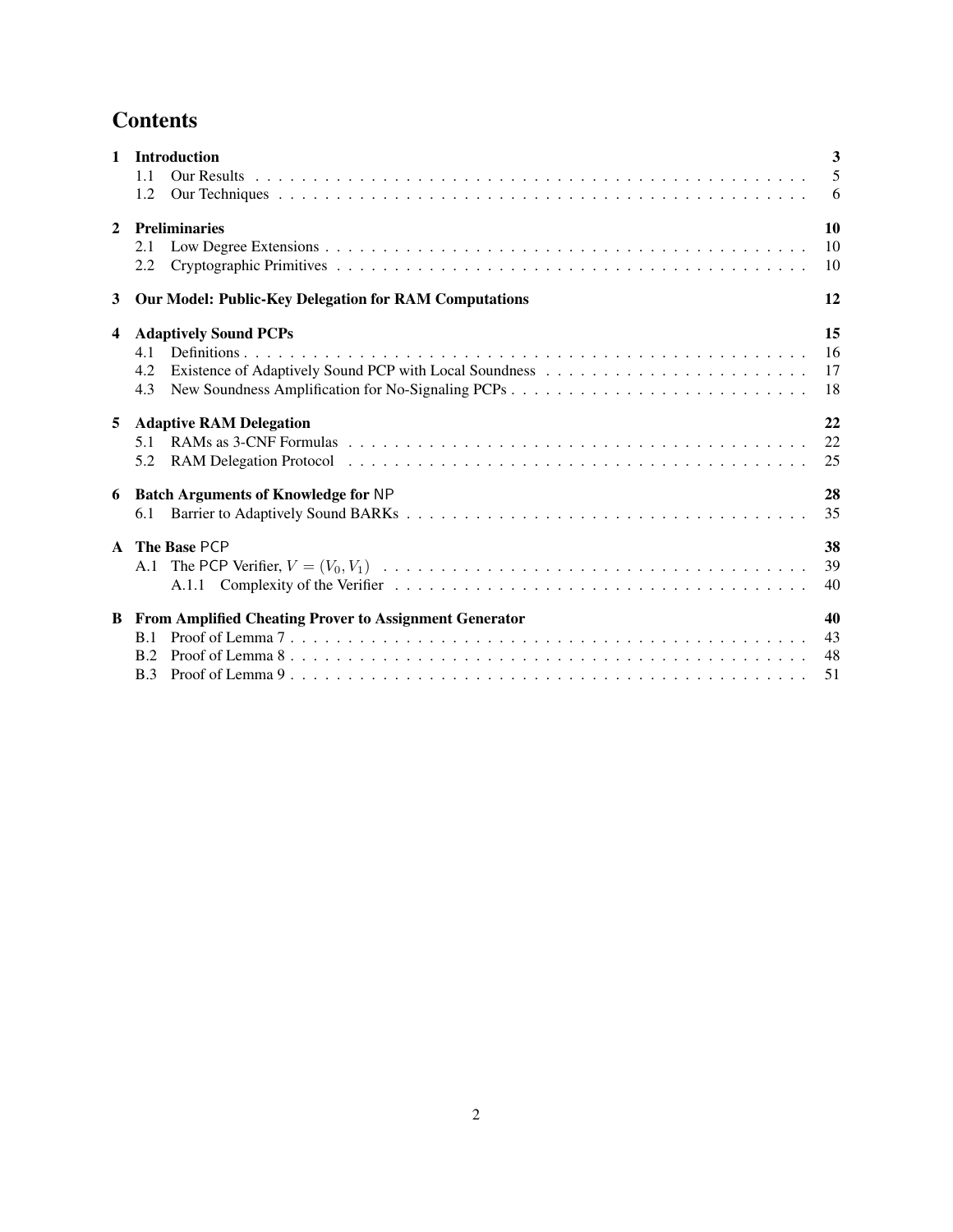# **Contents**

| $\mathbf{1}$ | <b>Introduction</b>                                             | $\mathbf{3}$ |  |  |  |  |  |  |
|--------------|-----------------------------------------------------------------|--------------|--|--|--|--|--|--|
|              | 1.1                                                             | 5            |  |  |  |  |  |  |
|              | 1.2                                                             | 6            |  |  |  |  |  |  |
| $\mathbf{2}$ | <b>Preliminaries</b>                                            |              |  |  |  |  |  |  |
|              | 2.1                                                             | 10           |  |  |  |  |  |  |
|              | 2.2                                                             | 10           |  |  |  |  |  |  |
| 3            | <b>Our Model: Public-Key Delegation for RAM Computations</b>    | 12           |  |  |  |  |  |  |
| 4            | <b>Adaptively Sound PCPs</b>                                    | 15           |  |  |  |  |  |  |
|              | 4.1                                                             | 16           |  |  |  |  |  |  |
|              | 4.2                                                             | 17           |  |  |  |  |  |  |
|              | 4.3                                                             | 18           |  |  |  |  |  |  |
| 5            | <b>Adaptive RAM Delegation</b>                                  | 22           |  |  |  |  |  |  |
|              | 5.1                                                             | 22           |  |  |  |  |  |  |
|              | 5.2                                                             | 25           |  |  |  |  |  |  |
| 6            | <b>Batch Arguments of Knowledge for NP</b>                      | 28           |  |  |  |  |  |  |
|              | 6.1                                                             | 35           |  |  |  |  |  |  |
|              | A The Base PCP                                                  | 38           |  |  |  |  |  |  |
|              |                                                                 | 39           |  |  |  |  |  |  |
|              |                                                                 | 40           |  |  |  |  |  |  |
|              | <b>B</b> From Amplified Cheating Prover to Assignment Generator | 40           |  |  |  |  |  |  |
|              | B.1                                                             | 43           |  |  |  |  |  |  |
|              | R <sub>2</sub>                                                  | 48           |  |  |  |  |  |  |
|              | B.3                                                             | 51           |  |  |  |  |  |  |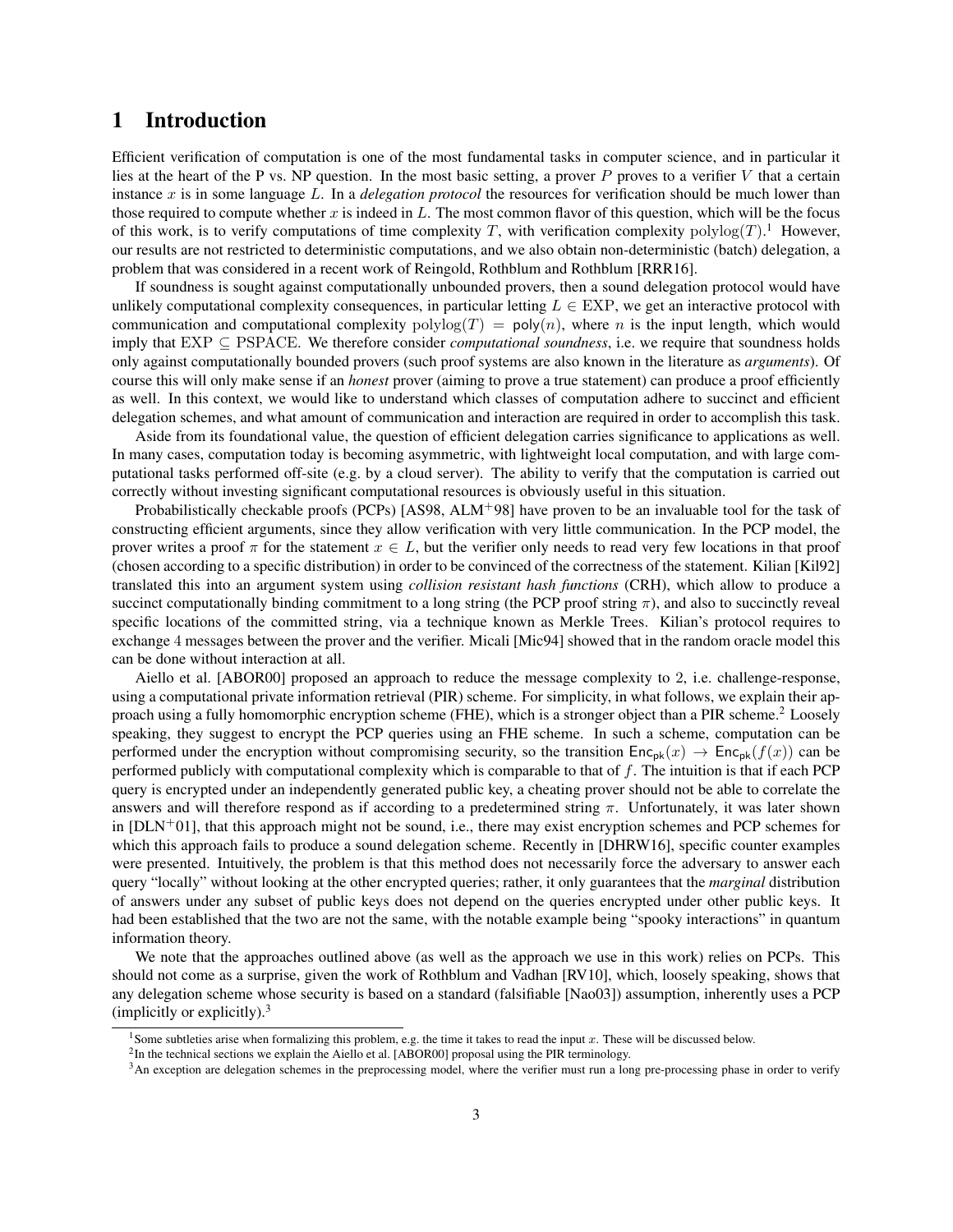## <span id="page-2-0"></span>1 Introduction

Efficient verification of computation is one of the most fundamental tasks in computer science, and in particular it lies at the heart of the P vs. NP question. In the most basic setting, a prover P proves to a verifier V that a certain instance x is in some language L. In a *delegation protocol* the resources for verification should be much lower than those required to compute whether  $x$  is indeed in  $L$ . The most common flavor of this question, which will be the focus of this work, is to verify computations of time complexity T, with verification complexity  $\text{polylog}(T)$ .<sup>[1](#page-2-1)</sup> However, our results are not restricted to deterministic computations, and we also obtain non-deterministic (batch) delegation, a problem that was considered in a recent work of Reingold, Rothblum and Rothblum [\[RRR16\]](#page-36-0).

If soundness is sought against computationally unbounded provers, then a sound delegation protocol would have unlikely computational complexity consequences, in particular letting  $L \in EXP$ , we get an interactive protocol with communication and computational complexity  $polylog(T) = poly(n)$ , where n is the input length, which would imply that EXP ⊆ PSPACE. We therefore consider *computational soundness*, i.e. we require that soundness holds only against computationally bounded provers (such proof systems are also known in the literature as *arguments*). Of course this will only make sense if an *honest* prover (aiming to prove a true statement) can produce a proof efficiently as well. In this context, we would like to understand which classes of computation adhere to succinct and efficient delegation schemes, and what amount of communication and interaction are required in order to accomplish this task.

Aside from its foundational value, the question of efficient delegation carries significance to applications as well. In many cases, computation today is becoming asymmetric, with lightweight local computation, and with large computational tasks performed off-site (e.g. by a cloud server). The ability to verify that the computation is carried out correctly without investing significant computational resources is obviously useful in this situation.

Probabilistically checkable proofs (PCPs) [\[AS98,](#page-34-1) [ALM](#page-34-2)<sup>+</sup>98] have proven to be an invaluable tool for the task of constructing efficient arguments, since they allow verification with very little communication. In the PCP model, the prover writes a proof  $\pi$  for the statement  $x \in L$ , but the verifier only needs to read very few locations in that proof (chosen according to a specific distribution) in order to be convinced of the correctness of the statement. Kilian [\[Kil92\]](#page-36-1) translated this into an argument system using *collision resistant hash functions* (CRH), which allow to produce a succinct computationally binding commitment to a long string (the PCP proof string  $\pi$ ), and also to succinctly reveal specific locations of the committed string, via a technique known as Merkle Trees. Kilian's protocol requires to exchange 4 messages between the prover and the verifier. Micali [\[Mic94\]](#page-36-2) showed that in the random oracle model this can be done without interaction at all.

Aiello et al. [\[ABOR00\]](#page-34-3) proposed an approach to reduce the message complexity to 2, i.e. challenge-response, using a computational private information retrieval (PIR) scheme. For simplicity, in what follows, we explain their ap-proach using a fully homomorphic encryption scheme (FHE), which is a stronger object than a PIR scheme.<sup>[2](#page-2-2)</sup> Loosely speaking, they suggest to encrypt the PCP queries using an FHE scheme. In such a scheme, computation can be performed under the encryption without compromising security, so the transition  $Enc_{pk}(x) \rightarrow Enc_{pk}(f(x))$  can be performed publicly with computational complexity which is comparable to that of f. The intuition is that if each PCP query is encrypted under an independently generated public key, a cheating prover should not be able to correlate the answers and will therefore respond as if according to a predetermined string  $\pi$ . Unfortunately, it was later shown in  $[DLN+01]$  $[DLN+01]$ , that this approach might not be sound, i.e., there may exist encryption schemes and PCP schemes for which this approach fails to produce a sound delegation scheme. Recently in [\[DHRW16\]](#page-35-1), specific counter examples were presented. Intuitively, the problem is that this method does not necessarily force the adversary to answer each query "locally" without looking at the other encrypted queries; rather, it only guarantees that the *marginal* distribution of answers under any subset of public keys does not depend on the queries encrypted under other public keys. It had been established that the two are not the same, with the notable example being "spooky interactions" in quantum information theory.

We note that the approaches outlined above (as well as the approach we use in this work) relies on PCPs. This should not come as a surprise, given the work of Rothblum and Vadhan [\[RV10\]](#page-36-3), which, loosely speaking, shows that any delegation scheme whose security is based on a standard (falsifiable [\[Nao03\]](#page-36-4)) assumption, inherently uses a PCP (implicitly or explicitly).<sup>[3](#page-2-3)</sup>

<span id="page-2-1"></span><sup>&</sup>lt;sup>1</sup> Some subtleties arise when formalizing this problem, e.g. the time it takes to read the input  $x$ . These will be discussed below.

<span id="page-2-2"></span><sup>&</sup>lt;sup>2</sup>In the technical sections we explain the Aiello et al. [\[ABOR00\]](#page-34-3) proposal using the PIR terminology.

<span id="page-2-3"></span><sup>&</sup>lt;sup>3</sup>An exception are delegation schemes in the preprocessing model, where the verifier must run a long pre-processing phase in order to verify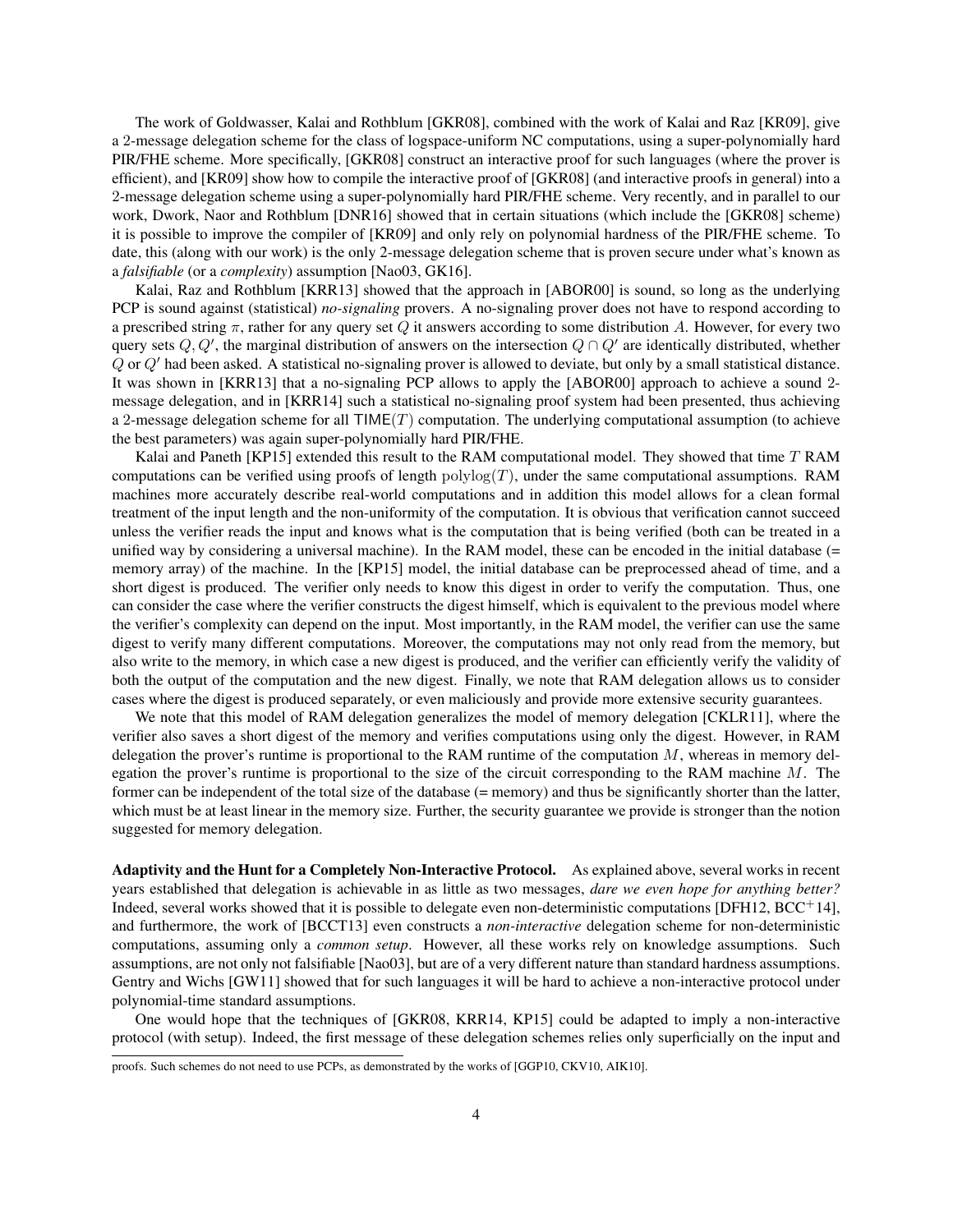The work of Goldwasser, Kalai and Rothblum [\[GKR08\]](#page-35-2), combined with the work of Kalai and Raz [\[KR09\]](#page-36-5), give a 2-message delegation scheme for the class of logspace-uniform NC computations, using a super-polynomially hard PIR/FHE scheme. More specifically, [\[GKR08\]](#page-35-2) construct an interactive proof for such languages (where the prover is efficient), and [\[KR09\]](#page-36-5) show how to compile the interactive proof of [\[GKR08\]](#page-35-2) (and interactive proofs in general) into a 2-message delegation scheme using a super-polynomially hard PIR/FHE scheme. Very recently, and in parallel to our work, Dwork, Naor and Rothblum [\[DNR16\]](#page-35-3) showed that in certain situations (which include the [\[GKR08\]](#page-35-2) scheme) it is possible to improve the compiler of [\[KR09\]](#page-36-5) and only rely on polynomial hardness of the PIR/FHE scheme. To date, this (along with our work) is the only 2-message delegation scheme that is proven secure under what's known as a *falsifiable* (or a *complexity*) assumption [\[Nao03,](#page-36-4) [GK16\]](#page-35-4).

Kalai, Raz and Rothblum [\[KRR13\]](#page-36-6) showed that the approach in [\[ABOR00\]](#page-34-3) is sound, so long as the underlying PCP is sound against (statistical) *no-signaling* provers. A no-signaling prover does not have to respond according to a prescribed string  $\pi$ , rather for any query set Q it answers according to some distribution A. However, for every two query sets Q, Q', the marginal distribution of answers on the intersection  $Q \cap Q'$  are identically distributed, whether  $Q$  or  $Q'$  had been asked. A statistical no-signaling prover is allowed to deviate, but only by a small statistical distance. It was shown in [\[KRR13\]](#page-36-6) that a no-signaling PCP allows to apply the [\[ABOR00\]](#page-34-3) approach to achieve a sound 2 message delegation, and in [\[KRR14\]](#page-36-7) such a statistical no-signaling proof system had been presented, thus achieving a 2-message delegation scheme for all  $TIME(T)$  computation. The underlying computational assumption (to achieve the best parameters) was again super-polynomially hard PIR/FHE.

Kalai and Paneth [\[KP15\]](#page-36-8) extended this result to the RAM computational model. They showed that time T RAM computations can be verified using proofs of length  $polylog(T)$ , under the same computational assumptions. RAM machines more accurately describe real-world computations and in addition this model allows for a clean formal treatment of the input length and the non-uniformity of the computation. It is obvious that verification cannot succeed unless the verifier reads the input and knows what is the computation that is being verified (both can be treated in a unified way by considering a universal machine). In the RAM model, these can be encoded in the initial database (= memory array) of the machine. In the [\[KP15\]](#page-36-8) model, the initial database can be preprocessed ahead of time, and a short digest is produced. The verifier only needs to know this digest in order to verify the computation. Thus, one can consider the case where the verifier constructs the digest himself, which is equivalent to the previous model where the verifier's complexity can depend on the input. Most importantly, in the RAM model, the verifier can use the same digest to verify many different computations. Moreover, the computations may not only read from the memory, but also write to the memory, in which case a new digest is produced, and the verifier can efficiently verify the validity of both the output of the computation and the new digest. Finally, we note that RAM delegation allows us to consider cases where the digest is produced separately, or even maliciously and provide more extensive security guarantees.

We note that this model of RAM delegation generalizes the model of memory delegation [\[CKLR11\]](#page-35-5), where the verifier also saves a short digest of the memory and verifies computations using only the digest. However, in RAM delegation the prover's runtime is proportional to the RAM runtime of the computation  $M$ , whereas in memory delegation the prover's runtime is proportional to the size of the circuit corresponding to the RAM machine  $M$ . The former can be independent of the total size of the database (= memory) and thus be significantly shorter than the latter, which must be at least linear in the memory size. Further, the security guarantee we provide is stronger than the notion suggested for memory delegation.

Adaptivity and the Hunt for a Completely Non-Interactive Protocol. As explained above, several works in recent years established that delegation is achievable in as little as two messages, *dare we even hope for anything better?* Indeed, several works showed that it is possible to delegate even non-deterministic computations [\[DFH12,](#page-35-6)  $BCC<sup>+</sup>14$ ], and furthermore, the work of [\[BCCT13\]](#page-34-5) even constructs a *non-interactive* delegation scheme for non-deterministic computations, assuming only a *common setup*. However, all these works rely on knowledge assumptions. Such assumptions, are not only not falsifiable [\[Nao03\]](#page-36-4), but are of a very different nature than standard hardness assumptions. Gentry and Wichs [\[GW11\]](#page-36-9) showed that for such languages it will be hard to achieve a non-interactive protocol under polynomial-time standard assumptions.

One would hope that the techniques of [\[GKR08,](#page-35-2) [KRR14,](#page-36-7) [KP15\]](#page-36-8) could be adapted to imply a non-interactive protocol (with setup). Indeed, the first message of these delegation schemes relies only superficially on the input and

proofs. Such schemes do not need to use PCPs, as demonstrated by the works of [\[GGP10,](#page-35-7) [CKV10,](#page-35-8) [AIK10\]](#page-34-6).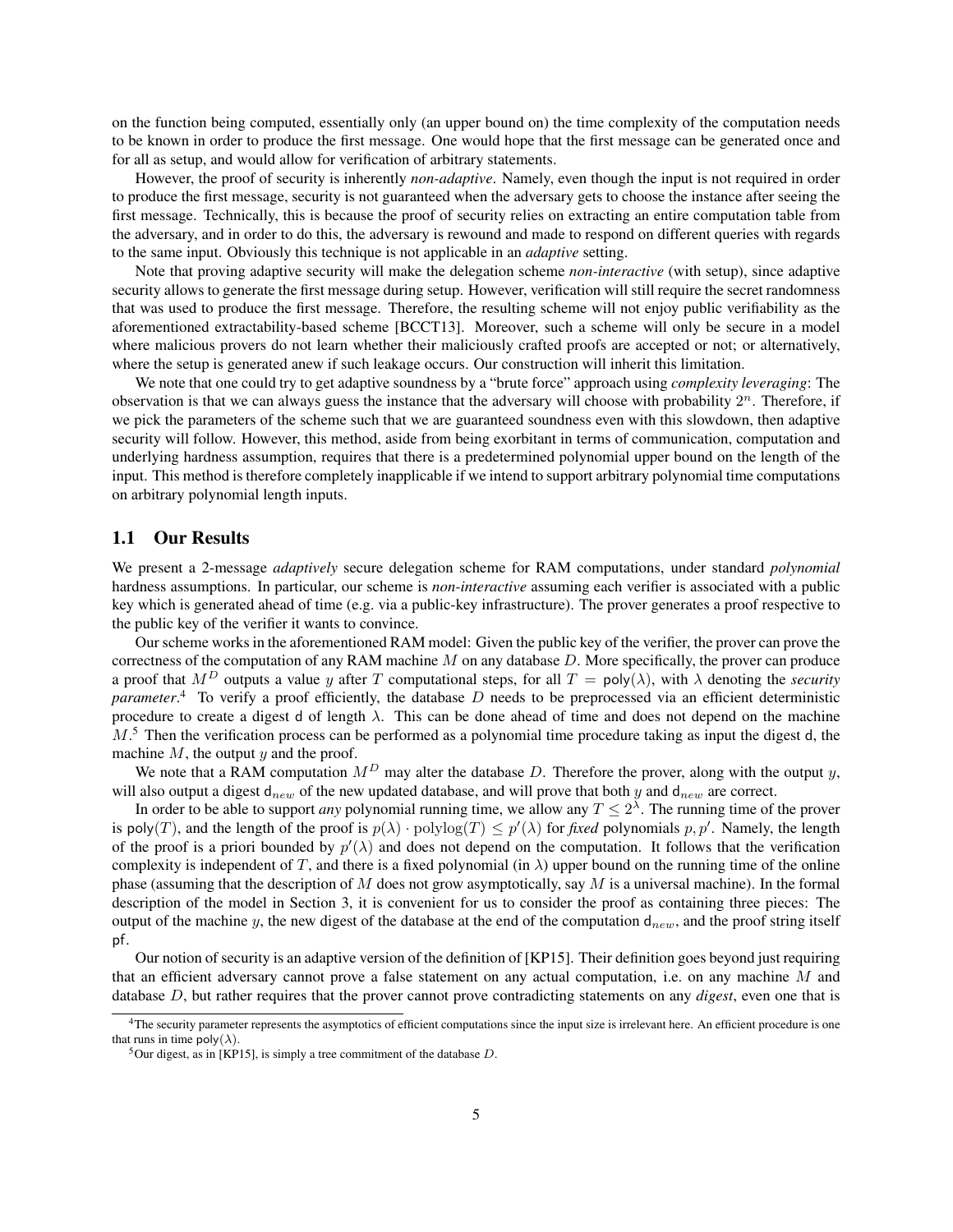on the function being computed, essentially only (an upper bound on) the time complexity of the computation needs to be known in order to produce the first message. One would hope that the first message can be generated once and for all as setup, and would allow for verification of arbitrary statements.

However, the proof of security is inherently *non-adaptive*. Namely, even though the input is not required in order to produce the first message, security is not guaranteed when the adversary gets to choose the instance after seeing the first message. Technically, this is because the proof of security relies on extracting an entire computation table from the adversary, and in order to do this, the adversary is rewound and made to respond on different queries with regards to the same input. Obviously this technique is not applicable in an *adaptive* setting.

Note that proving adaptive security will make the delegation scheme *non-interactive* (with setup), since adaptive security allows to generate the first message during setup. However, verification will still require the secret randomness that was used to produce the first message. Therefore, the resulting scheme will not enjoy public verifiability as the aforementioned extractability-based scheme [\[BCCT13\]](#page-34-5). Moreover, such a scheme will only be secure in a model where malicious provers do not learn whether their maliciously crafted proofs are accepted or not; or alternatively, where the setup is generated anew if such leakage occurs. Our construction will inherit this limitation.

We note that one could try to get adaptive soundness by a "brute force" approach using *complexity leveraging*: The observation is that we can always guess the instance that the adversary will choose with probability  $2<sup>n</sup>$ . Therefore, if we pick the parameters of the scheme such that we are guaranteed soundness even with this slowdown, then adaptive security will follow. However, this method, aside from being exorbitant in terms of communication, computation and underlying hardness assumption, requires that there is a predetermined polynomial upper bound on the length of the input. This method is therefore completely inapplicable if we intend to support arbitrary polynomial time computations on arbitrary polynomial length inputs.

#### <span id="page-4-0"></span>1.1 Our Results

We present a 2-message *adaptively* secure delegation scheme for RAM computations, under standard *polynomial* hardness assumptions. In particular, our scheme is *non-interactive* assuming each verifier is associated with a public key which is generated ahead of time (e.g. via a public-key infrastructure). The prover generates a proof respective to the public key of the verifier it wants to convince.

Our scheme works in the aforementioned RAM model: Given the public key of the verifier, the prover can prove the correctness of the computation of any RAM machine  $M$  on any database  $D$ . More specifically, the prover can produce a proof that  $M^D$  outputs a value y after T computational steps, for all  $T = poly(\lambda)$ , with  $\lambda$  denoting the *security parameter*. [4](#page-4-1) To verify a proof efficiently, the database D needs to be preprocessed via an efficient deterministic procedure to create a digest d of length  $\lambda$ . This can be done ahead of time and does not depend on the machine  $M<sup>5</sup>$  $M<sup>5</sup>$  $M<sup>5</sup>$ . Then the verification process can be performed as a polynomial time procedure taking as input the digest d, the machine  $M$ , the output  $y$  and the proof.

We note that a RAM computation  $M<sup>D</sup>$  may alter the database D. Therefore the prover, along with the output y, will also output a digest  $d_{new}$  of the new updated database, and will prove that both y and  $d_{new}$  are correct.

In order to be able to support *any* polynomial running time, we allow any  $T \leq 2^{\lambda}$ . The running time of the prover is poly(T), and the length of the proof is  $p(\lambda) \cdot \text{polylog}(T) \leq p'(\lambda)$  for *fixed* polynomials p, p'. Namely, the length of the proof is a priori bounded by  $p'(\lambda)$  and does not depend on the computation. It follows that the verification complexity is independent of T, and there is a fixed polynomial (in  $\lambda$ ) upper bound on the running time of the online phase (assuming that the description of  $M$  does not grow asymptotically, say  $M$  is a universal machine). In the formal description of the model in Section [3,](#page-11-0) it is convenient for us to consider the proof as containing three pieces: The output of the machine y, the new digest of the database at the end of the computation  $d_{new}$ , and the proof string itself pf.

Our notion of security is an adaptive version of the definition of [\[KP15\]](#page-36-8). Their definition goes beyond just requiring that an efficient adversary cannot prove a false statement on any actual computation, i.e. on any machine M and database D, but rather requires that the prover cannot prove contradicting statements on any *digest*, even one that is

<span id="page-4-1"></span><sup>4</sup>The security parameter represents the asymptotics of efficient computations since the input size is irrelevant here. An efficient procedure is one that runs in time  $\text{poly}(\lambda)$ .

<span id="page-4-2"></span><sup>&</sup>lt;sup>5</sup>Our digest, as in [\[KP15\]](#page-36-8), is simply a tree commitment of the database  $D$ .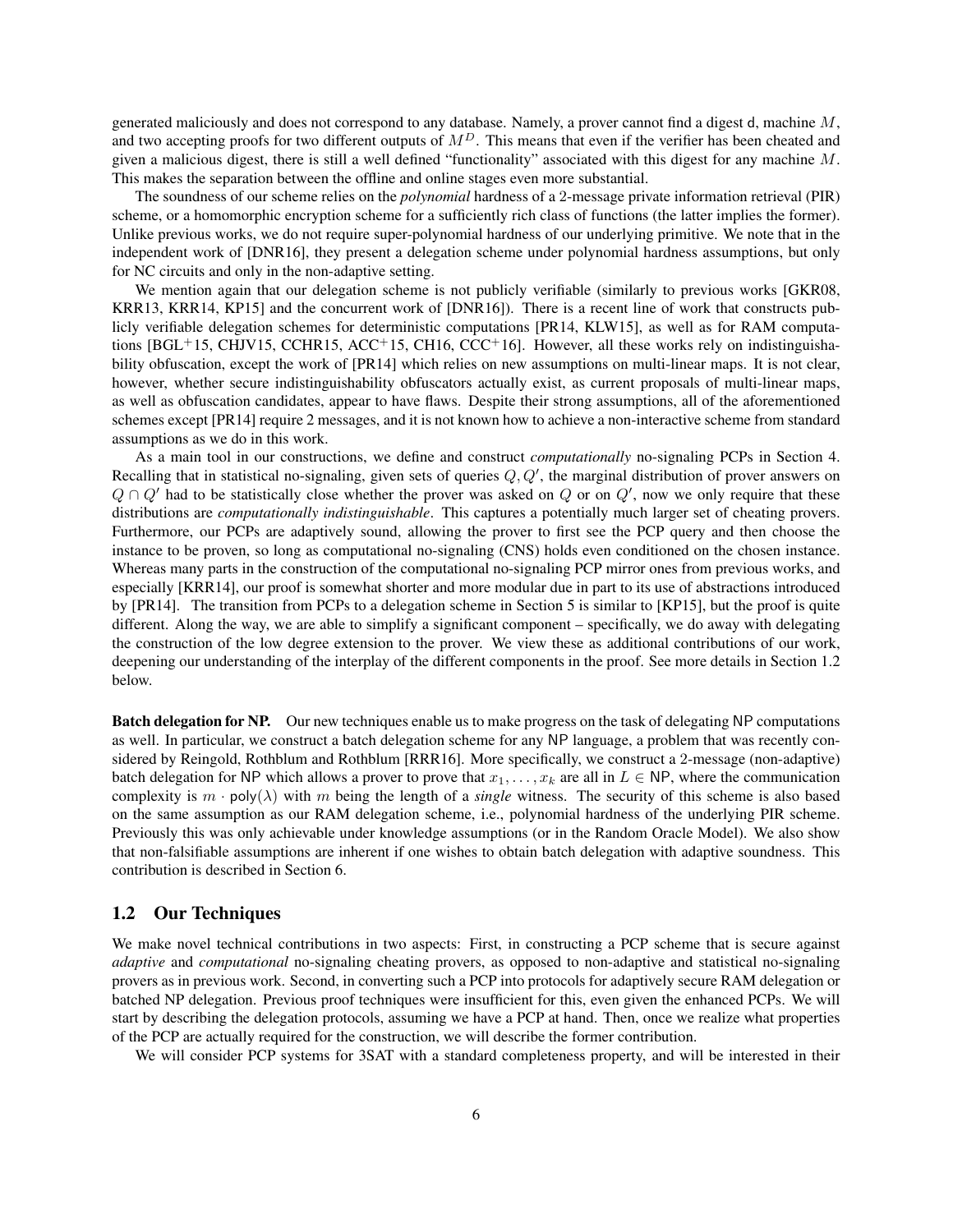generated maliciously and does not correspond to any database. Namely, a prover cannot find a digest d, machine  $M$ , and two accepting proofs for two different outputs of  $M<sup>D</sup>$ . This means that even if the verifier has been cheated and given a malicious digest, there is still a well defined "functionality" associated with this digest for any machine  $M$ . This makes the separation between the offline and online stages even more substantial.

The soundness of our scheme relies on the *polynomial* hardness of a 2-message private information retrieval (PIR) scheme, or a homomorphic encryption scheme for a sufficiently rich class of functions (the latter implies the former). Unlike previous works, we do not require super-polynomial hardness of our underlying primitive. We note that in the independent work of [\[DNR16\]](#page-35-3), they present a delegation scheme under polynomial hardness assumptions, but only for NC circuits and only in the non-adaptive setting.

We mention again that our delegation scheme is not publicly verifiable (similarly to previous works [\[GKR08,](#page-35-2) [KRR13,](#page-36-6) [KRR14,](#page-36-7) [KP15\]](#page-36-8) and the concurrent work of [\[DNR16\]](#page-35-3)). There is a recent line of work that constructs publicly verifiable delegation schemes for deterministic computations [\[PR14,](#page-36-10) [KLW15\]](#page-36-11), as well as for RAM computa-tions [\[BGL](#page-34-7)<sup>+</sup>15, [CHJV15,](#page-35-9) [CCHR15,](#page-35-10) [ACC](#page-34-8)<sup>+</sup>15, [CH16,](#page-35-11) [CCC](#page-35-12)<sup>+</sup>16]. However, all these works rely on indistinguishability obfuscation, except the work of [\[PR14\]](#page-36-10) which relies on new assumptions on multi-linear maps. It is not clear, however, whether secure indistinguishability obfuscators actually exist, as current proposals of multi-linear maps, as well as obfuscation candidates, appear to have flaws. Despite their strong assumptions, all of the aforementioned schemes except [\[PR14\]](#page-36-10) require 2 messages, and it is not known how to achieve a non-interactive scheme from standard assumptions as we do in this work.

As a main tool in our constructions, we define and construct *computationally* no-signaling PCPs in Section [4.](#page-14-0) Recalling that in statistical no-signaling, given sets of queries  $Q, Q'$ , the marginal distribution of prover answers on  $Q \cap Q'$  had to be statistically close whether the prover was asked on Q or on  $Q'$ , now we only require that these distributions are *computationally indistinguishable*. This captures a potentially much larger set of cheating provers. Furthermore, our PCPs are adaptively sound, allowing the prover to first see the PCP query and then choose the instance to be proven, so long as computational no-signaling (CNS) holds even conditioned on the chosen instance. Whereas many parts in the construction of the computational no-signaling PCP mirror ones from previous works, and especially [\[KRR14\]](#page-36-7), our proof is somewhat shorter and more modular due in part to its use of abstractions introduced by [\[PR14\]](#page-36-10). The transition from PCPs to a delegation scheme in Section [5](#page-21-0) is similar to [\[KP15\]](#page-36-8), but the proof is quite different. Along the way, we are able to simplify a significant component – specifically, we do away with delegating the construction of the low degree extension to the prover. We view these as additional contributions of our work, deepening our understanding of the interplay of the different components in the proof. See more details in Section [1.2](#page-5-0) below.

Batch delegation for NP. Our new techniques enable us to make progress on the task of delegating NP computations as well. In particular, we construct a batch delegation scheme for any NP language, a problem that was recently considered by Reingold, Rothblum and Rothblum [\[RRR16\]](#page-36-0). More specifically, we construct a 2-message (non-adaptive) batch delegation for NP which allows a prover to prove that  $x_1, \ldots, x_k$  are all in  $L \in \mathsf{NP}$ , where the communication complexity is  $m \cdot \text{poly}(\lambda)$  with m being the length of a *single* witness. The security of this scheme is also based on the same assumption as our RAM delegation scheme, i.e., polynomial hardness of the underlying PIR scheme. Previously this was only achievable under knowledge assumptions (or in the Random Oracle Model). We also show that non-falsifiable assumptions are inherent if one wishes to obtain batch delegation with adaptive soundness. This contribution is described in Section [6.](#page-27-0)

#### <span id="page-5-0"></span>1.2 Our Techniques

We make novel technical contributions in two aspects: First, in constructing a PCP scheme that is secure against *adaptive* and *computational* no-signaling cheating provers, as opposed to non-adaptive and statistical no-signaling provers as in previous work. Second, in converting such a PCP into protocols for adaptively secure RAM delegation or batched NP delegation. Previous proof techniques were insufficient for this, even given the enhanced PCPs. We will start by describing the delegation protocols, assuming we have a PCP at hand. Then, once we realize what properties of the PCP are actually required for the construction, we will describe the former contribution.

We will consider PCP systems for 3SAT with a standard completeness property, and will be interested in their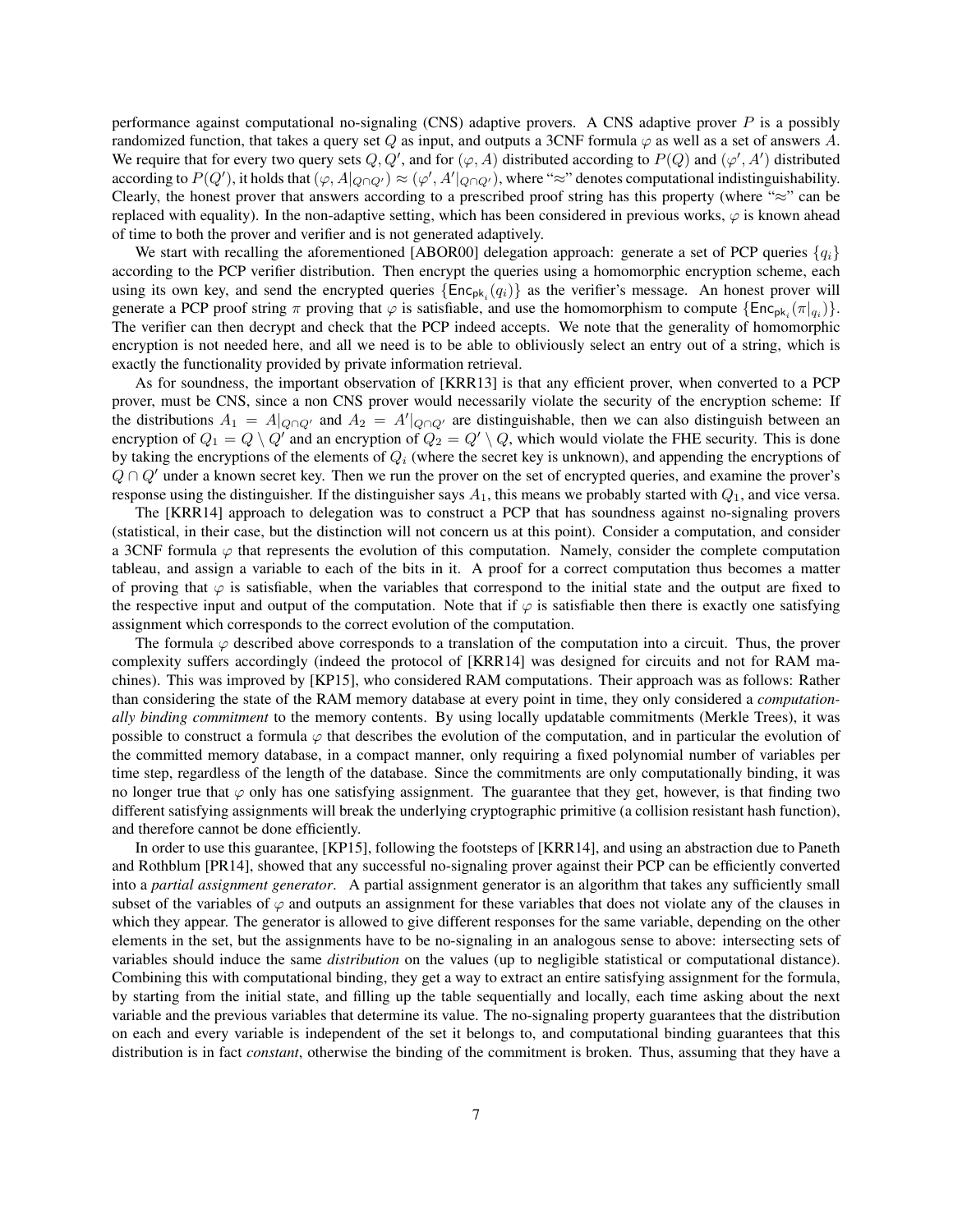performance against computational no-signaling (CNS) adaptive provers. A CNS adaptive prover  $P$  is a possibly randomized function, that takes a query set Q as input, and outputs a 3CNF formula  $\varphi$  as well as a set of answers A. We require that for every two query sets Q, Q', and for  $(\varphi, A)$  distributed according to  $P(Q)$  and  $(\varphi', A')$  distributed according to  $P(Q')$ , it holds that  $(\varphi, A|_{Q\cap Q'}) \approx (\varphi', A'|_{Q\cap Q'})$ , where "≈" denotes computational indistinguishability. Clearly, the honest prover that answers according to a prescribed proof string has this property (where "≈" can be replaced with equality). In the non-adaptive setting, which has been considered in previous works,  $\varphi$  is known ahead of time to both the prover and verifier and is not generated adaptively.

We start with recalling the aforementioned [\[ABOR00\]](#page-34-3) delegation approach: generate a set of PCP queries  $\{q_i\}$ according to the PCP verifier distribution. Then encrypt the queries using a homomorphic encryption scheme, each using its own key, and send the encrypted queries  $\{Enc_{pk_i}(q_i)\}$  as the verifier's message. An honest prover will generate a PCP proof string  $\pi$  proving that  $\varphi$  is satisfiable, and use the homomorphism to compute  $\{Enc_{pk_i}(\pi|_{q_i})\}$ . The verifier can then decrypt and check that the PCP indeed accepts. We note that the generality of homomorphic encryption is not needed here, and all we need is to be able to obliviously select an entry out of a string, which is exactly the functionality provided by private information retrieval.

As for soundness, the important observation of [\[KRR13\]](#page-36-6) is that any efficient prover, when converted to a PCP prover, must be CNS, since a non CNS prover would necessarily violate the security of the encryption scheme: If the distributions  $A_1 = A|_{Q\cap Q'}$  and  $A_2 = A'|_{Q\cap Q'}$  are distinguishable, then we can also distinguish between an encryption of  $Q_1 = Q \setminus Q'$  and an encryption of  $Q_2 = Q' \setminus Q$ , which would violate the FHE security. This is done by taking the encryptions of the elements of  $Q_i$  (where the secret key is unknown), and appending the encryptions of  $Q \cap Q'$  under a known secret key. Then we run the prover on the set of encrypted queries, and examine the prover's response using the distinguisher. If the distinguisher says  $A_1$ , this means we probably started with  $Q_1$ , and vice versa.

The [\[KRR14\]](#page-36-7) approach to delegation was to construct a PCP that has soundness against no-signaling provers (statistical, in their case, but the distinction will not concern us at this point). Consider a computation, and consider a 3CNF formula  $\varphi$  that represents the evolution of this computation. Namely, consider the complete computation tableau, and assign a variable to each of the bits in it. A proof for a correct computation thus becomes a matter of proving that  $\varphi$  is satisfiable, when the variables that correspond to the initial state and the output are fixed to the respective input and output of the computation. Note that if  $\varphi$  is satisfiable then there is exactly one satisfying assignment which corresponds to the correct evolution of the computation.

The formula  $\varphi$  described above corresponds to a translation of the computation into a circuit. Thus, the prover complexity suffers accordingly (indeed the protocol of [\[KRR14\]](#page-36-7) was designed for circuits and not for RAM machines). This was improved by [\[KP15\]](#page-36-8), who considered RAM computations. Their approach was as follows: Rather than considering the state of the RAM memory database at every point in time, they only considered a *computationally binding commitment* to the memory contents. By using locally updatable commitments (Merkle Trees), it was possible to construct a formula  $\varphi$  that describes the evolution of the computation, and in particular the evolution of the committed memory database, in a compact manner, only requiring a fixed polynomial number of variables per time step, regardless of the length of the database. Since the commitments are only computationally binding, it was no longer true that  $\varphi$  only has one satisfying assignment. The guarantee that they get, however, is that finding two different satisfying assignments will break the underlying cryptographic primitive (a collision resistant hash function), and therefore cannot be done efficiently.

In order to use this guarantee, [\[KP15\]](#page-36-8), following the footsteps of [\[KRR14\]](#page-36-7), and using an abstraction due to Paneth and Rothblum [\[PR14\]](#page-36-10), showed that any successful no-signaling prover against their PCP can be efficiently converted into a *partial assignment generator*. A partial assignment generator is an algorithm that takes any sufficiently small subset of the variables of  $\varphi$  and outputs an assignment for these variables that does not violate any of the clauses in which they appear. The generator is allowed to give different responses for the same variable, depending on the other elements in the set, but the assignments have to be no-signaling in an analogous sense to above: intersecting sets of variables should induce the same *distribution* on the values (up to negligible statistical or computational distance). Combining this with computational binding, they get a way to extract an entire satisfying assignment for the formula, by starting from the initial state, and filling up the table sequentially and locally, each time asking about the next variable and the previous variables that determine its value. The no-signaling property guarantees that the distribution on each and every variable is independent of the set it belongs to, and computational binding guarantees that this distribution is in fact *constant*, otherwise the binding of the commitment is broken. Thus, assuming that they have a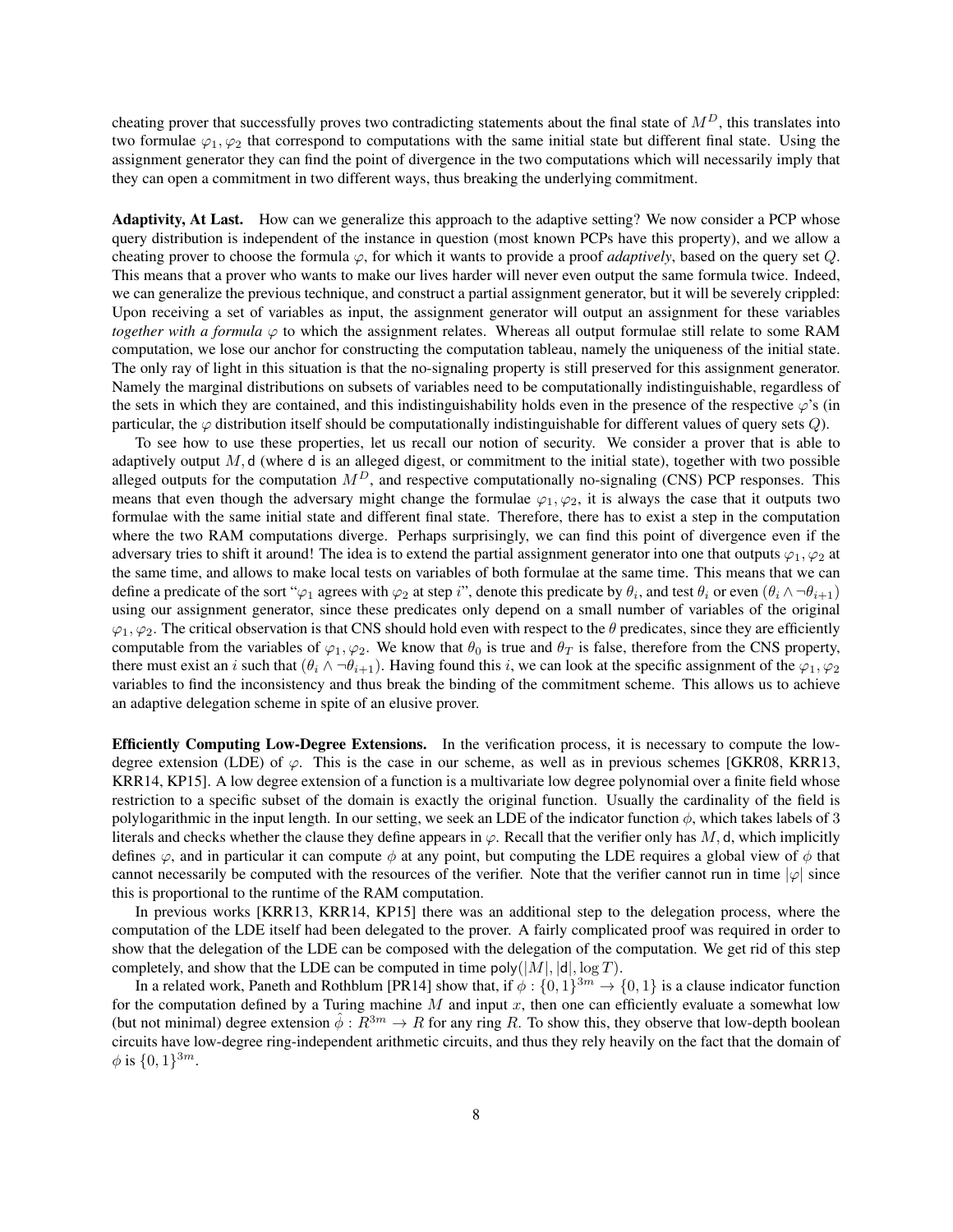cheating prover that successfully proves two contradicting statements about the final state of  $M<sup>D</sup>$ , this translates into two formulae  $\varphi_1, \varphi_2$  that correspond to computations with the same initial state but different final state. Using the assignment generator they can find the point of divergence in the two computations which will necessarily imply that they can open a commitment in two different ways, thus breaking the underlying commitment.

Adaptivity, At Last. How can we generalize this approach to the adaptive setting? We now consider a PCP whose query distribution is independent of the instance in question (most known PCPs have this property), and we allow a cheating prover to choose the formula  $\varphi$ , for which it wants to provide a proof *adaptively*, based on the query set  $Q$ . This means that a prover who wants to make our lives harder will never even output the same formula twice. Indeed, we can generalize the previous technique, and construct a partial assignment generator, but it will be severely crippled: Upon receiving a set of variables as input, the assignment generator will output an assignment for these variables *together with a formula*  $\varphi$  to which the assignment relates. Whereas all output formulae still relate to some RAM computation, we lose our anchor for constructing the computation tableau, namely the uniqueness of the initial state. The only ray of light in this situation is that the no-signaling property is still preserved for this assignment generator. Namely the marginal distributions on subsets of variables need to be computationally indistinguishable, regardless of the sets in which they are contained, and this indistinguishability holds even in the presence of the respective  $\varphi$ 's (in particular, the  $\varphi$  distribution itself should be computationally indistinguishable for different values of query sets  $Q$ ).

To see how to use these properties, let us recall our notion of security. We consider a prover that is able to adaptively output  $M$ , d (where d is an alleged digest, or commitment to the initial state), together with two possible alleged outputs for the computation  $M<sup>D</sup>$ , and respective computationally no-signaling (CNS) PCP responses. This means that even though the adversary might change the formulae  $\varphi_1, \varphi_2$ , it is always the case that it outputs two formulae with the same initial state and different final state. Therefore, there has to exist a step in the computation where the two RAM computations diverge. Perhaps surprisingly, we can find this point of divergence even if the adversary tries to shift it around! The idea is to extend the partial assignment generator into one that outputs  $\varphi_1, \varphi_2$  at the same time, and allows to make local tests on variables of both formulae at the same time. This means that we can define a predicate of the sort " $\varphi_1$  agrees with  $\varphi_2$  at step i", denote this predicate by  $\theta_i$ , and test  $\theta_i$  or even  $(\theta_i \wedge \neg \theta_{i+1})$ using our assignment generator, since these predicates only depend on a small number of variables of the original  $\varphi_1, \varphi_2$ . The critical observation is that CNS should hold even with respect to the  $\theta$  predicates, since they are efficiently computable from the variables of  $\varphi_1, \varphi_2$ . We know that  $\theta_0$  is true and  $\theta_T$  is false, therefore from the CNS property, there must exist an i such that  $(\theta_i \wedge \neg \theta_{i+1})$ . Having found this i, we can look at the specific assignment of the  $\varphi_1, \varphi_2$ variables to find the inconsistency and thus break the binding of the commitment scheme. This allows us to achieve an adaptive delegation scheme in spite of an elusive prover.

Efficiently Computing Low-Degree Extensions. In the verification process, it is necessary to compute the lowdegree extension (LDE) of  $\varphi$ . This is the case in our scheme, as well as in previous schemes [\[GKR08,](#page-35-2) [KRR13,](#page-36-6) [KRR14,](#page-36-7) [KP15\]](#page-36-8). A low degree extension of a function is a multivariate low degree polynomial over a finite field whose restriction to a specific subset of the domain is exactly the original function. Usually the cardinality of the field is polylogarithmic in the input length. In our setting, we seek an LDE of the indicator function  $\phi$ , which takes labels of 3 literals and checks whether the clause they define appears in  $\varphi$ . Recall that the verifier only has M, d, which implicitly defines  $\varphi$ , and in particular it can compute  $\phi$  at any point, but computing the LDE requires a global view of  $\phi$  that cannot necessarily be computed with the resources of the verifier. Note that the verifier cannot run in time  $|\varphi|$  since this is proportional to the runtime of the RAM computation.

In previous works [\[KRR13,](#page-36-6) [KRR14,](#page-36-7) [KP15\]](#page-36-8) there was an additional step to the delegation process, where the computation of the LDE itself had been delegated to the prover. A fairly complicated proof was required in order to show that the delegation of the LDE can be composed with the delegation of the computation. We get rid of this step completely, and show that the LDE can be computed in time poly( $|M|, |d|, \log T$ ).

In a related work, Paneth and Rothblum [\[PR14\]](#page-36-10) show that, if  $\phi: \{0,1\}^{3m} \to \{0,1\}$  is a clause indicator function for the computation defined by a Turing machine  $M$  and input  $x$ , then one can efficiently evaluate a somewhat low (but not minimal) degree extension  $\phi : R^{3m} \to R$  for any ring R. To show this, they observe that low-depth boolean circuits have low-degree ring-independent arithmetic circuits, and thus they rely heavily on the fact that the domain of  $\phi$  is  $\{0,1\}^{3m}$ .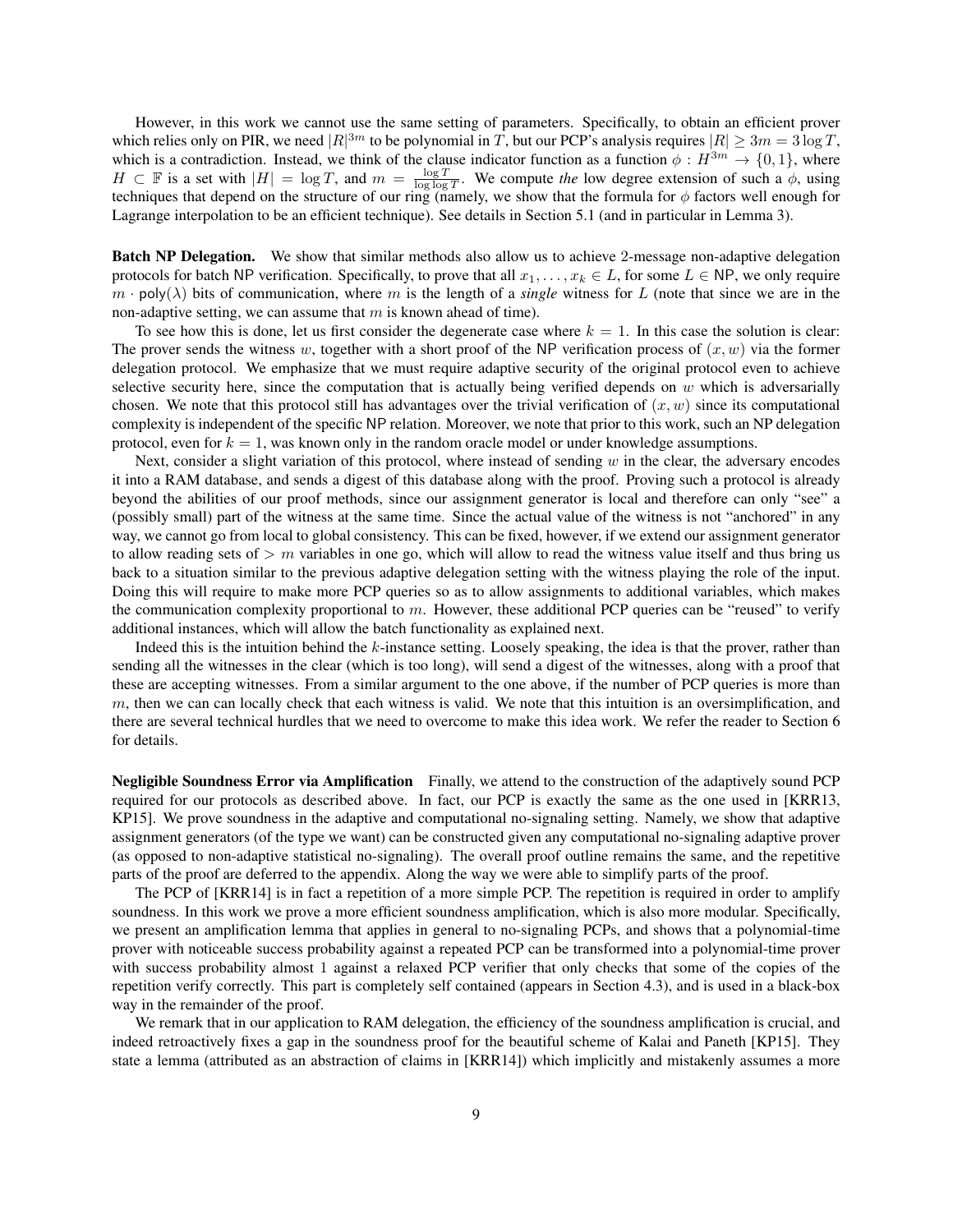However, in this work we cannot use the same setting of parameters. Specifically, to obtain an efficient prover which relies only on PIR, we need  $|R|^{3m}$  to be polynomial in T, but our PCP's analysis requires  $|R| \ge 3m = 3 \log T$ , which is a contradiction. Instead, we think of the clause indicator function as a function  $\phi : H^{3m} \to \{0,1\}$ , where *H* ⊂ F is a set with  $|H| = \log T$ , and  $m = \frac{\log T}{\log \log T}$ . We compute *the* low degree extension of such a  $\phi$ , using techniques that depend on the structure of our ring (namely, we show that the formula for  $\phi$  factors well enough for Lagrange interpolation to be an efficient technique). See details in Section [5.1](#page-21-1) (and in particular in Lemma [3\)](#page-22-0).

Batch NP Delegation. We show that similar methods also allow us to achieve 2-message non-adaptive delegation protocols for batch NP verification. Specifically, to prove that all  $x_1, \ldots, x_k \in L$ , for some  $L \in \mathsf{NP}$ , we only require  $m \cdot \text{poly}(\lambda)$  bits of communication, where m is the length of a *single* witness for L (note that since we are in the non-adaptive setting, we can assume that  $m$  is known ahead of time).

To see how this is done, let us first consider the degenerate case where  $k = 1$ . In this case the solution is clear: The prover sends the witness w, together with a short proof of the NP verification process of  $(x, w)$  via the former delegation protocol. We emphasize that we must require adaptive security of the original protocol even to achieve selective security here, since the computation that is actually being verified depends on  $w$  which is adversarially chosen. We note that this protocol still has advantages over the trivial verification of  $(x, w)$  since its computational complexity is independent of the specific NP relation. Moreover, we note that prior to this work, such an NP delegation protocol, even for  $k = 1$ , was known only in the random oracle model or under knowledge assumptions.

Next, consider a slight variation of this protocol, where instead of sending  $w$  in the clear, the adversary encodes it into a RAM database, and sends a digest of this database along with the proof. Proving such a protocol is already beyond the abilities of our proof methods, since our assignment generator is local and therefore can only "see" a (possibly small) part of the witness at the same time. Since the actual value of the witness is not "anchored" in any way, we cannot go from local to global consistency. This can be fixed, however, if we extend our assignment generator to allow reading sets of  $> m$  variables in one go, which will allow to read the witness value itself and thus bring us back to a situation similar to the previous adaptive delegation setting with the witness playing the role of the input. Doing this will require to make more PCP queries so as to allow assignments to additional variables, which makes the communication complexity proportional to m. However, these additional PCP queries can be "reused" to verify additional instances, which will allow the batch functionality as explained next.

Indeed this is the intuition behind the k-instance setting. Loosely speaking, the idea is that the prover, rather than sending all the witnesses in the clear (which is too long), will send a digest of the witnesses, along with a proof that these are accepting witnesses. From a similar argument to the one above, if the number of PCP queries is more than  $m$ , then we can can locally check that each witness is valid. We note that this intuition is an oversimplification, and there are several technical hurdles that we need to overcome to make this idea work. We refer the reader to Section [6](#page-27-0) for details.

Negligible Soundness Error via Amplification Finally, we attend to the construction of the adaptively sound PCP required for our protocols as described above. In fact, our PCP is exactly the same as the one used in [\[KRR13,](#page-36-6) [KP15\]](#page-36-8). We prove soundness in the adaptive and computational no-signaling setting. Namely, we show that adaptive assignment generators (of the type we want) can be constructed given any computational no-signaling adaptive prover (as opposed to non-adaptive statistical no-signaling). The overall proof outline remains the same, and the repetitive parts of the proof are deferred to the appendix. Along the way we were able to simplify parts of the proof.

The PCP of [\[KRR14\]](#page-36-7) is in fact a repetition of a more simple PCP. The repetition is required in order to amplify soundness. In this work we prove a more efficient soundness amplification, which is also more modular. Specifically, we present an amplification lemma that applies in general to no-signaling PCPs, and shows that a polynomial-time prover with noticeable success probability against a repeated PCP can be transformed into a polynomial-time prover with success probability almost 1 against a relaxed PCP verifier that only checks that some of the copies of the repetition verify correctly. This part is completely self contained (appears in Section [4.3\)](#page-17-0), and is used in a black-box way in the remainder of the proof.

We remark that in our application to RAM delegation, the efficiency of the soundness amplification is crucial, and indeed retroactively fixes a gap in the soundness proof for the beautiful scheme of Kalai and Paneth [\[KP15\]](#page-36-8). They state a lemma (attributed as an abstraction of claims in [\[KRR14\]](#page-36-7)) which implicitly and mistakenly assumes a more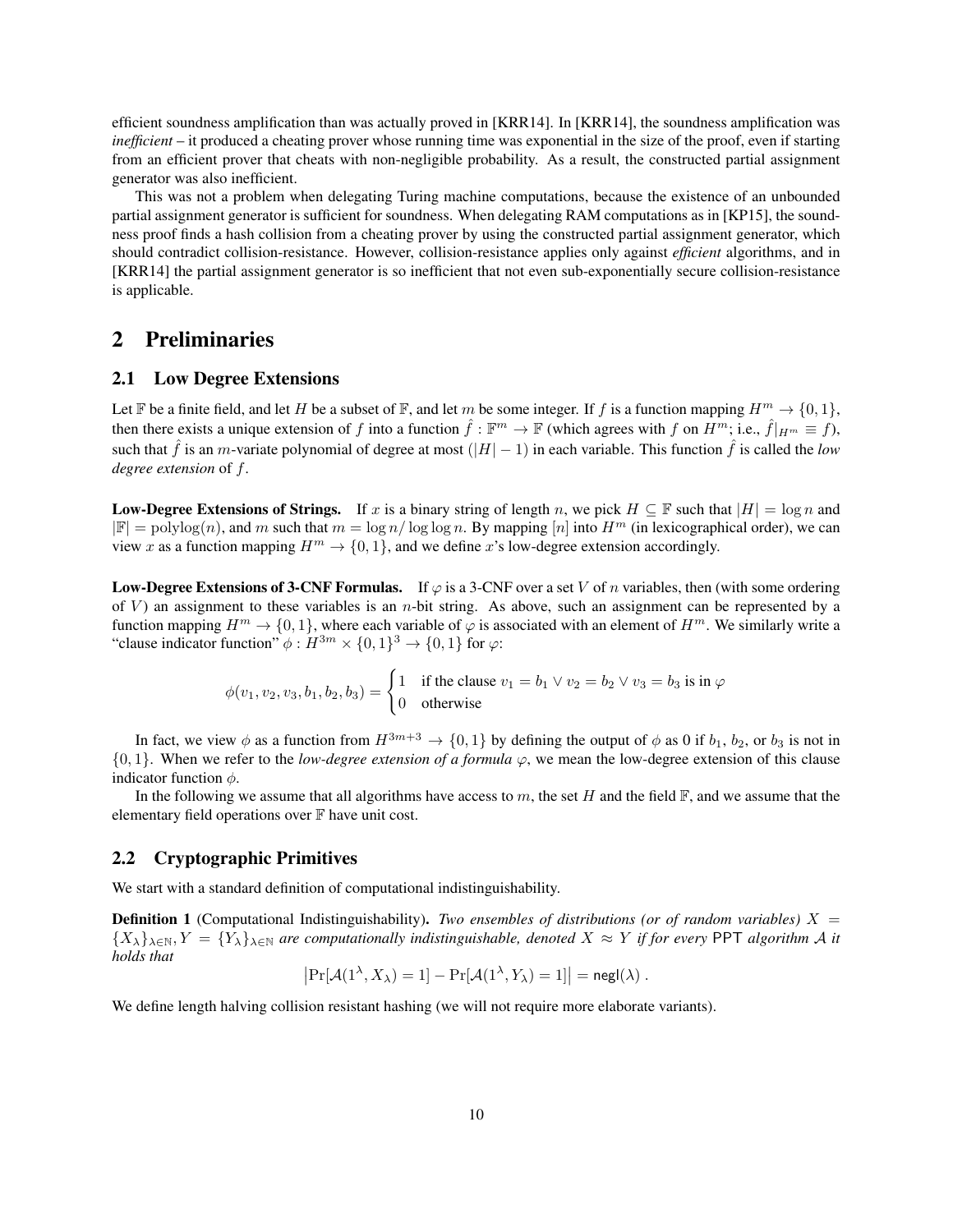efficient soundness amplification than was actually proved in [\[KRR14\]](#page-36-7). In [\[KRR14\]](#page-36-7), the soundness amplification was *inefficient* – it produced a cheating prover whose running time was exponential in the size of the proof, even if starting from an efficient prover that cheats with non-negligible probability. As a result, the constructed partial assignment generator was also inefficient.

This was not a problem when delegating Turing machine computations, because the existence of an unbounded partial assignment generator is sufficient for soundness. When delegating RAM computations as in [\[KP15\]](#page-36-8), the soundness proof finds a hash collision from a cheating prover by using the constructed partial assignment generator, which should contradict collision-resistance. However, collision-resistance applies only against *efficient* algorithms, and in [\[KRR14\]](#page-36-7) the partial assignment generator is so inefficient that not even sub-exponentially secure collision-resistance is applicable.

### <span id="page-9-0"></span>2 Preliminaries

### <span id="page-9-1"></span>2.1 Low Degree Extensions

Let F be a finite field, and let H be a subset of F, and let m be some integer. If f is a function mapping  $H^m \to \{0, 1\}$ , then there exists a unique extension of f into a function  $\hat{f} : \mathbb{F}^m \to \mathbb{F}$  (which agrees with f on  $H^m$ ; i.e.,  $\hat{f}|_{H^m} \equiv f$ ), such that  $\hat{f}$  is an m-variate polynomial of degree at most  $(|H|-1)$  in each variable. This function  $\hat{f}$  is called the *low degree extension* of f.

**Low-Degree Extensions of Strings.** If x is a binary string of length n, we pick  $H \subseteq \mathbb{F}$  such that  $|H| = \log n$  and  $|\mathbb{F}| = \text{polylog}(n)$ , and m such that  $m = \log n / \log \log n$ . By mapping  $[n]$  into  $H^m$  (in lexicographical order), we can view x as a function mapping  $H^m \to \{0, 1\}$ , and we define x's low-degree extension accordingly.

**Low-Degree Extensions of 3-CNF Formulas.** If  $\varphi$  is a 3-CNF over a set V of n variables, then (with some ordering of  $V$ ) an assignment to these variables is an *n*-bit string. As above, such an assignment can be represented by a function mapping  $H^m \to \{0, 1\}$ , where each variable of  $\varphi$  is associated with an element of  $H^m$ . We similarly write a "clause indicator function"  $\phi: H^{3m} \times \{0,1\}^3 \to \{0,1\}$  for  $\varphi$ :

$$
\phi(v_1, v_2, v_3, b_1, b_2, b_3) = \begin{cases} 1 & \text{if the clause } v_1 = b_1 \lor v_2 = b_2 \lor v_3 = b_3 \text{ is in } \varphi \\ 0 & \text{otherwise} \end{cases}
$$

In fact, we view  $\phi$  as a function from  $H^{3m+3} \to \{0,1\}$  by defining the output of  $\phi$  as 0 if  $b_1$ ,  $b_2$ , or  $b_3$  is not in  $\{0, 1\}$ . When we refer to the *low-degree extension of a formula*  $\varphi$ , we mean the low-degree extension of this clause indicator function  $\phi$ .

In the following we assume that all algorithms have access to m, the set H and the field  $\mathbb{F}$ , and we assume that the elementary field operations over  $\mathbb F$  have unit cost.

#### <span id="page-9-2"></span>2.2 Cryptographic Primitives

We start with a standard definition of computational indistinguishability.

**Definition 1** (Computational Indistinguishability). *Two ensembles of distributions (or of random variables)*  $X =$  ${X_{\lambda}}_{\lambda\in\mathbb{N}}, Y = {Y_{\lambda}}_{\lambda\in\mathbb{N}}$  are computationally indistinguishable, denoted  $X \approx Y$  if for every PPT algorithm A it *holds that*

$$
Pr[\mathcal{A}(1^{\lambda}, X_{\lambda}) = 1] - Pr[\mathcal{A}(1^{\lambda}, Y_{\lambda}) = 1]| = \mathsf{negl}(\lambda).
$$

We define length halving collision resistant hashing (we will not require more elaborate variants).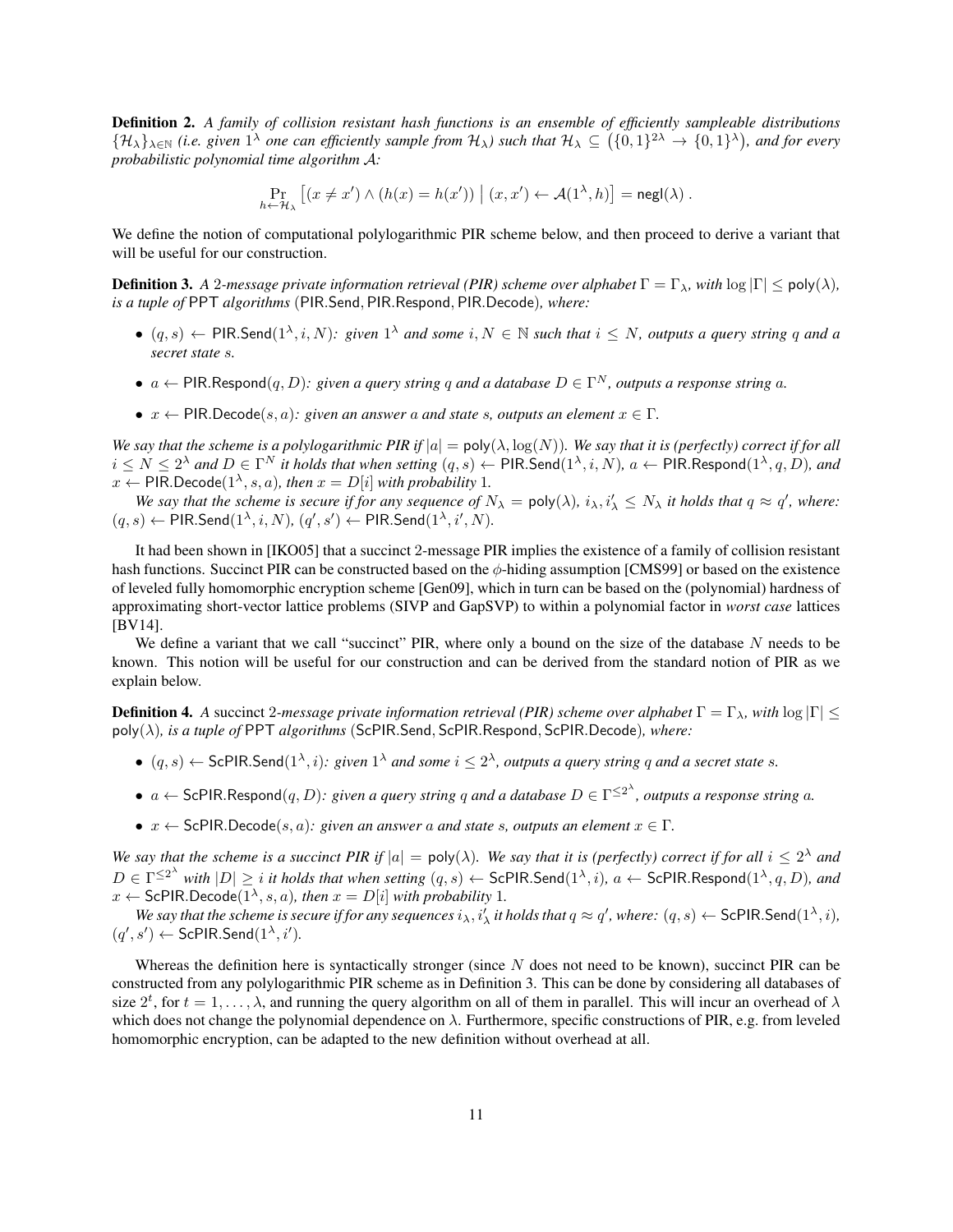Definition 2. *A family of collision resistant hash functions is an ensemble of efficiently sampleable distributions*  $\{H_\lambda\}_{\lambda\in\mathbb{N}}$  (i.e. given  $1^\lambda$  one can efficiently sample from  $H_\lambda$ ) such that  $H_\lambda\subseteq\{0,1\}^{2\lambda}\to\{0,1\}^\lambda$ ), and for every *probabilistic polynomial time algorithm* A*:*

$$
\Pr_{h \leftarrow \mathcal{H}_{\lambda}} \left[ (x \neq x') \wedge (h(x) = h(x')) \mid (x, x') \leftarrow \mathcal{A}(1^{\lambda}, h) \right] = \mathsf{negl}(\lambda) .
$$

We define the notion of computational polylogarithmic PIR scheme below, and then proceed to derive a variant that will be useful for our construction.

<span id="page-10-0"></span>**Definition 3.** *A* 2*-message private information retrieval (PIR) scheme over alphabet*  $\Gamma = \Gamma_{\lambda}$ *, with* log  $|\Gamma| \leq \text{poly}(\lambda)$ *, is a tuple of* PPT *algorithms* (PIR.Send, PIR.Respond, PIR.Decode)*, where:*

- $(q, s) \leftarrow$  PIR.Send $(1^{\lambda}, i, N)$ : given  $1^{\lambda}$  and some  $i, N \in \mathbb{N}$  such that  $i \leq N$ , outputs a query string q and a *secret state* s*.*
- $a \leftarrow \text{PIR}$ .Respond $(q, D)$ : given a query string q and a database  $D \in \Gamma^N$ , outputs a response string a.
- $x \leftarrow \text{PIR}.\text{Decode}(s, a)$ : given an answer a and state s, outputs an element  $x \in \Gamma$ .

*We say that the scheme is a polylogarithmic PIR if*  $|a| = poly(\lambda, log(N))$ *. We say that it is (perfectly) correct if for all*  $i\leq N\leq 2^\lambda$  and  $D\in\Gamma^N$  it holds that when setting  $(q,s)\leftarrow \mathsf{PIR}.\mathsf{Send}(1^\lambda,i,N),\,a\leftarrow \mathsf{PIR}.\mathsf{Respond}(1^\lambda,q,D),\,and$  $x \leftarrow$  PIR.Decode( $1^{\lambda}, s, a$ ), then  $x = D[i]$  with probability 1.

*We say that the scheme is secure if for any sequence of*  $N_\lambda = \text{poly}(\lambda)$ ,  $i_\lambda, i'_\lambda \leq N_\lambda$  *it holds that*  $q \approx q'$ , where:  $(q, s) \leftarrow$  PIR.Send $(1^{\lambda}, i, N)$ ,  $(q', s') \leftarrow$  PIR.Send $(1^{\lambda}, i', N)$ .

It had been shown in [\[IKO05\]](#page-36-12) that a succinct 2-message PIR implies the existence of a family of collision resistant hash functions. Succinct PIR can be constructed based on the  $\phi$ -hiding assumption [\[CMS99\]](#page-35-13) or based on the existence of leveled fully homomorphic encryption scheme [\[Gen09\]](#page-35-14), which in turn can be based on the (polynomial) hardness of approximating short-vector lattice problems (SIVP and GapSVP) to within a polynomial factor in *worst case* lattices [\[BV14\]](#page-34-9).

We define a variant that we call "succinct" PIR, where only a bound on the size of the database N needs to be known. This notion will be useful for our construction and can be derived from the standard notion of PIR as we explain below.

<span id="page-10-1"></span>**Definition 4.** *A* succinct 2-message private information retrieval (PIR) scheme over alphabet  $\Gamma = \Gamma_{\lambda}$ , with  $\log |\Gamma| \le$ poly(λ)*, is a tuple of* PPT *algorithms* (ScPIR.Send, ScPIR.Respond, ScPIR.Decode)*, where:*

- $(q, s) \leftarrow$  ScPIR.Send $(1^{\lambda}, i)$ : given  $1^{\lambda}$  *and some*  $i \leq 2^{\lambda}$ , *outputs a query string q and a secret state s.*
- $a \leftarrow$  ScPIR.Respond $(q, D)$ : given a query string q and a database  $D \in \Gamma^{\leq 2^{\lambda}}$ , outputs a response string a.
- $x \leftarrow$  ScPIR.Decode(s, a): given an answer a and state s, outputs an element  $x \in \Gamma$ .

*We say that the scheme is a succinct PIR if*  $|a| = poly(\lambda)$ *. We say that it is (perfectly) correct if for all*  $i \leq 2^{\lambda}$  *and*  $D \in \Gamma^{\leq 2^{\lambda}}$  with  $|D| \geq i$  it holds that when setting  $(q, s) \leftarrow \mathsf{ScPIR.Send}(1^{\lambda}, i)$ ,  $a \leftarrow \mathsf{ScPIR.Respond}(1^{\lambda}, q, D)$ , and  $x \leftarrow$  ScPIR.Decode( $1^{\lambda}, s, a$ )*, then*  $x = D[i]$  *with probability* 1*.* 

We say that the scheme is secure if for any sequences  $i_\lambda$ ,  $i'_\lambda$  it holds that  $q \approx q'$ , where:  $(q, s) \leftarrow$  ScPIR.Send $(1^\lambda, i)$ ,  $(q', s') \leftarrow \mathsf{ScPIR}.\mathsf{Send}(1^\lambda, i').$ 

Whereas the definition here is syntactically stronger (since  $N$  does not need to be known), succinct PIR can be constructed from any polylogarithmic PIR scheme as in Definition [3.](#page-10-0) This can be done by considering all databases of size  $2^t$ , for  $t = 1, \ldots, \lambda$ , and running the query algorithm on all of them in parallel. This will incur an overhead of  $\lambda$ which does not change the polynomial dependence on  $\lambda$ . Furthermore, specific constructions of PIR, e.g. from leveled homomorphic encryption, can be adapted to the new definition without overhead at all.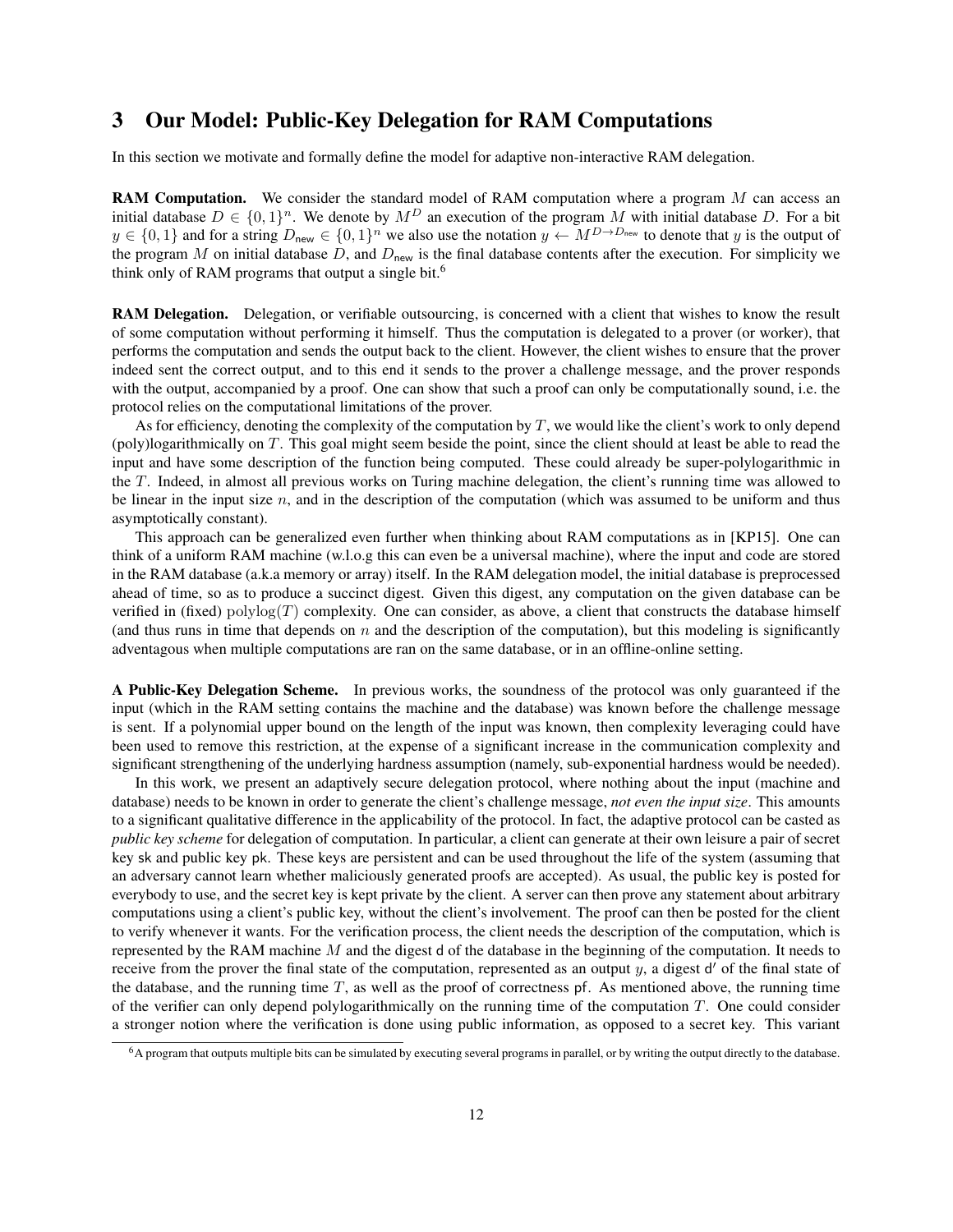# <span id="page-11-0"></span>3 Our Model: Public-Key Delegation for RAM Computations

In this section we motivate and formally define the model for adaptive non-interactive RAM delegation.

RAM Computation. We consider the standard model of RAM computation where a program M can access an initial database  $D \in \{0,1\}^n$ . We denote by  $M^D$  an execution of the program M with initial database D. For a bit  $y \in \{0,1\}$  and for a string  $D_{\text{new}} \in \{0,1\}^n$  we also use the notation  $y \leftarrow M^{D \to D_{\text{new}}}$  to denote that y is the output of the program M on initial database  $D$ , and  $D_{\text{new}}$  is the final database contents after the execution. For simplicity we think only of RAM programs that output a single bit.[6](#page-11-1)

RAM Delegation. Delegation, or verifiable outsourcing, is concerned with a client that wishes to know the result of some computation without performing it himself. Thus the computation is delegated to a prover (or worker), that performs the computation and sends the output back to the client. However, the client wishes to ensure that the prover indeed sent the correct output, and to this end it sends to the prover a challenge message, and the prover responds with the output, accompanied by a proof. One can show that such a proof can only be computationally sound, i.e. the protocol relies on the computational limitations of the prover.

As for efficiency, denoting the complexity of the computation by  $T$ , we would like the client's work to only depend (poly)logarithmically on T. This goal might seem beside the point, since the client should at least be able to read the input and have some description of the function being computed. These could already be super-polylogarithmic in the T. Indeed, in almost all previous works on Turing machine delegation, the client's running time was allowed to be linear in the input size  $n$ , and in the description of the computation (which was assumed to be uniform and thus asymptotically constant).

This approach can be generalized even further when thinking about RAM computations as in [\[KP15\]](#page-36-8). One can think of a uniform RAM machine (w.l.o.g this can even be a universal machine), where the input and code are stored in the RAM database (a.k.a memory or array) itself. In the RAM delegation model, the initial database is preprocessed ahead of time, so as to produce a succinct digest. Given this digest, any computation on the given database can be verified in (fixed) polylog $(T)$  complexity. One can consider, as above, a client that constructs the database himself (and thus runs in time that depends on  $n$  and the description of the computation), but this modeling is significantly adventagous when multiple computations are ran on the same database, or in an offline-online setting.

A Public-Key Delegation Scheme. In previous works, the soundness of the protocol was only guaranteed if the input (which in the RAM setting contains the machine and the database) was known before the challenge message is sent. If a polynomial upper bound on the length of the input was known, then complexity leveraging could have been used to remove this restriction, at the expense of a significant increase in the communication complexity and significant strengthening of the underlying hardness assumption (namely, sub-exponential hardness would be needed).

In this work, we present an adaptively secure delegation protocol, where nothing about the input (machine and database) needs to be known in order to generate the client's challenge message, *not even the input size*. This amounts to a significant qualitative difference in the applicability of the protocol. In fact, the adaptive protocol can be casted as *public key scheme* for delegation of computation. In particular, a client can generate at their own leisure a pair of secret key sk and public key pk. These keys are persistent and can be used throughout the life of the system (assuming that an adversary cannot learn whether maliciously generated proofs are accepted). As usual, the public key is posted for everybody to use, and the secret key is kept private by the client. A server can then prove any statement about arbitrary computations using a client's public key, without the client's involvement. The proof can then be posted for the client to verify whenever it wants. For the verification process, the client needs the description of the computation, which is represented by the RAM machine  $M$  and the digest d of the database in the beginning of the computation. It needs to receive from the prover the final state of the computation, represented as an output  $y$ , a digest  $d'$  of the final state of the database, and the running time  $T$ , as well as the proof of correctness pf. As mentioned above, the running time of the verifier can only depend polylogarithmically on the running time of the computation  $T$ . One could consider a stronger notion where the verification is done using public information, as opposed to a secret key. This variant

<span id="page-11-1"></span><sup>6</sup>A program that outputs multiple bits can be simulated by executing several programs in parallel, or by writing the output directly to the database.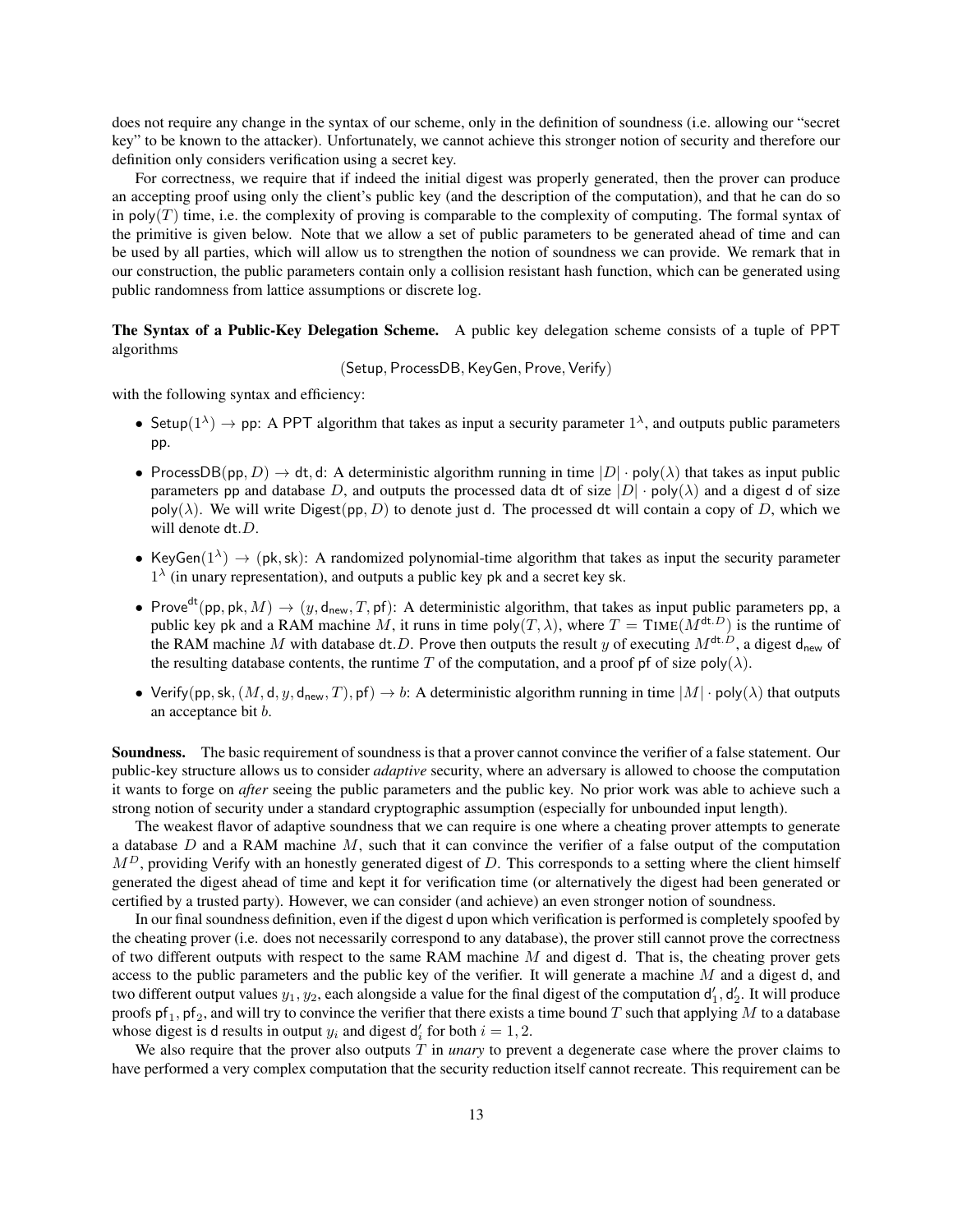does not require any change in the syntax of our scheme, only in the definition of soundness (i.e. allowing our "secret key" to be known to the attacker). Unfortunately, we cannot achieve this stronger notion of security and therefore our definition only considers verification using a secret key.

For correctness, we require that if indeed the initial digest was properly generated, then the prover can produce an accepting proof using only the client's public key (and the description of the computation), and that he can do so in poly( $T$ ) time, i.e. the complexity of proving is comparable to the complexity of computing. The formal syntax of the primitive is given below. Note that we allow a set of public parameters to be generated ahead of time and can be used by all parties, which will allow us to strengthen the notion of soundness we can provide. We remark that in our construction, the public parameters contain only a collision resistant hash function, which can be generated using public randomness from lattice assumptions or discrete log.

The Syntax of a Public-Key Delegation Scheme. A public key delegation scheme consists of a tuple of PPT algorithms

(Setup, ProcessDB, KeyGen, Prove, Verify)

with the following syntax and efficiency:

- Setup( $1^{\lambda}$ )  $\rightarrow$  pp: A PPT algorithm that takes as input a security parameter  $1^{\lambda}$ , and outputs public parameters pp.
- ProcessDB(pp, D)  $\rightarrow$  dt, d: A deterministic algorithm running in time  $|D| \cdot \text{poly}(\lambda)$  that takes as input public parameters pp and database D, and outputs the processed data dt of size  $|D| \cdot \text{poly}(\lambda)$  and a digest d of size  $poly(\lambda)$ . We will write Digest(pp, D) to denote just d. The processed dt will contain a copy of D, which we will denote dt.D.
- KeyGen( $1^{\lambda}$ )  $\rightarrow$  (pk, sk): A randomized polynomial-time algorithm that takes as input the security parameter  $1^{\lambda}$  (in unary representation), and outputs a public key pk and a secret key sk.
- Prove<sup>dt</sup>(pp, pk, M)  $\rightarrow$  (y, d<sub>new</sub>, T, pf): A deterministic algorithm, that takes as input public parameters pp, a public key pk and a RAM machine M, it runs in time poly $(T, \lambda)$ , where  $T = TIME(M^{dt.D})$  is the runtime of the RAM machine M with database dt. D. Prove then outputs the result y of executing  $M^{dt,\tilde{D}}$ , a digest d<sub>new</sub> of the resulting database contents, the runtime T of the computation, and a proof pf of size poly( $\lambda$ ).
- Verify(pp, sk,  $(M, d, y, d_{new}, T)$ , pf)  $\rightarrow b$ : A deterministic algorithm running in time  $|M| \cdot \text{poly}(\lambda)$  that outputs an acceptance bit b.

Soundness. The basic requirement of soundness is that a prover cannot convince the verifier of a false statement. Our public-key structure allows us to consider *adaptive* security, where an adversary is allowed to choose the computation it wants to forge on *after* seeing the public parameters and the public key. No prior work was able to achieve such a strong notion of security under a standard cryptographic assumption (especially for unbounded input length).

The weakest flavor of adaptive soundness that we can require is one where a cheating prover attempts to generate a database  $D$  and a RAM machine  $M$ , such that it can convince the verifier of a false output of the computation  $M<sup>D</sup>$ , providing Verify with an honestly generated digest of D. This corresponds to a setting where the client himself generated the digest ahead of time and kept it for verification time (or alternatively the digest had been generated or certified by a trusted party). However, we can consider (and achieve) an even stronger notion of soundness.

In our final soundness definition, even if the digest d upon which verification is performed is completely spoofed by the cheating prover (i.e. does not necessarily correspond to any database), the prover still cannot prove the correctness of two different outputs with respect to the same RAM machine  $M$  and digest d. That is, the cheating prover gets access to the public parameters and the public key of the verifier. It will generate a machine  $M$  and a digest d, and two different output values  $y_1, y_2$ , each alongside a value for the final digest of the computation  $d'_1, d'_2$ . It will produce proofs  $pf_1$ ,  $pf_2$ , and will try to convince the verifier that there exists a time bound T such that applying M to a database whose digest is d results in output  $y_i$  and digest  $d'_i$  for both  $i = 1, 2$ .

We also require that the prover also outputs T in *unary* to prevent a degenerate case where the prover claims to have performed a very complex computation that the security reduction itself cannot recreate. This requirement can be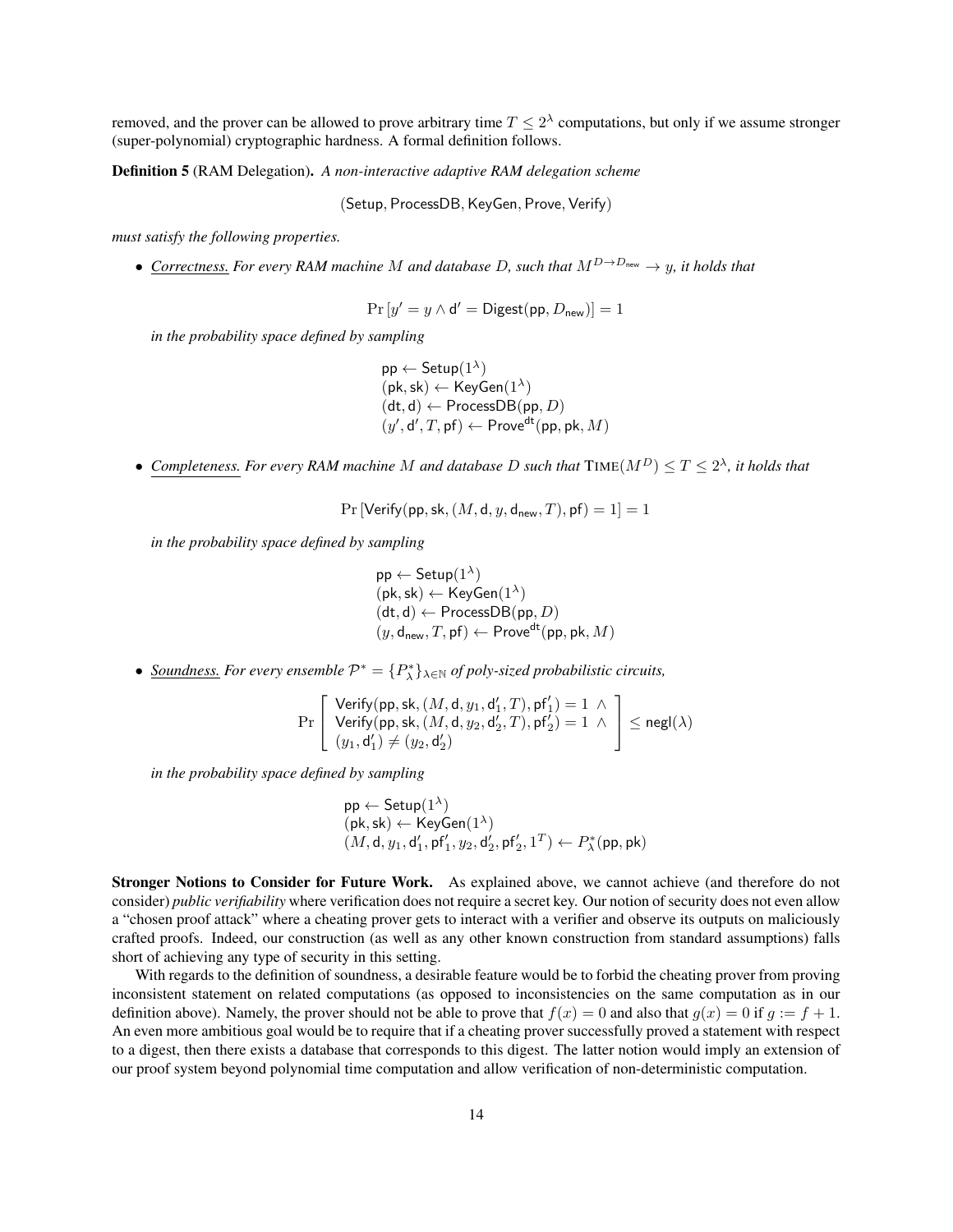removed, and the prover can be allowed to prove arbitrary time  $T \leq 2^{\lambda}$  computations, but only if we assume stronger (super-polynomial) cryptographic hardness. A formal definition follows.

Definition 5 (RAM Delegation). *A non-interactive adaptive RAM delegation scheme*

(Setup, ProcessDB, KeyGen, Prove, Verify)

*must satisfy the following properties.*

• *Correctness. For every RAM machine* M *and database* D, such that  $M^{D\rightarrow D_{\text{new}}} \rightarrow y$ , it holds that

$$
\Pr\left[y'=y \land \mathsf{d}' = \mathsf{Digest}(\mathsf{pp}, D_{\mathsf{new}})\right] = 1
$$

*in the probability space defined by sampling*

 $\mathsf{pp} \leftarrow \mathsf{Setup}(1^\lambda)$  $(\mathsf{pk}, \mathsf{sk}) \leftarrow \mathsf{KeyGen}(1^{\lambda})$  $(\mathsf{dt}, \mathsf{d}) \leftarrow \mathsf{ProcessDB}(\mathsf{pp}, D)$  $(y', d', T, pf) \leftarrow Prove^{dt}(pp, pk, M)$ 

• Completeness. For every RAM machine M and database D such that  $\text{TIME}(M^D) \leq T \leq 2^{\lambda}$ , it holds that

$$
Pr[Verify(pp, sk, (M, d, y, d_{\text{new}}, T), pf) = 1] = 1
$$

*in the probability space defined by sampling*

 $\mathsf{pp} \leftarrow \mathsf{Setup}(1^\lambda)$  $(\mathsf{pk},\mathsf{sk}) \leftarrow \mathsf{KeyGen}(1^{\lambda})$  $(\mathsf{dt}, \mathsf{d}) \leftarrow \mathsf{ProcessDB}(\mathsf{pp}, D)$  $(y, \mathsf{d}_{\mathsf{new}}, T, \mathsf{p}\mathsf{f}) \leftarrow \mathsf{Prove}^{\mathsf{dt}}(\mathsf{pp}, \mathsf{pk}, M)$ 

• *<u>Soundness.</u> For every ensemble*  $\mathcal{P}^* = \{P^*_\lambda\}_{\lambda \in \mathbb{N}}$  *of poly-sized probabilistic circuits,* 

$$
\Pr\left[\begin{array}{c}\mathsf{Verify}( \mathsf{pp} ,\mathsf{sk}, (M,\mathsf{d},y_1,\mathsf{d}_1',T), \mathsf{pf}_1')=1 \,\wedge \\ \mathsf{Verify}( \mathsf{pp} ,\mathsf{sk}, (M,\mathsf{d},y_2,\mathsf{d}_2',T), \mathsf{pf}_2')=1 \,\wedge \\ (y_1,\mathsf{d}_1')\neq (y_2,\mathsf{d}_2')\end{array}\right]\leq \mathsf{negl}(\lambda)
$$

*in the probability space defined by sampling*

$$
\begin{array}{l} \mathsf{pp} \leftarrow \mathsf{Setup}(1^\lambda) \\ (\mathsf{pk},\mathsf{sk}) \leftarrow \mathsf{KeyGen}(1^\lambda) \\ (M, \mathsf{d}, y_1, \mathsf{d}_1', \mathsf{pf}_1', y_2, \mathsf{d}_2', \mathsf{pf}_2', 1^T) \leftarrow P_\lambda^*(\mathsf{pp}, \mathsf{pk}) \end{array}
$$

Stronger Notions to Consider for Future Work. As explained above, we cannot achieve (and therefore do not consider) *public verifiability* where verification does not require a secret key. Our notion of security does not even allow a "chosen proof attack" where a cheating prover gets to interact with a verifier and observe its outputs on maliciously crafted proofs. Indeed, our construction (as well as any other known construction from standard assumptions) falls short of achieving any type of security in this setting.

With regards to the definition of soundness, a desirable feature would be to forbid the cheating prover from proving inconsistent statement on related computations (as opposed to inconsistencies on the same computation as in our definition above). Namely, the prover should not be able to prove that  $f(x) = 0$  and also that  $g(x) = 0$  if  $g := f + 1$ . An even more ambitious goal would be to require that if a cheating prover successfully proved a statement with respect to a digest, then there exists a database that corresponds to this digest. The latter notion would imply an extension of our proof system beyond polynomial time computation and allow verification of non-deterministic computation.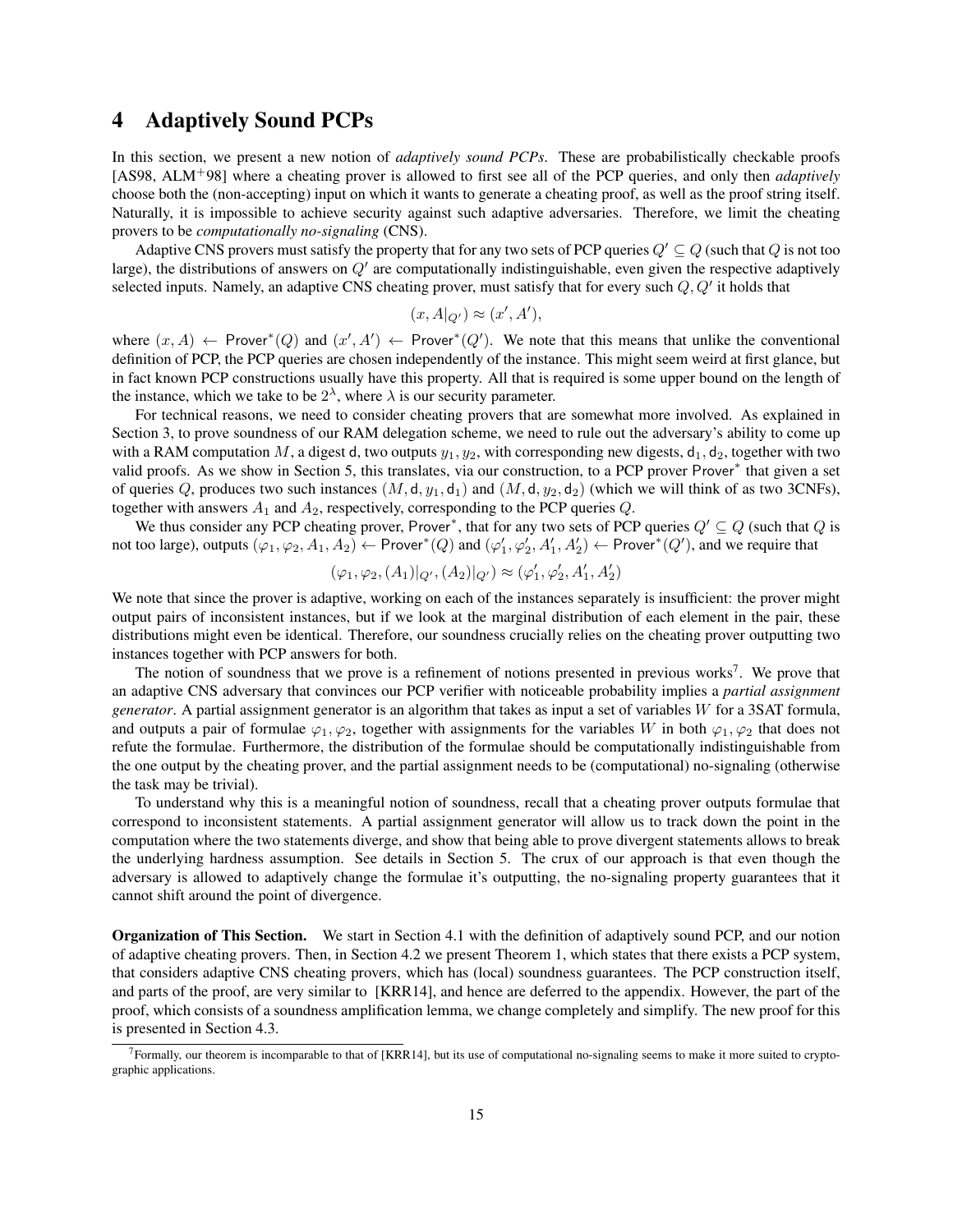## <span id="page-14-0"></span>4 Adaptively Sound PCPs

In this section, we present a new notion of *adaptively sound PCPs*. These are probabilistically checkable proofs [\[AS98,](#page-34-1) [ALM](#page-34-2)+98] where a cheating prover is allowed to first see all of the PCP queries, and only then *adaptively* choose both the (non-accepting) input on which it wants to generate a cheating proof, as well as the proof string itself. Naturally, it is impossible to achieve security against such adaptive adversaries. Therefore, we limit the cheating provers to be *computationally no-signaling* (CNS).

Adaptive CNS provers must satisfy the property that for any two sets of PCP queries  $Q' \subseteq Q$  (such that Q is not too large), the distributions of answers on  $Q'$  are computationally indistinguishable, even given the respective adaptively selected inputs. Namely, an adaptive CNS cheating prover, must satisfy that for every such  $Q, Q'$  it holds that

$$
(x, A|_{Q'}) \approx (x', A'),
$$

where  $(x, A) \leftarrow$  Prover\* $(Q)$  and  $(x', A') \leftarrow$  Prover\* $(Q')$ . We note that this means that unlike the conventional definition of PCP, the PCP queries are chosen independently of the instance. This might seem weird at first glance, but in fact known PCP constructions usually have this property. All that is required is some upper bound on the length of the instance, which we take to be  $2^{\lambda}$ , where  $\lambda$  is our security parameter.

For technical reasons, we need to consider cheating provers that are somewhat more involved. As explained in Section [3,](#page-11-0) to prove soundness of our RAM delegation scheme, we need to rule out the adversary's ability to come up with a RAM computation M, a digest d, two outputs  $y_1, y_2$ , with corresponding new digests,  $d_1, d_2$ , together with two valid proofs. As we show in Section [5,](#page-21-0) this translates, via our construction, to a PCP prover Prover<sup>\*</sup> that given a set of queries Q, produces two such instances  $(M, d, y_1, d_1)$  and  $(M, d, y_2, d_2)$  (which we will think of as two 3CNFs), together with answers  $A_1$  and  $A_2$ , respectively, corresponding to the PCP queries  $Q$ .

We thus consider any PCP cheating prover, Prover<sup>∗</sup>, that for any two sets of PCP queries  $Q' \subseteq Q$  (such that Q is not too large), outputs  $(\varphi_1, \varphi_2, A_1, A_2) \leftarrow \text{Prover}^*(Q)$  and  $(\varphi_1', \varphi_2', A_1', A_2') \leftarrow \text{Prover}^*(Q')$ , and we require that

$$
(\varphi_1, \varphi_2, (A_1)|_{Q'}, (A_2)|_{Q'}) \approx (\varphi'_1, \varphi'_2, A'_1, A'_2)
$$

We note that since the prover is adaptive, working on each of the instances separately is insufficient: the prover might output pairs of inconsistent instances, but if we look at the marginal distribution of each element in the pair, these distributions might even be identical. Therefore, our soundness crucially relies on the cheating prover outputting two instances together with PCP answers for both.

The notion of soundness that we prove is a refinement of notions presented in previous works<sup>[7](#page-14-1)</sup>. We prove that an adaptive CNS adversary that convinces our PCP verifier with noticeable probability implies a *partial assignment generator*. A partial assignment generator is an algorithm that takes as input a set of variables W for a 3SAT formula, and outputs a pair of formulae  $\varphi_1, \varphi_2$ , together with assignments for the variables W in both  $\varphi_1, \varphi_2$  that does not refute the formulae. Furthermore, the distribution of the formulae should be computationally indistinguishable from the one output by the cheating prover, and the partial assignment needs to be (computational) no-signaling (otherwise the task may be trivial).

To understand why this is a meaningful notion of soundness, recall that a cheating prover outputs formulae that correspond to inconsistent statements. A partial assignment generator will allow us to track down the point in the computation where the two statements diverge, and show that being able to prove divergent statements allows to break the underlying hardness assumption. See details in Section [5.](#page-21-0) The crux of our approach is that even though the adversary is allowed to adaptively change the formulae it's outputting, the no-signaling property guarantees that it cannot shift around the point of divergence.

Organization of This Section. We start in Section [4.1](#page-15-0) with the definition of adaptively sound PCP, and our notion of adaptive cheating provers. Then, in Section [4.2](#page-16-0) we present Theorem [1,](#page-16-1) which states that there exists a PCP system, that considers adaptive CNS cheating provers, which has (local) soundness guarantees. The PCP construction itself, and parts of the proof, are very similar to [\[KRR14\]](#page-36-7), and hence are deferred to the appendix. However, the part of the proof, which consists of a soundness amplification lemma, we change completely and simplify. The new proof for this is presented in Section [4.3.](#page-17-0)

<span id="page-14-1"></span><sup>7</sup>Formally, our theorem is incomparable to that of [\[KRR14\]](#page-36-7), but its use of computational no-signaling seems to make it more suited to cryptographic applications.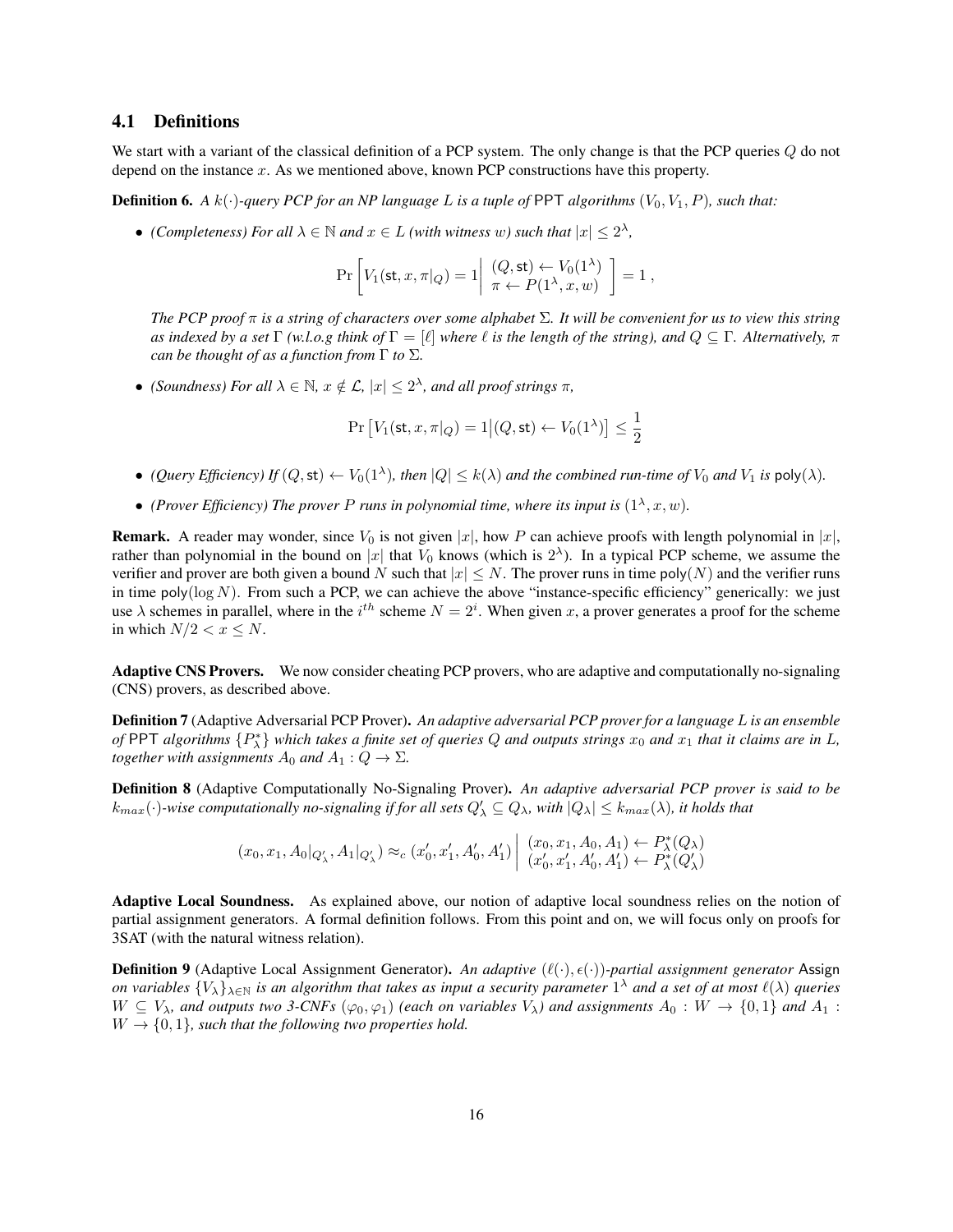### <span id="page-15-0"></span>4.1 Definitions

We start with a variant of the classical definition of a PCP system. The only change is that the PCP queries  $Q$  do not depend on the instance  $x$ . As we mentioned above, known PCP constructions have this property.

<span id="page-15-1"></span>**Definition 6.** A  $k(\cdot)$ -query PCP for an NP language L is a tuple of PPT algorithms  $(V_0, V_1, P)$ , such that:

• *(Completeness) For all*  $\lambda \in \mathbb{N}$  *and*  $x \in L$  *(with witness w) such that*  $|x| \leq 2^{\lambda}$ *,* 

$$
\Pr\left[V_1(\mathsf{st}, x, \pi|_Q) = 1\middle| \begin{array}{l} (Q, \mathsf{st}) \leftarrow V_0(1^\lambda) \\ \pi \leftarrow P(1^\lambda, x, w) \end{array}\right] = 1,
$$

*The PCP proof* π *is a string of characters over some alphabet* Σ*. It will be convenient for us to view this string as indexed by a set* Γ *(w.l.o.g think of*  $\Gamma = [\ell]$  *where*  $\ell$  *is the length of the string), and*  $Q \subseteq \Gamma$ *. Alternatively,*  $\pi$ *can be thought of as a function from* Γ *to* Σ*.*

• *(Soundness) For all*  $\lambda \in \mathbb{N}$ *,*  $x \notin \mathcal{L}$ *,*  $|x| \leq 2^{\lambda}$ *, and all proof strings*  $\pi$ *,* 

$$
\Pr\left[V_1(\mathsf{st}, x, \pi|_Q) = 1\middle|(Q, \mathsf{st}) \leftarrow V_0(1^\lambda)\right] \le \frac{1}{2}
$$

- (Query Efficiency) If  $(Q, \text{st}) \leftarrow V_0(1^{\lambda})$ , then  $|Q| \leq k(\lambda)$  and the combined run-time of  $V_0$  and  $V_1$  is  $\text{poly}(\lambda)$ .
- (Prover Efficiency) The prover P runs in polynomial time, where its input is  $(1^{\lambda}, x, w)$ .

**Remark.** A reader may wonder, since  $V_0$  is not given  $|x|$ , how P can achieve proofs with length polynomial in  $|x|$ , rather than polynomial in the bound on |x| that  $V_0$  knows (which is  $2^{\lambda}$ ). In a typical PCP scheme, we assume the verifier and prover are both given a bound N such that  $|x| \leq N$ . The prover runs in time poly $(N)$  and the verifier runs in time poly( $\log N$ ). From such a PCP, we can achieve the above "instance-specific efficiency" generically: we just use  $\lambda$  schemes in parallel, where in the  $i^{th}$  scheme  $N = 2^i$ . When given x, a prover generates a proof for the scheme in which  $N/2 < x \leq N$ .

Adaptive CNS Provers. We now consider cheating PCP provers, who are adaptive and computationally no-signaling (CNS) provers, as described above.

Definition 7 (Adaptive Adversarial PCP Prover). *An adaptive adversarial PCP prover for a language* L *is an ensemble* of PPT algorithms  $\{P^*_\lambda\}$  which takes a finite set of queries Q and outputs strings  $x_0$  and  $x_1$  that it claims are in L, *together with assignments*  $A_0$  *and*  $A_1: Q \to \Sigma$ *.* 

Definition 8 (Adaptive Computationally No-Signaling Prover). *An adaptive adversarial PCP prover is said to be*  $k_{max}(\cdot)$ -wise computationally no-signaling if for all sets  $Q'_\lambda\subseteq Q_\lambda$ , with  $|Q_\lambda|\leq k_{max}(\lambda)$ , it holds that

$$
(x_0, x_1, A_0|_{Q'_\lambda}, A_1|_{Q'_\lambda}) \approx_c (x'_0, x'_1, A'_0, A'_1) \begin{vmatrix} (x_0, x_1, A_0, A_1) \leftarrow P^*_\lambda(Q_\lambda) \\ (x'_0, x'_1, A'_0, A'_1) \leftarrow P^*_\lambda(Q'_\lambda) \end{vmatrix}
$$

Adaptive Local Soundness. As explained above, our notion of adaptive local soundness relies on the notion of partial assignment generators. A formal definition follows. From this point and on, we will focus only on proofs for 3SAT (with the natural witness relation).

**Definition 9** (Adaptive Local Assignment Generator). An adaptive  $(\ell(\cdot), \epsilon(\cdot))$ -partial assignment generator Assign *on variables*  $\{V_\lambda\}_{\lambda\in\mathbb N}$  is an algorithm that takes as input a security parameter  $1^\lambda$  and a set of at most  $\ell(\lambda)$  queries  $W \subseteq V_\lambda$ , and outputs two 3-CNFs  $(\varphi_0, \varphi_1)$  (each on variables  $V_\lambda$ ) and assignments  $A_0 : W \to \{0,1\}$  and  $A_1 :$  $W \rightarrow \{0, 1\}$ , such that the following two properties hold.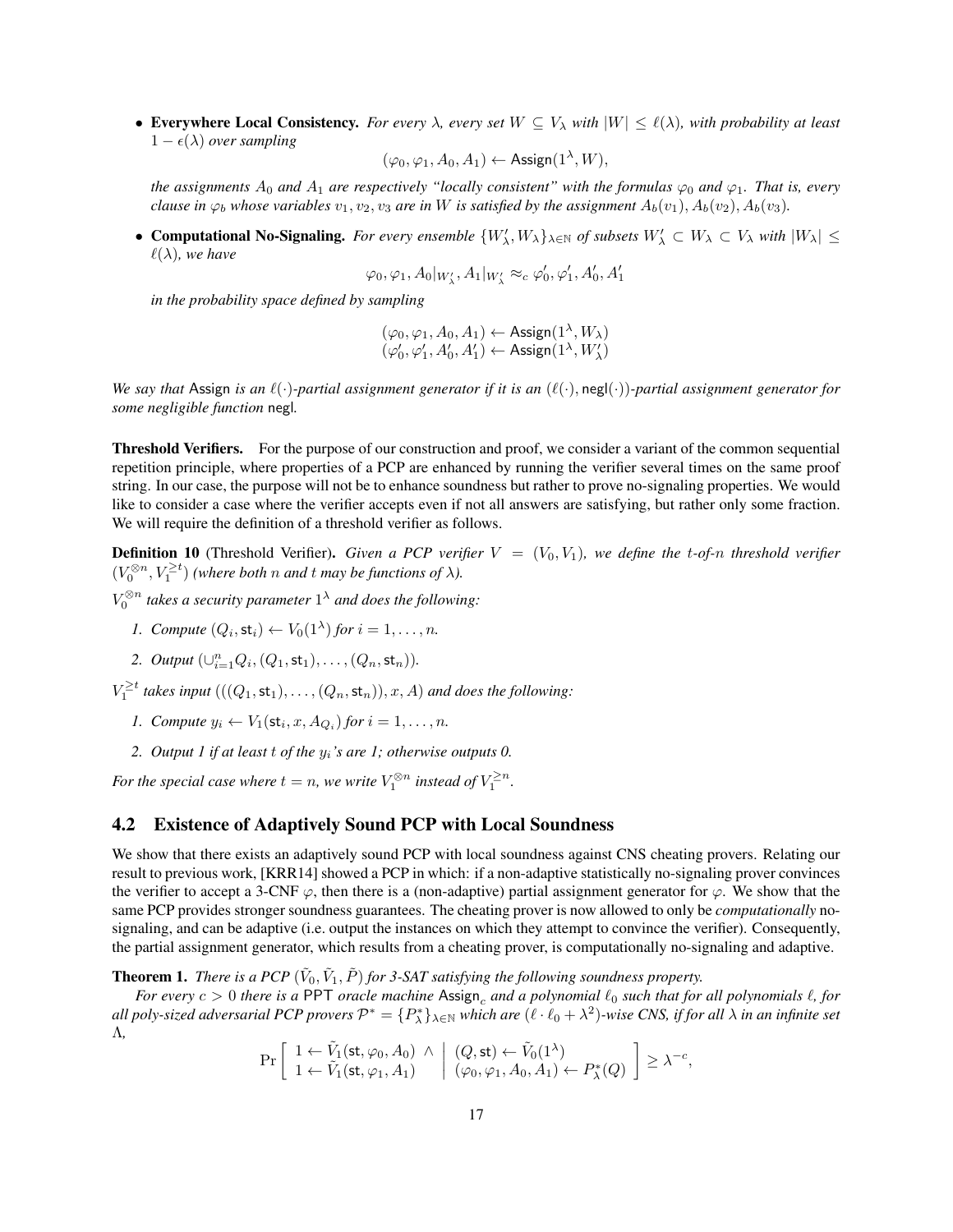• Everywhere Local Consistency. *For every*  $\lambda$ *, every set*  $W \subseteq V_\lambda$  *with*  $|W| \leq \ell(\lambda)$ *, with probability at least*  $1 - \epsilon(\lambda)$  *over sampling* 

 $(\varphi_0, \varphi_1, A_0, A_1) \leftarrow \mathsf{Assign}(1^{\lambda}, W),$ 

*the assignments*  $A_0$  *and*  $A_1$  *are respectively "locally consistent" with the formulas*  $\varphi_0$  *and*  $\varphi_1$ *. That is, every clause in*  $\varphi_b$  *whose variables*  $v_1, v_2, v_3$  *are in* W *is satisfied by the assignment*  $A_b(v_1), A_b(v_2), A_b(v_3)$ *.* 

• **Computational No-Signaling.** For every ensemble  $\{W'_\lambda, W_\lambda\}_{\lambda \in \mathbb{N}}$  of subsets  $W'_\lambda \subset W_\lambda \subset V_\lambda$  with  $|W_\lambda| \leq$  $\ell(\lambda)$ *, we have* 

$$
\varphi_0, \varphi_1, A_0|_{W'_\lambda}, A_1|_{W'_\lambda} \approx_c \varphi'_0, \varphi'_1, A'_0, A'_1
$$

*in the probability space defined by sampling*

$$
(\varphi_0,\varphi_1,A_0,A_1) \leftarrow \text{Assign}(1^{\lambda},W_{\lambda})\\ (\varphi'_0,\varphi'_1,A'_0,A'_1) \leftarrow \text{Assign}(1^{\lambda},W'_{\lambda})
$$

*We say that* Assign *is an*  $\ell(\cdot)$ *-partial assignment generator if it is an*  $(\ell(\cdot), \text{neg}(\cdot))$ *-partial assignment generator for some negligible function* negl*.*

Threshold Verifiers. For the purpose of our construction and proof, we consider a variant of the common sequential repetition principle, where properties of a PCP are enhanced by running the verifier several times on the same proof string. In our case, the purpose will not be to enhance soundness but rather to prove no-signaling properties. We would like to consider a case where the verifier accepts even if not all answers are satisfying, but rather only some fraction. We will require the definition of a threshold verifier as follows.

<span id="page-16-2"></span>**Definition 10** (Threshold Verifier). Given a PCP verifier  $V = (V_0, V_1)$ , we define the t-of-n threshold verifier  $(V_0^{\otimes n}, V_1^{\geq t})$  *(where both n and t may be functions of*  $\lambda$ *).* 

- $V_0^{\otimes n}$  takes a security parameter  $1^\lambda$  and does the following:
	- *1. Compute*  $(Q_i, st_i) \leftarrow V_0(1^{\lambda})$  *for*  $i = 1, \ldots, n$ *.*
	- 2. *Output*  $(\bigcup_{i=1}^{n} Q_i, (Q_1, st_1), \ldots, (Q_n, st_n)).$

 $V_1^{\geq t}$  takes input  $(((Q_1, \text{st}_1), \ldots, (Q_n, \text{st}_n)), x, A)$  and does the following:

- *1. Compute*  $y_i \leftarrow V_1(\mathsf{st}_i, x, A_{Q_i})$  *for*  $i = 1, ..., n$ *.*
- *2. Output 1 if at least* t *of the* yi*'s are 1; otherwise outputs 0.*

For the special case where  $t = n$ , we write  $V_1^{\otimes n}$  instead of  $V_1^{\geq n}$ .

### <span id="page-16-0"></span>4.2 Existence of Adaptively Sound PCP with Local Soundness

We show that there exists an adaptively sound PCP with local soundness against CNS cheating provers. Relating our result to previous work, [\[KRR14\]](#page-36-7) showed a PCP in which: if a non-adaptive statistically no-signaling prover convinces the verifier to accept a 3-CNF  $\varphi$ , then there is a (non-adaptive) partial assignment generator for  $\varphi$ . We show that the same PCP provides stronger soundness guarantees. The cheating prover is now allowed to only be *computationally* nosignaling, and can be adaptive (i.e. output the instances on which they attempt to convince the verifier). Consequently, the partial assignment generator, which results from a cheating prover, is computationally no-signaling and adaptive.

<span id="page-16-1"></span>**Theorem 1.** *There is a PCP*  $(\tilde{V}_0, \tilde{V}_1, \tilde{P})$  *for 3-SAT satisfying the following soundness property.* 

*For every*  $c > 0$  *there is a* PPT *oracle machine* Assign, and a polynomial  $\ell_0$  *such that for all polynomials*  $\ell$ , *for* all poly-sized adversarial PCP provers  $\mathcal{P}^*=\{P^*_\lambda\}_{\lambda\in\mathbb{N}}$  which are  $(\ell\cdot\ell_0+\lambda^2)$ -wise CNS, if for all  $\lambda$  in an infinite set Λ*,*

$$
\Pr\left[\begin{array}{l} 1 \leftarrow \tilde{V}_1(\text{st},\varphi_0,A_0) \; \wedge \; \left| \; (Q,\text{st}) \leftarrow \tilde{V}_0(1^{\lambda}) \\ 1 \leftarrow \tilde{V}_1(\text{st},\varphi_1,A_1) \end{array} \right| \; (\varphi_0,\varphi_1,A_0,A_1) \leftarrow P_{\lambda}^*(Q) \; \right] \geq \lambda^{-c},\right]
$$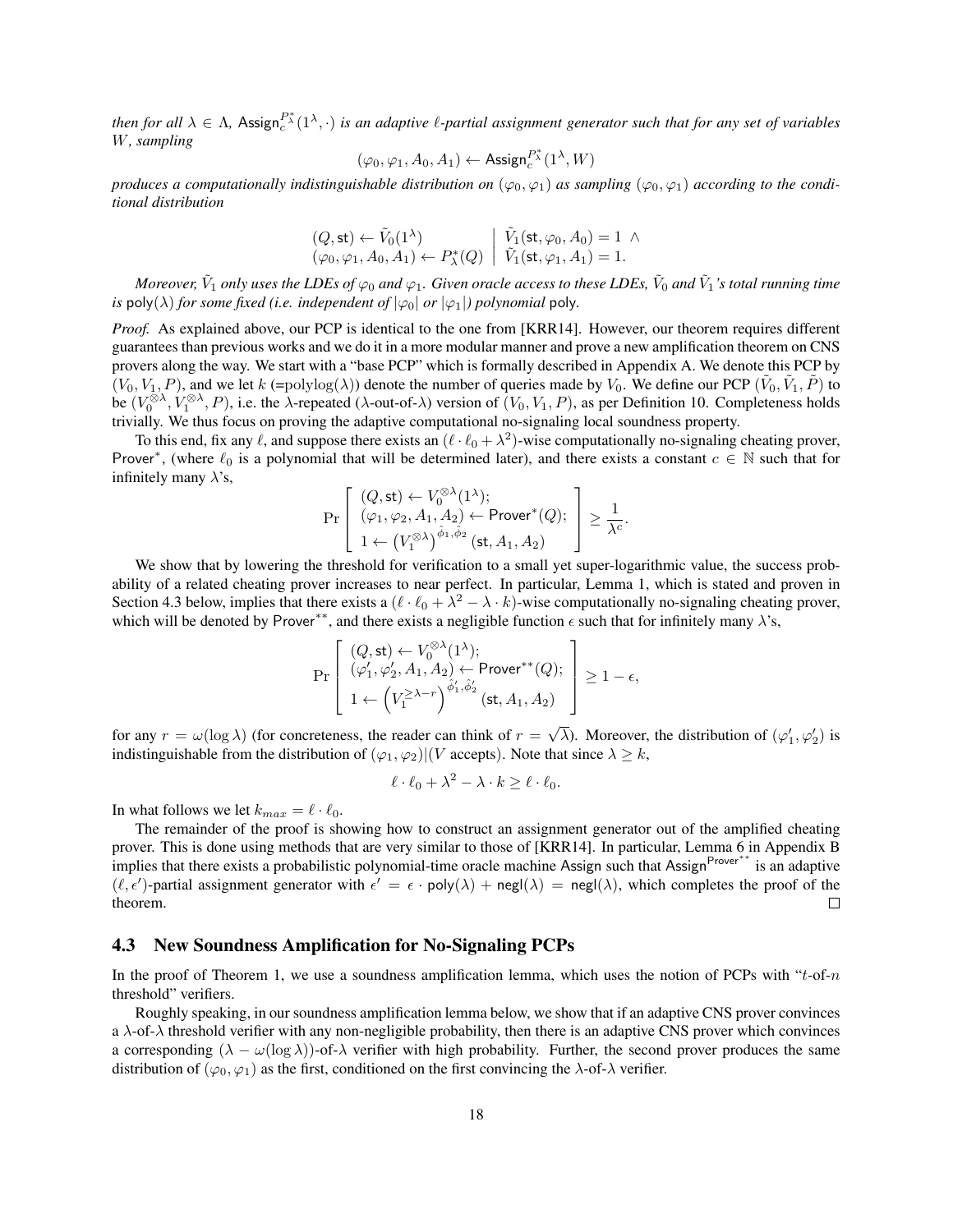then for all  $\lambda \in \Lambda$ , Assign $e^{X^*}(1^{\lambda}, \cdot)$  is an adaptive  $\ell$ -partial assignment generator such that for any set of variables W*, sampling*

$$
(\varphi_0, \varphi_1, A_0, A_1) \leftarrow \mathsf{Assign}_c^{P^*}(1^\lambda, W)
$$

*produces a computationally indistinguishable distribution on*  $(\varphi_0, \varphi_1)$  *as sampling*  $(\varphi_0, \varphi_1)$  *according to the conditional distribution*

$$
(Q, \mathsf{st}) \leftarrow \tilde{V}_0(1^\lambda) (\varphi_0, \varphi_1, A_0, A_1) \leftarrow P^*_\lambda(Q) \middle| \tilde{V}_1(\mathsf{st}, \varphi_0, A_0) = 1 \land \tilde{V}_1(\mathsf{st}, \varphi_1, A_1) = 1.
$$

Moreover,  $\tilde{V}_1$  only uses the LDEs of  $\varphi_0$  and  $\varphi_1.$  Given oracle access to these LDEs,  $\tilde{V}_0$  and  $\tilde{V}_1$  's total running time *is* poly( $\lambda$ ) *for some fixed (i.e. independent of*  $|\varphi_0|$  *or*  $|\varphi_1|$ ) *polynomial* poly.

*Proof.* As explained above, our PCP is identical to the one from [\[KRR14\]](#page-36-7). However, our theorem requires different guarantees than previous works and we do it in a more modular manner and prove a new amplification theorem on CNS provers along the way. We start with a "base PCP" which is formally described in Appendix [A.](#page-37-0) We denote this PCP by  $(V_0, V_1, P)$ , and we let  $k$  (=polylog( $\lambda$ )) denote the number of queries made by  $V_0$ . We define our PCP  $(\tilde{V}_0, \tilde{V}_1, \tilde{P})$  to be  $(V_0^{\otimes\lambda}, V_1^{\otimes\lambda}, P)$ , i.e. the  $\lambda$ -repeated ( $\lambda$ -out-of- $\lambda$ ) version of  $(V_0, V_1, P)$ , as per Definition [10.](#page-16-2) Completeness holds trivially. We thus focus on proving the adaptive computational no-signaling local soundness property.

To this end, fix any  $\ell$ , and suppose there exists an  $(\ell \cdot \ell_0 + \lambda^2)$ -wise computationally no-signaling cheating prover, Prover<sup>\*</sup>, (where  $\ell_0$  is a polynomial that will be determined later), and there exists a constant  $c \in \mathbb{N}$  such that for infinitely many  $\lambda$ 's, ⊗λ

$$
\Pr\left[\begin{array}{l} (Q,\mathsf{st}) \leftarrow V_0^{\otimes \lambda}(1^\lambda); \\ (\varphi_1,\varphi_2,A_1,A_2) \leftarrow \mathsf{Prover}^*(Q); \\ 1 \leftarrow (V_1^{\otimes \lambda})^{\hat{\phi}_1,\hat{\phi}_2}(\mathsf{st},A_1,A_2) \end{array}\right] \geq \frac{1}{\lambda^c}.
$$

We show that by lowering the threshold for verification to a small yet super-logarithmic value, the success probability of a related cheating prover increases to near perfect. In particular, Lemma [1,](#page-17-1) which is stated and proven in Section [4.3](#page-17-0) below, implies that there exists a  $(\ell \cdot \ell_0 + \lambda^2 - \lambda \cdot k)$ -wise computationally no-signaling cheating prover, which will be denoted by Prover<sup>∗∗</sup>, and there exists a negligible function  $\epsilon$  such that for infinitely many  $\lambda$ 's,

$$
\Pr\left[\begin{array}{l} (Q,\mathsf{st}) \leftarrow V_0^{\otimes \lambda}(1^\lambda); \\ (\varphi_1',\varphi_2',A_1,A_2) \leftarrow \mathsf{Prover}^{**}(Q); \\ 1 \leftarrow \left(V_1^{\geq \lambda-r}\right)^{\hat{\phi}_1',\hat{\phi}_2'}(\mathsf{st},A_1,A_2)\end{array}\right] \geq 1-\epsilon,
$$

for any  $r = \omega(\log \lambda)$  (for concreteness, the reader can think of  $r =$ √  $\overline{\lambda}$ ). Moreover, the distribution of  $(\varphi_1', \varphi_2')$  is indistinguishable from the distribution of  $(\varphi_1, \varphi_2)$   $\mid$  (*V* accepts). Note that since  $\lambda \geq k$ ,

$$
\ell \cdot \ell_0 + \lambda^2 - \lambda \cdot k \ge \ell \cdot \ell_0.
$$

In what follows we let  $k_{max} = \ell \cdot \ell_0$ .

The remainder of the proof is showing how to construct an assignment generator out of the amplified cheating prover. This is done using methods that are very similar to those of [\[KRR14\]](#page-36-7). In particular, Lemma [6](#page-39-2) in Appendix [B](#page-39-1) implies that there exists a probabilistic polynomial-time oracle machine Assign such that Assign<sup>Prover</sup><sup>∗∗</sup> is an adaptive  $(\ell, \epsilon')$ -partial assignment generator with  $\epsilon' = \epsilon \cdot \text{poly}(\lambda) + \text{negl}(\lambda) = \text{negl}(\lambda)$ , which completes the proof of the theorem.  $\Box$ 

#### <span id="page-17-0"></span>4.3 New Soundness Amplification for No-Signaling PCPs

In the proof of Theorem [1,](#page-16-1) we use a soundness amplification lemma, which uses the notion of PCPs with "t-of-n" threshold" verifiers.

<span id="page-17-1"></span>Roughly speaking, in our soundness amplification lemma below, we show that if an adaptive CNS prover convinces a  $\lambda$ -of- $\lambda$  threshold verifier with any non-negligible probability, then there is an adaptive CNS prover which convinces a corresponding  $(\lambda - \omega(\log \lambda))$ -of- $\lambda$  verifier with high probability. Further, the second prover produces the same distribution of  $(\varphi_0, \varphi_1)$  as the first, conditioned on the first convincing the  $\lambda$ -of- $\lambda$  verifier.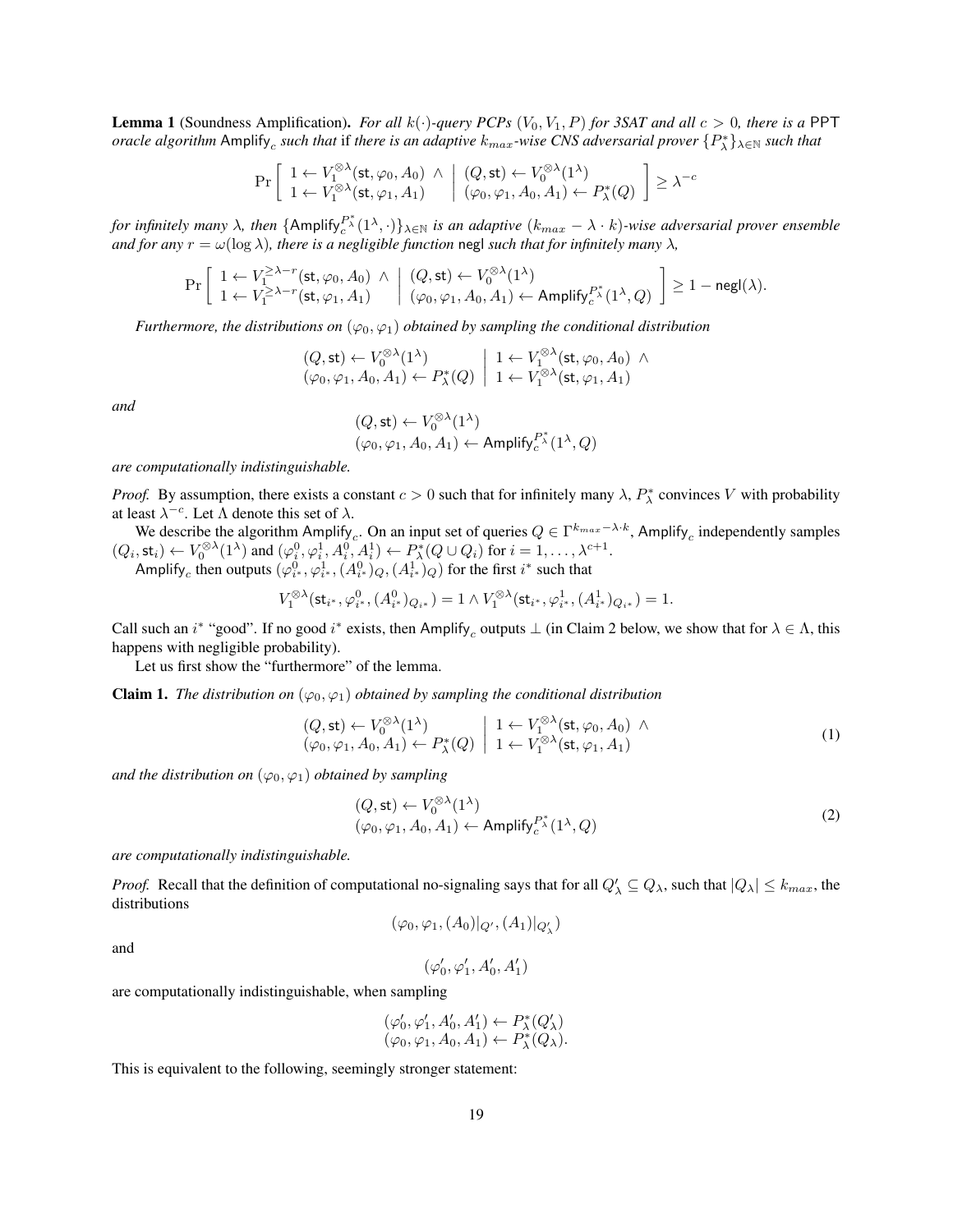**Lemma 1** (Soundness Amplification). *For all*  $k(\cdot)$ *-query PCPs*  $(V_0, V_1, P)$  *for 3SAT and all*  $c > 0$ *, there is a* PPT *oracle algorithm* Amplify<sub>c</sub> such that if there is an adaptive  $k_{max}$ -wise CNS adversarial prover  $\{P_\lambda^*\}_{\lambda\in\mathbb{N}}$  such that

$$
\Pr\left[\begin{array}{l}1 \leftarrow V_1^{\otimes \lambda}(\mathsf{st}, \varphi_0, A_0) \;\wedge\; \left| \begin{array}{l} (Q, \mathsf{st}) \leftarrow V_0^{\otimes \lambda}(1^{\lambda}) \\ 1 \leftarrow V_1^{\otimes \lambda}(\mathsf{st}, \varphi_1, A_1) \end{array} \right| \begin{array}{l} (Q, \mathsf{st}) \leftarrow V_0^{\otimes \lambda}(1^{\lambda}) \\ (\varphi_0, \varphi_1, A_0, A_1) \leftarrow P_{\lambda}^*(Q) \end{array} \right] \geq \lambda^{-c}
$$

for infinitely many  $\lambda$ , then  $\{\text{Amplify}_c^{P^*_\lambda}(1^\lambda,\cdot)\}_{\lambda\in\mathbb{N}}$  is an adaptive  $(k_{max}-\lambda\cdot k)$ -wise adversarial prover ensemble *and for any*  $r = \omega(\log \lambda)$ *, there is a negligible function* negl *such that for infinitely many*  $\lambda$ *,* 

$$
\Pr\left[\begin{array}{l} 1 \leftarrow V_1^{\geq \lambda-r}(\mathsf{st}, \varphi_0, A_0) \,\wedge\, \Big| \,\, (Q, \mathsf{st}) \leftarrow V_0^{\otimes \lambda}(1^{\lambda}) \\ 1 \leftarrow V_1^{\geq \lambda-r}(\mathsf{st}, \varphi_1, A_1) \,\, \Big| \,\, (\varphi_0, \varphi_1, A_0, A_1) \leftarrow \mathsf{Amplify}_c^{P^*}(1^{\lambda}, Q) \,\, \end{array} \right] \geq 1 - \mathsf{negl}(\lambda).
$$

*Furthermore, the distributions on*  $(\varphi_0, \varphi_1)$  *obtained by sampling the conditional distribution* 

$$
(Q, \mathsf{st}) \leftarrow V_0^{\otimes \lambda}(1^{\lambda}) \qquad ( \varphi_0, \varphi_1, A_0, A_1) \leftarrow P_{\lambda}^*(Q) \begin{array}{c} 1 \leftarrow V_1^{\otimes \lambda}(\mathsf{st}, \varphi_0, A_0) \; \wedge \\ 1 \leftarrow V_1^{\otimes \lambda}(\mathsf{st}, \varphi_1, A_1) \end{array}
$$

*and*

$$
\begin{array}{l} (Q,\mathsf{st}) \leftarrow V_0^{\otimes \lambda}(1^\lambda) \\ (\varphi_0, \varphi_1, A_0, A_1) \leftarrow \mathsf{Amplify}_c^{P^*_\lambda}(1^\lambda, Q) \end{array}
$$

*are computationally indistinguishable.*

*Proof.* By assumption, there exists a constant  $c > 0$  such that for infinitely many  $\lambda$ ,  $P_{\lambda}^*$  convinces V with probability at least  $\lambda^{-c}$ . Let  $\Lambda$  denote this set of  $\lambda$ .

We describe the algorithm Amplify<sub>c</sub>. On an input set of queries  $Q \in \Gamma^{k_{max}-\lambda \cdot k}$ , Amplify<sub>c</sub> independently samples  $(Q_i, \text{st}_i) \leftarrow V_0^{\otimes \lambda}(1^{\lambda})$  and  $(\varphi_i^0, \varphi_i^1, A_i^0, A_i^1) \leftarrow P_{\lambda}^*(Q \cup Q_i)$  for  $i = 1, \dots, \lambda^{c+1}$ .

Amplify<sub>c</sub> then outputs  $(\varphi_i^0_*, \varphi_{i^*}^1, (A_{i^*}^0)_Q, (A_{i^*}^1)_Q)$  for the first  $i^*$  such that

$$
V_1^{\otimes\lambda}(\mathsf{st}_{i^*}, \varphi_{i^*}^0, (A_{i^*}^0)_{Q_{i^*}}) = 1 \wedge V_1^{\otimes\lambda}(\mathsf{st}_{i^*}, \varphi_{i^*}^1, (A_{i^*}^1)_{Q_{i^*}}) = 1.
$$

Call such an  $i^*$  "good". If no good  $i^*$  exists, then Amplify<sub>c</sub> outputs  $\perp$  (in Claim [2](#page-19-0) below, we show that for  $\lambda \in \Lambda$ , this happens with negligible probability).

Let us first show the "furthermore" of the lemma.

**Claim 1.** *The distribution on*  $(\varphi_0, \varphi_1)$  *obtained by sampling the conditional distribution* 

$$
(Q, \mathsf{st}) \leftarrow V_0^{\otimes \lambda}(1^{\lambda}) \qquad | \quad 1 \leftarrow V_1^{\otimes \lambda}(\mathsf{st}, \varphi_0, A_0) \land (\varphi_0, \varphi_1, A_0, A_1) \leftarrow P_{\lambda}^*(Q) \quad | \quad 1 \leftarrow V_1^{\otimes \lambda}(\mathsf{st}, \varphi_1, A_1)
$$
 (1)

*and the distribution on*  $(\varphi_0, \varphi_1)$  *obtained by sampling* 

<span id="page-18-0"></span>
$$
(Q, \text{st}) \leftarrow V_0^{\otimes \lambda}(1^{\lambda})
$$
  

$$
(\varphi_0, \varphi_1, A_0, A_1) \leftarrow \text{Amplify}_c^{P^*}(1^{\lambda}, Q)
$$
 (2)

*are computationally indistinguishable.*

*Proof.* Recall that the definition of computational no-signaling says that for all  $Q'_\lambda \subseteq Q_\lambda$ , such that  $|Q_\lambda| \le k_{max}$ , the distributions

$$
(\varphi_0,\varphi_1,(A_0)|_{Q'},(A_1)|_{Q'_{\lambda}})
$$

and

$$
(\varphi_0',\varphi_1',A_0',A_1')
$$

are computationally indistinguishable, when sampling

$$
(\varphi'_0, \varphi'_1, A'_0, A'_1) \leftarrow P^*_{\lambda}(Q'_{\lambda})
$$
  

$$
(\varphi_0, \varphi_1, A_0, A_1) \leftarrow P^*_{\lambda}(Q_{\lambda}).
$$

<span id="page-18-1"></span>This is equivalent to the following, seemingly stronger statement: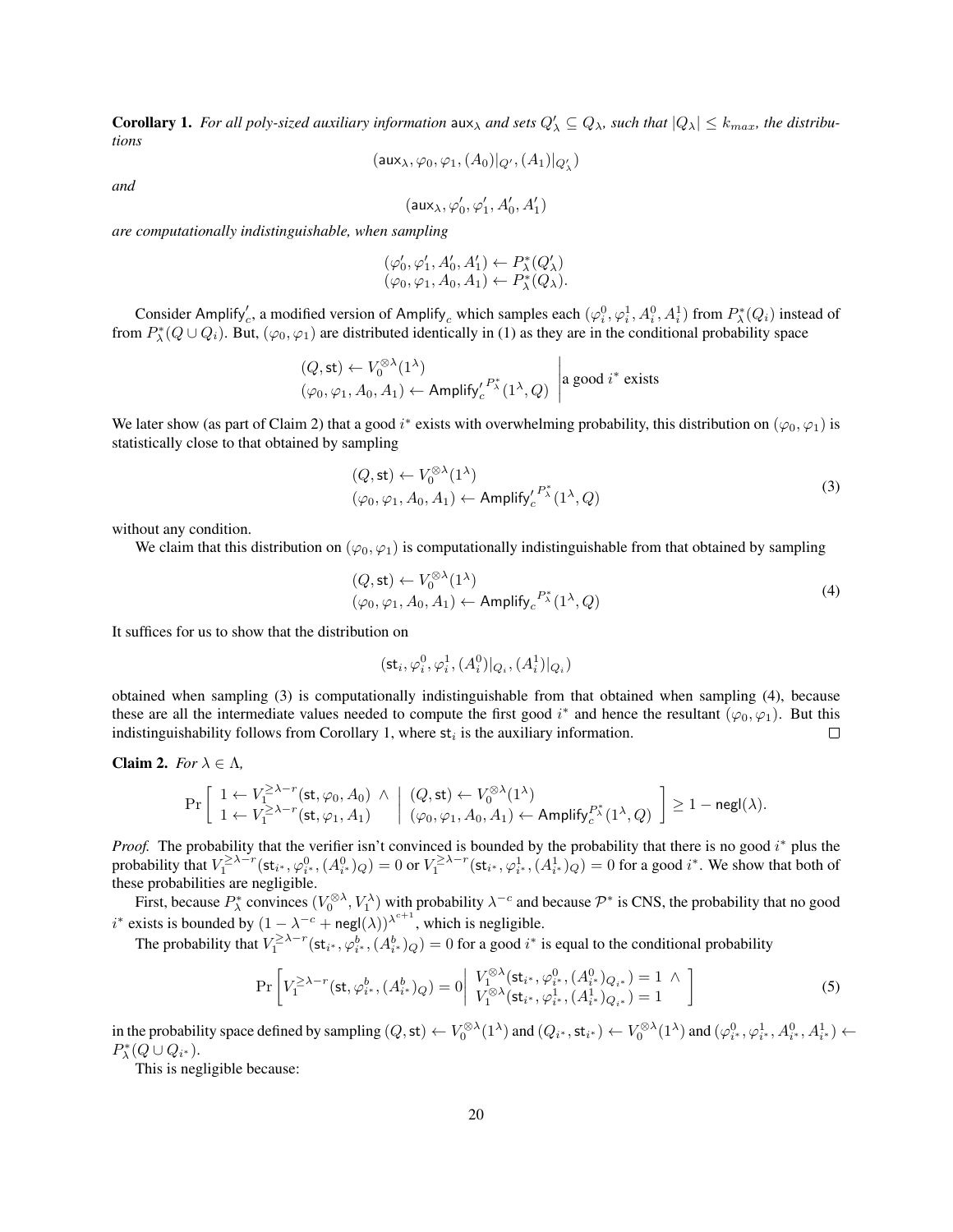**Corollary 1.** For all poly-sized auxiliary information  $\text{aux}_{\lambda}$  and sets  $Q'_{\lambda} \subseteq Q_{\lambda}$ , such that  $|Q_{\lambda}| \leq k_{max}$ , the distribu*tions*

$$
(\mathsf{aux}_{\lambda}, \varphi_0, \varphi_1, (A_0)|_{Q'}, (A_1)|_{Q'_{\lambda}})
$$

*and*

$$
(\mathsf{aux}_{\lambda},\varphi_0',\varphi_1',A_0',A_1')
$$

*are computationally indistinguishable, when sampling*

$$
(\varphi'_0, \varphi'_1, A'_0, A'_1) \leftarrow P^*_{\lambda}(Q'_{\lambda})
$$
  

$$
(\varphi_0, \varphi_1, A_0, A_1) \leftarrow P^*_{\lambda}(Q_{\lambda}).
$$

Consider Amplify'<sub>c</sub>, a modified version of Amplify<sub>c</sub> which samples each  $(\varphi_i^0, \varphi_i^1, A_i^0, A_i^1)$  from  $P_{\lambda}^*(Q_i)$  instead of from  $P_{\lambda}^*(Q\cup Q_i)$ . But,  $(\varphi_0, \varphi_1)$  are distributed identically in [\(1\)](#page-18-0) as they are in the conditional probability space

$$
(Q, \text{st}) \leftarrow V_0^{\otimes \lambda}(1^{\lambda})
$$
  
\n $(\varphi_0, \varphi_1, A_0, A_1) \leftarrow \text{Amplify}'_c^{P^*_{\lambda}}(1^{\lambda}, Q)$  a good  $i^*$  exists

We later show (as part of Claim [2\)](#page-19-0) that a good  $i^*$  exists with overwhelming probability, this distribution on  $(\varphi_0, \varphi_1)$  is statistically close to that obtained by sampling

<span id="page-19-1"></span>
$$
(Q, st) \leftarrow V_0^{\otimes \lambda}(1^{\lambda})
$$
  

$$
(\varphi_0, \varphi_1, A_0, A_1) \leftarrow \text{Amplify}'_c^{P_{\lambda}^*}(1^{\lambda}, Q)
$$
 (3)

without any condition.

We claim that this distribution on  $(\varphi_0, \varphi_1)$  is computationally indistinguishable from that obtained by sampling

$$
(Q, \mathsf{st}) \leftarrow V_0^{\otimes \lambda}(1^{\lambda})
$$
  

$$
(\varphi_0, \varphi_1, A_0, A_1) \leftarrow \mathsf{Amplify}_c{}^{P^*_{\lambda}}(1^{\lambda}, Q)
$$
 (4)

It suffices for us to show that the distribution on

<span id="page-19-3"></span><span id="page-19-2"></span>
$$
(\mathsf{st}_i,\varphi^0_i,\varphi^1_i,(A^0_i)|_{Q_i},(A^1_i)|_{Q_i})
$$

obtained when sampling [\(3\)](#page-19-1) is computationally indistinguishable from that obtained when sampling [\(4\)](#page-19-2), because these are all the intermediate values needed to compute the first good  $i^*$  and hence the resultant  $(\varphi_0, \varphi_1)$ . But this indistinguishability follows from Corollary [1,](#page-18-1) where  $st_i$  is the auxiliary information.  $\Box$ 

<span id="page-19-0"></span>Claim 2. For 
$$
\lambda \in \Lambda
$$
,

$$
\Pr\left[\begin{array}{l|l} 1 \leftarrow V_1^{\geq \lambda-r}(\mathsf{st}, \varphi_0, A_0) & \wedge & (Q, \mathsf{st}) \leftarrow V_0^{\otimes \lambda}(1^\lambda) \\ 1 \leftarrow V_1^{\geq \lambda-r}(\mathsf{st}, \varphi_1, A_1) & (\varphi_0, \varphi_1, A_0, A_1) \leftarrow \mathsf{Amplify}_c^{P^*_\lambda}(1^\lambda, Q) \end{array}\right] \geq 1 - \mathsf{negl}(\lambda).
$$

*Proof.* The probability that the verifier isn't convinced is bounded by the probability that there is no good i\* plus the probability that  $V_1^{\geq \lambda-r}(\mathsf{st}_{i^*}, \varphi_{i^*}^0, (A_{i^*}^0)_{Q}) = 0$  or  $V_1^{\geq \lambda-r}(\mathsf{st}_{i^*}, \varphi_{i^*}^1, (A_{i^*}^1)_{Q}) = 0$  for a good  $i^*$ . We show that both of these probabilities are negligible.

First, because  $P^*_{\lambda}$  convinces  $(V_0^{\otimes \lambda}, V_1^{\lambda})$  with probability  $\lambda^{-c}$  and because  $\mathcal{P}^*$  is CNS, the probability that no good  $i^*$  exists is bounded by  $(1 - \lambda^{-c} + \text{negl}(\lambda))^{\lambda^{c+1}}$ , which is negligible.

The probability that  $V_1^{\geq \lambda-r}(\mathsf{st}_{i^*}, \varphi_{i^*}^b, (A_{i^*}^b)_{Q}) = 0$  for a good  $i^*$  is equal to the conditional probability

$$
\Pr\left[V_1^{\geq \lambda-r}(\mathsf{st}, \varphi_{i^*}^b, (A_{i^*}^b)_{Q})=0\middle|\begin{array}{l}V_1^{\otimes \lambda}(\mathsf{st}_{i^*}, \varphi_{i^*}^0, (A_{i^*}^0)_{Q_{i^*}})=1 \;\wedge\\V_1^{\otimes \lambda}(\mathsf{st}_{i^*}, \varphi_{i^*}^1, (A_{i^*}^1)_{Q_{i^*}})=1\end{array}\right\}\right]
$$
(5)

in the probability space defined by sampling  $(Q, \text{st}) \leftarrow V_0^{\otimes \lambda}(1^{\lambda})$  and  $(Q_{i^*}, \text{st}_{i^*}) \leftarrow V_0^{\otimes \lambda}(1^{\lambda})$  and  $(\varphi_{i^*}^0, \varphi_{i^*}^1, A_{i^*}^0, A_{i^*}^1) \leftarrow$  $P_{\lambda}^*(Q\cup Q_{i^*}).$ 

This is negligible because: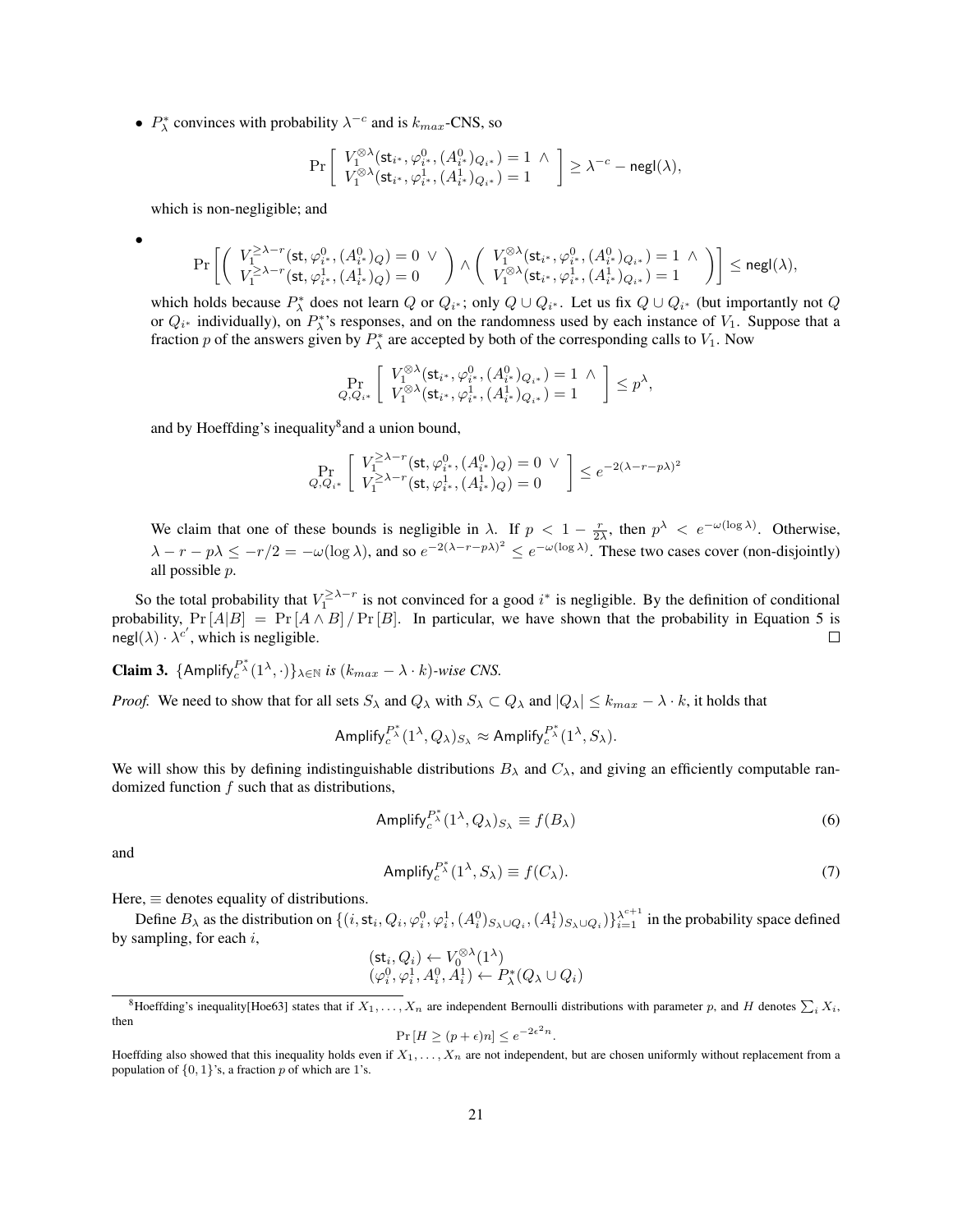•  $P_{\lambda}^{*}$  convinces with probability  $\lambda^{-c}$  and is  $k_{max}$ -CNS, so

$$
\Pr\left[\begin{array}{c} V_1^{\otimes\lambda}(\mathsf{st}_{i^*},\varphi_{i^*}^0,(A_{i^*}^0)_{Q_{i^*}})=1 \,\,\wedge\\ V_1^{\otimes\lambda}(\mathsf{st}_{i^*},\varphi_{i^*}^1,(A_{i^*}^1)_{Q_{i^*}})=1 \end{array}\right]\geq \lambda^{-c}-\mathsf{negl}(\lambda),
$$

which is non-negligible; and

•

$$
\Pr\left[\left(\begin{array}{c} V_1^{\geq\lambda-r}(\mathsf{st}, \varphi_{i^*}^0, (A^0_{i^*})_Q) = 0 \;\vee\\ V_1^{\geq\lambda-r}(\mathsf{st}, \varphi_{i^*}^1, (A^1_{i^*})_Q) = 0 \end{array}\right) \wedge \left(\begin{array}{c} V_1^{\otimes\lambda}(\mathsf{st}_{i^*}, \varphi_{i^*}^0, (A^0_{i^*})_{Q_{i^*}}) = 1 \;\wedge\\ V_1^{\otimes\lambda}(\mathsf{st}_{i^*}, \varphi_{i^*}^1, (A^1_{i^*})_{Q_{i^*}}) = 1 \end{array}\right)\right] \le {\mathsf{negl}}(\lambda),
$$

which holds because  $P^*_{\lambda}$  does not learn Q or  $Q_{i^*}$ ; only  $Q \cup Q_{i^*}$ . Let us fix  $Q \cup Q_{i^*}$  (but importantly not Q or  $Q_{i^*}$  individually), on  $P_{\lambda}^{*}$ 's responses, and on the randomness used by each instance of  $V_1$ . Suppose that a fraction p of the answers given by  $P_{\lambda}^{*}$  are accepted by both of the corresponding calls to  $V_1$ . Now

$$
\Pr_{Q,Q_{i^*}}\left[\begin{array}{c} V_1^{\otimes \lambda}(\mathsf{st}_{i^*}, \varphi_{i^*}^0, (A^0_{i^*})_{Q_{i^*}}) = 1 \; \wedge \\ V_1^{\otimes \lambda}(\mathsf{st}_{i^*}, \varphi_{i^*}^1, (A^1_{i^*})_{Q_{i^*}}) = 1 \end{array}\right] \leq p^{\lambda},
$$

and by Hoeffding's inequality<sup>[8](#page-20-0)</sup> and a union bound,

$$
\Pr_{Q, Q_{i^{*}}} \left[ \begin{array}{c} V_{1}^{\geq \lambda-r}(\mathsf{st}, \varphi_{i^{*}}^{0}, (A_{i^{*}}^{0})_{Q}) = 0 \ \lor \\ V_{1}^{\geq \lambda-r}(\mathsf{st}, \varphi_{i^{*}}^{1}, (A_{i^{*}}^{1})_{Q}) = 0 \end{array} \right] \leq e^{-2(\lambda - r - p\lambda)^{2}}
$$

We claim that one of these bounds is negligible in  $\lambda$ . If  $p < 1 - \frac{r}{2\lambda}$ , then  $p^{\lambda} < e^{-\omega(\log \lambda)}$ . Otherwise,  $\lambda - r - p\lambda \leq -r/2 = -\omega(\log \lambda)$ , and so  $e^{-2(\lambda - r - p\lambda)^2} \leq e^{-\omega(\log \lambda)}$ . These two cases cover (non-disjointly) all possible p.

So the total probability that  $V_1^{\geq \lambda-r}$  is not convinced for a good  $i^*$  is negligible. By the definition of conditional probability,  $Pr[A|B] = Pr[A \wedge B]/Pr[B]$ . In particular, we have shown that the probability in Equation [5](#page-19-3) is  $\text{negl}(\lambda) \cdot \lambda^{c'}$ , which is negligible.  $\Box$ 

**Claim 3.** {Amplify $e^{P^*_{\lambda}}(1^{\lambda}, \cdot)$ }<sub> $\lambda \in \mathbb{N}$  *is* ( $k_{max} - \lambda \cdot k$ )*-wise CNS.*</sub>

*Proof.* We need to show that for all sets  $S_\lambda$  and  $Q_\lambda$  with  $S_\lambda \subset Q_\lambda$  and  $|Q_\lambda| \leq k_{max} - \lambda \cdot k$ , it holds that

$$
{\sf Amplify}^{P^*_{c}(\mathbf{1}^{\lambda},Q_{\lambda})_{S_{\lambda}}} \approx {\sf Amplify}^{P^*_{c}(\mathbf{1}^{\lambda},S_{\lambda})}.
$$

We will show this by defining indistinguishable distributions  $B_\lambda$  and  $C_\lambda$ , and giving an efficiently computable randomized function  $f$  such that as distributions,

<span id="page-20-1"></span>
$$
Amplify_c^{P^*_{\lambda}}(1^{\lambda}, Q_{\lambda})_{S_{\lambda}} \equiv f(B_{\lambda})
$$
\n(6)

<span id="page-20-2"></span>and

$$
Amplify_c^{P^*_{\lambda}}(1^{\lambda}, S_{\lambda}) \equiv f(C_{\lambda}).
$$
\n(7)

Here,  $\equiv$  denotes equality of distributions.

Define  $B_\lambda$  as the distribution on  $\{(i, \text{st}_i, Q_i, \varphi_i^0, \varphi_i^1, (A_i^0)_{S_\lambda \cup Q_i}, (A_i^1)_{S_\lambda \cup Q_i})\}_{i=1}^{\lambda^{c+1}}$  in the probability space defined by sampling, for each  $i$ ,

$$
(\mathsf{st}_i, Q_i) \leftarrow V_0^{\otimes \lambda} (1^{\lambda}) (\varphi_i^0, \varphi_i^1, A_i^0, A_i^1) \leftarrow P_{\lambda}^*(Q_{\lambda} \cup Q_i)
$$

$$
\Pr\left[H \ge (p + \epsilon)n\right] \le e^{-2\epsilon^2 n}.
$$

<span id="page-20-0"></span><sup>&</sup>lt;sup>8</sup>Hoeffding's inequality[\[Hoe63\]](#page-36-13) states that if  $X_1, \ldots, X_n$  are independent Bernoulli distributions with parameter p, and H denotes  $\sum_i X_i$ , then

Hoeffding also showed that this inequality holds even if  $X_1, \ldots, X_n$  are not independent, but are chosen uniformly without replacement from a population of  $\{0, 1\}$ 's, a fraction p of which are 1's.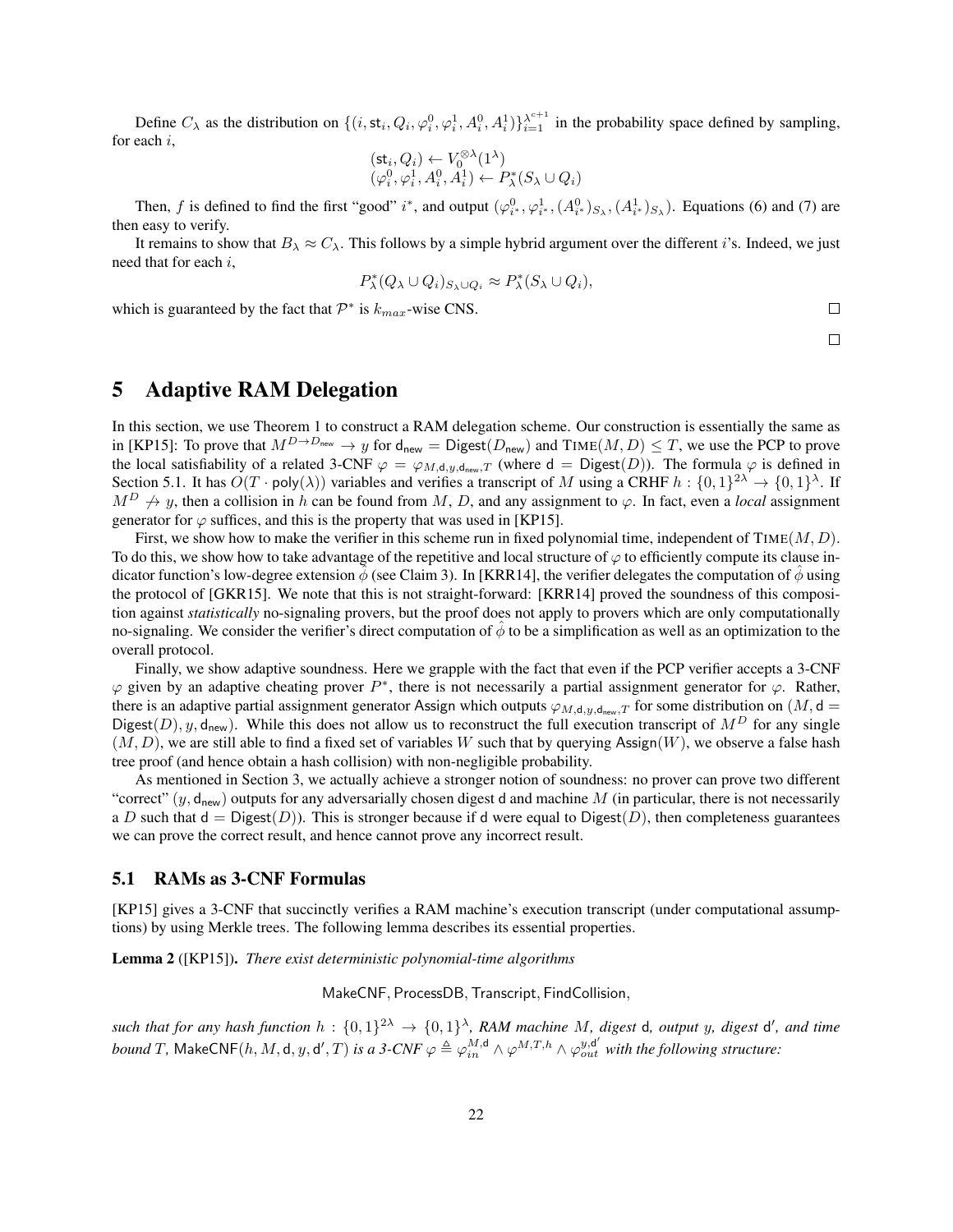Define  $C_\lambda$  as the distribution on  $\{(i, st_i, Q_i, \varphi_i^0, \varphi_i^1, A_i^0, A_i^1)\}_{i=1}^{\lambda^{c+1}}$  in the probability space defined by sampling, for each i,

$$
\begin{array}{l} (\mathsf{st}_i, Q_i) \leftarrow V_0^{\otimes \lambda} (1^\lambda) \\ (\varphi_i^0, \varphi_i^1, A_i^0, A_i^1) \leftarrow P_\lambda^*(S_\lambda \cup Q_i) \end{array}
$$

Then, f is defined to find the first "good" i\*, and output  $(\varphi_i^0_*, \varphi_i^1_*, (A_i^0_*)_{S_\lambda}, (A_i^1_*)_{S_\lambda})$ . Equations [\(6\)](#page-20-1) and [\(7\)](#page-20-2) are then easy to verify.

It remains to show that  $B_\lambda \approx C_\lambda$ . This follows by a simple hybrid argument over the different i's. Indeed, we just need that for each i,

$$
P_{\lambda}^*(Q_{\lambda} \cup Q_i)_{S_{\lambda} \cup Q_i} \approx P_{\lambda}^*(S_{\lambda} \cup Q_i),
$$

which is guaranteed by the fact that  $\mathcal{P}^*$  is  $k_{max}$ -wise CNS.

 $\Box$ 

 $\Box$ 

# <span id="page-21-0"></span>5 Adaptive RAM Delegation

In this section, we use Theorem [1](#page-16-1) to construct a RAM delegation scheme. Our construction is essentially the same as in [\[KP15\]](#page-36-8): To prove that  $M^{D\to D_{\text{new}}} \to y$  for  $d_{\text{new}} = \text{Digest}(D_{\text{new}})$  and  $\text{TIME}(M, D) \leq T$ , we use the PCP to prove the local satisfiability of a related 3-CNF  $\varphi = \varphi_{M,d,y,d_{\text{new}},T}$  (where  $d = \text{Digest}(D)$ ). The formula  $\varphi$  is defined in Section [5.1.](#page-21-1) It has  $O(T \cdot \text{poly}(\lambda))$  variables and verifies a transcript of M using a CRHF  $h: \{0,1\}^{2\lambda} \to \{0,1\}^{\lambda}$ . If  $M^D \nrightarrow y$ , then a collision in h can be found from M, D, and any assignment to  $\varphi$ . In fact, even a *local* assignment generator for  $\varphi$  suffices, and this is the property that was used in [\[KP15\]](#page-36-8).

First, we show how to make the verifier in this scheme run in fixed polynomial time, independent of  $\text{TIME}(M, D)$ . To do this, we show how to take advantage of the repetitive and local structure of  $\varphi$  to efficiently compute its clause indicator function's low-degree extension  $\phi$  (see Claim [3\)](#page-22-0). In [\[KRR14\]](#page-36-7), the verifier delegates the computation of  $\phi$  using the protocol of [\[GKR15\]](#page-35-15). We note that this is not straight-forward: [\[KRR14\]](#page-36-7) proved the soundness of this composition against *statistically* no-signaling provers, but the proof does not apply to provers which are only computationally no-signaling. We consider the verifier's direct computation of  $\phi$  to be a simplification as well as an optimization to the overall protocol.

Finally, we show adaptive soundness. Here we grapple with the fact that even if the PCP verifier accepts a 3-CNF  $\varphi$  given by an adaptive cheating prover  $P^*$ , there is not necessarily a partial assignment generator for  $\varphi$ . Rather, there is an adaptive partial assignment generator Assign which outputs  $\varphi_{M,d,y,d,\deg y}$  for some distribution on  $(M, d =$ Digest(D), y, d<sub>new</sub>). While this does not allow us to reconstruct the full execution transcript of  $M^D$  for any single  $(M, D)$ , we are still able to find a fixed set of variables W such that by querying Assign(W), we observe a false hash tree proof (and hence obtain a hash collision) with non-negligible probability.

As mentioned in Section [3,](#page-11-0) we actually achieve a stronger notion of soundness: no prover can prove two different "correct"  $(y, d_{\text{new}})$  outputs for any adversarially chosen digest d and machine M (in particular, there is not necessarily a D such that  $d = Digest(D)$ . This is stronger because if d were equal to Digest(D), then completeness guarantees we can prove the correct result, and hence cannot prove any incorrect result.

#### <span id="page-21-1"></span>5.1 RAMs as 3-CNF Formulas

[\[KP15\]](#page-36-8) gives a 3-CNF that succinctly verifies a RAM machine's execution transcript (under computational assumptions) by using Merkle trees. The following lemma describes its essential properties.

<span id="page-21-2"></span>Lemma 2 ([\[KP15\]](#page-36-8)). *There exist deterministic polynomial-time algorithms*

MakeCNF, ProcessDB,Transcript, FindCollision,

 $such$  that for any hash function  $h: \{0,1\}^{2\lambda} \to \{0,1\}^{\lambda}$ , RAM machine M, digest d, output y, digest d', and time *bound* T, MakeCNF(h, M, d, y, d', T) is a 3-CNF  $\varphi \triangleq \varphi_{in}^{M,d} \wedge \varphi^{M,T,h} \wedge \varphi_{out}^{y,d'}$  with the following structure: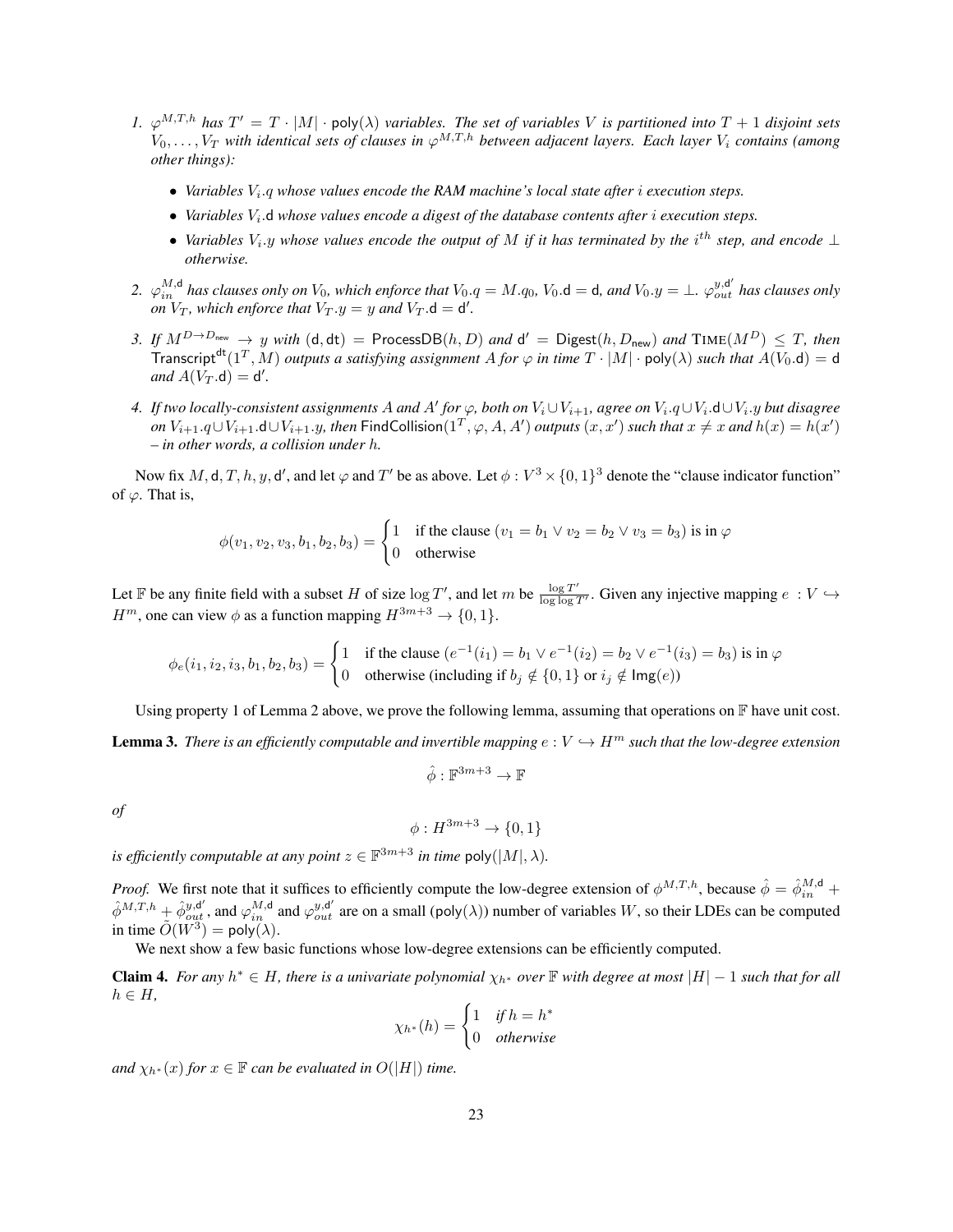- <span id="page-22-1"></span>1.  $\varphi^{M,T,h}$  has  $T' = T \cdot |M| \cdot \text{poly}(\lambda)$  *variables. The set of variables* V *is partitioned into*  $T + 1$  *disjoint sets*  $V_0, \ldots, V_T$  with identical sets of clauses in  $\varphi^{M,T,h}$  between adjacent layers. Each layer  $V_i$  contains (among *other things):*
	- Variables  $V_i$ -q whose values encode the RAM machine's local state after *i* execution steps.
	- *Variables*  $V_i$ , d whose values encode a digest of the database contents after *i* execution steps.
	- *Variables*  $V_i$ , *y* whose values encode the output of M if it has terminated by the i<sup>th</sup> step, and encode ⊥ *otherwise.*
- 2.  $\varphi_{in}^{M,d}$  has clauses only on  $V_0$ , which enforce that  $V_0.q=M.q_0$ ,  $V_0.d=d$ , and  $V_0.y=\bot$ .  $\varphi_{out}^{y,d'}$  has clauses only *on*  $V_T$ , which enforce that  $V_T \cdot y = y$  and  $V_T \cdot d = d'$ .
- *3. If*  $M^{D\to D_{\sf new}}$  → y with  $(\sf d, \sf dt)$  = ProcessDB $(h, D)$  and  $\sf d'$  = Digest $(h, D_{\sf new})$  and  $\sf TIME}(M^D)$  ≤ T, then Transcript<sup>dt</sup>(1<sup>T</sup>, M) *outputs a satisfying assignment* A for  $\varphi$  *in time*  $T \cdot |M| \cdot \text{poly}(\lambda)$  *such that*  $A(V_0.d) = d$  $and A(V_T.d) = d'.$
- *4.* If two locally-consistent assignments A and A' for  $\varphi$ , both on  $V_i \cup V_{i+1}$ , agree on  $V_i.q \cup V_i.d \cup V_i.y$  but disagree *on*  $V_{i+1}.q\cup V_{i+1}.$  **d**∪ $V_{i+1}.y$ , then FindCollision(1<sup>T</sup>,  $\varphi$ , A, A') *outputs*  $(x, x')$  *such that*  $x \neq x$  *and*  $h(x) = h(x')$ *– in other words, a collision under* h*.*

Now fix  $M$ , d,  $T$ ,  $h$ ,  $y$ , d', and let  $\varphi$  and  $T'$  be as above. Let  $\phi: V^3 \times \{0,1\}^3$  denote the "clause indicator function" of  $\varphi$ . That is,

$$
\phi(v_1, v_2, v_3, b_1, b_2, b_3) = \begin{cases} 1 & \text{if the clause } (v_1 = b_1 \lor v_2 = b_2 \lor v_3 = b_3) \text{ is in } \varphi \\ 0 & \text{otherwise} \end{cases}
$$

Let F be any finite field with a subset H of size  $\log T'$ , and let m be  $\frac{\log T'}{\log \log T}$  $\frac{\log T}{\log \log T'}$ . Given any injective mapping  $e: V \hookrightarrow$  $H^m$ , one can view  $\phi$  as a function mapping  $H^{3m+3} \to \{0, 1\}.$ 

$$
\phi_e(i_1, i_2, i_3, b_1, b_2, b_3) = \begin{cases} 1 & \text{if the clause } (e^{-1}(i_1) = b_1 \lor e^{-1}(i_2) = b_2 \lor e^{-1}(i_3) = b_3) \text{ is in } \varphi \\ 0 & \text{otherwise (including if } b_j \notin \{0, 1\} \text{ or } i_j \notin \text{Img}(e) \end{cases}
$$

Using property [1](#page-22-1) of Lemma [2](#page-21-2) above, we prove the following lemma, assuming that operations on  $\mathbb F$  have unit cost.

<span id="page-22-0"></span>**Lemma 3.** *There is an efficiently computable and invertible mapping*  $e: V \hookrightarrow H^m$  *such that the low-degree extension* 

$$
\hat{\phi}:\mathbb{F}^{3m+3}\to\mathbb{F}
$$

*of*

 $\phi: H^{3m+3} \to \{0, 1\}$ 

*is efficiently computable at any point*  $z \in \mathbb{F}^{3m+3}$  *in time poly*( $|M|, \lambda$ ).

*Proof.* We first note that it suffices to efficiently compute the low-degree extension of  $\phi^{M,T,h}$ , because  $\hat{\phi} = \hat{\phi}^{M,d}_{in} +$  $\hat{\phi}^{M,T,h}$  +  $\hat{\phi}_{out}^{y,d'}$ , and  $\varphi_{in}^{M,d}$  and  $\varphi_{out}^{y,d'}$  are on a small (poly( $\lambda$ )) number of variables W, so their LDEs can be computed in time  $\tilde{O}(W^3) = \text{poly}(\lambda)$ .

We next show a few basic functions whose low-degree extensions can be efficiently computed.

**Claim 4.** For any  $h^* \in H$ , there is a univariate polynomial  $\chi_{h^*}$  over  $\mathbb F$  with degree at most  $|H|-1$  such that for all  $h \in H$ ,

$$
\chi_{h^*}(h) = \begin{cases} 1 & \text{if } h = h^* \\ 0 & \text{otherwise} \end{cases}
$$

*and*  $\chi_{h^*}(x)$  *for*  $x \in \mathbb{F}$  *can be evaluated in*  $O(|H|)$  *time.*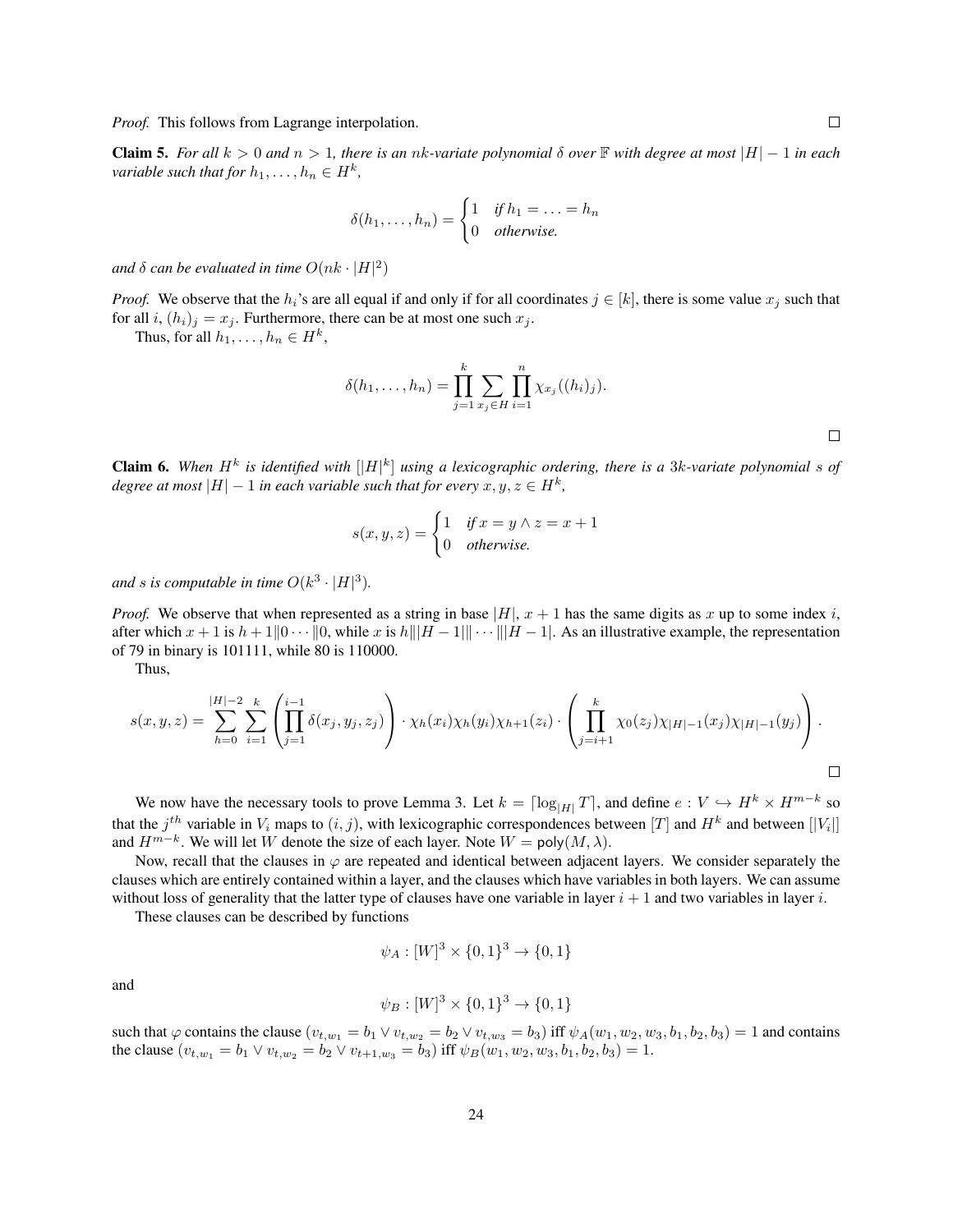*Proof.* This follows from Lagrange interpolation.

**Claim 5.** For all  $k > 0$  and  $n > 1$ , there is an nk-variate polynomial  $\delta$  over  $\mathbb F$  with degree at most  $|H| - 1$  in each *variable such that for*  $h_1, \ldots, h_n \in H^k$ ,

$$
\delta(h_1,\ldots,h_n) = \begin{cases} 1 & \text{if } h_1 = \ldots = h_n \\ 0 & \text{otherwise.} \end{cases}
$$

and  $\delta$  *can be evaluated in time*  $O(nk \cdot |H|^2)$ 

*Proof.* We observe that the  $h_i$ 's are all equal if and only if for all coordinates  $j \in [k]$ , there is some value  $x_j$  such that for all i,  $(h_i)_i = x_i$ . Furthermore, there can be at most one such  $x_i$ .

Thus, for all  $h_1, \ldots, h_n \in H^k$ ,

$$
\delta(h_1, ..., h_n) = \prod_{j=1}^k \sum_{x_j \in H} \prod_{i=1}^n \chi_{x_j}((h_i)_j).
$$

**Claim 6.** When  $H^k$  is identified with  $[|H|^k]$  using a lexicographic ordering, there is a 3k-variate polynomial s of *degree at most*  $|H| - 1$  *in each variable such that for every*  $x, y, z \in H^k$ ,

$$
s(x, y, z) = \begin{cases} 1 & \text{if } x = y \land z = x + 1 \\ 0 & \text{otherwise.} \end{cases}
$$

and *s* is computable in time  $O(k^3 \cdot |H|^3)$ .

*Proof.* We observe that when represented as a string in base  $|H|$ ,  $x + 1$  has the same digits as x up to some index i, after which  $x + 1$  is  $h + 1||0 \cdots ||0$ , while x is  $h|||H - 1|| \cdots |||H - 1|$ . As an illustrative example, the representation of 79 in binary is 101111, while 80 is 110000.

Thus,

$$
s(x,y,z) = \sum_{h=0}^{|H|-2} \sum_{i=1}^{k} \left( \prod_{j=1}^{i-1} \delta(x_j, y_j, z_j) \right) \cdot \chi_h(x_i) \chi_h(y_i) \chi_{h+1}(z_i) \cdot \left( \prod_{j=i+1}^{k} \chi_0(z_j) \chi_{|H|-1}(x_j) \chi_{|H|-1}(y_j) \right).
$$

We now have the necessary tools to prove Lemma [3.](#page-22-0) Let  $k = \lceil \log_{|H|} T \rceil$ , and define  $e : V \hookrightarrow H^k \times H^{m-k}$  so that the  $j^{th}$  variable in  $V_i$  maps to  $(i, j)$ , with lexicographic correspondences between  $[T]$  and  $H^k$  and between  $[|V_i|]$ and  $H^{m-k}$ . We will let W denote the size of each layer. Note  $W = \text{poly}(M, \lambda)$ .

Now, recall that the clauses in  $\varphi$  are repeated and identical between adjacent layers. We consider separately the clauses which are entirely contained within a layer, and the clauses which have variables in both layers. We can assume without loss of generality that the latter type of clauses have one variable in layer  $i + 1$  and two variables in layer i.

These clauses can be described by functions

$$
\psi_A : [W]^3 \times \{0, 1\}^3 \to \{0, 1\}
$$

and

$$
\psi_B : [W]^3 \times \{0, 1\}^3 \to \{0, 1\}
$$

such that  $\varphi$  contains the clause  $(v_{t,w_1} = b_1 \vee v_{t,w_2} = b_2 \vee v_{t,w_3} = b_3)$  iff  $\psi_A(w_1, w_2, w_3, b_1, b_2, b_3) = 1$  and contains the clause  $(v_{t,w_1} = b_1 \vee v_{t,w_2} = b_2 \vee v_{t+1,w_3} = b_3)$  iff  $\psi_B(w_1, w_2, w_3, b_1, b_2, b_3) = 1$ .

 $\Box$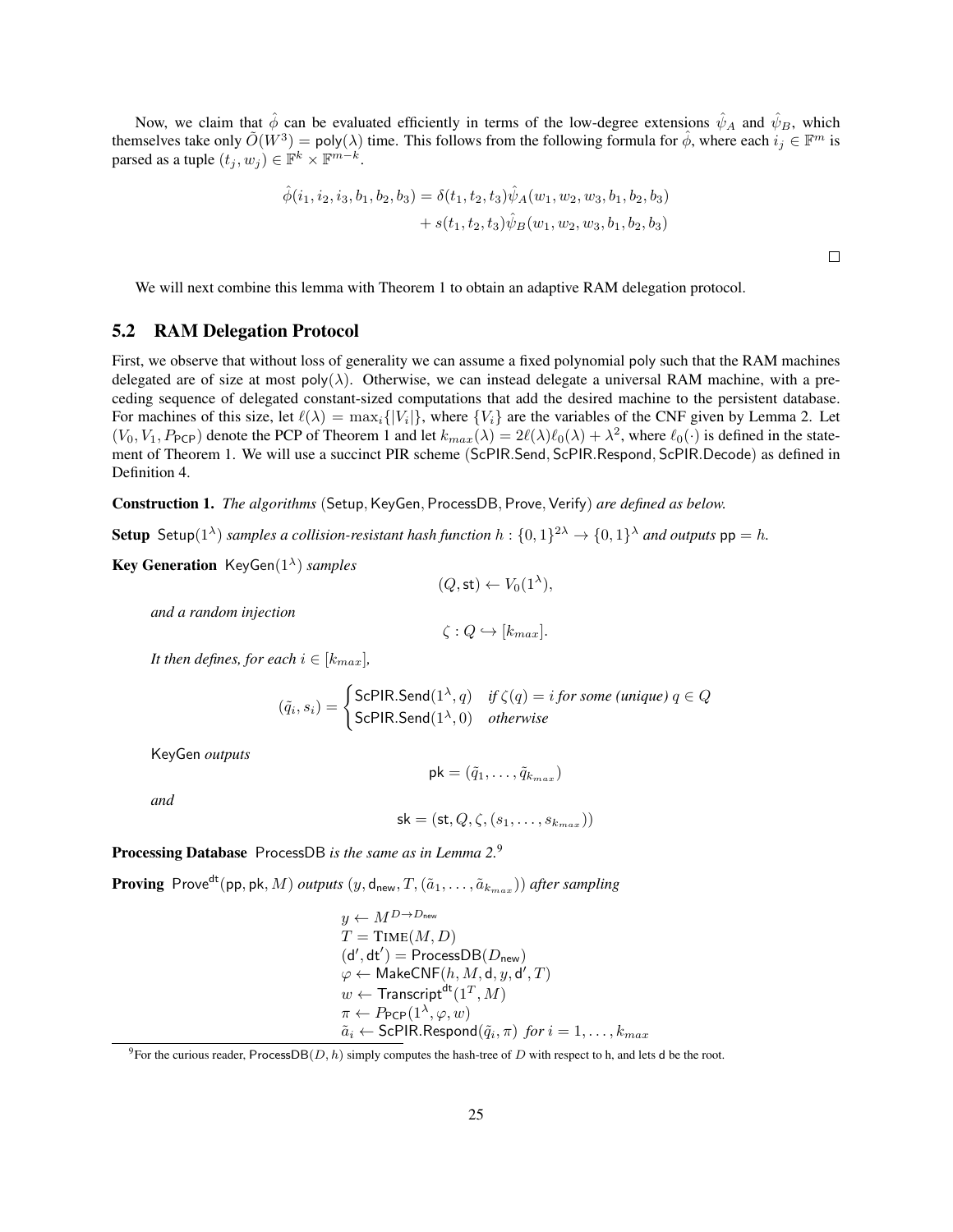Now, we claim that  $\hat{\phi}$  can be evaluated efficiently in terms of the low-degree extensions  $\hat{\psi}_A$  and  $\hat{\psi}_B$ , which themselves take only  $\tilde{O}(W^3) = \text{poly}(\lambda)$  time. This follows from the following formula for  $\hat{\phi}$ , where each  $i_j \in \mathbb{F}^m$  is parsed as a tuple  $(t_j, w_j) \in \mathbb{F}^k \times \mathbb{F}^{m-k}$ .

$$
\hat{\phi}(i_1, i_2, i_3, b_1, b_2, b_3) = \delta(t_1, t_2, t_3) \hat{\psi}_A(w_1, w_2, w_3, b_1, b_2, b_3) + s(t_1, t_2, t_3) \hat{\psi}_B(w_1, w_2, w_3, b_1, b_2, b_3)
$$

 $\Box$ 

We will next combine this lemma with Theorem [1](#page-16-1) to obtain an adaptive RAM delegation protocol.

#### <span id="page-24-0"></span>5.2 RAM Delegation Protocol

First, we observe that without loss of generality we can assume a fixed polynomial poly such that the RAM machines delegated are of size at most poly( $\lambda$ ). Otherwise, we can instead delegate a universal RAM machine, with a preceding sequence of delegated constant-sized computations that add the desired machine to the persistent database. For machines of this size, let  $\ell(\lambda) = \max_i \{ |V_i| \}$ , where  $\{V_i\}$  are the variables of the CNF given by Lemma [2.](#page-21-2) Let  $(V_0, V_1, P_{\text{PCP}})$  denote the PCP of Theorem [1](#page-16-1) and let  $k_{max}(\lambda) = 2\ell(\lambda)\ell_0(\lambda) + \lambda^2$ , where  $\ell_0(\cdot)$  is defined in the statement of Theorem [1.](#page-16-1) We will use a succinct PIR scheme (ScPIR.Send, ScPIR.Respond, ScPIR.Decode) as defined in Definition [4.](#page-10-1)

<span id="page-24-2"></span>Construction 1. *The algorithms* (Setup, KeyGen, ProcessDB, Prove, Verify) *are defined as below.* 

**Setup** Setup( $1^{\lambda}$ ) *samples a collision-resistant hash function*  $h: \{0,1\}^{2\lambda} \to \{0,1\}^{\lambda}$  *and outputs*  $pp = h$ .

Key Generation KeyGen(1<sup>λ</sup> ) *samples*

$$
(Q,\mathsf{st}) \leftarrow V_0(1^{\lambda}),
$$

*and a random injection*

$$
\zeta: Q \hookrightarrow [k_{max}].
$$

*It then defines, for each*  $i \in [k_{max}]$ ,

$$
(\tilde{q}_i, s_i) = \begin{cases} \text{ScPIR.Send}(1^{\lambda}, q) & \text{if } \zeta(q) = i \text{ for some } (\text{unique}) \text{ } q \in Q \\ \text{ScPIR.Send}(1^{\lambda}, 0) & \text{otherwise} \end{cases}
$$

KeyGen *outputs*

$$
\mathsf{pk} = (\tilde{q}_1, \ldots, \tilde{q}_{k_{max}})
$$

*and*

$$
\mathsf{sk} = (\mathsf{st}, Q, \zeta, (s_1, \dots, s_{k_{max}}))
$$

### Processing Database ProcessDB *is the same as in Lemma [2.](#page-21-2)*[9](#page-24-1)

**Proving** Prove<sup>dt</sup>(pp, pk, M) *outputs*  $(y, d_{\text{new}}, T, (\tilde{a}_1, \ldots, \tilde{a}_{k_{max}}))$  *after sampling* 

$$
y \leftarrow M^{D \rightarrow D_{\text{new}}}
$$
  
\n
$$
T = \text{TIME}(M, D)
$$
  
\n
$$
(d', dt') = \text{ProcessDB}(D_{\text{new}})
$$
  
\n
$$
\varphi \leftarrow \text{MakeCNF}(h, M, d, y, d', T)
$$
  
\n
$$
w \leftarrow \text{Transcript}^{dt}(1^T, M)
$$
  
\n
$$
\pi \leftarrow P_{\text{PCP}}(1^{\lambda}, \varphi, w)
$$
  
\n
$$
\tilde{a}_i \leftarrow \text{ScPIR.Respond}(\tilde{q}_i, \pi) \text{ for } i = 1, ..., k_{max}
$$

<span id="page-24-1"></span><sup>9</sup>For the curious reader, ProcessDB(D, h) simply computes the hash-tree of D with respect to h, and lets d be the root.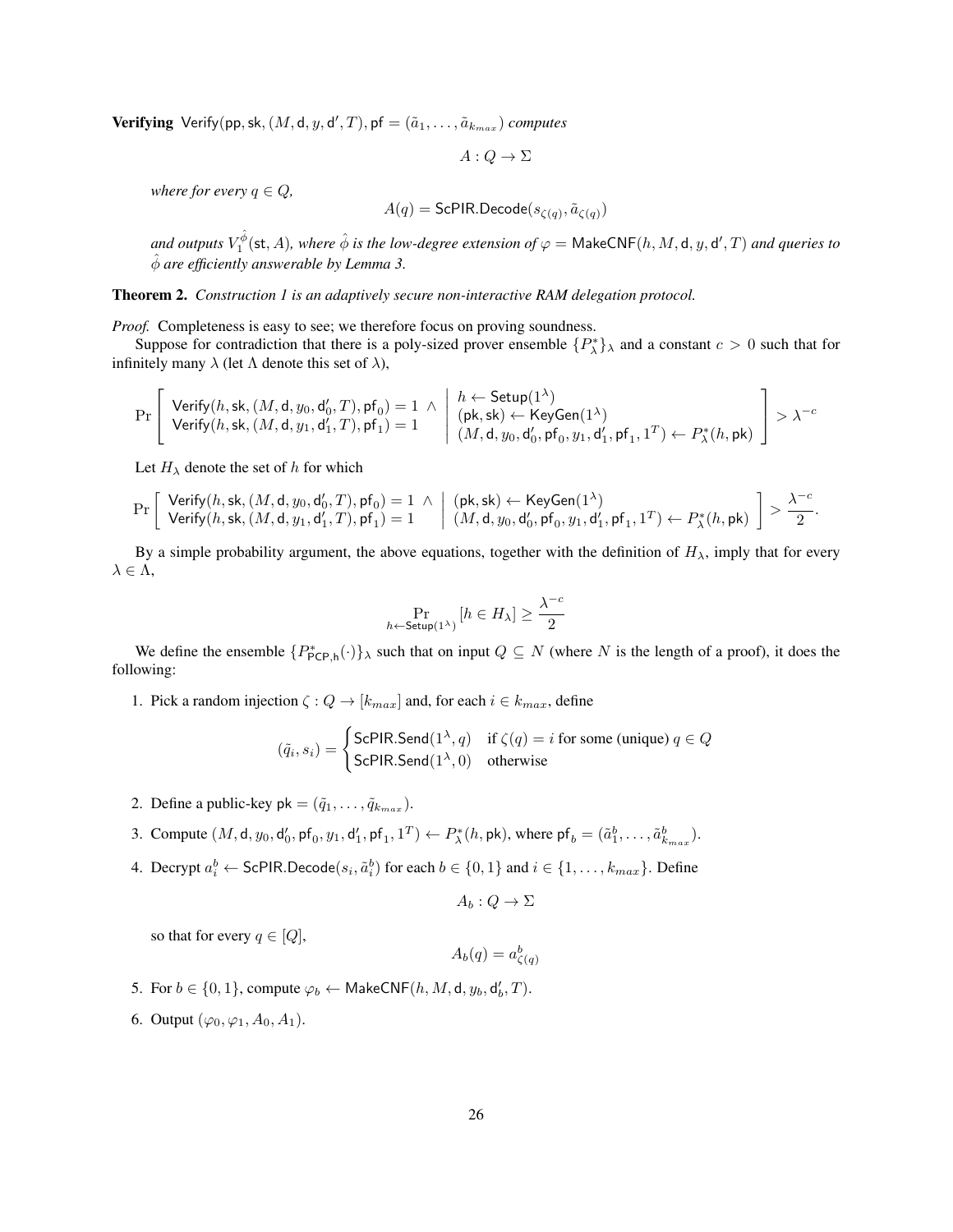**Verifying** Verify(pp, sk,  $(M, d, y, d', T)$ , pf  $= (\tilde{a}_1, \ldots, \tilde{a}_{k_{max}})$  *computes* 

$$
A:Q\to\Sigma
$$

*where for every*  $q \in Q$ *,* 

$$
A(q) = \mathsf{ScPIR}.\mathsf{Decode}(s_{\zeta(q)}, \tilde{a}_{\zeta(q)})
$$

and outputs  $V_1^{\hat{\phi}}(\mathsf{st},A)$ , where  $\hat{\phi}$  is the low-degree extension of  $\varphi =$  MakeCNF $(h,M,\mathsf{d},y,\mathsf{d}',T)$  and queries to φˆ *are efficiently answerable by Lemma [3.](#page-22-0)*

<span id="page-25-0"></span>Theorem 2. *Construction [1](#page-24-2) is an adaptively secure non-interactive RAM delegation protocol.*

*Proof.* Completeness is easy to see; we therefore focus on proving soundness.

Suppose for contradiction that there is a poly-sized prover ensemble  $\{P_{\lambda}^{*}\}_\lambda$  and a constant  $c > 0$  such that for infinitely many  $\lambda$  (let  $\Lambda$  denote this set of  $\lambda$ ),

$$
\Pr\left[\begin{array}{l}\mathsf{Verify}(h,\mathsf{sk},(M,\mathsf{d},y_0,\mathsf{d}_0',T),\mathsf{p}\mathsf{f}_0)=1 & \wedge \begin{array}{l} h \leftarrow \mathsf{Setup}(1^\lambda) \\ (\mathsf{pk},\mathsf{sk}) \leftarrow \mathsf{KeyGen}(1^\lambda) \\ \mathsf{Verify}(h,\mathsf{sk},(M,\mathsf{d},y_1,\mathsf{d}_1',T),\mathsf{p}\mathsf{f}_1)=1 \end{array}\right|\begin{array}{l} h \leftarrow \mathsf{Setup}(1^\lambda) \\ (\mathsf{pk},\mathsf{sk}) \leftarrow \mathsf{KeyGen}(1^\lambda) \\ (M,\mathsf{d},y_0,\mathsf{d}_0',\mathsf{p}\mathsf{f}_0,y_1,\mathsf{d}_1',\mathsf{p}\mathsf{f}_1,1^T) \leftarrow P_\lambda^*(h,\mathsf{pk}) \end{array}\right] > \lambda^{-c}
$$

Let  $H_{\lambda}$  denote the set of h for which

$$
\Pr\left[\begin{array}{l}\mathsf{Verify}(h,\mathsf{sk},(M,\mathsf{d},y_0,\mathsf{d}_0',T),\mathsf{pf}_0)=1 & \wedge \;\; \left|\begin{array}{l}(\mathsf{pk},\mathsf{sk}) \leftarrow \mathsf{KeyGen}(1^\lambda)\\ \mathsf{Verify}(h,\mathsf{sk},(M,\mathsf{d},y_1,\mathsf{d}_1',T),\mathsf{pf}_1)=1 \end{array}\right| \begin{array}{l}(\mathsf{pk},\mathsf{sk}) \leftarrow \mathsf{KeyGen}(1^\lambda)\\ (M,\mathsf{d},y_0,\mathsf{d}_0',\mathsf{pf}_0,y_1,\mathsf{d}_1',\mathsf{pf}_1,1^T) \leftarrow P_\lambda^*(h,\mathsf{pk}) \end{array}\right] > \frac{\lambda^{-c}}{2}.
$$

By a simple probability argument, the above equations, together with the definition of  $H_{\lambda}$ , imply that for every  $\lambda \in \Lambda$ ,

$$
\Pr_{h \leftarrow \mathsf{Setup}(1^{\lambda})} \left[ h \in H_{\lambda} \right] \ge \frac{\lambda^{-c}}{2}
$$

We define the ensemble  $\{P^*_{\mathsf{PCP},\mathsf{h}}(\cdot)\}\$  such that on input  $Q \subseteq N$  (where N is the length of a proof), it does the following:

1. Pick a random injection  $\zeta: Q \to [k_{max}]$  and, for each  $i \in k_{max}$ , define

$$
(\tilde{q}_i, s_i) = \begin{cases} \text{ScPIR.Send}(1^\lambda, q) & \text{if } \zeta(q) = i \text{ for some (unique) } q \in Q \\ \text{ScPIR.Send}(1^\lambda, 0) & \text{otherwise} \end{cases}
$$

- 2. Define a public-key pk =  $(\tilde{q}_1, \ldots, \tilde{q}_{k_{max}})$ .
- 3. Compute  $(M, d, y_0, d'_0, pf_0, y_1, d'_1, pf_1, 1^T) \leftarrow P_{\lambda}^*(h, pk)$ , where  $pf_b = (\tilde{a}_1^b, \dots, \tilde{a}_{k_{max}}^b)$ .
- 4. Decrypt  $a_i^b \leftarrow \textsf{ScPIR}.\textsf{Decode}(s_i, \tilde{a}_i^b)$  for each  $b \in \{0, 1\}$  and  $i \in \{1, \ldots, k_{max}\}.$  Define

 $A_b: Q \to \Sigma$ 

so that for every  $q \in [Q]$ ,

 $A_b(q) = a_{\zeta(q)}^b$ 

- 5. For  $b \in \{0,1\}$ , compute  $\varphi_b \leftarrow \mathsf{MakeCNF}(h, M, d, y_b, d'_b, T)$ .
- 6. Output  $(\varphi_0, \varphi_1, A_0, A_1)$ .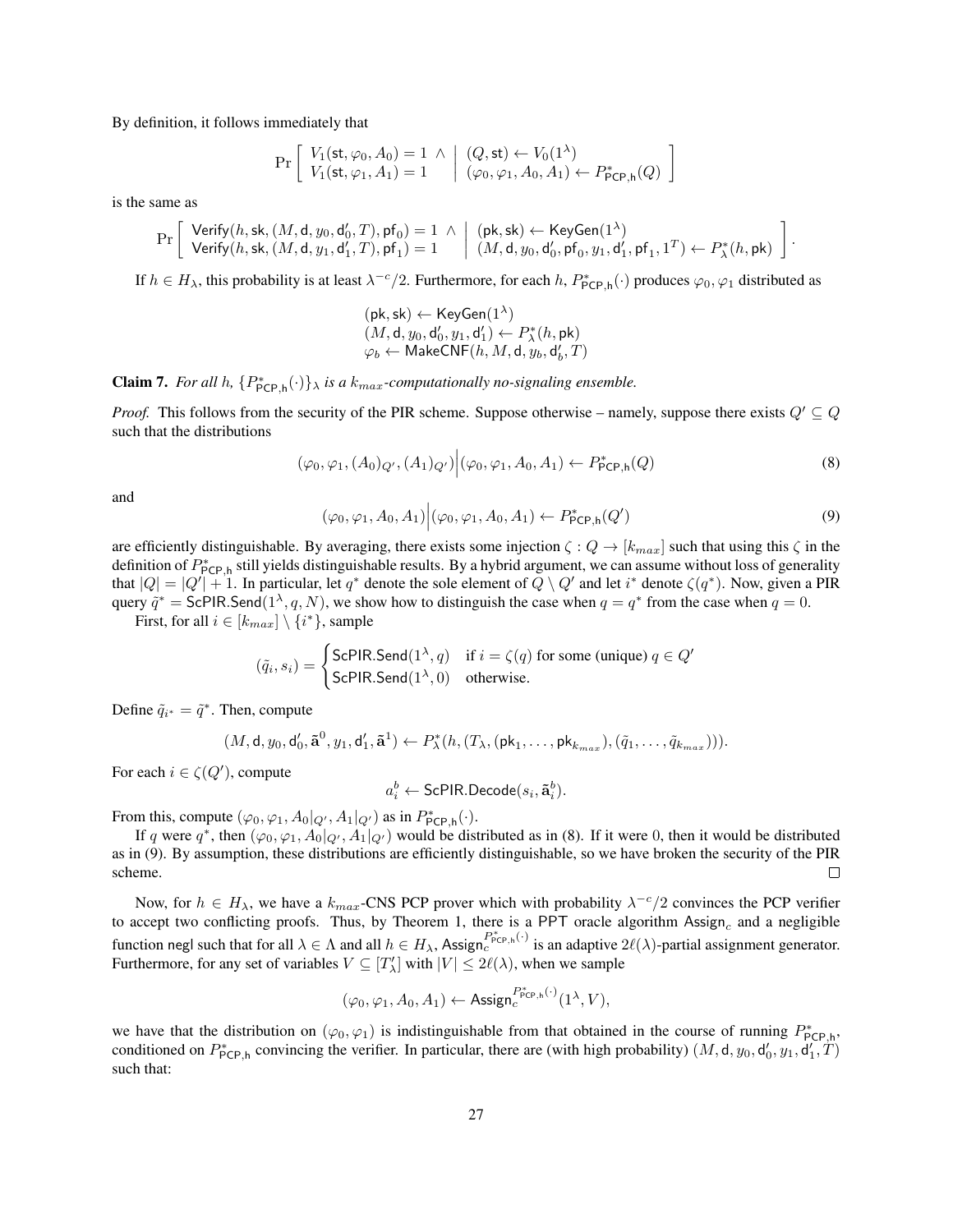By definition, it follows immediately that

$$
\Pr\left[\begin{array}{l} V_1(\text{st}, \varphi_0, A_0) = 1 \land \bigg| (Q, \text{st}) \leftarrow V_0(1^{\lambda}) \\ V_1(\text{st}, \varphi_1, A_1) = 1 \bigg| (\varphi_0, \varphi_1, A_0, A_1) \leftarrow P_{\text{PCP},h}^{*}(Q) \end{array}\right]\right]
$$

is the same as

$$
\Pr\left[\begin{array}{c}\mathsf{Verify}(h,\mathsf{sk},(M,\mathsf{d},y_0,\mathsf{d}_0',T),\mathsf{pf}_0)=1 ~\wedge~ \Big|~ (\mathsf{pk},\mathsf{sk}) \leftarrow \mathsf{KeyGen}(1^\lambda)\\ \mathsf{Verify}(h,\mathsf{sk},(M,\mathsf{d},y_1,\mathsf{d}_1',T),\mathsf{pf}_1)=1 \end{array} \Big|~\begin{array}{c} (\mathsf{pk},\mathsf{sk}) \leftarrow \mathsf{KeyGen}(1^\lambda)\\ (M,\mathsf{d},y_0,\mathsf{d}_0',\mathsf{pf}_0,y_1,\mathsf{d}_1',\mathsf{pf}_1,1^T) \leftarrow P_\lambda^*(h,\mathsf{pk}) \end{array} \right].
$$

If  $h \in H_\lambda$ , this probability is at least  $\lambda^{-c}/2$ . Furthermore, for each  $h$ ,  $P^*_{\text{PCP},h}(\cdot)$  produces  $\varphi_0, \varphi_1$  distributed as

$$
\begin{array}{l} \left(\mathsf{pk},\mathsf{sk}\right)\leftarrow \mathsf{KeyGen}(1^{\lambda})\\ \left(M,\mathsf{d},y_0,\mathsf{d}_0',y_1,\mathsf{d}_1'\right)\leftarrow P_{\lambda}^*(h,\mathsf{pk})\\ \varphi_b\leftarrow \mathsf{MakeCNF}(h,M,\mathsf{d},y_b,\mathsf{d}_b',T) \end{array}
$$

**Claim 7.** *For all h,*  $\{P^*_{\text{PCP},h}(\cdot)\}\$ *, is a k<sub>max</sub>-computationally no-signaling ensemble.* 

*Proof.* This follows from the security of the PIR scheme. Suppose otherwise – namely, suppose there exists  $Q' \subseteq Q$ such that the distributions

<span id="page-26-0"></span>
$$
(\varphi_0, \varphi_1, (A_0)_{Q'}, (A_1)_{Q'}) \Big| (\varphi_0, \varphi_1, A_0, A_1) \leftarrow P_{\mathsf{PCP}, \mathsf{h}}^*(Q) \tag{8}
$$

<span id="page-26-1"></span>and

$$
(\varphi_0, \varphi_1, A_0, A_1) \Big| (\varphi_0, \varphi_1, A_0, A_1) \leftarrow P_{\text{PCP}, \text{h}}^*(Q') \tag{9}
$$

are efficiently distinguishable. By averaging, there exists some injection  $\zeta: Q \to [k_{max}]$  such that using this  $\zeta$  in the definition of  $P_{\text{PCP},h}^*$  still yields distinguishable results. By a hybrid argument, we can assume without loss of generality that  $|Q| = |Q'| + 1$ . In particular, let  $q^*$  denote the sole element of  $Q \setminus Q'$  and let  $i^*$  denote  $\zeta(q^*)$ . Now, given a PIR query  $\tilde{q}^* =$  ScPIR.Send $(1^{\lambda}, q, N)$ , we show how to distinguish the case when  $q = q^*$  from the case when  $q = 0$ .

First, for all  $i \in [k_{max}] \setminus \{i^*\}$ , sample

$$
(\tilde{q}_i, s_i) = \begin{cases} \text{ScPIR.Send}(1^{\lambda}, q) & \text{if } i = \zeta(q) \text{ for some (unique) } q \in Q' \\ \text{ScPIR.Send}(1^{\lambda}, 0) & \text{otherwise.} \end{cases}
$$

Define  $\tilde{q}_{i^*} = \tilde{q}^*$ . Then, compute

$$
(M,\mathsf{d},y_0,\mathsf{d}_0',\tilde{\mathbf{a}}^0,y_1,\mathsf{d}_1',\tilde{\mathbf{a}}^1) \leftarrow P_{\lambda}^*(h,(T_{\lambda},(\mathsf{pk}_1,\ldots,\mathsf{pk}_{k_{max}}),(\tilde{q}_1,\ldots,\tilde{q}_{k_{max}}))).
$$

For each  $i \in \zeta(Q')$ , compute

$$
a_i^b \leftarrow \mathsf{ScPIR}.\mathsf{Decode}(s_i, \mathbf{\tilde{a}}_i^b).
$$

From this, compute  $(\varphi_0, \varphi_1, A_0|_{Q'}, A_1|_{Q'})$  as in  $P^*_{\mathsf{PCP},\mathsf{h}}(\cdot)$ .

If q were  $q^*$ , then  $(\varphi_0, \varphi_1, A_0|_{Q'}, A_1|_{Q'})$  would be distributed as in [\(8\)](#page-26-0). If it were 0, then it would be distributed as in [\(9\)](#page-26-1). By assumption, these distributions are efficiently distinguishable, so we have broken the security of the PIR scheme.  $\Box$ 

Now, for  $h \in H_{\lambda}$ , we have a  $k_{max}$ -CNS PCP prover which with probability  $\lambda^{-c}/2$  convinces the PCP verifier to accept two conflicting proofs. Thus, by Theorem [1,](#page-16-1) there is a PPT oracle algorithm  $\text{Assign}_c$  and a negligible function negl such that for all  $\lambda \in \Lambda$  and all  $h \in H_{\lambda}$ , Assign $c^{P_{\text{PCP},h}^{*}(\cdot)}$  is an adaptive  $2\ell(\lambda)$ -partial assignment generator. Furthermore, for any set of variables  $V \subseteq [T'_\lambda]$  with  $|V| \le 2\ell(\lambda)$ , when we sample

$$
(\varphi_0,\varphi_1,A_0,A_1) \leftarrow \mathsf{Assign}_c^{P_{\mathsf{PCP},\mathsf{h}}^*(\cdot)}(1^\lambda,V),
$$

we have that the distribution on  $(\varphi_0, \varphi_1)$  is indistinguishable from that obtained in the course of running  $P^*_{\text{PCP,h}}$ , conditioned on  $P_{\text{PCP},h}^*$  convincing the verifier. In particular, there are (with high probability)  $(M, d, y_0, d'_0, y_1, d'_1, T)$ such that: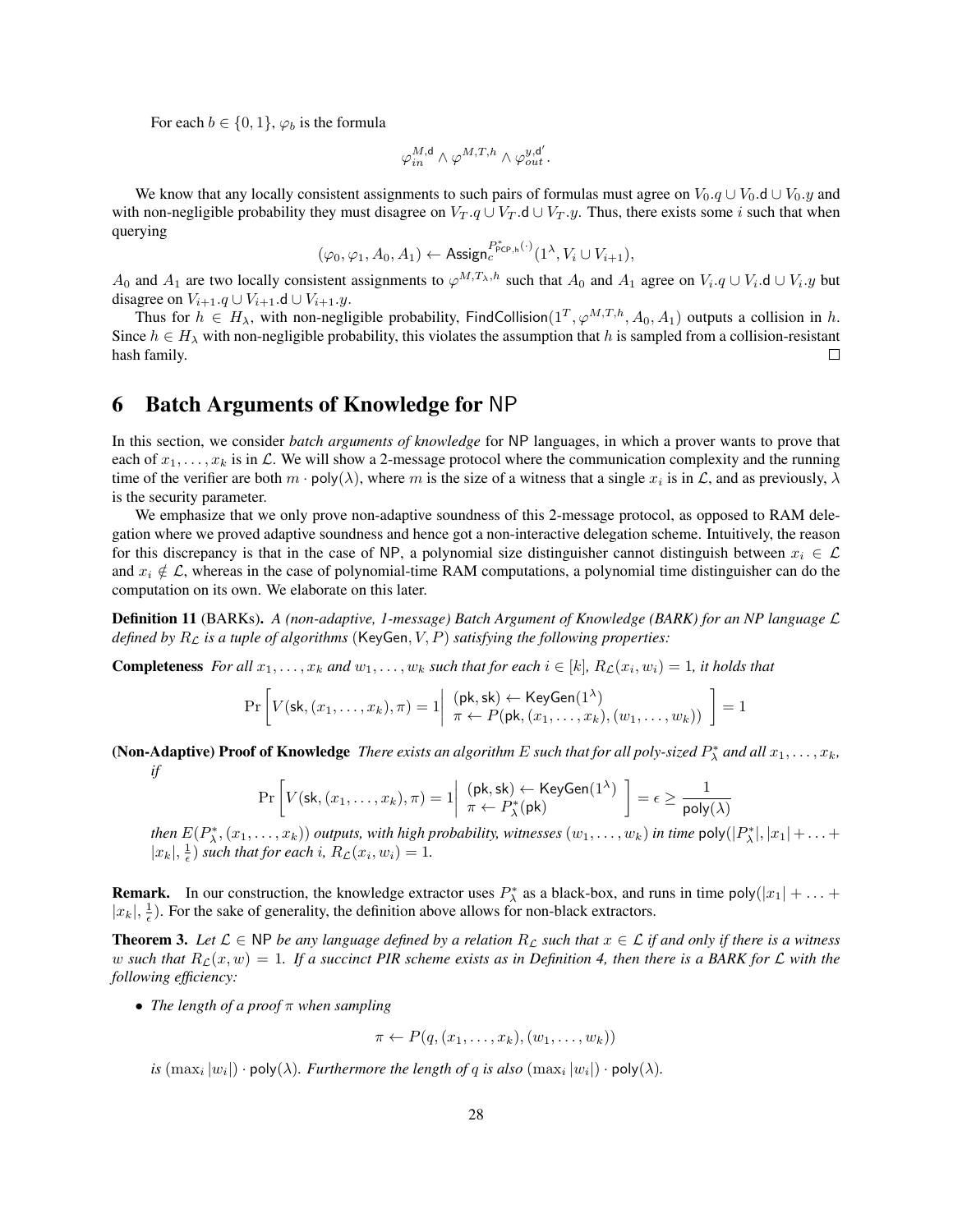For each  $b \in \{0, 1\}$ ,  $\varphi_b$  is the formula

$$
\varphi^{M,\mathsf{d}}_{in} \wedge \varphi^{M,T,h} \wedge \varphi^{y,\mathsf{d}'}_{out}.
$$

We know that any locally consistent assignments to such pairs of formulas must agree on  $V_0, q \cup V_0, d \cup V_0, y$  and with non-negligible probability they must disagree on  $V_T \cdot q \cup V_T \cdot d \cup V_T \cdot y$ . Thus, there exists some i such that when querying

$$
(\varphi_0, \varphi_1, A_0, A_1) \leftarrow \text{Assign}_{c}^{P_{\text{PCP},h}^*(\cdot)}(1^{\lambda}, V_i \cup V_{i+1}),
$$

A<sub>0</sub> and A<sub>1</sub> are two locally consistent assignments to  $\varphi^{M,T_{\lambda},h}$  such that A<sub>0</sub> and A<sub>1</sub> agree on  $V_i.q\cup V_i.d\cup V_i.y$  but disagree on  $V_{i+1}.q \cup V_{i+1}.d \cup V_{i+1}.y$ .

Thus for  $h \in H_{\lambda}$ , with non-negligible probability, FindCollision $(1^T, \varphi^{M,T,h}, A_0, A_1)$  outputs a collision in h. Since  $h \in H_\lambda$  with non-negligible probability, this violates the assumption that h is sampled from a collision-resistant hash family.  $\Box$ 

# <span id="page-27-0"></span>6 Batch Arguments of Knowledge for NP

In this section, we consider *batch arguments of knowledge* for NP languages, in which a prover wants to prove that each of  $x_1, \ldots, x_k$  is in L. We will show a 2-message protocol where the communication complexity and the running time of the verifier are both  $m \cdot \text{poly}(\lambda)$ , where m is the size of a witness that a single  $x_i$  is in  $\mathcal{L}$ , and as previously,  $\lambda$ is the security parameter.

We emphasize that we only prove non-adaptive soundness of this 2-message protocol, as opposed to RAM delegation where we proved adaptive soundness and hence got a non-interactive delegation scheme. Intuitively, the reason for this discrepancy is that in the case of NP, a polynomial size distinguisher cannot distinguish between  $x_i \in \mathcal{L}$ and  $x_i \notin \mathcal{L}$ , whereas in the case of polynomial-time RAM computations, a polynomial time distinguisher can do the computation on its own. We elaborate on this later.

Definition 11 (BARKs). *A (non-adaptive, 1-message) Batch Argument of Knowledge (BARK) for an NP language* L *defined by*  $R<sub>L</sub>$  *is a tuple of algorithms* (KeyGen,  $V$ ,  $P$ ) *satisfying the following properties:* 

**Completeness** *For all*  $x_1, \ldots, x_k$  *and*  $w_1, \ldots, w_k$  *such that for each*  $i \in [k]$ ,  $R_{\mathcal{L}}(x_i, w_i) = 1$ , *it holds that* 

$$
\Pr\left[V(\mathsf{sk}, (x_1, \ldots, x_k), \pi) = 1 \middle| \begin{array}{l} (\mathsf{pk}, \mathsf{sk}) \leftarrow \mathsf{KeyGen}(1^{\lambda}) \\ \pi \leftarrow P(\mathsf{pk}, (x_1, \ldots, x_k), (w_1, \ldots, w_k)) \end{array} \right] = 1
$$

(Non-Adaptive) Proof of Knowledge *There exists an algorithm E such that for all poly-sized*  $P^*_\lambda$  *and all*  $x_1, \ldots, x_k$ *, if*

$$
\Pr\left[V(\mathsf{sk}, (x_1, \dots, x_k), \pi) = 1 \middle| \begin{array}{l} (\mathsf{pk}, \mathsf{sk}) \leftarrow \mathsf{KeyGen}(1^{\lambda}) \\ \pi \leftarrow P_{\lambda}^*(\mathsf{pk}) \end{array} \right] = \epsilon \ge \frac{1}{\mathsf{poly}(\lambda)}
$$

*then*  $E(P_{\lambda}^*, (x_1, \ldots, x_k))$  *outputs, with high probability, witnesses*  $(w_1, \ldots, w_k)$  *in time*  $\text{poly}(|P_{\lambda}^*|, |x_1| + \ldots +$  $|x_k|, \frac{1}{\epsilon}$  *such that for each i,*  $R_{\mathcal{L}}(x_i, w_i) = 1$ *.* 

**Remark.** In our construction, the knowledge extractor uses  $P_{\lambda}^{*}$  as a black-box, and runs in time poly $(|x_1| + ... +$  $|x_k|, \frac{1}{\epsilon}$ ). For the sake of generality, the definition above allows for non-black extractors.

<span id="page-27-1"></span>**Theorem 3.** Let  $\mathcal{L} \in \mathbb{NP}$  be any language defined by a relation  $R_{\mathcal{L}}$  such that  $x \in \mathcal{L}$  if and only if there is a witness w such that  $R_{\mathcal{L}}(x, w) = 1$ . If a succinct PIR scheme exists as in Definition [4,](#page-10-1) then there is a BARK for  $\mathcal{L}$  with the *following efficiency:*

• *The length of a proof* π *when sampling*

$$
\pi \leftarrow P(q, (x_1, \ldots, x_k), (w_1, \ldots, w_k))
$$

*is*  $(\max_i |w_i|) \cdot \text{poly}(\lambda)$ . Furthermore the length of q is also  $(\max_i |w_i|) \cdot \text{poly}(\lambda)$ .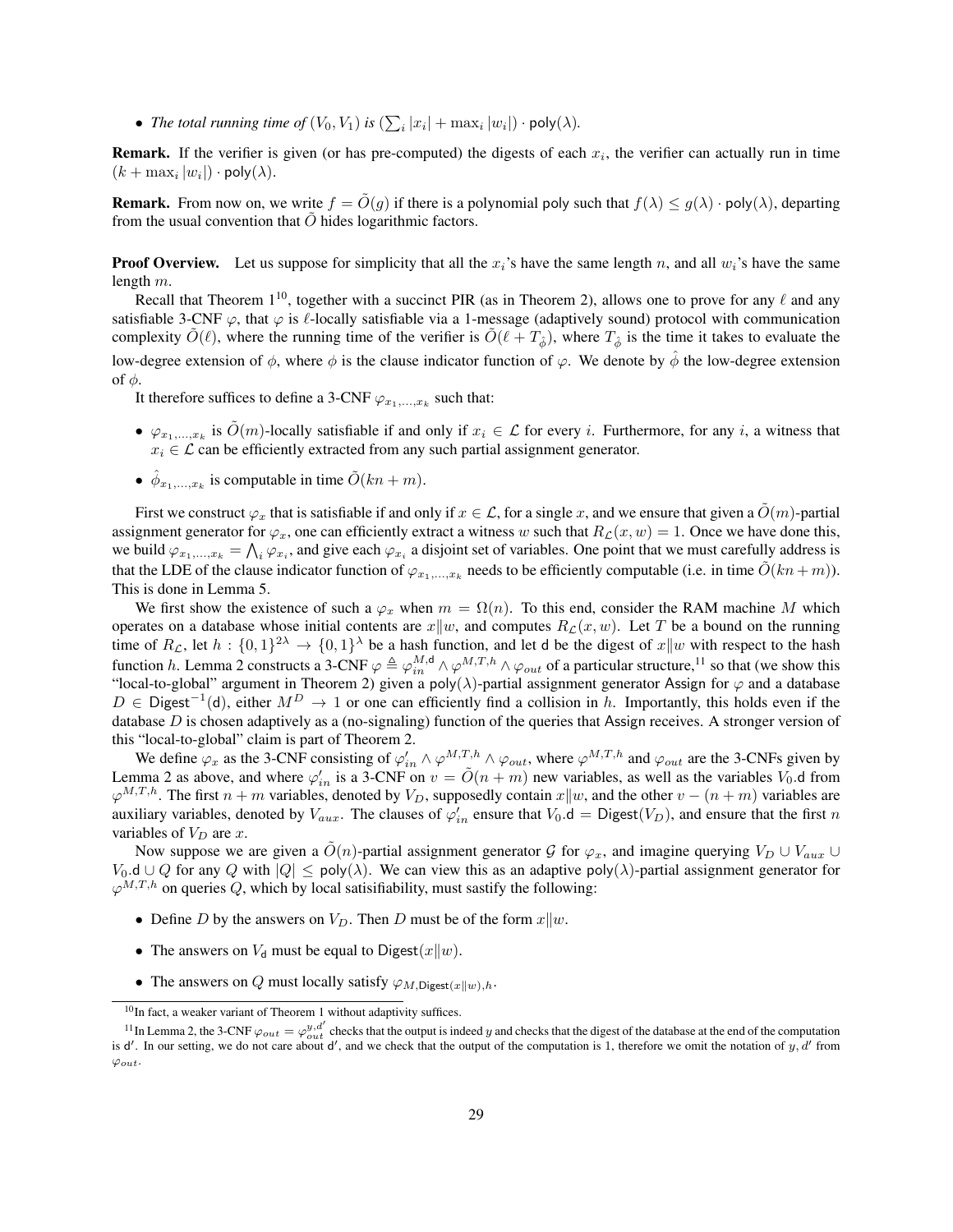• *The total running time of*  $(V_0, V_1)$  *is*  $(\sum_i |x_i| + \max_i |w_i|) \cdot \text{poly}(\lambda)$ *.* 

**Remark.** If the verifier is given (or has pre-computed) the digests of each  $x_i$ , the verifier can actually run in time  $(k + \max_i |w_i|) \cdot \text{poly}(\lambda).$ 

**Remark.** From now on, we write  $f = \tilde{O}(q)$  if there is a polynomial poly such that  $f(\lambda) \leq g(\lambda) \cdot \text{poly}(\lambda)$ , departing from the usual convention that  $\tilde{O}$  hides logarithmic factors.

**Proof Overview.** Let us suppose for simplicity that all the  $x_i$ 's have the same length n, and all  $w_i$ 's have the same length m.

Recall that Theorem  $1^{10}$  $1^{10}$  $1^{10}$ , together with a succinct PIR (as in Theorem [2\)](#page-25-0), allows one to prove for any  $\ell$  and any satisfiable 3-CNF  $\varphi$ , that  $\varphi$  is  $\ell$ -locally satisfiable via a 1-message (adaptively sound) protocol with communication complexity  $\tilde{O}(\ell)$ , where the running time of the verifier is  $\tilde{O}(\ell + T_{\hat{\phi}})$ , where  $T_{\hat{\phi}}$  is the time it takes to evaluate the low-degree extension of  $\phi$ , where  $\phi$  is the clause indicator function of  $\varphi$ . We denote by  $\phi$  the low-degree extension of  $φ$ .

It therefore suffices to define a 3-CNF  $\varphi_{x_1,...,x_k}$  such that:

- $\varphi_{x_1,...,x_k}$  is  $\tilde{O}(m)$ -locally satisfiable if and only if  $x_i \in \mathcal{L}$  for every i. Furthermore, for any i, a witness that  $x_i \in \mathcal{L}$  can be efficiently extracted from any such partial assignment generator.
- $\hat{\phi}_{x_1,...,x_k}$  is computable in time  $\tilde{O}(kn+m)$ .

First we construct  $\varphi_x$  that is satisfiable if and only if  $x \in \mathcal{L}$ , for a single x, and we ensure that given a  $\tilde{O}(m)$ -partial assignment generator for  $\varphi_x$ , one can efficiently extract a witness w such that  $R_{\mathcal{L}}(x, w) = 1$ . Once we have done this, we build  $\varphi_{x_1,...,x_k} = \bigwedge_i \varphi_{x_i}$ , and give each  $\varphi_{x_i}$  a disjoint set of variables. One point that we must carefully address is that the LDE of the clause indicator function of  $\varphi_{x_1,...,x_k}$  needs to be efficiently computable (i.e. in time  $\tilde{O}(kn+m)$ ). This is done in Lemma [5.](#page-30-0)

We first show the existence of such a  $\varphi_x$  when  $m = \Omega(n)$ . To this end, consider the RAM machine M which operates on a database whose initial contents are  $x||w$ , and computes  $R<sub>L</sub>(x, w)$ . Let T be a bound on the running time of  $R_{\mathcal{L}}$ , let  $h: \{0,1\}^{2\lambda} \to \{0,1\}^{\lambda}$  be a hash function, and let d be the digest of  $x||w$  with respect to the hash function h. Lemma [2](#page-21-2) constructs a 3-CNF  $\varphi \triangleq \varphi_{in}^{M,d} \wedge \varphi^{M,T,h} \wedge \varphi_{out}$  of a particular structure,<sup>[11](#page-28-1)</sup> so that (we show this "local-to-global" argument in Theorem [2\)](#page-25-0) given a poly( $\lambda$ )-partial assignment generator Assign for  $\varphi$  and a database D ∈ Digest<sup>-1</sup>(d), either  $M^D \to 1$  or one can efficiently find a collision in h. Importantly, this holds even if the database  $D$  is chosen adaptively as a (no-signaling) function of the queries that Assign receives. A stronger version of this "local-to-global" claim is part of Theorem [2.](#page-25-0)

We define  $\varphi_x$  as the 3-CNF consisting of  $\varphi'_{in} \wedge \varphi^{M,T,h} \wedge \varphi_{out}$ , where  $\varphi^{M,T,h}$  and  $\varphi_{out}$  are the 3-CNFs given by Lemma [2](#page-21-2) as above, and where  $\varphi'_{in}$  is a 3-CNF on  $v = \tilde{O}(n+m)$  new variables, as well as the variables  $V_0$  d from  $\varphi^{M,T,h}$ . The first  $n + m$  variables, denoted by  $V_D$ , supposedly contain  $x||w$ , and the other  $v - (n + m)$  variables are auxiliary variables, denoted by  $V_{aux}$ . The clauses of  $\varphi'_{in}$  ensure that  $V_0$ .d = Digest $(V_D)$ , and ensure that the first n variables of  $V_D$  are x.

Now suppose we are given a  $\tilde{O}(n)$ -partial assignment generator G for  $\varphi_x$ , and imagine querying  $V_D \cup V_{aux} \cup$ V<sub>0</sub>.d ∪ Q for any Q with  $|Q| \leq \text{poly}(\lambda)$ . We can view this as an adaptive poly( $\lambda$ )-partial assignment generator for  $\varphi^{M,T,h}$  on queries Q, which by local satisifiability, must sastify the following:

- Define D by the answers on  $V_D$ . Then D must be of the form  $x||w$ .
- The answers on  $V_d$  must be equal to Digest $(x||w)$ .
- The answers on Q must locally satisfy  $\varphi_{M,\text{Digest}(x||w),h}$ .

<span id="page-28-1"></span><span id="page-28-0"></span> $10$ In fact, a weaker variant of Theorem [1](#page-16-1) without adaptivity suffices.

<sup>&</sup>lt;sup>11</sup> In Lemma [2,](#page-21-2) the 3-CNF  $\varphi_{out} = \varphi_{out}^{y,d'}$  checks that the output is indeed y and checks that the digest of the database at the end of the computation is  $d'$ . In our setting, we do not care about  $d'$ , and we check that the output of the computation is 1, therefore we omit the notation of y, d' from  $\varphi_{out}.$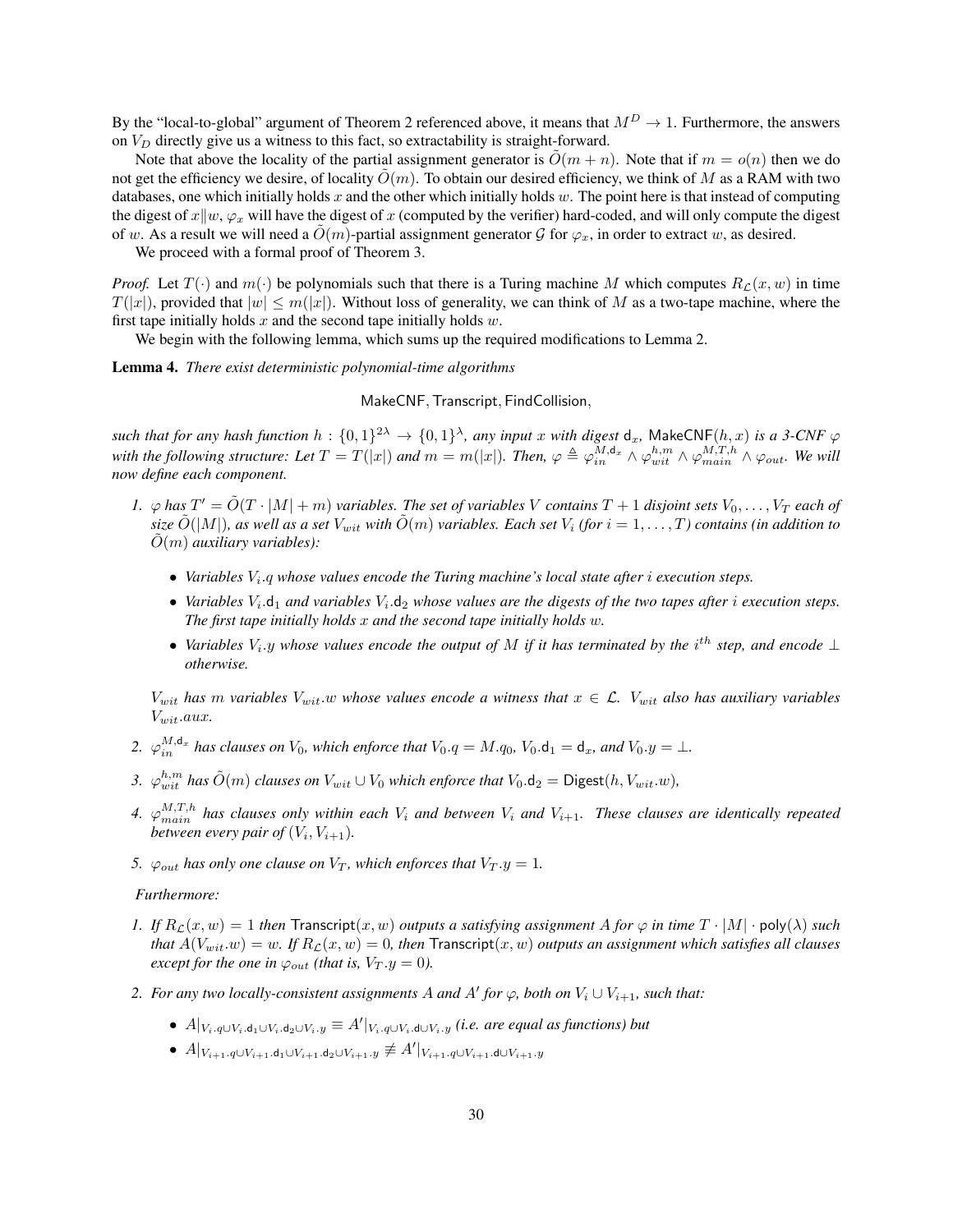By the "local-to-global" argument of Theorem 2 referenced above, it means that  $M^D \to 1$ . Furthermore, the answers on  $V_D$  directly give us a witness to this fact, so extractability is straight-forward.

Note that above the locality of the partial assignment generator is  $\tilde{O}(m + n)$ . Note that if  $m = o(n)$  then we do not get the efficiency we desire, of locality  $\tilde{O}(m)$ . To obtain our desired efficiency, we think of M as a RAM with two databases, one which initially holds  $x$  and the other which initially holds  $w$ . The point here is that instead of computing the digest of  $x||w, \varphi_x$  will have the digest of x (computed by the verifier) hard-coded, and will only compute the digest of w. As a result we will need a  $O(m)$ -partial assignment generator G for  $\varphi_x$ , in order to extract w, as desired.

We proceed with a formal proof of Theorem [3.](#page-27-1)

*Proof.* Let  $T(\cdot)$  and  $m(\cdot)$  be polynomials such that there is a Turing machine M which computes  $R_c(x, w)$  in time  $T(|x|)$ , provided that  $|w| \le m(|x|)$ . Without loss of generality, we can think of M as a two-tape machine, where the first tape initially holds  $x$  and the second tape initially holds  $w$ .

We begin with the following lemma, which sums up the required modifications to Lemma [2.](#page-21-2)

<span id="page-29-0"></span>Lemma 4. *There exist deterministic polynomial-time algorithms*

MakeCNF,Transcript, FindCollision,

 $such$  that for any hash function  $h: \{0,1\}^{2\lambda} \to \{0,1\}^{\lambda}$ , any input  $x$  with digest  $\mathsf{d}_x$ , MakeCNF $(h, x)$  is a 3-CNF  $\varphi$ with the following structure: Let  $T=T(|x|)$  and  $m=m(|x|)$ . Then,  $\varphi\triangleq\varphi_{in}^{M,d_x}\wedge\varphi_{wit}^{h,m}\wedge\varphi_{main}^{M,T,h}\wedge\varphi_{out}$ . We will *now define each component.*

- 1.  $\varphi$  has  $T' = \tilde{O}(T \cdot |M| + m)$  *variables. The set of variables* V *contains*  $T + 1$  *disjoint sets*  $V_0, \ldots, V_T$  *each of size*  $\tilde{O}(|M|)$ *, as well as a set*  $V_{wit}$  *with*  $\tilde{O}(m)$  *variables. Each set*  $V_i$  (for  $i = 1, \ldots, T$ ) *contains (in addition to*  $\tilde{O}(m)$  *auxiliary variables*):
	- Variables  $V_i$ , q whose values encode the Turing machine's local state after *i* execution steps.
	- Variables  $V_i$ .  $d_1$  and variables  $V_i$ .  $d_2$  whose values are the digests of the two tapes after i execution steps. *The first tape initially holds* x *and the second tape initially holds* w*.*
	- *Variables*  $V_i$ , *y* whose values encode the output of M if it has terminated by the i<sup>th</sup> step, and encode ⊥ *otherwise.*

 $V_{wit}$  has m variables  $V_{wit}$  w whose values encode a witness that  $x \in \mathcal{L}$ .  $V_{wit}$  also has auxiliary variables Vwit.aux*.*

- 2.  $\varphi_{in}^{M,\mathsf{d}_x}$  has clauses on  $V_0$ , which enforce that  $V_0.q=M.q_0$ ,  $V_0.\mathsf{d}_1=\mathsf{d}_x$ , and  $V_0.y=\bot$ .
- 3.  $\varphi_{wit}^{h,m}$  has  $\tilde{O}(m)$  *clauses on*  $V_{wit} \cup V_0$  *which enforce that*  $V_0.d_2 = \text{Digest}(h, V_{wit}.w)$ ,
- 4.  $\varphi_{main}^{M,T,h}$  has clauses only within each  $V_i$  and between  $V_i$  and  $V_{i+1}$ . These clauses are identically repeated between every pair of  $(V_i, V_{i+1})$ .
- *5.*  $\varphi_{out}$  *has only one clause on*  $V_T$ *, which enforces that*  $V_T \cdot y = 1$ *.*

#### *Furthermore:*

- *1.* If  $R_c(x, w) = 1$  *then* Transcript $(x, w)$  *outputs a satisfying assignment* A for  $\varphi$  *in time*  $T \cdot |M| \cdot \text{poly}(\lambda)$  *such that*  $A(V_{wit}.w) = w$ . If  $R_c(x, w) = 0$ , then Transcript $(x, w)$  *outputs an assignment which satisfies all clauses except for the one in*  $\varphi_{out}$  *(that is,*  $V_T \cdot y = 0$ *).*
- *2. For any two locally-consistent assignments* A and A' for  $\varphi$ , both on  $V_i \cup V_{i+1}$ , such that:
	- $A|_{V_i,q\cup V_i,d_1\cup V_i,d_2\cup V_i,y}\equiv A'|_{V_i,q\cup V_i,d\cup V_i,y}$  *(i.e. are equal as functions) but*
	- $\quad \bullet \; A|_{V_{i+1}.q\cup V_{i+1}.{\rm d}_1\cup V_{i+1}.{\rm d}_2\cup V_{i+1}.y} \not\equiv A'|_{V_{i+1}.q\cup V_{i+1}.{\rm d}\cup V_{i+1}.y}$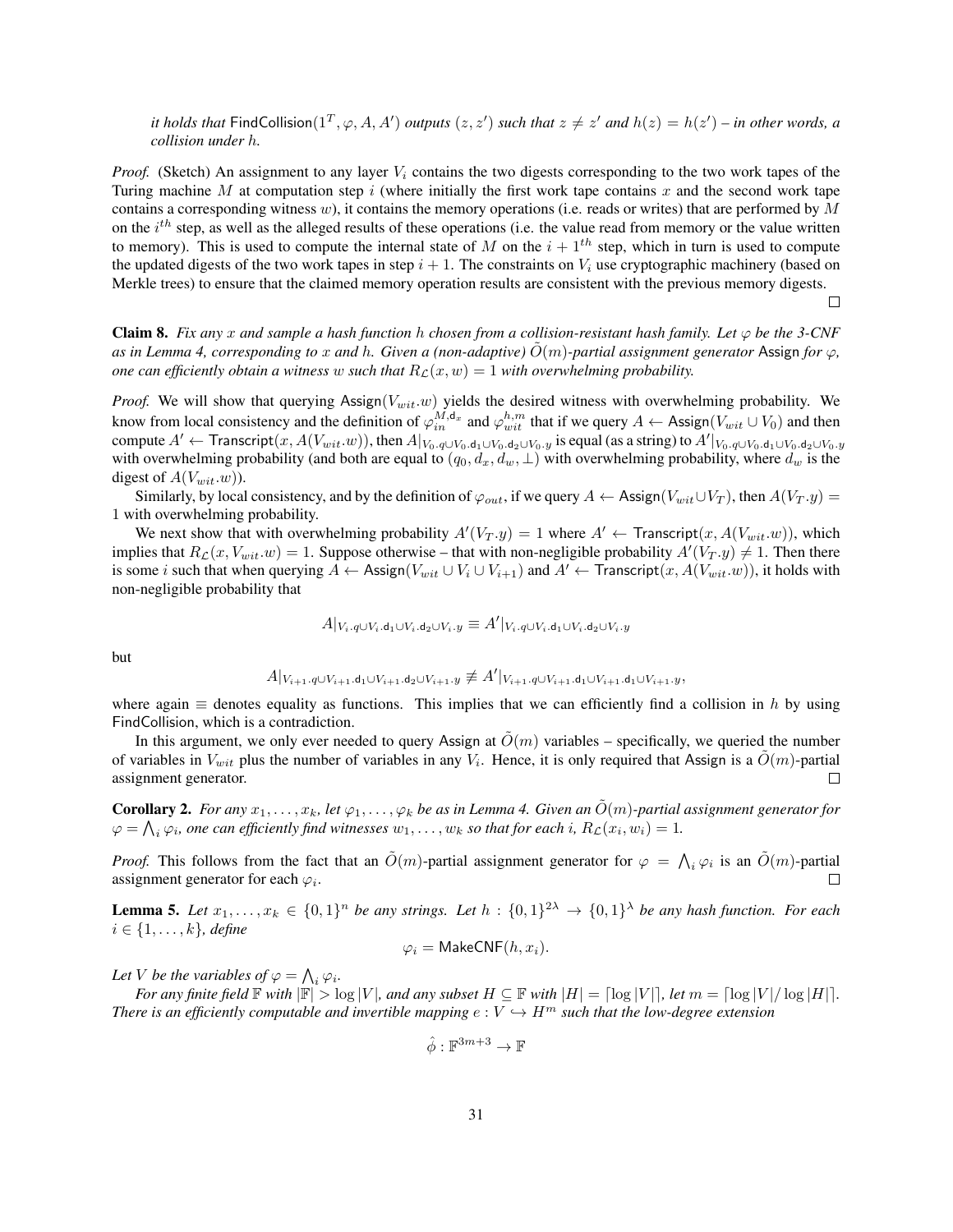*it holds that*  $\textsf{FindCollision}(1^T, \varphi, A, A')$  *outputs*  $(z, z')$  *such that*  $z \neq z'$  *and*  $h(z) = h(z') - in$  *other words, a collision under* h*.*

*Proof.* (Sketch) An assignment to any layer  $V_i$  contains the two digests corresponding to the two work tapes of the Turing machine M at computation step i (where initially the first work tape contains x and the second work tape contains a corresponding witness w), it contains the memory operations (i.e. reads or writes) that are performed by  $M$ on the  $i^{th}$  step, as well as the alleged results of these operations (i.e. the value read from memory or the value written to memory). This is used to compute the internal state of M on the  $i + 1<sup>th</sup>$  step, which in turn is used to compute the updated digests of the two work tapes in step  $i + 1$ . The constraints on  $V_i$  use cryptographic machinery (based on Merkle trees) to ensure that the claimed memory operation results are consistent with the previous memory digests.

 $\Box$ 

<span id="page-30-1"></span>**Claim 8.** Fix any x and sample a hash function h chosen from a collision-resistant hash family. Let  $\varphi$  be the 3-CNF *as in Lemma* [4,](#page-29-0) *corresponding to* x *and* h. Given a (non-adaptive)  $O(m)$ -partial assignment generator Assign for  $\varphi$ , *one can efficiently obtain a witness w such that*  $R_{\mathcal{L}}(x, w) = 1$  *with overwhelming probability.* 

*Proof.* We will show that querying  $\text{Assim}(V_{wit}.w)$  yields the desired witness with overwhelming probability. We know from local consistency and the definition of  $\varphi_{in}^{M,d_x}$  and  $\varphi_{wit}^{h,m}$  that if we query  $A \leftarrow$  Assign $(V_{wit} \cup V_0)$  and then compute  $A' \leftarrow$  Transcript $(x, A(V_{wit}.w))$ , then  $A|_{V_0. q\cup V_0. d_1\cup V_0. d_2\cup V_0. y}$  is equal (as a string) to  $A'|_{V_0. q\cup V_0. d_1\cup V_0. d_2\cup V_0. y}$ with overwhelming probability (and both are equal to  $(q_0, d_x, d_w, \perp)$  with overwhelming probability, where  $d_w$  is the digest of  $A(V_{wit}.w)$ ).

Similarly, by local consistency, and by the definition of  $\varphi_{out}$ , if we query A ← Assign( $V_{wit} \cup V_T$ ), then  $A(V_T.y)$ 1 with overwhelming probability.

We next show that with overwhelming probability  $A'(V_T,y) = 1$  where  $A' \leftarrow$  Transcript $(x, A(V_{wit}.w))$ , which implies that  $R_{\mathcal{L}}(x, V_{wit}.w) = 1$ . Suppose otherwise – that with non-negligible probability  $A'(V_T, y) \neq 1$ . Then there is some i such that when querying  $A \leftarrow$  Assign( $V_{wit} \cup V_i \cup V_{i+1}$ ) and  $A' \leftarrow$  Transcript(x,  $A(V_{wit}.w)$ ), it holds with non-negligible probability that

$$
A|_{V_i. q \cup V_i. \mathsf{d}_1 \cup V_i. \mathsf{d}_2 \cup V_i. y} \equiv A'|_{V_i. q \cup V_i. \mathsf{d}_1 \cup V_i. \mathsf{d}_2 \cup V_i. y}
$$

but

$$
A|_{V_{i+1}.q\cup V_{i+1}.d_1\cup V_{i+1}.d_2\cup V_{i+1}.y} \not\equiv A'|_{V_{i+1}.q\cup V_{i+1}.d_1\cup V_{i+1}.d_1\cup V_{i+1}.y},
$$

where again  $\equiv$  denotes equality as functions. This implies that we can efficiently find a collision in h by using FindCollision, which is a contradiction.

In this argument, we only ever needed to query Assign at  $\hat{O}(m)$  variables – specifically, we queried the number of variables in  $V_{wit}$  plus the number of variables in any  $V_i$ . Hence, it is only required that Assign is a  $\tilde{O}(m)$ -partial assignment generator.  $\Box$ 

<span id="page-30-2"></span>**Corollary 2.** *For any*  $x_1, \ldots, x_k$ , let  $\varphi_1, \ldots, \varphi_k$  be as in Lemma [4.](#page-29-0) Given an  $O(m)$ -partial assignment generator for  $\varphi = \bigwedge_i \varphi_i$ , one can efficiently find witnesses  $w_1, \ldots, w_k$  so that for each i,  $R_{\mathcal{L}}(x_i, w_i) = 1$ .

*Proof.* This follows from the fact that an  $\tilde{O}(m)$ -partial assignment generator for  $\varphi = \bigwedge_i \varphi_i$  is an  $\tilde{O}(m)$ -partial  $\Box$ assignment generator for each  $\varphi_i$ .

<span id="page-30-0"></span>**Lemma 5.** Let  $x_1, \ldots, x_k \in \{0,1\}^n$  be any strings. Let  $h : \{0,1\}^{2\lambda} \to \{0,1\}^{\lambda}$  be any hash function. For each  $i \in \{1, \ldots, k\}$ *, define* 

$$
\varphi_i = \mathsf{MakeCNF}(h, x_i).
$$

Let V be the variables of  $\varphi = \bigwedge_i \varphi_i$ .

*For any finite field*  $\mathbb{F}$  *with*  $|\mathbb{F}| > \log |V|$ *, and any subset*  $H \subseteq \mathbb{F}$  *with*  $|H| = \log |V|$ *, let*  $m = \log |V|/\log |H|$ *. There is an efficiently computable and invertible mapping*  $e: V \hookrightarrow H^m$  *such that the low-degree extension* 

$$
\hat{\phi} : \mathbb{F}^{3m+3} \to \mathbb{F}
$$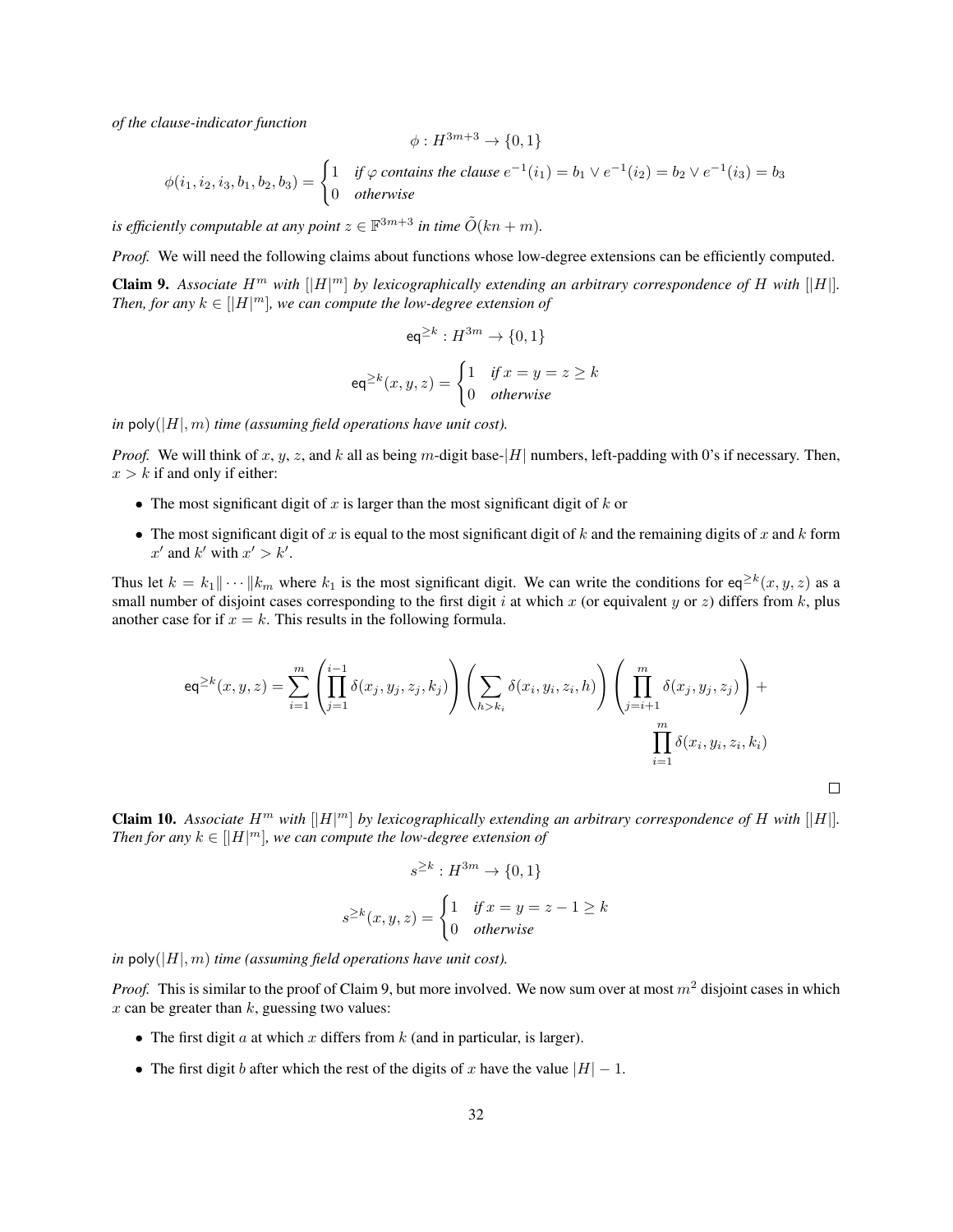*of the clause-indicator function*

$$
\phi: H^{3m+3} \to \{0,1\}
$$

 $\phi(i_1, i_2, i_3, b_1, b_2, b_3) = \begin{cases} 1 & \text{if } \varphi \text{ contains the clause } e^{-1}(i_1) = b_1 \vee e^{-1}(i_2) = b_2 \vee e^{-1}(i_3) = b_3 \end{cases}$ 0 *otherwise*

*is efficiently computable at any point*  $z \in \mathbb{F}^{3m+3}$  *in time*  $\tilde{O}(kn+m)$ *.* 

<span id="page-31-0"></span>*Proof.* We will need the following claims about functions whose low-degree extensions can be efficiently computed. **Claim 9.** Associate  $H^m$  with  $\vert \vert H \vert^m \vert$  by lexicographically extending an arbitrary correspondence of H with  $\vert \vert H \vert$ . *Then, for any*  $k \in [|H|^m]$ , we can compute the low-degree extension of

$$
eq^{\geq k}: H^{3m} \to \{0, 1\}
$$

$$
eq^{\geq k}(x, y, z) = \begin{cases} 1 & \text{if } x = y = z \geq k \\ 0 & \text{otherwise} \end{cases}
$$

*in*  $poly(|H|, m)$  *time (assuming field operations have unit cost).* 

*Proof.* We will think of x, y, z, and k all as being m-digit base- $|H|$  numbers, left-padding with 0's if necessary. Then,  $x > k$  if and only if either:

- The most significant digit of x is larger than the most significant digit of  $k$  or
- The most significant digit of x is equal to the most significant digit of k and the remaining digits of x and k form  $x'$  and  $k'$  with  $x' > k'$ .

Thus let  $k = k_1 || \cdots || k_m$  where  $k_1$  is the most significant digit. We can write the conditions for eq<sup>≥k</sup>(x, y, z) as a small number of disjoint cases corresponding to the first digit i at which x (or equivalent y or z) differs from k, plus another case for if  $x = k$ . This results in the following formula.

$$
\operatorname{eq}^{\geq k}(x, y, z) = \sum_{i=1}^{m} \left( \prod_{j=1}^{i-1} \delta(x_j, y_j, z_j, k_j) \right) \left( \sum_{h > k_i} \delta(x_i, y_i, z_i, h) \right) \left( \prod_{j=i+1}^{m} \delta(x_j, y_j, z_j) \right) + \prod_{i=1}^{m} \delta(x_i, y_i, z_i, k_i)
$$

 $\Box$ 

**Claim 10.** Associate  $H^m$  with  $\Vert H \Vert^m$  by lexicographically extending an arbitrary correspondence of H with  $\Vert H \Vert$ . *Then for any*  $k \in [|H|^m]$ , we can compute the low-degree extension of

$$
s^{\geq k}: H^{3m} \to \{0, 1\}
$$

$$
s^{\geq k}(x, y, z) = \begin{cases} 1 & \text{if } x = y = z - 1 \geq k \\ 0 & \text{otherwise} \end{cases}
$$

*in*  $poly(|H|, m)$  *time (assuming field operations have unit cost).* 

*Proof.* This is similar to the proof of Claim [9,](#page-31-0) but more involved. We now sum over at most  $m^2$  disjoint cases in which  $x$  can be greater than  $k$ , guessing two values:

- The first digit a at which x differs from  $k$  (and in particular, is larger).
- The first digit b after which the rest of the digits of x have the value  $|H| 1$ .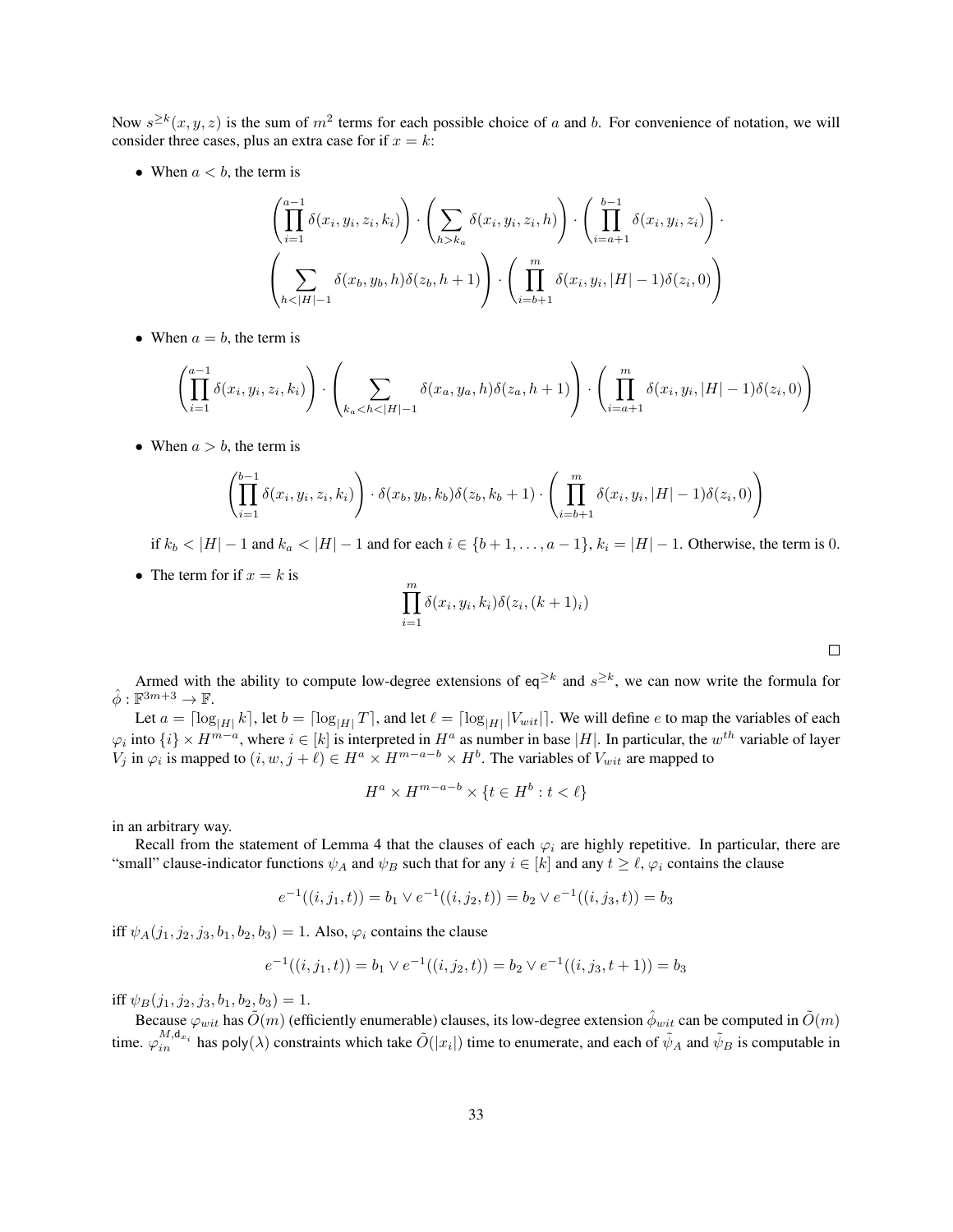Now  $s^{\geq k}(x, y, z)$  is the sum of  $m^2$  terms for each possible choice of a and b. For convenience of notation, we will consider three cases, plus an extra case for if  $x = k$ :

• When  $a < b$ , the term is

$$
\left(\prod_{i=1}^{a-1} \delta(x_i, y_i, z_i, k_i)\right) \cdot \left(\sum_{h > k_a} \delta(x_i, y_i, z_i, h)\right) \cdot \left(\prod_{i=a+1}^{b-1} \delta(x_i, y_i, z_i)\right) \cdot \left(\sum_{i=b+1}^{b-1} \delta(x_i, y_i, z_i)\right) \cdot \left(\sum_{h < |H|-1}^{m} \delta(x_h, y_h, |H| - 1)\delta(z_i, 0)\right)
$$

• When  $a = b$ , the term is

$$
\left(\prod_{i=1}^{a-1} \delta(x_i, y_i, z_i, k_i)\right) \cdot \left(\sum_{k_a < h < |H|-1} \delta(x_a, y_a, h) \delta(z_a, h+1)\right) \cdot \left(\prod_{i=a+1}^m \delta(x_i, y_i, |H|-1) \delta(z_i, 0)\right)
$$

• When  $a > b$ , the term is

$$
\left(\prod_{i=1}^{b-1} \delta(x_i, y_i, z_i, k_i)\right) \cdot \delta(x_b, y_b, k_b) \delta(z_b, k_b + 1) \cdot \left(\prod_{i=b+1}^{m} \delta(x_i, y_i, |H| - 1) \delta(z_i, 0)\right)
$$

if  $k_b$  < |H| − 1 and  $k_a$  < |H| − 1 and for each  $i \in \{b+1,\ldots,a-1\}$ ,  $k_i = |H| - 1$ . Otherwise, the term is 0.

• The term for if  $x = k$  is

$$
\prod_{i=1}^{m} \delta(x_i, y_i, k_i) \delta(z_i, (k+1)_i)
$$

Armed with the ability to compute low-degree extensions of eq<sup>≥k</sup> and  $s^{\geq k}$ , we can now write the formula for  $\hat{\phi}: \mathbb{F}^{3m+3} \to \mathbb{F}$ .

Let  $a = \lceil \log_{|H|} k \rceil$ , let  $b = \lceil \log_{|H|} T \rceil$ , and let  $\ell = \lceil \log_{|H|} |V_{wit}| \rceil$ . We will define  $e$  to map the variables of each  $\varphi_i$  into  $\{i\}\times H^{m-a}$ , where  $i\in[k]$  is interpreted in  $H^a$  as number in base  $|H|$ . In particular, the  $w^{th}$  variable of layer  $V_j$  in  $\varphi_i$  is mapped to  $(i, w, j + \ell) \in H^a \times H^{m-a-b} \times H^b$ . The variables of  $V_{wit}$  are mapped to

$$
H^a \times H^{m-a-b} \times \{t \in H^b : t < \ell\}
$$

in an arbitrary way.

Recall from the statement of Lemma [4](#page-29-0) that the clauses of each  $\varphi_i$  are highly repetitive. In particular, there are "small" clause-indicator functions  $\psi_A$  and  $\psi_B$  such that for any  $i \in [k]$  and any  $t \geq \ell$ ,  $\varphi_i$  contains the clause

$$
e^{-1}((i, j_1, t)) = b_1 \vee e^{-1}((i, j_2, t)) = b_2 \vee e^{-1}((i, j_3, t)) = b_3
$$

iff  $\psi_A(j_1, j_2, j_3, b_1, b_2, b_3) = 1$ . Also,  $\varphi_i$  contains the clause

$$
e^{-1}((i, j_1, t)) = b_1 \vee e^{-1}((i, j_2, t)) = b_2 \vee e^{-1}((i, j_3, t + 1)) = b_3
$$

iff  $\psi_B(j_1, j_2, j_3, b_1, b_2, b_3) = 1.$ 

Because  $\varphi_{wit}$  has  $\tilde{O}(m)$  (efficiently enumerable) clauses, its low-degree extension  $\hat{\phi}_{wit}$  can be computed in  $\tilde{O}(m)$ time.  $\varphi_{in}^{M,d_{x_i}}$  has poly( $\lambda$ ) constraints which take  $\tilde{O}(|x_i|)$  time to enumerate, and each of  $\tilde{\psi}_A$  and  $\tilde{\psi}_B$  is computable in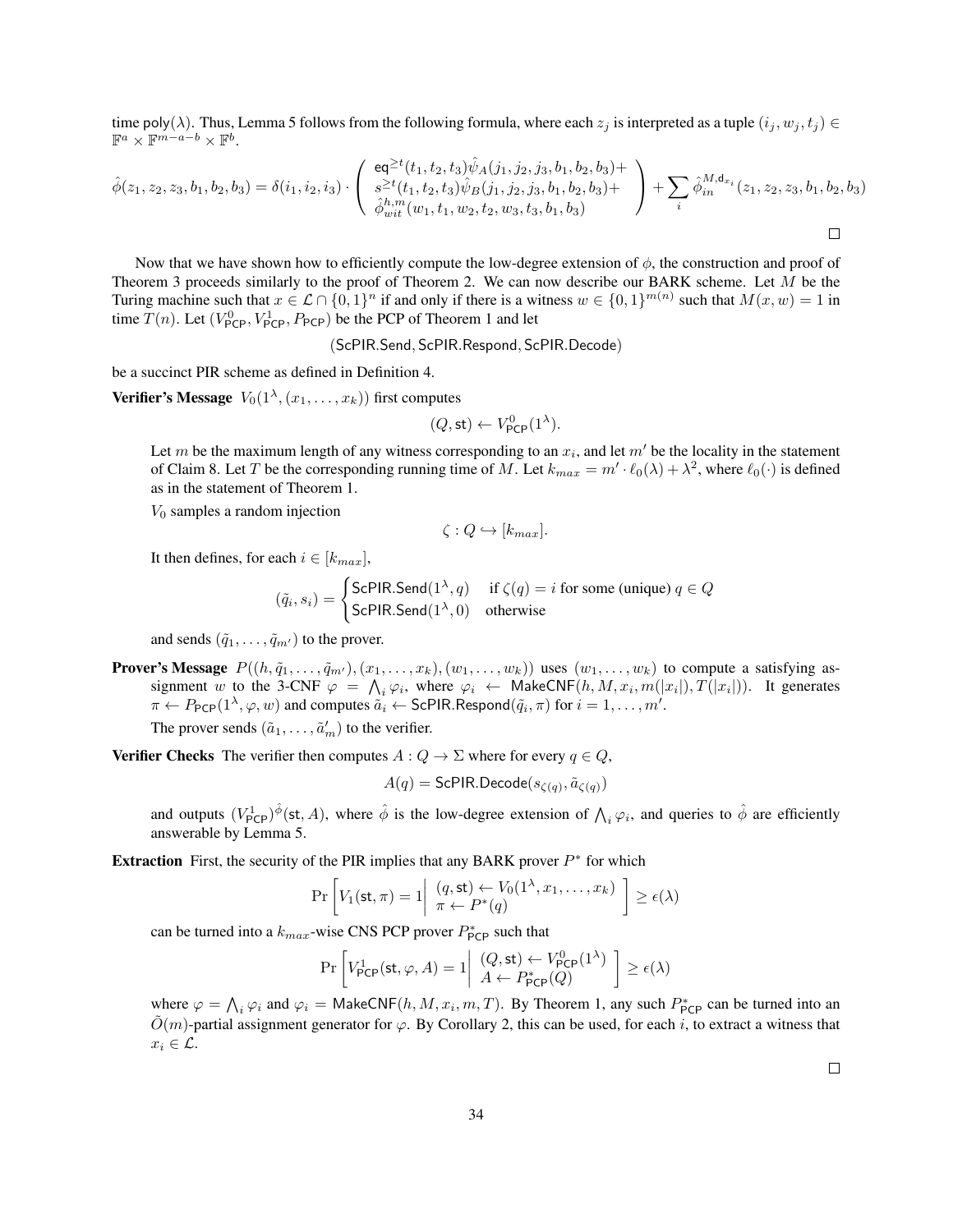time poly( $\lambda$ ). Thus, Lemma [5](#page-30-0) follows from the following formula, where each  $z_j$  is interpreted as a tuple  $(i_j, w_j, t_j) \in$  $\mathbb{F}^a \times \mathbb{F}^{m-a-b} \times \mathbb{F}^b$ .

$$
\hat{\phi}(z_1, z_2, z_3, b_1, b_2, b_3) = \delta(i_1, i_2, i_3) \cdot \begin{pmatrix} \text{eq}^{\geq t}(t_1, t_2, t_3) \hat{\psi}_A(j_1, j_2, j_3, b_1, b_2, b_3) + \\ s^{\geq t}(t_1, t_2, t_3) \hat{\psi}_B(j_1, j_2, j_3, b_1, b_2, b_3) + \\ \hat{\phi}_{wit}^{h,m}(w_1, t_1, w_2, t_2, w_3, t_3, b_1, b_3) \end{pmatrix} + \sum_i \hat{\phi}_{in}^{M, \text{d}_{x_i}}(z_1, z_2, z_3, b_1, b_2, b_3)
$$

Now that we have shown how to efficiently compute the low-degree extension of  $\phi$ , the construction and proof of Theorem [3](#page-27-1) proceeds similarly to the proof of Theorem [2.](#page-25-0) We can now describe our BARK scheme. Let M be the Turing machine such that  $x \in \mathcal{L} \cap \{0,1\}^n$  if and only if there is a witness  $w \in \{0,1\}^{m(n)}$  such that  $M(x, w) = 1$  in time  $T(n)$ . Let  $(V_{\text{PCP}}^0, V_{\text{PCP}}^1, P_{\text{PCP}})$  be the PCP of Theorem [1](#page-16-1) and let

(ScPIR.Send, ScPIR.Respond, ScPIR.Decode)

be a succinct PIR scheme as defined in Definition [4.](#page-10-1)

**Verifier's Message**  $V_0(1^\lambda, (x_1, \ldots, x_k))$  first computes

$$
(Q,\mathsf{st}) \leftarrow V^0_{\mathsf{PCP}}(1^{\lambda}).
$$

Let m be the maximum length of any witness corresponding to an  $x_i$ , and let  $m'$  be the locality in the statement of Claim [8.](#page-30-1) Let T be the corresponding running time of M. Let  $k_{max} = m' \cdot \ell_0(\lambda) + \lambda^2$ , where  $\ell_0(\cdot)$  is defined as in the statement of Theorem [1.](#page-16-1)

 $V_0$  samples a random injection

$$
\zeta: Q \hookrightarrow [k_{max}].
$$

It then defines, for each  $i \in [k_{max}]$ ,

$$
(\tilde{q}_i, s_i) = \begin{cases} \text{ScPIR.Send}(1^{\lambda}, q) & \text{if } \zeta(q) = i \text{ for some (unique) } q \in Q \\ \text{ScPIR.Send}(1^{\lambda}, 0) & \text{otherwise} \end{cases}
$$

and sends  $(\tilde{q}_1, \ldots, \tilde{q}_{m'})$  to the prover.

**Prover's Message**  $P((h, \tilde{q}_1, \ldots, \tilde{q}_{m'}), (x_1, \ldots, x_k), (w_1, \ldots, w_k))$  uses  $(w_1, \ldots, w_k)$  to compute a satisfying assignment w to the 3-CNF  $\varphi = \bigwedge_i \varphi_i$ , where  $\varphi_i \leftarrow \text{MakeCNF}(h, M, x_i, m(|x_i|), T(|x_i|)).$  It generates  $\pi \leftarrow P_{\mathsf{PCP}}(1^{\lambda}, \varphi, w)$  and computes  $\tilde{a_i} \leftarrow \mathsf{ScPIR}$ . Respond $(\tilde{q}_i, \pi)$  for  $i = 1, \dots, m'$ .

The prover sends  $(\tilde{a}_1, \ldots, \tilde{a}'_m)$  to the verifier.

**Verifier Checks** The verifier then computes  $A: Q \to \Sigma$  where for every  $q \in Q$ ,

$$
A(q) = \mathsf{ScPIR}.\mathsf{Decode}(s_{\zeta(q)}, \tilde{a}_{\zeta(q)})
$$

and outputs  $(V_{\text{PCP}}^1)^{\hat{\phi}}(\text{st}, A)$ , where  $\hat{\phi}$  is the low-degree extension of  $\bigwedge_i \varphi_i$ , and queries to  $\hat{\phi}$  are efficiently answerable by Lemma [5.](#page-30-0)

**Extraction** First, the security of the PIR implies that any BARK prover  $P^*$  for which

$$
\Pr\left[V_1(\mathsf{st}, \pi) = 1 \middle| \begin{array}{l} (q, \mathsf{st}) \leftarrow V_0(1^{\lambda}, x_1, \dots, x_k) \\ \pi \leftarrow P^*(q) \end{array} \right] \geq \epsilon(\lambda)
$$

can be turned into a  $k_{max}$ -wise CNS PCP prover  $P_{\text{PCP}}^*$  such that

$$
\Pr\left[V_{\mathsf{PCP}}^1(\mathsf{st}, \varphi, A) = 1 \middle| \begin{array}{c} (Q, \mathsf{st}) \leftarrow V_{\mathsf{PCP}}^0(1^\lambda) \\ A \leftarrow P_{\mathsf{PCP}}^*(Q) \end{array} \right] \ge \epsilon(\lambda)
$$

where  $\varphi = \bigwedge_i \varphi_i$  and  $\varphi_i = \text{MakeCNF}(h, M, x_i, m, T)$ . By Theorem [1,](#page-16-1) any such  $P_{\text{PCP}}^*$  can be turned into an  $\tilde{O}(m)$ -partial assignment generator for  $\varphi$ . By Corollary [2,](#page-30-2) this can be used, for each i, to extract a witness that  $x_i \in \mathcal{L}$ .

 $\Box$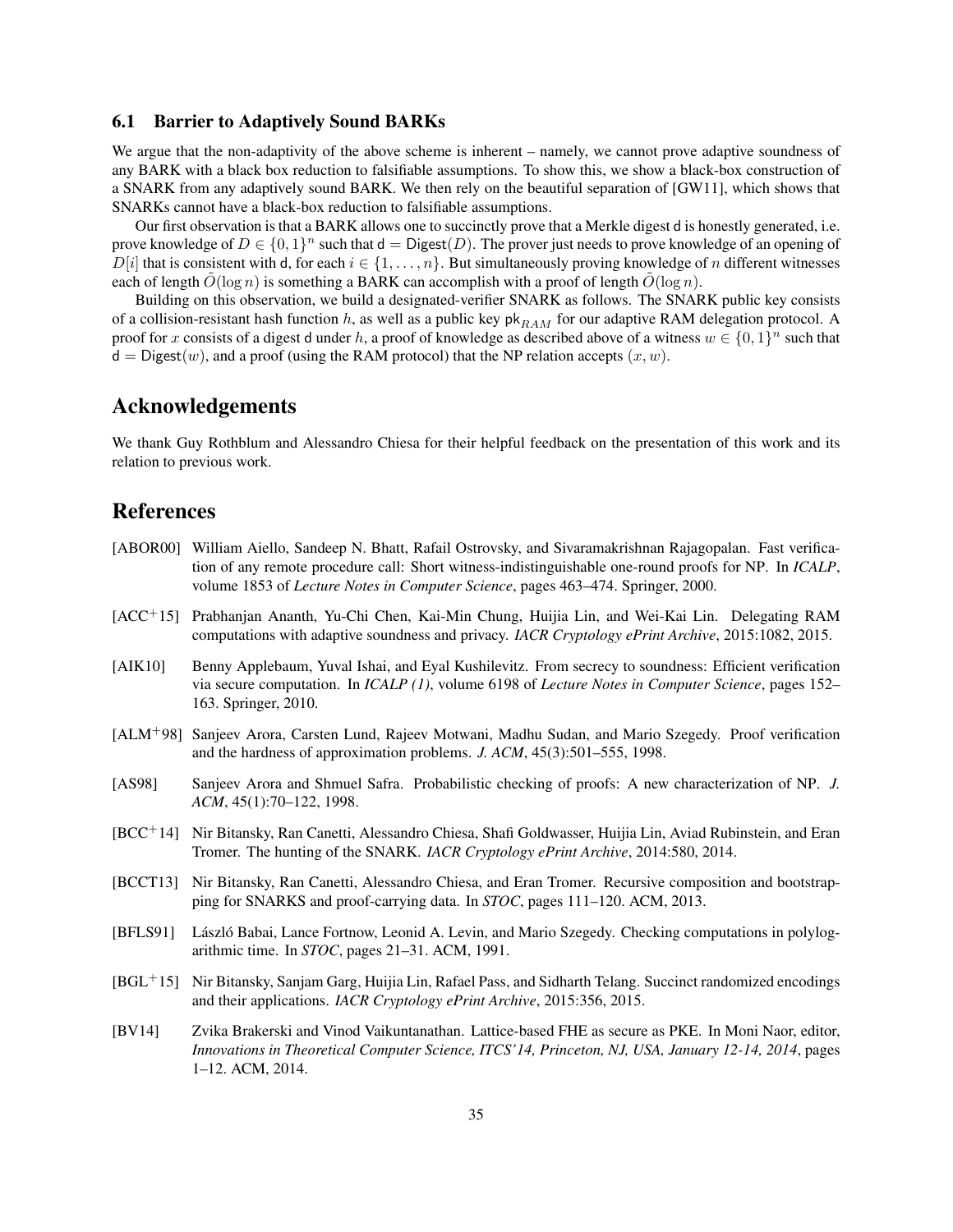#### <span id="page-34-0"></span>6.1 Barrier to Adaptively Sound BARKs

We argue that the non-adaptivity of the above scheme is inherent – namely, we cannot prove adaptive soundness of any BARK with a black box reduction to falsifiable assumptions. To show this, we show a black-box construction of a SNARK from any adaptively sound BARK. We then rely on the beautiful separation of [\[GW11\]](#page-36-9), which shows that SNARKs cannot have a black-box reduction to falsifiable assumptions.

Our first observation is that a BARK allows one to succinctly prove that a Merkle digest d is honestly generated, i.e. prove knowledge of  $D \in \{0,1\}^n$  such that  $d =$  Digest $(D)$ . The prover just needs to prove knowledge of an opening of  $D[i]$  that is consistent with d, for each  $i \in \{1, \ldots, n\}$ . But simultaneously proving knowledge of n different witnesses each of length  $O(\log n)$  is something a BARK can accomplish with a proof of length  $O(\log n)$ .

Building on this observation, we build a designated-verifier SNARK as follows. The SNARK public key consists of a collision-resistant hash function h, as well as a public key  $pk_{RAM}$  for our adaptive RAM delegation protocol. A proof for x consists of a digest d under h, a proof of knowledge as described above of a witness  $w \in \{0,1\}^n$  such that  $d = Digest(w)$ , and a proof (using the RAM protocol) that the NP relation accepts  $(x, w)$ .

### Acknowledgements

We thank Guy Rothblum and Alessandro Chiesa for their helpful feedback on the presentation of this work and its relation to previous work.

# References

- <span id="page-34-3"></span>[ABOR00] William Aiello, Sandeep N. Bhatt, Rafail Ostrovsky, and Sivaramakrishnan Rajagopalan. Fast verification of any remote procedure call: Short witness-indistinguishable one-round proofs for NP. In *ICALP*, volume 1853 of *Lecture Notes in Computer Science*, pages 463–474. Springer, 2000.
- <span id="page-34-8"></span>[ACC<sup>+</sup>15] Prabhanjan Ananth, Yu-Chi Chen, Kai-Min Chung, Huijia Lin, and Wei-Kai Lin. Delegating RAM computations with adaptive soundness and privacy. *IACR Cryptology ePrint Archive*, 2015:1082, 2015.
- <span id="page-34-6"></span>[AIK10] Benny Applebaum, Yuval Ishai, and Eyal Kushilevitz. From secrecy to soundness: Efficient verification via secure computation. In *ICALP (1)*, volume 6198 of *Lecture Notes in Computer Science*, pages 152– 163. Springer, 2010.
- <span id="page-34-2"></span>[ALM<sup>+</sup>98] Sanjeev Arora, Carsten Lund, Rajeev Motwani, Madhu Sudan, and Mario Szegedy. Proof verification and the hardness of approximation problems. *J. ACM*, 45(3):501–555, 1998.
- <span id="page-34-1"></span>[AS98] Sanjeev Arora and Shmuel Safra. Probabilistic checking of proofs: A new characterization of NP. *J. ACM*, 45(1):70–122, 1998.
- <span id="page-34-4"></span>[BCC<sup>+</sup>14] Nir Bitansky, Ran Canetti, Alessandro Chiesa, Shafi Goldwasser, Huijia Lin, Aviad Rubinstein, and Eran Tromer. The hunting of the SNARK. *IACR Cryptology ePrint Archive*, 2014:580, 2014.
- <span id="page-34-5"></span>[BCCT13] Nir Bitansky, Ran Canetti, Alessandro Chiesa, and Eran Tromer. Recursive composition and bootstrapping for SNARKS and proof-carrying data. In *STOC*, pages 111–120. ACM, 2013.
- <span id="page-34-10"></span>[BFLS91] László Babai, Lance Fortnow, Leonid A. Levin, and Mario Szegedy. Checking computations in polylogarithmic time. In *STOC*, pages 21–31. ACM, 1991.
- <span id="page-34-7"></span>[BGL<sup>+</sup>15] Nir Bitansky, Sanjam Garg, Huijia Lin, Rafael Pass, and Sidharth Telang. Succinct randomized encodings and their applications. *IACR Cryptology ePrint Archive*, 2015:356, 2015.
- <span id="page-34-9"></span>[BV14] Zvika Brakerski and Vinod Vaikuntanathan. Lattice-based FHE as secure as PKE. In Moni Naor, editor, *Innovations in Theoretical Computer Science, ITCS'14, Princeton, NJ, USA, January 12-14, 2014*, pages 1–12. ACM, 2014.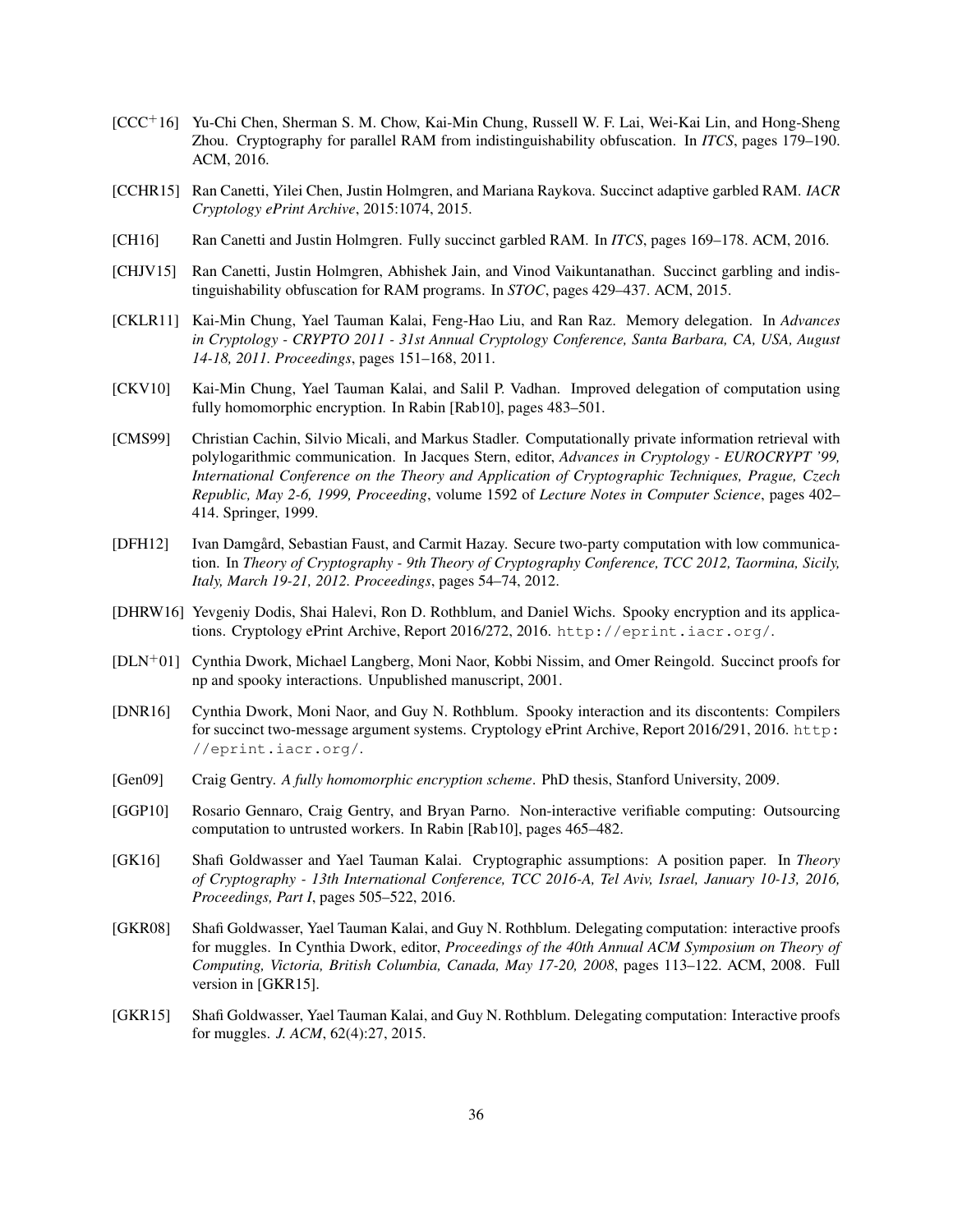- <span id="page-35-12"></span>[CCC<sup>+</sup>16] Yu-Chi Chen, Sherman S. M. Chow, Kai-Min Chung, Russell W. F. Lai, Wei-Kai Lin, and Hong-Sheng Zhou. Cryptography for parallel RAM from indistinguishability obfuscation. In *ITCS*, pages 179–190. ACM, 2016.
- <span id="page-35-10"></span>[CCHR15] Ran Canetti, Yilei Chen, Justin Holmgren, and Mariana Raykova. Succinct adaptive garbled RAM. *IACR Cryptology ePrint Archive*, 2015:1074, 2015.
- <span id="page-35-11"></span>[CH16] Ran Canetti and Justin Holmgren. Fully succinct garbled RAM. In *ITCS*, pages 169–178. ACM, 2016.
- <span id="page-35-9"></span>[CHJV15] Ran Canetti, Justin Holmgren, Abhishek Jain, and Vinod Vaikuntanathan. Succinct garbling and indistinguishability obfuscation for RAM programs. In *STOC*, pages 429–437. ACM, 2015.
- <span id="page-35-5"></span>[CKLR11] Kai-Min Chung, Yael Tauman Kalai, Feng-Hao Liu, and Ran Raz. Memory delegation. In *Advances in Cryptology - CRYPTO 2011 - 31st Annual Cryptology Conference, Santa Barbara, CA, USA, August 14-18, 2011. Proceedings*, pages 151–168, 2011.
- <span id="page-35-8"></span>[CKV10] Kai-Min Chung, Yael Tauman Kalai, and Salil P. Vadhan. Improved delegation of computation using fully homomorphic encryption. In Rabin [\[Rab10\]](#page-36-14), pages 483–501.
- <span id="page-35-13"></span>[CMS99] Christian Cachin, Silvio Micali, and Markus Stadler. Computationally private information retrieval with polylogarithmic communication. In Jacques Stern, editor, *Advances in Cryptology - EUROCRYPT '99, International Conference on the Theory and Application of Cryptographic Techniques, Prague, Czech Republic, May 2-6, 1999, Proceeding*, volume 1592 of *Lecture Notes in Computer Science*, pages 402– 414. Springer, 1999.
- <span id="page-35-6"></span>[DFH12] Ivan Damgård, Sebastian Faust, and Carmit Hazay. Secure two-party computation with low communication. In *Theory of Cryptography - 9th Theory of Cryptography Conference, TCC 2012, Taormina, Sicily, Italy, March 19-21, 2012. Proceedings*, pages 54–74, 2012.
- <span id="page-35-1"></span>[DHRW16] Yevgeniy Dodis, Shai Halevi, Ron D. Rothblum, and Daniel Wichs. Spooky encryption and its applications. Cryptology ePrint Archive, Report 2016/272, 2016. <http://eprint.iacr.org/>.
- <span id="page-35-0"></span>[DLN<sup>+</sup>01] Cynthia Dwork, Michael Langberg, Moni Naor, Kobbi Nissim, and Omer Reingold. Succinct proofs for np and spooky interactions. Unpublished manuscript, 2001.
- <span id="page-35-3"></span>[DNR16] Cynthia Dwork, Moni Naor, and Guy N. Rothblum. Spooky interaction and its discontents: Compilers for succinct two-message argument systems. Cryptology ePrint Archive, Report 2016/291, 2016. [http:](http://eprint.iacr.org/) [//eprint.iacr.org/](http://eprint.iacr.org/).
- <span id="page-35-14"></span>[Gen09] Craig Gentry. *A fully homomorphic encryption scheme*. PhD thesis, Stanford University, 2009.
- <span id="page-35-7"></span>[GGP10] Rosario Gennaro, Craig Gentry, and Bryan Parno. Non-interactive verifiable computing: Outsourcing computation to untrusted workers. In Rabin [\[Rab10\]](#page-36-14), pages 465–482.
- <span id="page-35-4"></span>[GK16] Shafi Goldwasser and Yael Tauman Kalai. Cryptographic assumptions: A position paper. In *Theory of Cryptography - 13th International Conference, TCC 2016-A, Tel Aviv, Israel, January 10-13, 2016, Proceedings, Part I*, pages 505–522, 2016.
- <span id="page-35-2"></span>[GKR08] Shafi Goldwasser, Yael Tauman Kalai, and Guy N. Rothblum. Delegating computation: interactive proofs for muggles. In Cynthia Dwork, editor, *Proceedings of the 40th Annual ACM Symposium on Theory of Computing, Victoria, British Columbia, Canada, May 17-20, 2008*, pages 113–122. ACM, 2008. Full version in [\[GKR15\]](#page-35-15).
- <span id="page-35-15"></span>[GKR15] Shafi Goldwasser, Yael Tauman Kalai, and Guy N. Rothblum. Delegating computation: Interactive proofs for muggles. *J. ACM*, 62(4):27, 2015.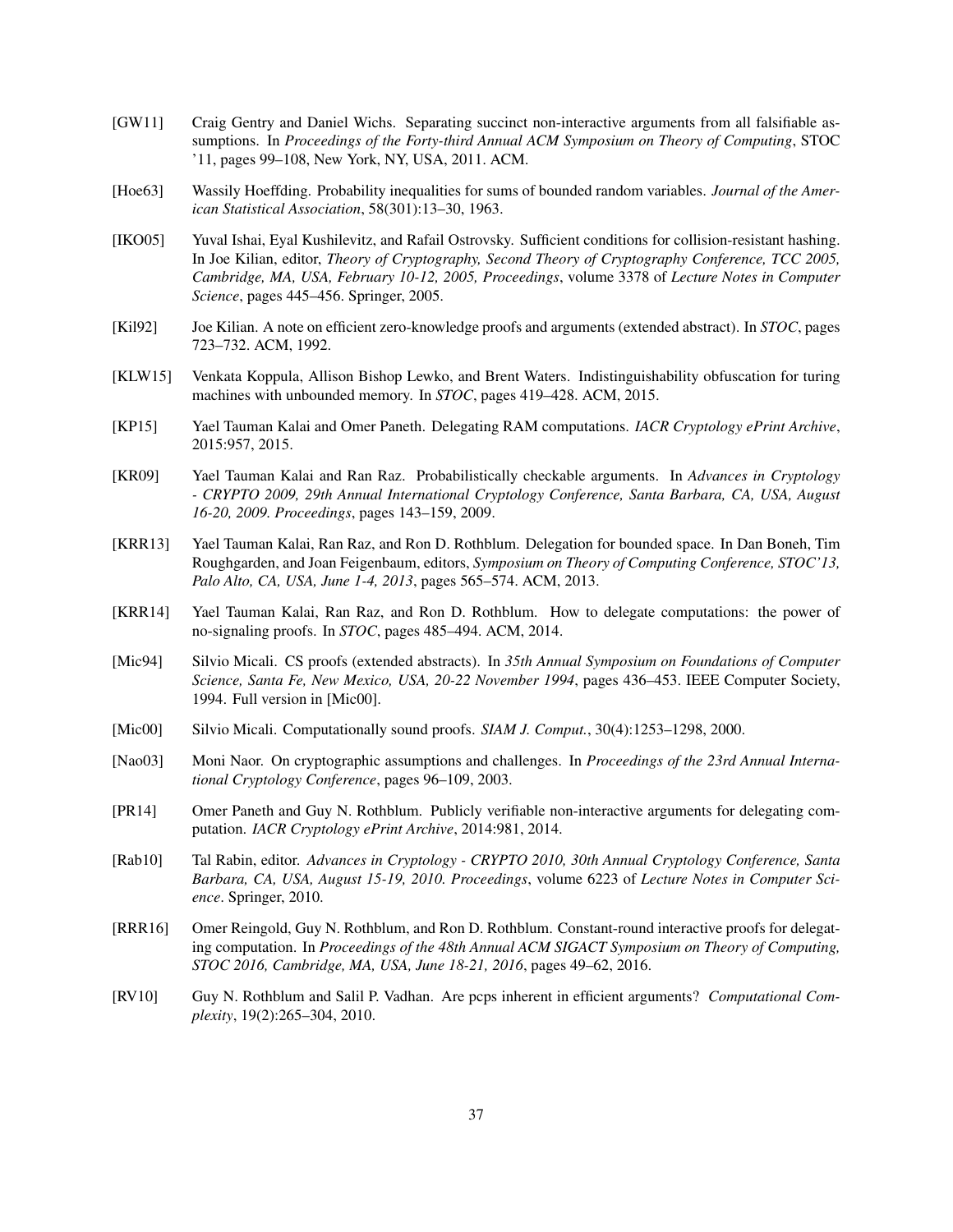- <span id="page-36-9"></span>[GW11] Craig Gentry and Daniel Wichs. Separating succinct non-interactive arguments from all falsifiable assumptions. In *Proceedings of the Forty-third Annual ACM Symposium on Theory of Computing*, STOC '11, pages 99–108, New York, NY, USA, 2011. ACM.
- <span id="page-36-13"></span>[Hoe63] Wassily Hoeffding. Probability inequalities for sums of bounded random variables. *Journal of the American Statistical Association*, 58(301):13–30, 1963.
- <span id="page-36-12"></span>[IKO05] Yuval Ishai, Eyal Kushilevitz, and Rafail Ostrovsky. Sufficient conditions for collision-resistant hashing. In Joe Kilian, editor, *Theory of Cryptography, Second Theory of Cryptography Conference, TCC 2005, Cambridge, MA, USA, February 10-12, 2005, Proceedings*, volume 3378 of *Lecture Notes in Computer Science*, pages 445–456. Springer, 2005.
- <span id="page-36-1"></span>[Kil92] Joe Kilian. A note on efficient zero-knowledge proofs and arguments (extended abstract). In *STOC*, pages 723–732. ACM, 1992.
- <span id="page-36-11"></span>[KLW15] Venkata Koppula, Allison Bishop Lewko, and Brent Waters. Indistinguishability obfuscation for turing machines with unbounded memory. In *STOC*, pages 419–428. ACM, 2015.
- <span id="page-36-8"></span>[KP15] Yael Tauman Kalai and Omer Paneth. Delegating RAM computations. *IACR Cryptology ePrint Archive*, 2015:957, 2015.
- <span id="page-36-5"></span>[KR09] Yael Tauman Kalai and Ran Raz. Probabilistically checkable arguments. In *Advances in Cryptology - CRYPTO 2009, 29th Annual International Cryptology Conference, Santa Barbara, CA, USA, August 16-20, 2009. Proceedings*, pages 143–159, 2009.
- <span id="page-36-6"></span>[KRR13] Yael Tauman Kalai, Ran Raz, and Ron D. Rothblum. Delegation for bounded space. In Dan Boneh, Tim Roughgarden, and Joan Feigenbaum, editors, *Symposium on Theory of Computing Conference, STOC'13, Palo Alto, CA, USA, June 1-4, 2013*, pages 565–574. ACM, 2013.
- <span id="page-36-7"></span>[KRR14] Yael Tauman Kalai, Ran Raz, and Ron D. Rothblum. How to delegate computations: the power of no-signaling proofs. In *STOC*, pages 485–494. ACM, 2014.
- <span id="page-36-2"></span>[Mic94] Silvio Micali. CS proofs (extended abstracts). In *35th Annual Symposium on Foundations of Computer Science, Santa Fe, New Mexico, USA, 20-22 November 1994*, pages 436–453. IEEE Computer Society, 1994. Full version in [\[Mic00\]](#page-36-15).
- <span id="page-36-15"></span>[Mic00] Silvio Micali. Computationally sound proofs. *SIAM J. Comput.*, 30(4):1253–1298, 2000.
- <span id="page-36-4"></span>[Nao03] Moni Naor. On cryptographic assumptions and challenges. In *Proceedings of the 23rd Annual International Cryptology Conference*, pages 96–109, 2003.
- <span id="page-36-10"></span>[PR14] Omer Paneth and Guy N. Rothblum. Publicly verifiable non-interactive arguments for delegating computation. *IACR Cryptology ePrint Archive*, 2014:981, 2014.
- <span id="page-36-14"></span>[Rab10] Tal Rabin, editor. *Advances in Cryptology - CRYPTO 2010, 30th Annual Cryptology Conference, Santa Barbara, CA, USA, August 15-19, 2010. Proceedings*, volume 6223 of *Lecture Notes in Computer Science*. Springer, 2010.
- <span id="page-36-0"></span>[RRR16] Omer Reingold, Guy N. Rothblum, and Ron D. Rothblum. Constant-round interactive proofs for delegating computation. In *Proceedings of the 48th Annual ACM SIGACT Symposium on Theory of Computing, STOC 2016, Cambridge, MA, USA, June 18-21, 2016*, pages 49–62, 2016.
- <span id="page-36-3"></span>[RV10] Guy N. Rothblum and Salil P. Vadhan. Are pcps inherent in efficient arguments? *Computational Complexity*, 19(2):265–304, 2010.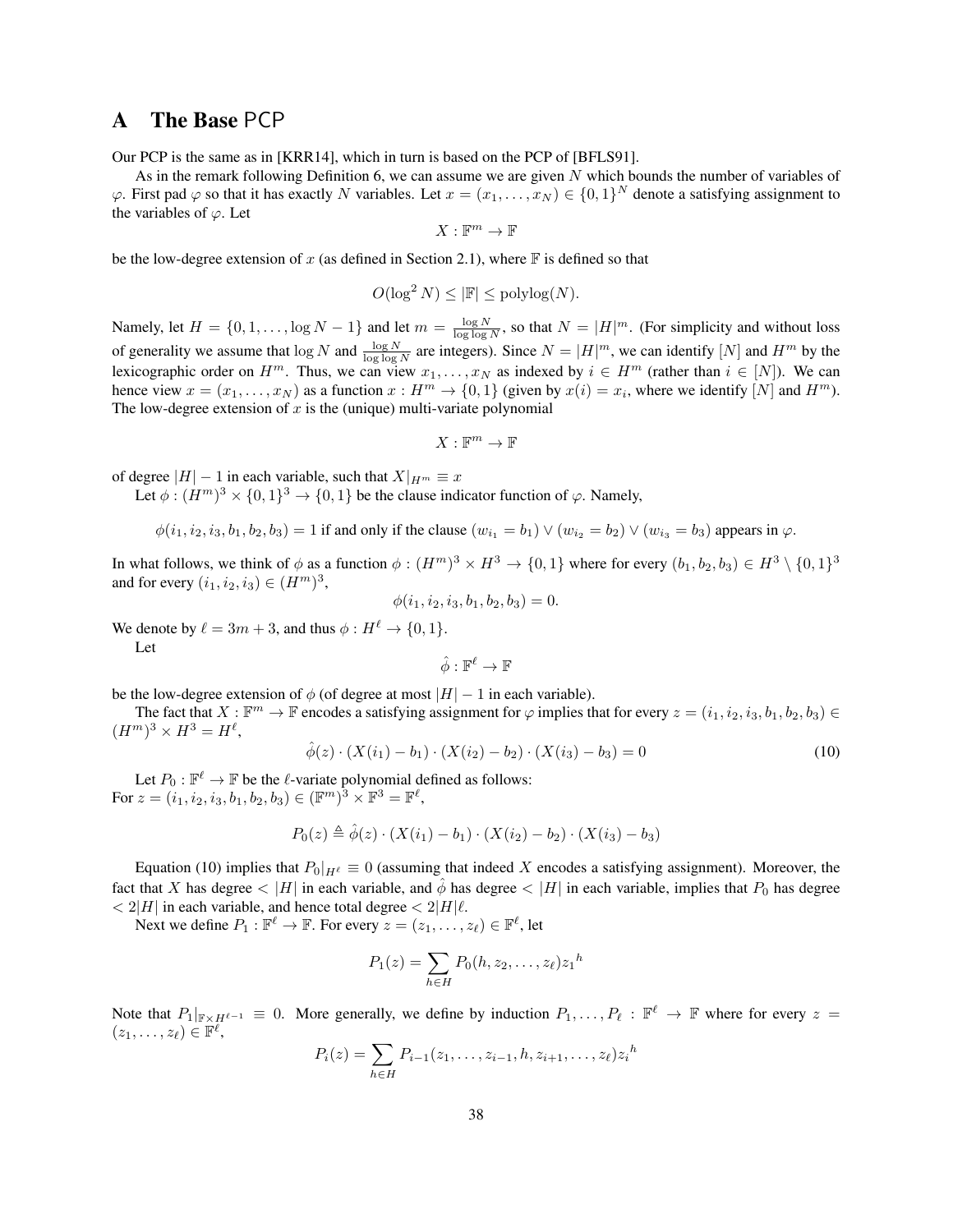### <span id="page-37-0"></span>A The Base PCP

Our PCP is the same as in [\[KRR14\]](#page-36-7), which in turn is based on the PCP of [\[BFLS91\]](#page-34-10).

As in the remark following Definition [6,](#page-15-1) we can assume we are given N which bounds the number of variables of  $\varphi$ . First pad  $\varphi$  so that it has exactly N variables. Let  $x = (x_1, \dots, x_N) \in \{0,1\}^N$  denote a satisfying assignment to the variables of  $\varphi$ . Let

$$
X:\mathbb{F}^m\to\mathbb{F}
$$

be the low-degree extension of x (as defined in Section [2.1\)](#page-9-1), where  $\mathbb F$  is defined so that

$$
O(\log^2 N) \le |\mathbb{F}| \le \text{polylog}(N).
$$

Namely, let  $H = \{0, 1, \ldots, \log N - 1\}$  and let  $m = \frac{\log N}{\log \log N}$ , so that  $N = |H|^m$ . (For simplicity and without loss of generality we assume that  $\log N$  and  $\frac{\log N}{\log \log N}$  are integers). Since  $N = |H|^m$ , we can identify  $[N]$  and  $H^m$  by the lexicographic order on  $H^m$ . Thus, we can view  $x_1, \ldots, x_N$  as indexed by  $i \in H^m$  (rather than  $i \in [N]$ ). We can hence view  $x = (x_1, \dots, x_N)$  as a function  $x : H^m \to \{0, 1\}$  (given by  $x(i) = x_i$ , where we identify  $[N]$  and  $H^m$ ). The low-degree extension of  $x$  is the (unique) multi-variate polynomial

$$
X:\mathbb{F}^m\to\mathbb{F}
$$

of degree  $|H| - 1$  in each variable, such that  $X|_{H^m} \equiv x$ 

Let  $\phi : (H^m)^3 \times \{0, 1\}^3 \to \{0, 1\}$  be the clause indicator function of  $\varphi$ . Namely,

$$
\phi(i_1, i_2, i_3, b_1, b_2, b_3) = 1
$$
 if and only if the clause  $(w_{i_1} = b_1) \vee (w_{i_2} = b_2) \vee (w_{i_3} = b_3)$  appears in  $\varphi$ .

In what follows, we think of  $\phi$  as a function  $\phi:(H^m)^3\times H^3\to\{0,1\}$  where for every  $(b_1,b_2,b_3)\in H^3\setminus\{0,1\}^3$ and for every  $(i_1, i_2, i_3) \in (H^m)^3$ ,

$$
\phi(i_1, i_2, i_3, b_1, b_2, b_3) = 0.
$$

We denote by  $\ell = 3m + 3$ , and thus  $\phi : H^{\ell} \to \{0, 1\}.$ 

Let

$$
\hat{\phi}:\mathbb{F}^\ell\to\mathbb{F}
$$

be the low-degree extension of  $\phi$  (of degree at most  $|H| - 1$  in each variable).

The fact that  $X : \mathbb{F}^m \to \mathbb{F}$  encodes a satisfying assignment for  $\varphi$  implies that for every  $z = (i_1, i_2, i_3, b_1, b_2, b_3) \in$  $(H<sup>m</sup>)<sup>3</sup> \times H<sup>3</sup> = H<sup>\ell</sup>,$ 

<span id="page-37-1"></span>
$$
\hat{\phi}(z) \cdot (X(i_1) - b_1) \cdot (X(i_2) - b_2) \cdot (X(i_3) - b_3) = 0 \tag{10}
$$

Let  $P_0: \mathbb{F}^{\ell} \to \mathbb{F}$  be the  $\ell$ -variate polynomial defined as follows: For  $z = (i_1, i_2, i_3, b_1, b_2, b_3) \in (\mathbb{F}^m)^3 \times \mathbb{F}^3 = \mathbb{F}^{\ell}$ ,

$$
P_0(z) \triangleq \hat{\phi}(z) \cdot (X(i_1) - b_1) \cdot (X(i_2) - b_2) \cdot (X(i_3) - b_3)
$$

Equation [\(10\)](#page-37-1) implies that  $P_0|_{H^{\ell}} \equiv 0$  (assuming that indeed X encodes a satisfying assignment). Moreover, the fact that X has degree  $\langle |H|$  in each variable, and  $\phi$  has degree  $\langle |H|$  in each variable, implies that  $P_0$  has degree  $\langle 2|H|$  in each variable, and hence total degree  $\langle 2|H|\ell$ .

Next we define  $P_1 : \mathbb{F}^{\ell} \to \mathbb{F}$ . For every  $z = (z_1, \dots, z_{\ell}) \in \mathbb{F}^{\ell}$ , let

$$
P_1(z) = \sum_{h \in H} P_0(h, z_2, \dots, z_\ell) z_1^h
$$

Note that  $P_1|_{\mathbb{F}\times H^{\ell-1}} \equiv 0$ . More generally, we define by induction  $P_1,\ldots,P_\ell : \mathbb{F}^\ell \to \mathbb{F}$  where for every  $z =$  $(z_1,\ldots,z_\ell)\in\mathbb{F}^\ell,$ 

$$
P_i(z) = \sum_{h \in H} P_{i-1}(z_1, \dots, z_{i-1}, h, z_{i+1}, \dots, z_\ell) z_i^h
$$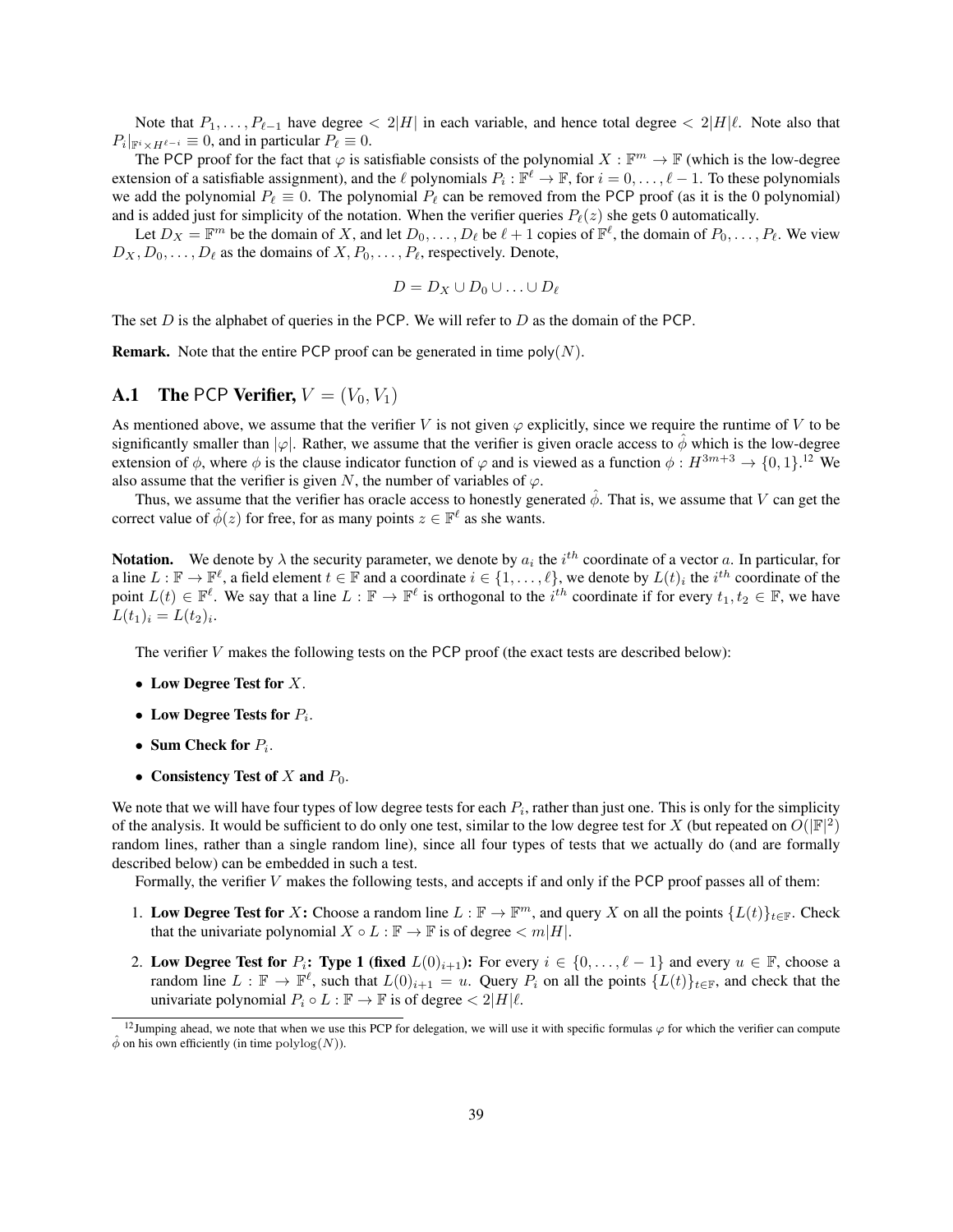Note that  $P_1, \ldots, P_{\ell-1}$  have degree  $\langle 2|H|$  in each variable, and hence total degree  $\langle 2|H|\ell$ . Note also that  $P_i|_{\mathbb{F}^i \times H^{\ell-i}} \equiv 0$ , and in particular  $P_\ell \equiv 0$ .

The PCP proof for the fact that  $\varphi$  is satisfiable consists of the polynomial  $X : \mathbb{F}^m \to \mathbb{F}$  (which is the low-degree extension of a satisfiable assignment), and the  $\ell$  polynomials  $P_i : \mathbb{F}^\ell \to \mathbb{F}$ , for  $i = 0, \ldots, \ell - 1$ . To these polynomials we add the polynomial  $P_\ell \equiv 0$ . The polynomial  $P_\ell$  can be removed from the PCP proof (as it is the 0 polynomial) and is added just for simplicity of the notation. When the verifier queries  $P_{\ell}(z)$  she gets 0 automatically.

Let  $D_X = \mathbb{F}^m$  be the domain of X, and let  $D_0, \ldots, D_\ell$  be  $\ell + 1$  copies of  $\mathbb{F}^\ell$ , the domain of  $P_0, \ldots, P_\ell$ . We view  $D_X, D_0, \ldots, D_\ell$  as the domains of  $X, P_0, \ldots, P_\ell$ , respectively. Denote,

$$
D = D_X \cup D_0 \cup \ldots \cup D_\ell
$$

The set  $D$  is the alphabet of queries in the PCP. We will refer to  $D$  as the domain of the PCP.

**Remark.** Note that the entire PCP proof can be generated in time  $poly(N)$ .

### <span id="page-38-0"></span>**A.1** The PCP Verifier,  $V = (V_0, V_1)$

As mentioned above, we assume that the verifier V is not given  $\varphi$  explicitly, since we require the runtime of V to be significantly smaller than  $|\varphi|$ . Rather, we assume that the verifier is given oracle access to  $\phi$  which is the low-degree extension of  $\phi$ , where  $\phi$  is the clause indicator function of  $\varphi$  and is viewed as a function  $\phi: H^{3m+3} \to \{0,1\}$ .<sup>[12](#page-38-1)</sup> We also assume that the verifier is given N, the number of variables of  $\varphi$ .

Thus, we assume that the verifier has oracle access to honestly generated  $\hat{\phi}$ . That is, we assume that V can get the correct value of  $\hat{\phi}(z)$  for free, for as many points  $z \in \mathbb{F}^{\ell}$  as she wants.

**Notation.** We denote by  $\lambda$  the security parameter, we denote by  $a_i$  the  $i^{th}$  coordinate of a vector a. In particular, for a line  $L : \mathbb{F} \to \mathbb{F}^{\ell}$ , a field element  $t \in \mathbb{F}$  and a coordinate  $i \in \{1, \ldots, \ell\}$ , we denote by  $L(t)_i$  the  $i^{th}$  coordinate of the point  $L(t) \in \mathbb{F}^{\ell}$ . We say that a line  $L : \mathbb{F} \to \mathbb{F}^{\ell}$  is orthogonal to the  $i^{th}$  coordinate if for every  $t_1, t_2 \in \mathbb{F}$ , we have  $L(t_1)_i = L(t_2)_i.$ 

The verifier  $V$  makes the following tests on the PCP proof (the exact tests are described below):

- Low Degree Test for  $X$ .
- Low Degree Tests for  $P_i$ .
- Sum Check for  $P_i$ .
- Consistency Test of  $X$  and  $P_0$ .

We note that we will have four types of low degree tests for each  $P_i$ , rather than just one. This is only for the simplicity of the analysis. It would be sufficient to do only one test, similar to the low degree test for X (but repeated on  $O(|F|^2)$ random lines, rather than a single random line), since all four types of tests that we actually do (and are formally described below) can be embedded in such a test.

Formally, the verifier V makes the following tests, and accepts if and only if the PCP proof passes all of them:

- 1. Low Degree Test for X: Choose a random line  $L : \mathbb{F} \to \mathbb{F}^m$ , and query X on all the points  $\{L(t)\}_{t \in \mathbb{F}}$ . Check that the univariate polynomial  $X \circ L : \mathbb{F} \to \mathbb{F}$  is of degree  $\langle m | H |$ .
- 2. Low Degree Test for  $P_i$ : Type 1 (fixed  $L(0)_{i+1}$ ): For every  $i \in \{0, \ldots, \ell 1\}$  and every  $u \in \mathbb{F}$ , choose a random line  $L : \mathbb{F} \to \mathbb{F}^{\ell}$ , such that  $L(0)_{i+1} = u$ . Query  $P_i$  on all the points  $\{L(t)\}_{t \in \mathbb{F}}$ , and check that the univariate polynomial  $P_i \circ L : \mathbb{F} \to \mathbb{F}$  is of degree  $\langle 2|H|\ell$ .

<span id="page-38-1"></span><sup>&</sup>lt;sup>12</sup>Jumping ahead, we note that when we use this PCP for delegation, we will use it with specific formulas  $\varphi$  for which the verifier can compute  $\hat{\phi}$  on his own efficiently (in time polylog(N)).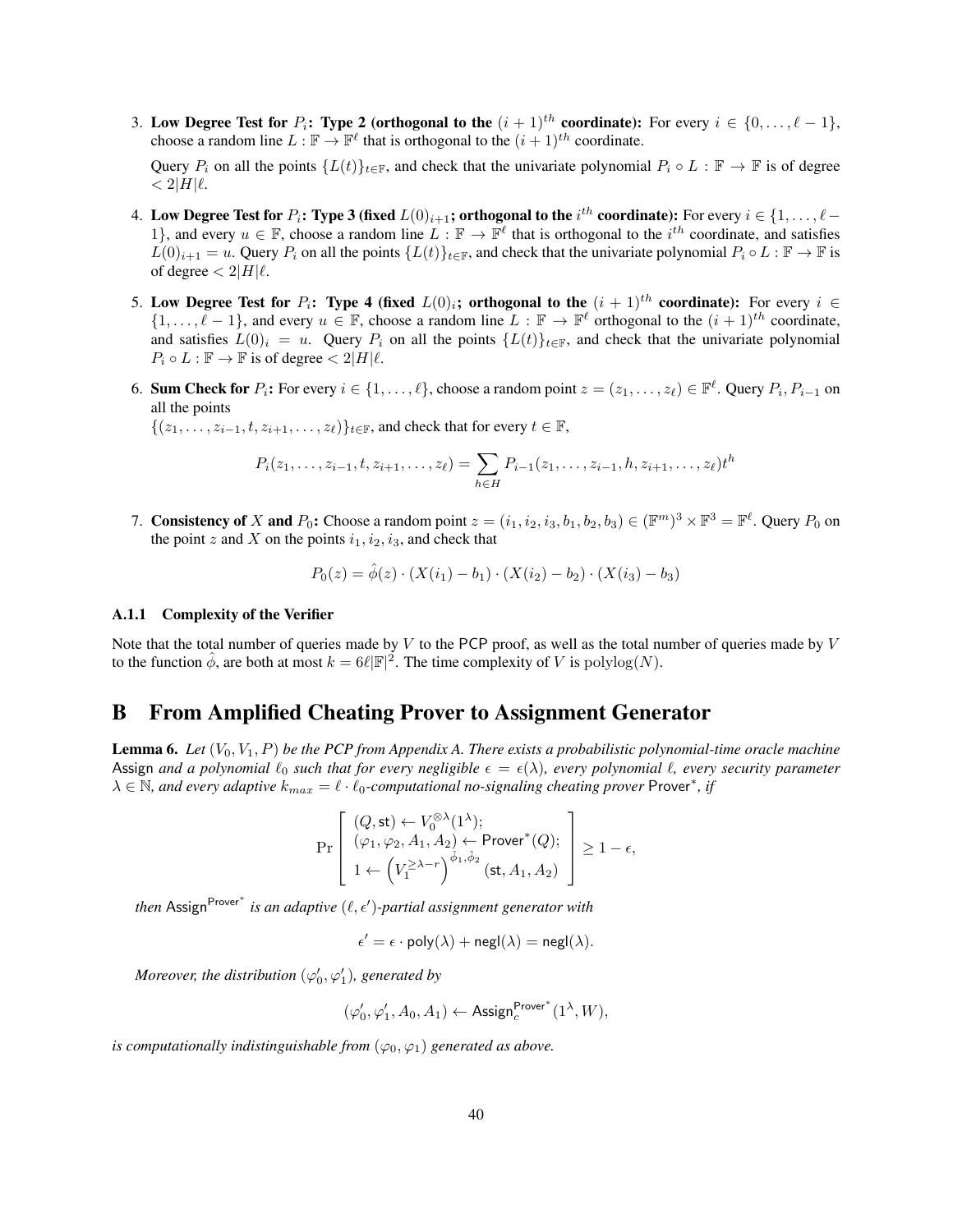3. Low Degree Test for  $P_i$ : Type 2 (orthogonal to the  $(i + 1)^{th}$  coordinate): For every  $i \in \{0, \ldots, \ell - 1\}$ , choose a random line  $L : \mathbb{F} \to \mathbb{F}^{\ell}$  that is orthogonal to the  $(i + 1)^{th}$  coordinate.

Query  $P_i$  on all the points  $\{L(t)\}_{t\in\mathbb{F}}$ , and check that the univariate polynomial  $P_i \circ L : \mathbb{F} \to \mathbb{F}$  is of degree  $< 2|H|\ell$ .

- 4. Low Degree Test for  $P_i$ : Type 3 (fixed  $L(0)_{i+1}$ ; orthogonal to the  $i^{th}$  coordinate): For every  $i\in\{1,\ldots,\ell-1\}$ 1}, and every  $u \in \mathbb{F}$ , choose a random line  $L : \mathbb{F} \to \mathbb{F}^{\ell}$  that is orthogonal to the  $i^{th}$  coordinate, and satisfies  $L(0)_{i+1} = u$ . Query  $P_i$  on all the points  $\{L(t)\}_{t \in \mathbb{F}}$ , and check that the univariate polynomial  $P_i \circ L : \mathbb{F} \to \mathbb{F}$  is of degree  $< 2|H|\ell$ .
- 5. Low Degree Test for  $P_i$ : Type 4 (fixed  $L(0)_i$ ; orthogonal to the  $(i + 1)^{th}$  coordinate): For every  $i \in$  $\{1,\ldots,\ell-1\}$ , and every  $u \in \mathbb{F}$ , choose a random line  $L : \mathbb{F} \to \mathbb{F}^{\ell}$  orthogonal to the  $(i + 1)^{th}$  coordinate, and satisfies  $L(0)_i = u$ . Query  $P_i$  on all the points  $\{L(t)\}_{t\in\mathbb{F}}$ , and check that the univariate polynomial  $P_i \circ L : \mathbb{F} \to \mathbb{F}$  is of degree  $\langle 2|H|\ell$ .
- 6. Sum Check for  $P_i$ : For every  $i \in \{1, ..., \ell\}$ , choose a random point  $z = (z_1, ..., z_\ell) \in \mathbb{F}^\ell$ . Query  $P_i, P_{i-1}$  on all the points

 $\{(z_1, \ldots, z_{i-1}, t, z_{i+1}, \ldots, z_\ell)\}_{t \in \mathbb{F}}$ , and check that for every  $t \in \mathbb{F}$ ,

$$
P_i(z_1,\ldots,z_{i-1},t,z_{i+1},\ldots,z_\ell) = \sum_{h\in H} P_{i-1}(z_1,\ldots,z_{i-1},h,z_{i+1},\ldots,z_\ell) t^h
$$

7. Consistency of X and  $P_0$ : Choose a random point  $z = (i_1, i_2, i_3, b_1, b_2, b_3) \in (\mathbb{F}^m)^3 \times \mathbb{F}^3 = \mathbb{F}^{\ell}$ . Query  $P_0$  on the point z and X on the points  $i_1, i_2, i_3$ , and check that

$$
P_0(z) = \hat{\phi}(z) \cdot (X(i_1) - b_1) \cdot (X(i_2) - b_2) \cdot (X(i_3) - b_3)
$$

#### <span id="page-39-0"></span>A.1.1 Complexity of the Verifier

Note that the total number of queries made by  $V$  to the PCP proof, as well as the total number of queries made by  $V$ to the function  $\hat{\phi}$ , are both at most  $k = 6\ell |\mathbb{F}|^2$ . The time complexity of V is  $\text{polylog}(N)$ .

## <span id="page-39-1"></span>B From Amplified Cheating Prover to Assignment Generator

<span id="page-39-2"></span>Lemma 6. *Let* (V0, V1, P) *be the PCP from Appendix [A.](#page-37-0) There exists a probabilistic polynomial-time oracle machine* Assign *and a polynomial*  $\ell_0$  *such that for every negligible*  $\epsilon = \epsilon(\lambda)$ *, every polynomial*  $\ell$ *, every security parameter*  $\lambda \in \mathbb{N}$ , and every adaptive  $k_{max} = \ell \cdot \ell_0$ -computational no-signaling cheating prover Prover<sup>\*</sup>, if

$$
\Pr\left[\begin{array}{l} (Q,\mathsf{st}) \leftarrow V_0^{\otimes \lambda}(1^\lambda); \\ (\varphi_1,\varphi_2,A_1,A_2) \leftarrow \mathsf{Prover}^*(Q); \\ 1 \leftarrow \left(V_1^{\geq \lambda-r}\right)^{\hat{\phi}_1,\hat{\phi}_2}(\mathsf{st},A_1,A_2)\end{array}\right] \geq 1-\epsilon,
$$

*then* Assign<sup>Prover\*</sup> is an adaptive (ℓ, ∈')-partial assignment generator with

 $\epsilon' = \epsilon \cdot \text{poly}(\lambda) + \text{negl}(\lambda) = \text{negl}(\lambda).$ 

*Moreover, the distribution*  $(\varphi_0', \varphi_1')$ *, generated by* 

$$
(\varphi_0',\varphi_1',A_0,A_1) \leftarrow \mathsf{Assign}_c^{\mathsf{Prover}^*}(1^\lambda,W),
$$

*is computationally indistinguishable from*  $(\varphi_0, \varphi_1)$  *generated as above.*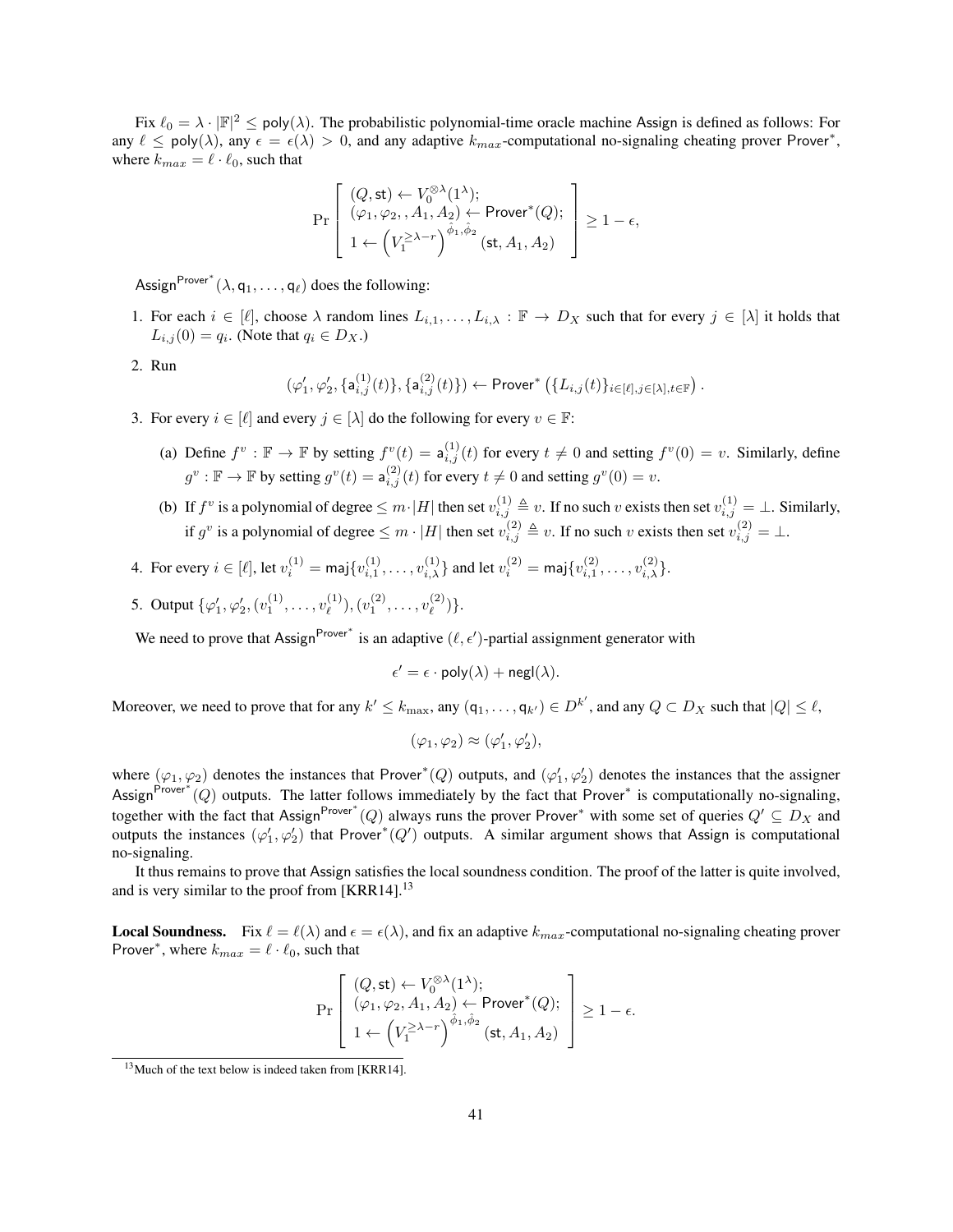Fix  $\ell_0 = \lambda \cdot |\mathbb{F}|^2 \le \text{poly}(\lambda)$ . The probabilistic polynomial-time oracle machine Assign is defined as follows: For any  $\ell \leq \text{poly}(\lambda)$ , any  $\epsilon = \epsilon(\lambda) > 0$ , and any adaptive  $k_{max}$ -computational no-signaling cheating prover Prover<sup>\*</sup>, where  $k_{max} = \ell \cdot \ell_0$ , such that

$$
\Pr\left[\begin{array}{l} (Q,\operatorname{st})\leftarrow V_0^{\otimes \lambda}(1^\lambda);\\ (\varphi_1,\varphi_2,,A_1,A_2)\leftarrow{\sf Prover}^*(Q);\\ 1\leftarrow \left(V_1^{\geq \lambda-r}\right)^{\hat{\phi}_1,\hat{\phi}_2}(\operatorname{st},A_1,A_2)\end{array}\right]\geq 1-\epsilon,
$$

Assign<sup>Prover\*</sup>  $(\lambda, q_1, \dots, q_\ell)$  does the following:

- 1. For each  $i \in [\ell]$ , choose  $\lambda$  random lines  $L_{i,1}, \ldots, L_{i,\lambda} : \mathbb{F} \to D_X$  such that for every  $j \in [\lambda]$  it holds that  $L_{i,j}(0) = q_i$ . (Note that  $q_i \in D_X$ .)
- 2. Run

$$
(\varphi_1', \varphi_2', \{a_{i,j}^{(1)}(t)\}, \{a_{i,j}^{(2)}(t)\}) \leftarrow \text{Prover}^*\left(\{L_{i,j}(t)\}_{i \in [\ell], j \in [\lambda], t \in \mathbb{F}}\right).
$$

- 3. For every  $i \in [\ell]$  and every  $j \in [\lambda]$  do the following for every  $v \in \mathbb{F}$ :
	- (a) Define  $f^v : \mathbb{F} \to \mathbb{F}$  by setting  $f^v(t) = \mathsf{a}_{i,j}^{(1)}(t)$  for every  $t \neq 0$  and setting  $f^v(0) = v$ . Similarly, define  $g^v : \mathbb{F} \to \mathbb{F}$  by setting  $g^v(t) = \mathsf{a}_{i,j}^{(2)}(t)$  for every  $t \neq 0$  and setting  $g^v(0) = v$ .
	- (b) If  $f^v$  is a polynomial of degree  $\leq m \cdot |H|$  then set  $v_{i,j}^{(1)} \triangleq v$ . If no such v exists then set  $v_{i,j}^{(1)} = \bot$ . Similarly, if  $g^v$  is a polynomial of degree  $\leq m \cdot |H|$  then set  $v_{i,j}^{(2)} \triangleq v$ . If no such v exists then set  $v_{i,j}^{(2)} = \perp$ .
- 4. For every  $i \in [\ell],$  let  $v_i^{(1)} = \text{maj}\{v_{i,1}^{(1)}, \ldots, v_{i,\lambda}^{(1)}\}$  and let  $v_i^{(2)} = \text{maj}\{v_{i,1}^{(2)}, \ldots, v_{i,\lambda}^{(2)}\}$ .
- 5. Output  $\{\varphi_1', \varphi_2', (v_1^{(1)}, \ldots, v_\ell^{(1)})\}$  $(v_1^{(1)}), (v_1^{(2)}, \ldots, v_\ell^{(2)})$  $\binom{2}{\ell}$ .

We need to prove that Assign<sup>Prover\*</sup> is an adaptive  $(\ell, \epsilon')$ -partial assignment generator with

$$
\epsilon' = \epsilon \cdot \text{poly}(\lambda) + \text{negl}(\lambda).
$$

Moreover, we need to prove that for any  $k' \le k_{\text{max}}$ , any  $(q_1, \ldots, q_{k'}) \in D^{k'}$ , and any  $Q \subset D_X$  such that  $|Q| \le \ell$ ,

$$
(\varphi_1, \varphi_2) \approx (\varphi_1', \varphi_2'),
$$

where  $(\varphi_1, \varphi_2)$  denotes the instances that Prover<sup>\*</sup>(Q) outputs, and  $(\varphi'_1, \varphi'_2)$  denotes the instances that the assigner Assign<sup>Prover\*</sup> (Q) outputs. The latter follows immediately by the fact that Prover<sup>\*</sup> is computationally no-signaling, together with the fact that Assign<sup>Prover\*</sup> (Q) always runs the prover Prover<sup>\*</sup> with some set of queries  $Q' \subseteq D_X$  and outputs the instances  $(\varphi_1', \varphi_2')$  that Prover<sup>\*</sup>(Q') outputs. A similar argument shows that Assign is computational no-signaling.

It thus remains to prove that Assign satisfies the local soundness condition. The proof of the latter is quite involved, and is very similar to the proof from [\[KRR14\]](#page-36-7). $^{13}$  $^{13}$  $^{13}$ 

**Local Soundness.** Fix  $\ell = \ell(\lambda)$  and  $\epsilon = \epsilon(\lambda)$ , and fix an adaptive  $k_{max}$ -computational no-signaling cheating prover Prover<sup>∗</sup>, where  $k_{max} = \ell \cdot \ell_0$ , such that

$$
\Pr\left[\begin{array}{l} (Q,\mathsf{st}) \leftarrow V_0^{\otimes \lambda}(1^\lambda); \\ (\varphi_1,\varphi_2,A_1,A_2) \leftarrow \mathsf{Prover}^*(Q); \\ 1 \leftarrow \left(V_1^{\geq \lambda-r}\right)^{\hat{\phi}_1,\hat{\phi}_2}(\mathsf{st},A_1,A_2) \end{array}\right] \geq 1-\epsilon.
$$

<span id="page-40-0"></span><sup>&</sup>lt;sup>13</sup>Much of the text below is indeed taken from [\[KRR14\]](#page-36-7).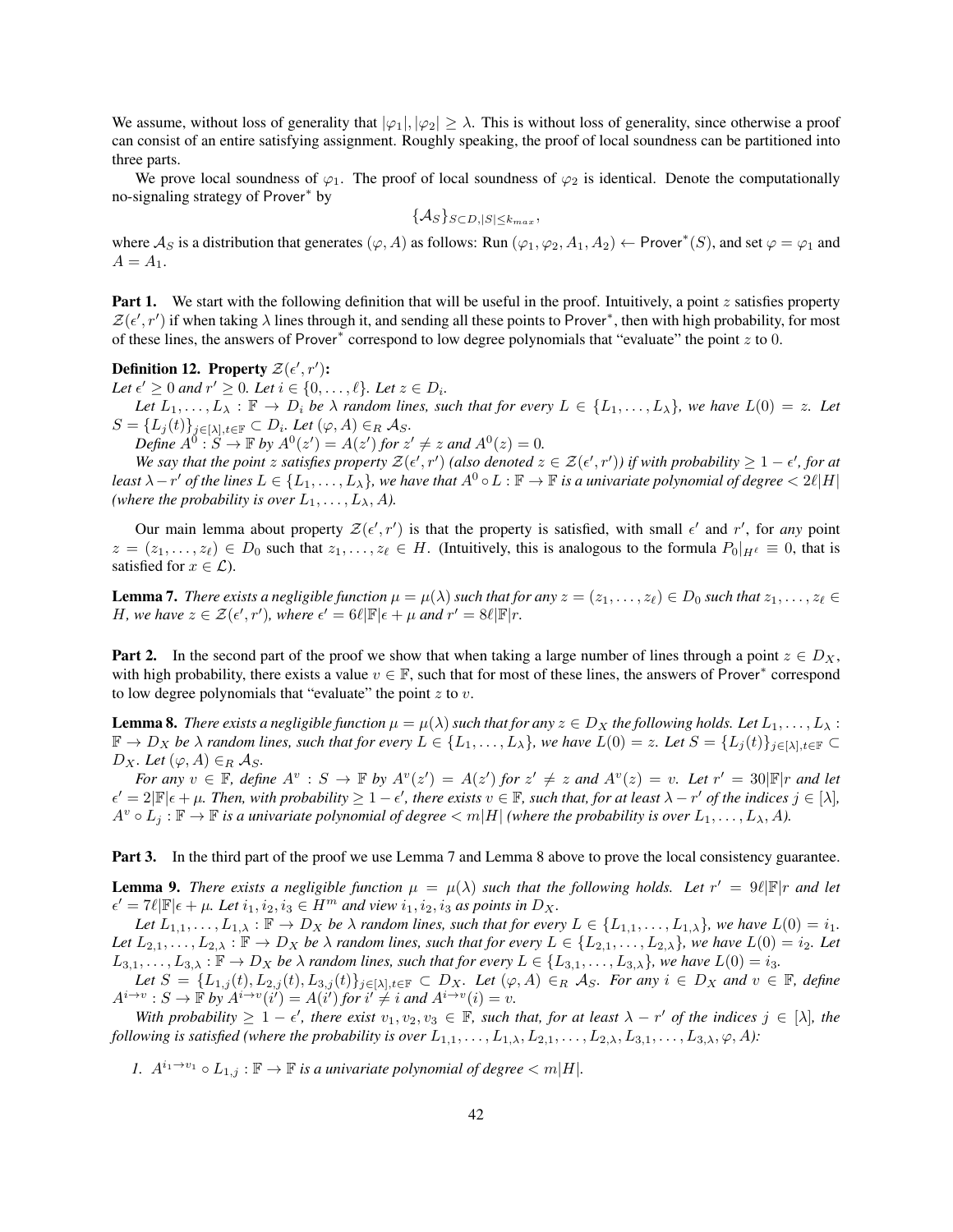We assume, without loss of generality that  $|\varphi_1|, |\varphi_2| \geq \lambda$ . This is without loss of generality, since otherwise a proof can consist of an entire satisfying assignment. Roughly speaking, the proof of local soundness can be partitioned into three parts.

We prove local soundness of  $\varphi_1$ . The proof of local soundness of  $\varphi_2$  is identical. Denote the computationally no-signaling strategy of Prover<sup>∗</sup> by

$$
\{\mathcal{A}_{S}\}_{S\subset D,|S|\leq k_{max}},
$$

where  $\mathcal{A}_S$  is a distribution that generates  $(\varphi, A)$  as follows: Run  $(\varphi_1, \varphi_2, A_1, A_2) \leftarrow$  Prover\* $(S)$ , and set  $\varphi = \varphi_1$  and  $A = A_1$ .

**Part 1.** We start with the following definition that will be useful in the proof. Intuitively, a point z satisfies property  $\mathcal{Z}(\epsilon', r')$  if when taking  $\lambda$  lines through it, and sending all these points to Prover\*, then with high probability, for most of these lines, the answers of Prover<sup>∗</sup> correspond to low degree polynomials that "evaluate" the point z to 0.

Definition 12. Property  $\mathcal{Z}(\epsilon', r')$ :

Let  $\epsilon' \geq 0$  and  $r' \geq 0$ . Let  $i \in \{0, \ldots, \ell\}$ . Let  $z \in D_i$ .

*Let*  $L_1, \ldots, L_\lambda$  :  $\mathbb{F} \to D_i$  *be*  $\lambda$  *random lines, such that for every*  $L \in \{L_1, \ldots, L_\lambda\}$ *, we have*  $L(0) = z$ *. Let*  $S = \{L_j(t)\}_{j\in[\lambda], t\in\mathbb{F}} \subset D_i$ . Let  $(\varphi, A) \in_R \mathcal{A}_S$ .

*Define*  $A^0 : S \to \mathbb{F}$  by  $A^0(z') = A(z')$  for  $z' \neq z$  and  $A^0(z) = 0$ .

We say that the point z satisfies property  $\mathcal{Z}(\epsilon',r')$  (also denoted  $z \in \mathcal{Z}(\epsilon',r')$ ) if with probability  $\geq 1-\epsilon'$ , for at least  $\lambda-r'$  of the lines  $L\in\{L_1,\ldots,L_\lambda\}$ , we have that  $A^0\circ L:\mathbb{F}\to\mathbb{F}$  is a univariate polynomial of degree  $< 2\ell|H|$ *(where the probability is over*  $L_1, \ldots, L_\lambda, A$ *).* 

Our main lemma about property  $\mathcal{Z}(\epsilon', r')$  is that the property is satisfied, with small  $\epsilon'$  and  $r'$ , for *any* point  $z = (z_1, \ldots, z_\ell) \in D_0$  such that  $z_1, \ldots, z_\ell \in H$ . (Intuitively, this is analogous to the formula  $P_0|_{H^{\ell}} \equiv 0$ , that is satisfied for  $x \in \mathcal{L}$ ).

<span id="page-41-0"></span>**Lemma 7.** There exists a negligible function  $\mu = \mu(\lambda)$  such that for any  $z = (z_1, \ldots, z_\ell) \in D_0$  such that  $z_1, \ldots, z_\ell \in D_0$ *H*, we have  $z \in \mathcal{Z}(\epsilon', r')$ , where  $\epsilon' = 6\ell |\mathbb{F}|\epsilon + \mu$  and  $r' = 8\ell |\mathbb{F}|r$ .

**Part 2.** In the second part of the proof we show that when taking a large number of lines through a point  $z \in D_X$ , with high probability, there exists a value  $v \in \mathbb{F}$ , such that for most of these lines, the answers of Prover\* correspond to low degree polynomials that "evaluate" the point  $z$  to  $v$ .

<span id="page-41-1"></span>**Lemma 8.** There exists a negligible function  $\mu = \mu(\lambda)$  such that for any  $z \in D_X$  the following holds. Let  $L_1, \ldots, L_\lambda$ :  $\mathbb{F} \to D_X$  *be*  $\lambda$  *random lines, such that for every*  $L \in \{L_1, \ldots, L_\lambda\}$ *, we have*  $L(0) = z$ *. Let*  $S = \{L_j(t)\}_{j \in [\lambda], t \in \mathbb{F}} \subset$  $D_X$ *. Let*  $(\varphi, A) \in_R \mathcal{A}_S$ *.* 

*For any*  $v \in \mathbb{F}$ , define  $A^v : S \to \mathbb{F}$  by  $A^v(z') = A(z')$  *for*  $z' \neq z$  *and*  $A^v(z) = v$ . Let  $r' = 30|\mathbb{F}|r$  *and let*  $\epsilon' = 2|\mathbb{F}|\epsilon + \mu$ . Then, with probability  $\geq 1 - \epsilon'$ , there exists  $v \in \mathbb{F}$ , such that, for at least  $\lambda - r'$  of the indices  $j \in [\lambda]$ ,  $A^v \circ L_j : \mathbb{F} \to \mathbb{F}$  *is a univariate polynomial of degree*  $\lt m|H|$  *(where the probability is over*  $L_1, \ldots, L_\lambda, A$ ).

Part 3. In the third part of the proof we use Lemma [7](#page-41-0) and Lemma [8](#page-41-1) above to prove the local consistency guarantee.

<span id="page-41-2"></span>**Lemma 9.** There exists a negligible function  $\mu = \mu(\lambda)$  such that the following holds. Let  $r' = 9\ell |\mathbb{F}|r$  and let  $\epsilon' = 7\ell |\mathbb{F}|\epsilon + \mu$ *. Let*  $i_1, i_2, i_3 \in H^m$  *and view*  $i_1, i_2, i_3$  *as points in*  $D_X$ *.* 

*Let*  $L_{1,1}, \ldots, L_{1,\lambda} : \mathbb{F} \to D_X$  *be*  $\lambda$  *random lines, such that for every*  $L \in \{L_{1,1}, \ldots, L_{1,\lambda}\}$ *, we have*  $L(0) = i_1$ . Let  $L_{2,1},\ldots,L_{2,\lambda}:\mathbb{F}\to D_X$  be  $\lambda$  random lines, such that for every  $L\in\{L_{2,1},\ldots,L_{2,\lambda}\}$ , we have  $L(0)=i_2$ . Let  $L_{3,1}, \ldots, L_{3,\lambda} : \mathbb{F} \to D_X$  *be*  $\lambda$  *random lines, such that for every*  $L \in \{L_{3,1}, \ldots, L_{3,\lambda}\}$ *, we have*  $L(0) = i_3$ *.* 

 $Let\ S = \{L_{1,j}(t), L_{2,j}(t), L_{3,j}(t)\}_{j\in[\lambda], t\in\mathbb{F}} \subset D_X$ . Let  $(\varphi, A) \in_R \mathcal{A}_S$ . For any  $i \in D_X$  and  $v \in \mathbb{F}$ , define  $A^{i\rightarrow v}: S \rightarrow \mathbb{F}$  by  $A^{i\rightarrow v}(i') = A(i')$  for  $i' \neq i$  and  $A^{i\rightarrow v}(i) = v$ .

With probability  $\geq 1 - \epsilon'$ , there exist  $v_1, v_2, v_3 \in \mathbb{F}$ , such that, for at least  $\lambda - r'$  of the indices  $j \in [\lambda]$ , the *following is satisfied (where the probability is over*  $L_{1,1}, \ldots, L_{1,\lambda}, L_{2,1}, \ldots, L_{2,\lambda}, L_{3,1}, \ldots, L_{3,\lambda}, \varphi, A$ ):

*1.*  $A^{i_1 \rightarrow v_1} \circ L_{1,j} : \mathbb{F} \to \mathbb{F}$  *is a univariate polynomial of degree*  $\langle m | H |$ *.*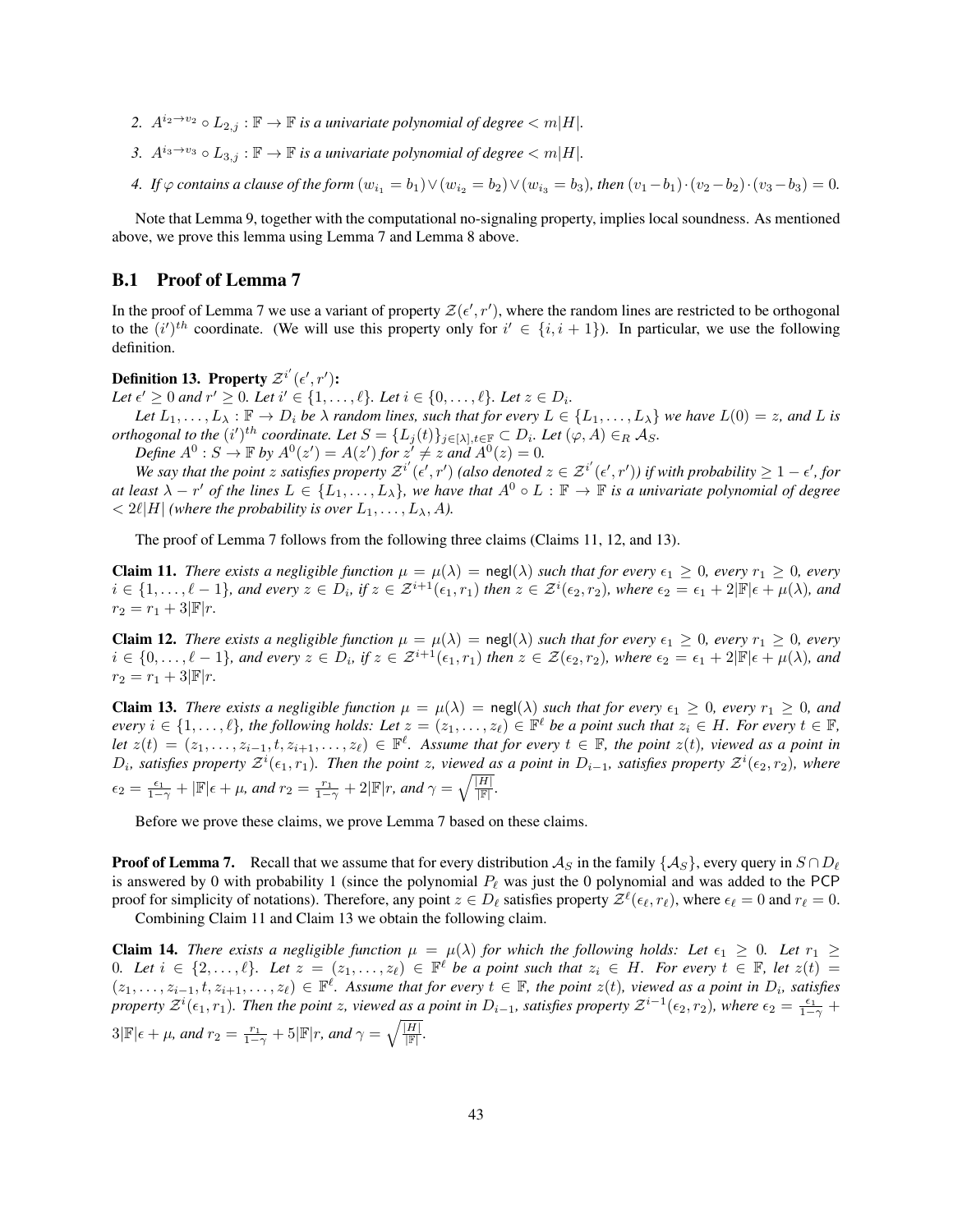- 2.  $A^{i_2 \to v_2} \circ L_{2,i} : \mathbb{F} \to \mathbb{F}$  *is a univariate polynomial of degree*  $\langle m | H |$ *.*
- *3.*  $A^{i_3\rightarrow v_3} \circ L_{3,j}$  : **F** → **F** *is a univariate polynomial of degree* < m|*H*|*.*

*4. If*  $\varphi$  *contains a clause of the form*  $(w_{i_1} = b_1) \vee (w_{i_2} = b_2) \vee (w_{i_3} = b_3)$ *, then*  $(v_1 - b_1) \cdot (v_2 - b_2) \cdot (v_3 - b_3) = 0$ *.* 

Note that Lemma [9,](#page-41-2) together with the computational no-signaling property, implies local soundness. As mentioned above, we prove this lemma using Lemma [7](#page-41-0) and Lemma [8](#page-41-1) above.

### <span id="page-42-0"></span>B.1 Proof of Lemma [7](#page-41-0)

In the proof of Lemma [7](#page-41-0) we use a variant of property  $\mathcal{Z}(\epsilon', r')$ , where the random lines are restricted to be orthogonal to the  $(i')^{th}$  coordinate. (We will use this property only for  $i' \in \{i, i + 1\}$ ). In particular, we use the following definition.

Definition 13. Property  $\mathcal{Z}^{i'}(\epsilon', r')$ :

*Let*  $\epsilon' \geq 0$  *and*  $r' \geq 0$ *. Let*  $i' \in \{1, ..., \ell\}$ *. Let*  $i \in \{0, ..., \ell\}$ *. Let*  $z \in D_i$ *.* 

*Let*  $L_1, \ldots, L_\lambda : \mathbb{F} \to D_i$  *be*  $\lambda$  *random lines, such that for every*  $L \in \{L_1, \ldots, L_\lambda\}$  *we have*  $L(0) = z$ *, and* L *is orthogonal to the*  $(i')^{th}$  *coordinate. Let*  $S = \{L_j(t)\}_{j \in [\lambda], t \in \mathbb{F}} \subset D_i$ *. Let*  $(\varphi, A) \in_R \mathcal{A}_S$ *.* 

*Define*  $A^0$  :  $S \to \mathbb{F}$  by  $A^0(z') = A(z')$  for  $z' \neq z$  and  $A^0(z) = 0$ .

We say that the point z satisfies property  $\mathcal{Z}^{i'}(\epsilon',r')$  (also denoted  $z \in \mathcal{Z}^{i'}(\epsilon',r')$ ) if with probability  $\geq 1-\epsilon'$ , for *at least*  $\lambda - r'$  *of the lines*  $L \in \{L_1, \ldots, L_\lambda\}$ , we have that  $A^0 \circ L : \mathbb{F} \to \mathbb{F}$  *is a univariate polynomial of degree*  $\langle 2\ell | H |$  *(where the probability is over*  $L_1, \ldots, L_\lambda, A$ ).

The proof of Lemma [7](#page-41-0) follows from the following three claims (Claims [11,](#page-42-1) [12,](#page-42-2) and [13\)](#page-42-3).

<span id="page-42-1"></span>**Claim 11.** *There exists a negligible function*  $\mu = \mu(\lambda) = \text{negl}(\lambda)$  *such that for every*  $\epsilon_1 \geq 0$ *, every*  $r_1 \geq 0$ *, every*  $i \in \{1, \ldots, \ell - 1\}$ , and every  $z \in D_i$ , if  $z \in \mathcal{Z}^{i+1}(\epsilon_1, r_1)$  then  $z \in \mathcal{Z}^i(\epsilon_2, r_2)$ , where  $\epsilon_2 = \epsilon_1 + 2|\mathbb{F}|\epsilon + \mu(\lambda)$ , and  $r_2 = r_1 + 3|\mathbb{F}|r$ .

<span id="page-42-2"></span>**Claim 12.** *There exists a negligible function*  $\mu = \mu(\lambda) = \text{negl}(\lambda)$  *such that for every*  $\epsilon_1 \geq 0$ *, every*  $r_1 \geq 0$ *, every*  $i \in \{0,\ldots,\ell-1\}$ , and every  $z \in D_i$ , if  $z \in \mathcal{Z}^{i+1}(\epsilon_1,r_1)$  then  $z \in \mathcal{Z}(\epsilon_2,r_2)$ , where  $\epsilon_2 = \epsilon_1 + 2|\mathbb{F}|\epsilon + \mu(\lambda)$ , and  $r_2 = r_1 + 3|\mathbb{F}|r$ .

<span id="page-42-3"></span>**Claim 13.** *There exists a negligible function*  $\mu = \mu(\lambda) = \text{negl}(\lambda)$  *such that for every*  $\epsilon_1 \geq 0$ *, every*  $r_1 \geq 0$ *, and*  $every \ i \in \{1,\ldots,\ell\}$ , the following holds: Let  $z = (z_1,\ldots,z_\ell) \in \mathbb{F}^\ell$  be a point such that  $z_i \in H$ . For every  $t \in \mathbb{F}$ , *let*  $z(t) = (z_1, \ldots, z_{i-1}, t, z_{i+1}, \ldots, z_\ell)$  ∈  $\mathbb{F}^\ell$ . Assume that for every  $t \in \mathbb{F}$ , the point  $z(t)$ , viewed as a point in  $D_i$ , satisfies property  $\mathcal{Z}^i(\epsilon_1, r_1)$ . Then the point z, viewed as a point in  $D_{i-1}$ , satisfies property  $\mathcal{Z}^i(\epsilon_2, r_2)$ , where  $\epsilon_2 = \frac{\epsilon_1}{1-\gamma} + |\mathbb{F}| \epsilon + \mu$ , and  $r_2 = \frac{r_1}{1-\gamma} + 2|\mathbb{F}|r$ , and  $\gamma = \sqrt{\frac{|H|}{|\mathbb{F}|}}$ .

Before we prove these claims, we prove Lemma [7](#page-41-0) based on these claims.

**Proof of Lemma [7.](#page-41-0)** Recall that we assume that for every distribution  $\mathcal{A}_S$  in the family  $\{\mathcal{A}_S\}$ , every query in  $S \cap D_\ell$ is answered by 0 with probability 1 (since the polynomial  $P_\ell$  was just the 0 polynomial and was added to the PCP proof for simplicity of notations). Therefore, any point  $z \in D_\ell$  satisfies property  $\mathcal{Z}^\ell(\epsilon_\ell, r_\ell)$ , where  $\epsilon_\ell = 0$  and  $r_\ell = 0$ . Combining Claim [11](#page-42-1) and Claim [13](#page-42-3) we obtain the following claim.

<span id="page-42-4"></span>**Claim 14.** *There exists a negligible function*  $\mu = \mu(\lambda)$  *for which the following holds: Let*  $\epsilon_1 \geq 0$ *. Let*  $r_1 \geq$  $0.$  Let  $i \in \{2,\ldots,\ell\}$ . Let  $z = (z_1,\ldots,z_\ell) \in \mathbb{F}^\ell$  be a point such that  $z_i \in H$ . For every  $t \in \mathbb{F}$ , let  $z(t) =$  $(z_1,\ldots,z_{i-1},t,z_{i+1},\ldots,z_\ell) \in \mathbb{F}^\ell$ . Assume that for every  $t \in \mathbb{F}$ , the point  $z(t)$ , viewed as a point in  $D_i$ , satisfies *property*  $\mathcal{Z}^i(\epsilon_1, r_1)$ . Then the point z, viewed as a point in  $D_{i-1}$ , satisfies property  $\mathcal{Z}^{i-1}(\epsilon_2, r_2)$ , where  $\epsilon_2 = \frac{\epsilon_1}{1-\gamma}$  +  $3|\mathbb{F}|\epsilon + \mu$ , and  $r_2 = \frac{r_1}{1-\gamma} + 5|\mathbb{F}|r$ , and  $\gamma = \sqrt{\frac{|H|}{|\mathbb{F}|}}$ .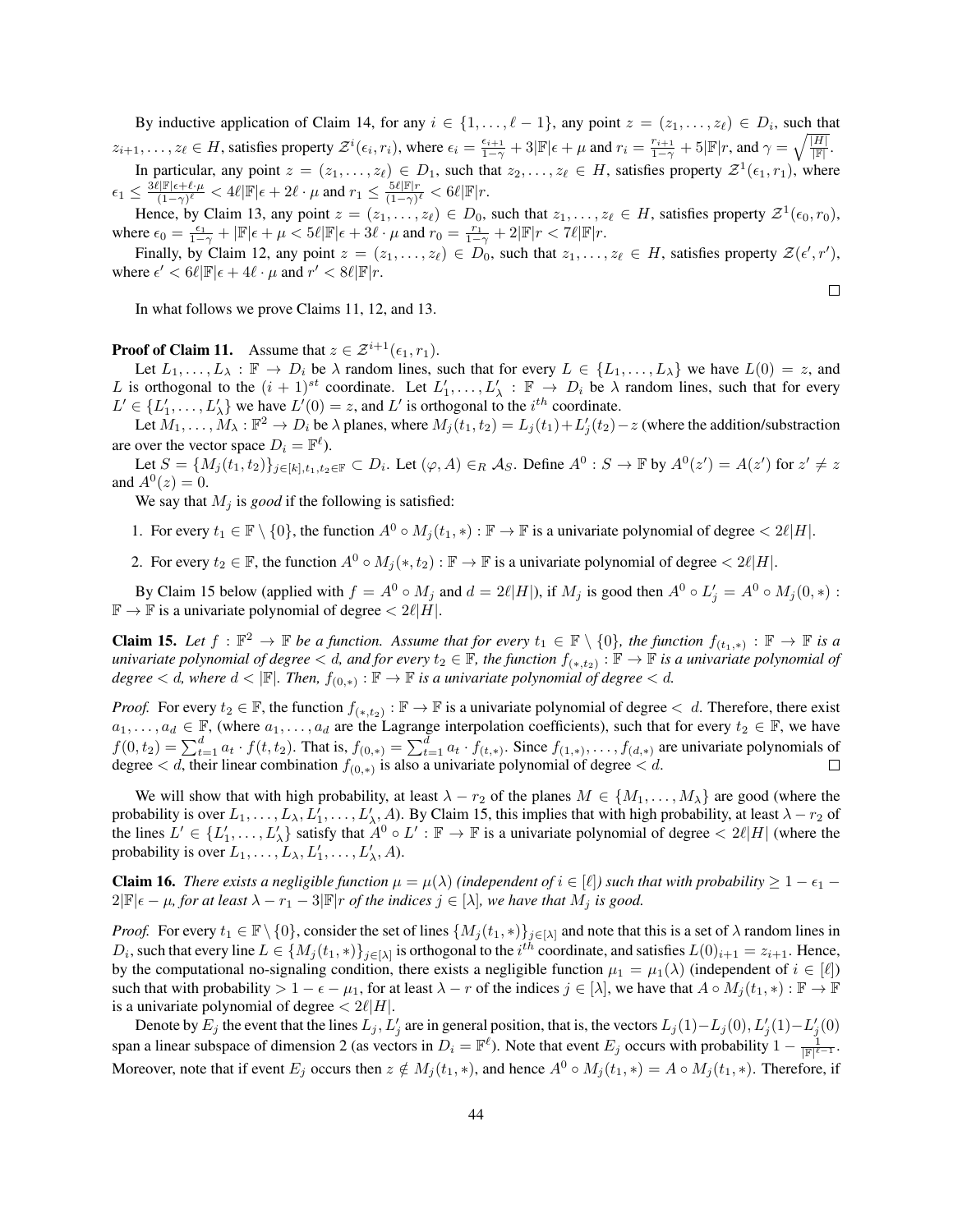By inductive application of Claim [14,](#page-42-4) for any  $i \in \{1, \ldots, \ell - 1\}$ , any point  $z = (z_1, \ldots, z_\ell) \in D_i$ , such that  $z_{i+1}, \ldots, z_{\ell} \in H$ , satisfies property  $\mathcal{Z}^i(\epsilon_i, r_i)$ , where  $\epsilon_i = \frac{\epsilon_{i+1}}{1-\gamma} + 3|\mathbb{F}|\epsilon + \mu$  and  $r_i = \frac{r_{i+1}}{1-\gamma} + 5|\mathbb{F}|r$ , and  $\gamma = \sqrt{\frac{|H|}{|\mathbb{F}|}}$ .

In particular, any point  $z = (z_1, \ldots, z_\ell) \in D_1$ , such that  $z_2, \ldots, z_\ell \in H$ , satisfies property  $\mathcal{Z}^1(\epsilon_1, r_1)$ , where  $\epsilon_1 \leq \frac{3\hat{\ell}|\mathbb{F}|\epsilon+\ell\cdot\mu}{(1-\gamma)\ell}$  $\frac{2|\mathbb{F}|\epsilon+\ell\cdot\mu}{(1-\gamma)^{\ell}} < 4\ell |\mathbb{F}|\epsilon+2\ell\cdot\mu$  and  $r_1 \leq \frac{5\ell |\mathbb{F}|r}{(1-\gamma)^{\ell}}$  $\frac{5\ell |\mathbb{F}|r}{(1-\gamma)^{\ell}} < 6\ell |\mathbb{F}|r.$ 

Hence, by Claim [13,](#page-42-3) any point  $z = (z_1, \ldots, z_\ell) \in D_0$ , such that  $z_1, \ldots, z_\ell \in H$ , satisfies property  $\mathcal{Z}^1(\epsilon_0, r_0)$ , where  $\epsilon_0 = \frac{\epsilon_1}{1-\gamma} + |\mathbb{F}| \epsilon + \mu < 5\ell |\mathbb{F}| \epsilon + 3\ell \cdot \mu$  and  $r_0 = \frac{r_1}{1-\gamma} + 2|\mathbb{F}|r < 7\ell |\mathbb{F}|r$ .

Finally, by Claim [12,](#page-42-2) any point  $z = (z_1, \ldots, z_\ell) \in D_0$ , such that  $z_1, \ldots, z_\ell \in H$ , satisfies property  $\mathcal{Z}(\epsilon', r')$ , where  $\epsilon' < 6\ell |\mathbb{F}|\epsilon + 4\ell \cdot \mu$  and  $r' < 8\ell |\mathbb{F}|r$ .

 $\Box$ 

In what follows we prove Claims [11,](#page-42-1) [12,](#page-42-2) and [13.](#page-42-3)

**Proof of Claim [11.](#page-42-1)** Assume that  $z \in \mathcal{Z}^{i+1}(\epsilon_1, r_1)$ .

Let  $L_1, \ldots, L_\lambda : \mathbb{F} \to D_i$  be  $\lambda$  random lines, such that for every  $L \in \{L_1, \ldots, L_\lambda\}$  we have  $L(0) = z$ , and L is orthogonal to the  $(i + 1)^{st}$  coordinate. Let  $L'_1, \ldots, L'_\lambda : \mathbb{F} \to D_i$  be  $\lambda$  random lines, such that for every  $L' \in \{L'_1, \ldots, L'_{\lambda}\}\$  we have  $L'(0) = z$ , and  $L'$  is orthogonal to the  $i^{th}$  coordinate.

Let  $M_1, \ldots, M_\lambda : \mathbb{F}^2 \to D_i$  be  $\lambda$  planes, where  $M_j(t_1, t_2) = L_j(t_1) + L'_j(t_2) - z$  (where the addition/substraction are over the vector space  $D_i = \mathbb{F}^{\ell}$ ).

Let  $S = \{M_j(t_1, t_2)\}_{j \in [k], t_1, t_2 \in \mathbb{F}} \subset D_i$ . Let  $(\varphi, A) \in_R \mathcal{A}_S$ . Define  $A^0 : S \to \mathbb{F}$  by  $A^0(z') = A(z')$  for  $z' \neq z$ and  $A^{0}(z) = 0$ .

We say that  $M_i$  is *good* if the following is satisfied:

1. For every  $t_1 \in \mathbb{F} \setminus \{0\}$ , the function  $A^0 \circ M_i(t_1, *) : \mathbb{F} \to \mathbb{F}$  is a univariate polynomial of degree  $\langle 2\ell | H |$ .

2. For every  $t_2 \in \mathbb{F}$ , the function  $A^0 \circ M_i(*, t_2) : \mathbb{F} \to \mathbb{F}$  is a univariate polynomial of degree  $\langle 2\ell |H|$ .

By Claim [15](#page-43-0) below (applied with  $f = A^0 \circ M_j$  and  $d = 2\ell |H|$ ), if  $M_j$  is good then  $A^0 \circ L'_j = A^0 \circ M_j(0, *)$ :  $\mathbb{F} \to \mathbb{F}$  is a univariate polynomial of degree  $\langle 2\ell |H|$ .

<span id="page-43-0"></span>**Claim 15.** Let  $f : \mathbb{F}^2 \to \mathbb{F}$  be a function. Assume that for every  $t_1 \in \mathbb{F} \setminus \{0\}$ , the function  $f_{(t_1, *)} : \mathbb{F} \to \mathbb{F}$  is a *univariate polynomial of degree*  $< d$ , and for every  $t_2 \in \mathbb{F}$ , the function  $f_{(*,t_2)} : \mathbb{F} \to \mathbb{F}$  is a univariate polynomial of  $degree < d$ , where  $d < |\mathbb{F}|$ . Then,  $f_{(0,*)} : \mathbb{F} \to \mathbb{F}$  *is a univariate polynomial of degree*  $< d$ .

*Proof.* For every  $t_2 \in \mathbb{F}$ , the function  $f_{(*,t_2)} : \mathbb{F} \to \mathbb{F}$  is a univariate polynomial of degree  $\lt d$ . Therefore, there exist  $a_1, \ldots, a_d \in \mathbb{F}$ , (where  $a_1, \ldots, a_d$  are the Lagrange interpolation coefficients), such that for every  $t_2 \in \mathbb{F}$ , we have  $f(0,t_2) = \sum_{t=1}^d a_t \cdot f(t,t_2)$ . That is,  $f_{(0,*)} = \sum_{t=1}^d a_t \cdot f_{(t,*)}$ . Since  $f_{(1,*)}, \ldots, f_{(d,*)}$  are univariate polynomials of degree  $< d$ , their linear combination  $f_{(0,*)}$  is also a univariate polynomial of degree  $< d$ .  $\Box$ 

We will show that with high probability, at least  $\lambda - r_2$  of the planes  $M \in \{M_1, \ldots, M_\lambda\}$  are good (where the probability is over  $L_1, \ldots, L_\lambda, L'_1, \ldots, L'_\lambda, A$ ). By Claim [15,](#page-43-0) this implies that with high probability, at least  $\lambda - r_2$  of the lines  $L' \in \{L'_1, \ldots, L'_\lambda\}$  satisfy that  $A^0 \circ L' : \mathbb{F} \to \mathbb{F}$  is a univariate polynomial of degree  $\langle 2\ell | H |$  (where the probability is over  $L_1, \ldots, L_\lambda, L'_1, \ldots, L'_\lambda, A$ ).

**Claim 16.** *There exists a negligible function*  $\mu = \mu(\lambda)$  *(independent of*  $i \in [\ell]$ *) such that with probability*  $\geq 1 - \epsilon_1$  –  $2|\mathbb{F}|\epsilon - \mu$ , for at least  $\lambda - r_1 - 3|\mathbb{F}|r$  of the indices  $j \in [\lambda]$ , we have that  $M_j$  is good.

*Proof.* For every  $t_1 \in \mathbb{F} \setminus \{0\}$ , consider the set of lines  $\{M_j(t_1, *)\}_{j \in [\lambda]}$  and note that this is a set of  $\lambda$  random lines in  $D_i$ , such that every line  $L \in \{M_j(t_1,*)\}_{j\in[\lambda]}$  is orthogonal to the  $i^{th}$  coordinate, and satisfies  $L(0)_{i+1} = z_{i+1}$ . Hence, by the computational no-signaling condition, there exists a negligible function  $\mu_1 = \mu_1(\lambda)$  (independent of  $i \in [\ell]$ ) such that with probability  $> 1 - \epsilon - \mu_1$ , for at least  $\lambda - r$  of the indices  $j \in [\lambda]$ , we have that  $A \circ M_j(t_1, *) : \mathbb{F} \to \mathbb{F}$ is a univariate polynomial of degree  $\langle 2\ell |H|$ .

Denote by  $E_j$  the event that the lines  $L_j$ ,  $L'_j$  are in general position, that is, the vectors  $L_j(1) - L_j(0)$ ,  $L'_j(1) - L'_j(0)$ span a linear subspace of dimension 2 (as vectors in  $D_i = \mathbb{F}^{\ell}$ ). Note that event  $E_j$  occurs with probability  $1 - \frac{1}{|\mathbb{F}|^{\ell-1}}$ . Moreover, note that if event  $E_j$  occurs then  $z \notin M_j(t_1, *)$ , and hence  $A^0 \circ M_j(t_1, *) = A \circ M_j(t_1, *)$ . Therefore, if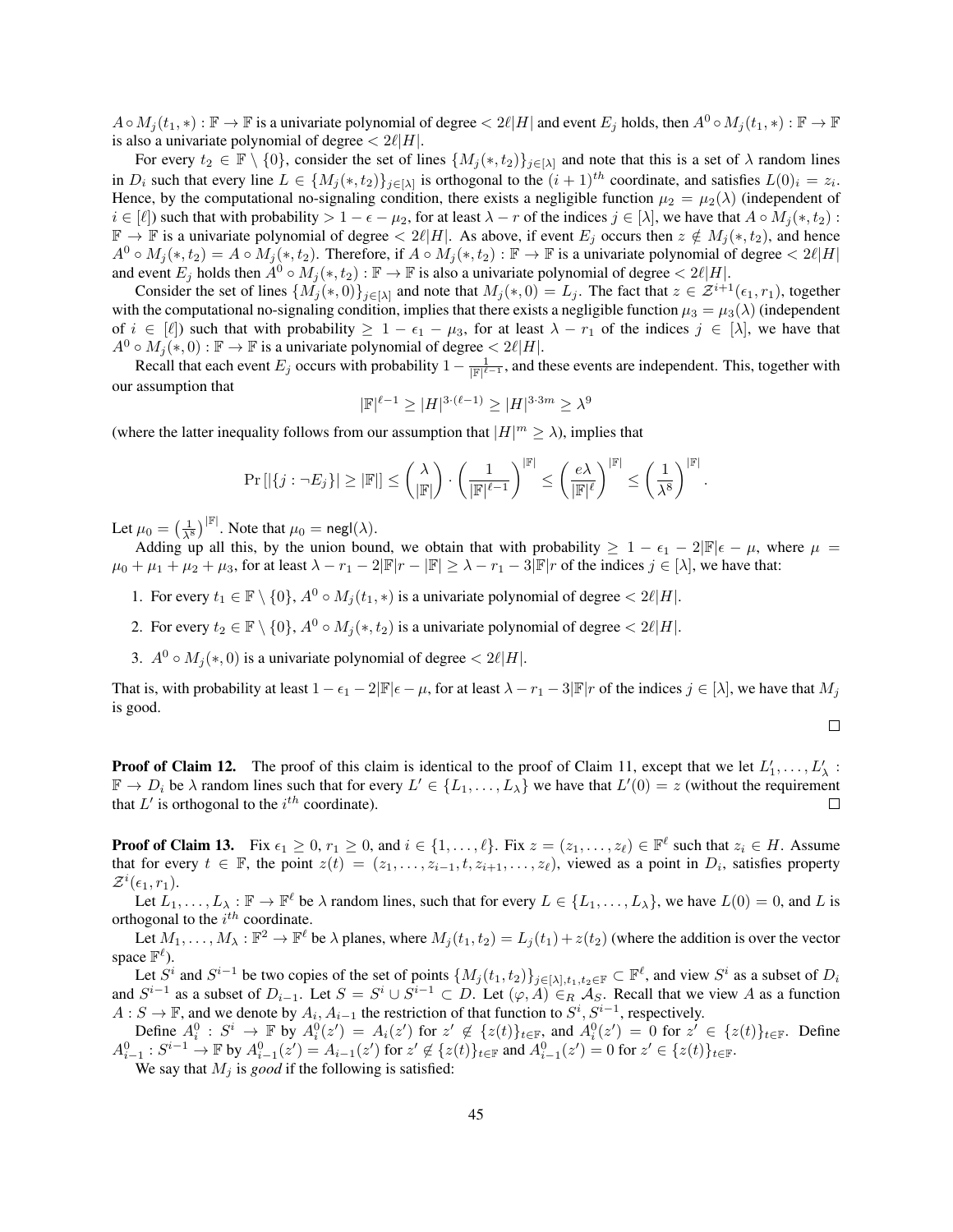$A \circ M_i(t_1, *) : \mathbb{F} \to \mathbb{F}$  is a univariate polynomial of degree  $\langle 2\ell | H |$  and event  $E_i$  holds, then  $A^0 \circ M_i(t_1, *) : \mathbb{F} \to \mathbb{F}$ is also a univariate polynomial of degree  $\langle 2\ell |H|$ .

For every  $t_2 \in \mathbb{F} \setminus \{0\}$ , consider the set of lines  $\{M_j(*, t_2)\}_{j \in [\lambda]}$  and note that this is a set of  $\lambda$  random lines in  $D_i$  such that every line  $L \in \{M_j(*, t_2)\}_{j \in [\lambda]}$  is orthogonal to the  $(i+1)^{th}$  coordinate, and satisfies  $L(0)_i = z_i$ . Hence, by the computational no-signaling condition, there exists a negligible function  $\mu_2 = \mu_2(\lambda)$  (independent of  $i \in [\ell]$ ) such that with probability  $> 1 - \epsilon - \mu_2$ , for at least  $\lambda - r$  of the indices  $j \in [\lambda]$ , we have that  $A \circ M_i(*, t_2)$ :  $\mathbb{F} \to \mathbb{F}$  is a univariate polynomial of degree  $\lt 2\ell|H|$ . As above, if event  $E_j$  occurs then  $z \notin M_j(*, t_2)$ , and hence  $A^0 \circ M_j(*, t_2) = A \circ M_j(*, t_2)$ . Therefore, if  $A \circ M_j(*, t_2) : \mathbb{F} \to \mathbb{F}$  is a univariate polynomial of degree  $\langle 2\ell |H|$ and event  $E_j$  holds then  $A^0 \circ M_j(*, t_2) : \mathbb{F} \to \mathbb{F}$  is also a univariate polynomial of degree  $\langle 2\ell | H |$ .

Consider the set of lines  $\{M_j(*,0)\}_{j\in[\lambda]}$  and note that  $M_j(*,0) = L_j$ . The fact that  $z \in \mathcal{Z}^{i+1}(\epsilon_1, r_1)$ , together with the computational no-signaling condition, implies that there exists a negligible function  $\mu_3 = \mu_3(\lambda)$  (independent of  $i \in [\ell]$ ) such that with probability  $\geq 1 - \epsilon_1 - \mu_3$ , for at least  $\lambda - r_1$  of the indices  $j \in [\lambda]$ , we have that  $A^0 \circ M_j(*,0) : \mathbb{F} \to \mathbb{F}$  is a univariate polynomial of degree  $\langle 2\ell |H|.$ 

Recall that each event  $E_j$  occurs with probability  $1 - \frac{1}{\|\mathbb{F}\|^{2}-1}$ , and these events are independent. This, together with our assumption that

$$
|\mathbb{F}|^{\ell-1} \ge |H|^{3 \cdot (\ell-1)} \ge |H|^{3 \cdot 3m} \ge \lambda^9
$$

(where the latter inequality follows from our assumption that  $|H|^m \ge \lambda$ ), implies that

$$
\Pr\left[|\{j: \neg E_j\}| \geq |\mathbb{F}|\right] \leq \binom{\lambda}{|\mathbb{F}|} \cdot \left(\frac{1}{|\mathbb{F}|^{\ell-1}}\right)^{|\mathbb{F}|} \leq \left(\frac{e\lambda}{|\mathbb{F}|^{\ell}}\right)^{|\mathbb{F}|} \leq \left(\frac{1}{\lambda^8}\right)^{|\mathbb{F}|}.
$$

Let  $\mu_0 = \left(\frac{1}{\lambda^8}\right)^{|\mathbb{F}|}$ . Note that  $\mu_0 = \mathsf{negl}(\lambda)$ .

Adding up all this, by the union bound, we obtain that with probability  $\geq 1 - \epsilon_1 - 2|\mathbb{F}|\epsilon - \mu$ , where  $\mu =$  $\mu_0 + \mu_1 + \mu_2 + \mu_3$ , for at least  $\lambda - r_1 - 2|\mathbb{F}|r - |\mathbb{F}| \geq \lambda - r_1 - 3|\mathbb{F}|r$  of the indices  $j \in [\lambda]$ , we have that:

- 1. For every  $t_1 \in \mathbb{F} \setminus \{0\}$ ,  $A^0 \circ M_i(t_1, *)$  is a univariate polynomial of degree  $\langle 2\ell |H|$ .
- 2. For every  $t_2 \in \mathbb{F} \setminus \{0\}, A^0 \circ M_i(*, t_2)$  is a univariate polynomial of degree  $\langle 2\ell |H|$ .
- 3.  $A^0 \circ M_i(*, 0)$  is a univariate polynomial of degree  $\langle 2\ell |H|$ .

That is, with probability at least  $1 - \epsilon_1 - 2|\mathbb{F}|\epsilon - \mu$ , for at least  $\lambda - r_1 - 3|\mathbb{F}|r$  of the indices  $j \in [\lambda]$ , we have that  $M_j$ is good.

 $\Box$ 

**Proof of Claim [12.](#page-42-2)** The proof of this claim is identical to the proof of Claim [11,](#page-42-1) except that we let  $L'_1, \ldots, L'_\lambda$ :  $\mathbb{F} \to D_i$  be  $\lambda$  random lines such that for every  $L' \in \{L_1, \ldots, L_\lambda\}$  we have that  $L'(0) = z$  (without the requirement that  $L'$  is orthogonal to the  $i^{th}$  coordinate).

**Proof of Claim [13.](#page-42-3)** Fix  $\epsilon_1 \geq 0$ ,  $r_1 \geq 0$ , and  $i \in \{1, \ldots, \ell\}$ . Fix  $z = (z_1, \ldots, z_\ell) \in \mathbb{F}^\ell$  such that  $z_i \in H$ . Assume that for every  $t \in \mathbb{F}$ , the point  $z(t) = (z_1, \ldots, z_{i-1}, t, z_{i+1}, \ldots, z_\ell)$ , viewed as a point in  $D_i$ , satisfies property  $\mathcal{Z}^i(\epsilon_1,r_1)$ .

Let  $L_1, \ldots, L_\lambda : \mathbb{F} \to \mathbb{F}^\ell$  be  $\lambda$  random lines, such that for every  $L \in \{L_1, \ldots, L_\lambda\}$ , we have  $L(0) = 0$ , and L is orthogonal to the  $i^{th}$  coordinate.

Let  $M_1, \ldots, M_\lambda : \mathbb{F}^2 \to \mathbb{F}^\ell$  be  $\lambda$  planes, where  $M_j(t_1, t_2) = L_j(t_1) + z(t_2)$  (where the addition is over the vector space  $\mathbb{F}^{\ell}$ ).

Let  $S^i$  and  $S^{i-1}$  be two copies of the set of points  $\{M_j(t_1,t_2)\}_{j\in[\lambda],t_1,t_2\in\mathbb{F}}\subset\mathbb{F}^\ell$ , and view  $S^i$  as a subset of  $D_i$ and  $S^{i-1}$  as a subset of  $D_{i-1}$ . Let  $S = S^i \cup S^{i-1} \subset D$ . Let  $(\varphi, A) \in_R \mathcal{A}_S$ . Recall that we view A as a function  $A: S \to \mathbb{F}$ , and we denote by  $A_i, A_{i-1}$  the restriction of that function to  $S^i, S^{i-1}$ , respectively.

Define  $A_i^0 : S^i \to \mathbb{F}$  by  $A_i^0(z') = A_i(z')$  for  $z' \notin \{z(t)\}_{t \in \mathbb{F}}$ , and  $A_i^0(z') = 0$  for  $z' \in \{z(t)\}_{t \in \mathbb{F}}$ . Define  $A_{i-1}^0$  :  $S^{i-1}$  →  $\mathbb F$  by  $A_{i-1}^0(z') = A_{i-1}(z')$  for  $z' \notin \{z(t)\}_{t \in \mathbb F}$  and  $A_{i-1}^0(z') = 0$  for  $z' \in \{z(t)\}_{t \in \mathbb F}$ .

We say that  $M_i$  is *good* if the following is satisfied: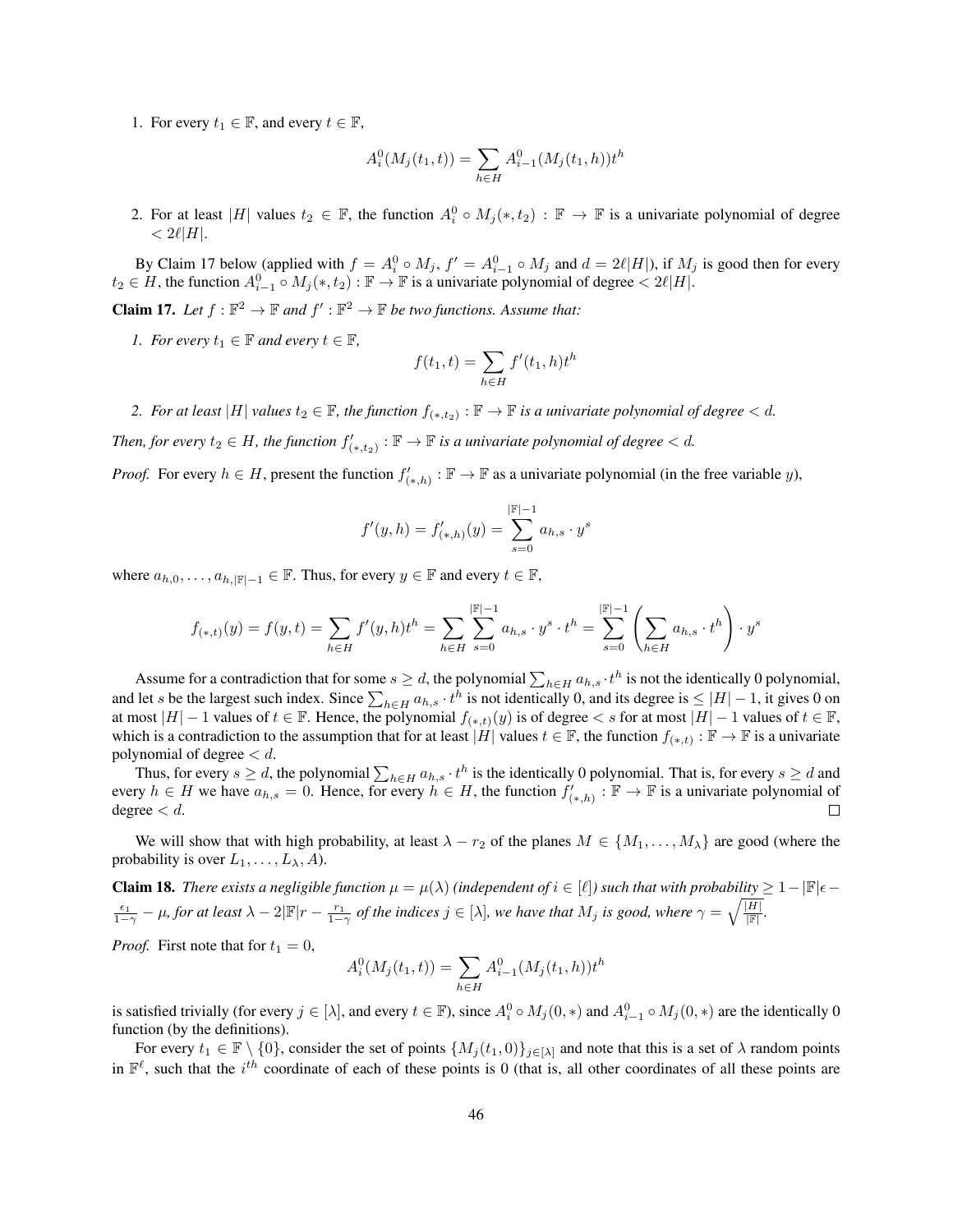1. For every  $t_1 \in \mathbb{F}$ , and every  $t \in \mathbb{F}$ ,

$$
A_i^0(M_j(t_1, t)) = \sum_{h \in H} A_{i-1}^0(M_j(t_1, h)) t^h
$$

2. For at least |H| values  $t_2 \in \mathbb{F}$ , the function  $A_i^0 \circ M_j(*, t_2) : \mathbb{F} \to \mathbb{F}$  is a univariate polynomial of degree  $< 2\ell|H|.$ 

By Claim [17](#page-45-0) below (applied with  $f = A_i^0 \circ M_j$ ,  $f' = A_{i-1}^0 \circ M_j$  and  $d = 2\ell |H|$ ), if  $M_j$  is good then for every  $t_2 \in H$ , the function  $A_{i-1}^0 \circ M_j(*, t_2) : \mathbb{F} \to \mathbb{F}$  is a univariate polynomial of degree  $\langle 2\ell | H |$ .

<span id="page-45-0"></span>**Claim 17.** Let  $f : \mathbb{F}^2 \to \mathbb{F}$  and  $f' : \mathbb{F}^2 \to \mathbb{F}$  be two functions. Assume that:

*1. For every*  $t_1 \in \mathbb{F}$  *and every*  $t \in \mathbb{F}$ *,* 

$$
f(t_1, t) = \sum_{h \in H} f'(t_1, h) t^h
$$

2. For at least  $|H|$  values  $t_2 \in \mathbb{F}$ , the function  $f_{(*,t_2)} : \mathbb{F} \to \mathbb{F}$  is a univariate polynomial of degree  $< d$ .

Then, for every  $t_2 \in H$ , the function  $f'_{(*,t_2)} : \mathbb{F} \to \mathbb{F}$  is a univariate polynomial of degree  $< d$ .

*Proof.* For every  $h \in H$ , present the function  $f'_{(*,h)} : \mathbb{F} \to \mathbb{F}$  as a univariate polynomial (in the free variable y),

$$
f'(y, h) = f'_{(*, h)}(y) = \sum_{s=0}^{|\mathbb{F}|-1} a_{h, s} \cdot y^s
$$

where  $a_{h,0}, \ldots, a_{h,|\mathbb{F}|-1} \in \mathbb{F}$ . Thus, for every  $y \in \mathbb{F}$  and every  $t \in \mathbb{F}$ ,

$$
f_{(*,t)}(y) = f(y,t) = \sum_{h \in H} f'(y,h)t^h = \sum_{h \in H} \sum_{s=0}^{|\mathbb{F}|-1} a_{h,s} \cdot y^s \cdot t^h = \sum_{s=0}^{|\mathbb{F}|-1} \left( \sum_{h \in H} a_{h,s} \cdot t^h \right) \cdot y^s
$$

Assume for a contradiction that for some  $s \ge d$ , the polynomial  $\sum_{h \in H} a_{h,s} \cdot t^h$  is not the identically 0 polynomial, and let s be the largest such index. Since  $\sum_{h\in H} a_{h,s} \cdot t^h$  is not identically 0, and its degree is  $\leq |H|-1$ , it gives 0 on at most  $|H| - 1$  values of  $t \in \mathbb{F}$ . Hence, the polynomial  $f_{(*,t)}(y)$  is of degree  $\lt s$  for at most  $|H| - 1$  values of  $t \in \mathbb{F}$ , which is a contradiction to the assumption that for at least  $|H|$  values  $t \in \mathbb{F}$ , the function  $f_{(*,t)} : \mathbb{F} \to \mathbb{F}$  is a univariate polynomial of degree  $< d$ .

Thus, for every  $s \ge d$ , the polynomial  $\sum_{h \in H} a_{h,s} \cdot t^h$  is the identically 0 polynomial. That is, for every  $s \ge d$  and every  $h \in H$  we have  $a_{h,s} = 0$ . Hence, for every  $h \in H$ , the function  $f'_{(*,h)} : \mathbb{F} \to \mathbb{F}$  is a univariate polynomial of degree  $< d$ .  $\Box$ 

We will show that with high probability, at least  $\lambda - r_2$  of the planes  $M \in \{M_1, \ldots, M_\lambda\}$  are good (where the probability is over  $L_1, \ldots, L_\lambda, A$ ).

<span id="page-45-1"></span>**Claim 18.** *There exists a negligible function*  $\mu = \mu(\lambda)$  *(independent of*  $i \in [\ell]$ *) such that with probability*  $\geq 1 - |\mathbb{F}| \epsilon$  $\frac{\epsilon_1}{1-\gamma}-\mu$ , for at least  $\lambda-2|\mathbb F|r-\frac{r_1}{1-\gamma}$  of the indices  $j\in[\lambda]$ , we have that  $M_j$  is good, where  $\gamma=\sqrt{\frac{|H|}{|\mathbb F|}}$ .

*Proof.* First note that for  $t_1 = 0$ ,

$$
A_i^0(M_j(t_1, t)) = \sum_{h \in H} A_{i-1}^0(M_j(t_1, h)) t^h
$$

is satisfied trivially (for every  $j \in [\lambda]$ , and every  $t \in \mathbb{F}$ ), since  $A_i^0 \circ M_j(0,*)$  and  $A_{i-1}^0 \circ M_j(0,*)$  are the identically 0 function (by the definitions).

For every  $t_1 \in \mathbb{F} \setminus \{0\}$ , consider the set of points  $\{M_j(t_1, 0)\}_{j \in [\lambda]}$  and note that this is a set of  $\lambda$  random points in  $\mathbb{F}^{\ell}$ , such that the i<sup>th</sup> coordinate of each of these points is 0 (that is, all other coordinates of all these points are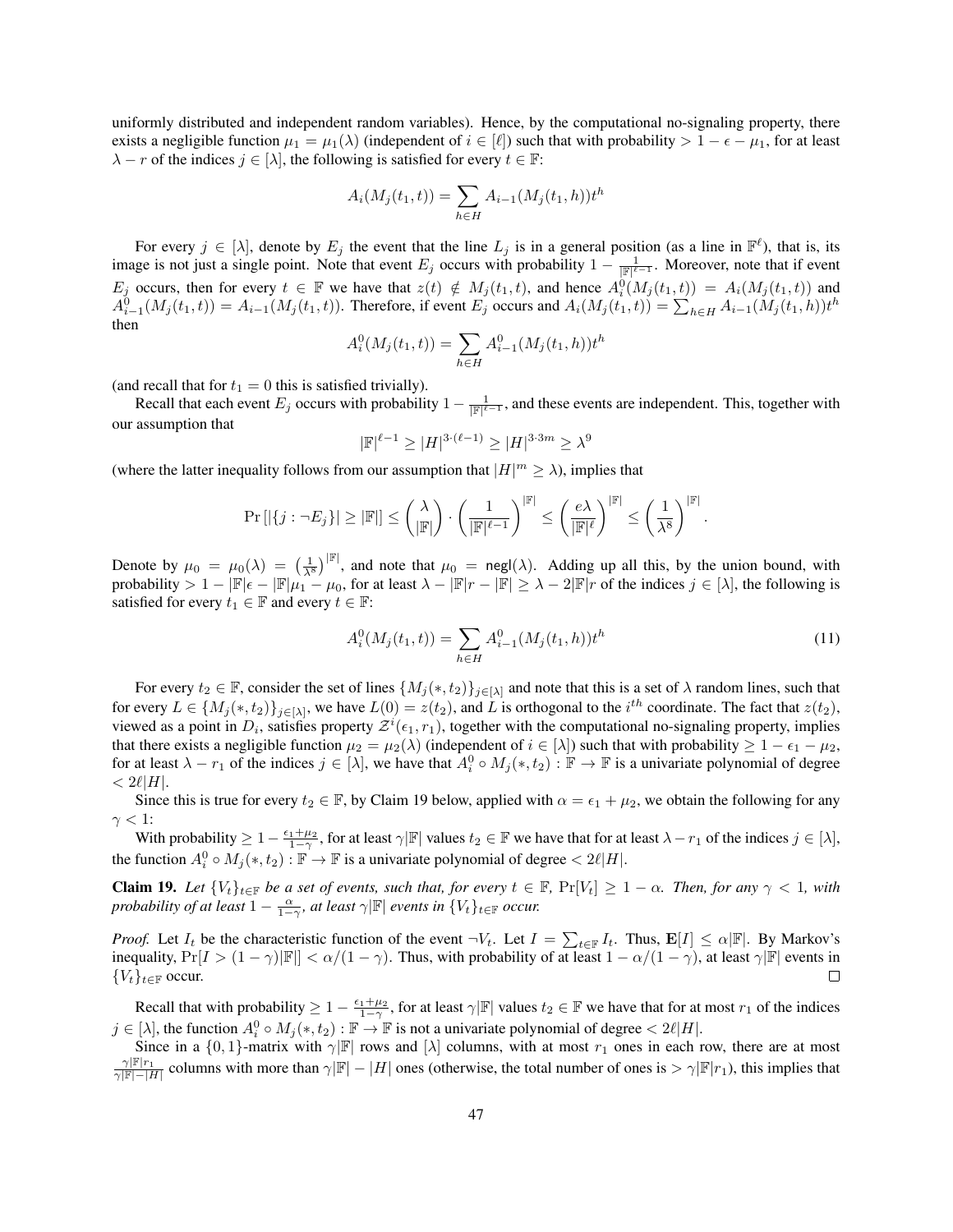uniformly distributed and independent random variables). Hence, by the computational no-signaling property, there exists a negligible function  $\mu_1 = \mu_1(\lambda)$  (independent of  $i \in [\ell]$ ) such that with probability  $> 1 - \epsilon - \mu_1$ , for at least  $\lambda - r$  of the indices  $j \in [\lambda]$ , the following is satisfied for every  $t \in \mathbb{F}$ :

$$
A_i(M_j(t_1, t)) = \sum_{h \in H} A_{i-1}(M_j(t_1, h)) t^h
$$

For every  $j \in [\lambda]$ , denote by  $E_j$  the event that the line  $L_j$  is in a general position (as a line in  $\mathbb{F}^{\ell}$ ), that is, its image is not just a single point. Note that event  $E_j$  occurs with probability  $1 - \frac{1}{\|\mathbb{F}\|^{\ell-1}}$ . Moreover, note that if event  $E_j$  occurs, then for every  $t \in \mathbb{F}$  we have that  $z(t) \notin M_j (t_1, t)$ , and hence  $A_i^{\dot{0}}(M_j (t_1, t)) = A_i (M_j (t_1, t))$  and  $A_{i-1}^0(M_j(t_1,t)) = A_{i-1}(M_j(t_1,t))$ . Therefore, if event  $E_j$  occurs and  $A_i(M_j(t_1,t)) = \sum_{h \in H} A_{i-1}(M_j(t_1,h))t^h$ then

$$
A_i^0(M_j(t_1, t)) = \sum_{h \in H} A_{i-1}^0(M_j(t_1, h)) t^h
$$

(and recall that for  $t_1 = 0$  this is satisfied trivially).

Recall that each event  $E_j$  occurs with probability  $1 - \frac{1}{\|\mathbb{F}\|^{2}-1}$ , and these events are independent. This, together with our assumption that

$$
|\mathbb{F}|^{\ell-1}\geq |H|^{3\cdot(\ell-1)}\geq |H|^{3\cdot 3m}\geq \lambda^9
$$

(where the latter inequality follows from our assumption that  $|H|^m \ge \lambda$ ), implies that

$$
\Pr\left[|\{j: \neg E_j\}| \geq |\mathbb{F}|\right] \leq \binom{\lambda}{|\mathbb{F}|} \cdot \left(\frac{1}{|\mathbb{F}|^{\ell-1}}\right)^{|\mathbb{F}|} \leq \left(\frac{e\lambda}{|\mathbb{F}|^{\ell}}\right)^{|\mathbb{F}|} \leq \left(\frac{1}{\lambda^8}\right)^{|\mathbb{F}|}.
$$

Denote by  $\mu_0 = \mu_0(\lambda) = \left(\frac{1}{\lambda^8}\right)^{|\mathbb{F}|}$ , and note that  $\mu_0 = \text{negl}(\lambda)$ . Adding up all this, by the union bound, with probability >  $1 - |\mathbb{F}| \epsilon - |\mathbb{F}| \mu_1 - \mu_0$ , for at least  $\lambda - |\mathbb{F}| r - |\mathbb{F}| \geq \lambda - 2|\mathbb{F}| r$  of the indices  $j \in [\lambda]$ , the following is satisfied for every  $t_1 \in \mathbb{F}$  and every  $t \in \mathbb{F}$ :

<span id="page-46-1"></span>
$$
A_i^0(M_j(t_1, t)) = \sum_{h \in H} A_{i-1}^0(M_j(t_1, h)) t^h
$$
\n(11)

For every  $t_2 \in \mathbb{F}$ , consider the set of lines  $\{M_j(*, t_2)\}_{j \in [\lambda]}$  and note that this is a set of  $\lambda$  random lines, such that for every  $L \in \{M_j(*, t_2)\}_{j \in [\lambda]},$  we have  $L(0) = z(t_2)$ , and L is orthogonal to the  $i^{th}$  coordinate. The fact that  $z(t_2)$ , viewed as a point in  $D_i$ , satisfies property  $\mathcal{Z}^i(\epsilon_1,r_1)$ , together with the computational no-signaling property, implies that there exists a negligible function  $\mu_2 = \mu_2(\lambda)$  (independent of  $i \in [\lambda]$ ) such that with probability  $\geq 1 - \epsilon_1 - \mu_2$ , for at least  $\lambda - r_1$  of the indices  $j \in [\lambda]$ , we have that  $A_i^0 \circ M_j(*, t_2) : \mathbb{F} \to \mathbb{F}$  is a univariate polynomial of degree  $< 2\ell|H|.$ 

Since this is true for every  $t_2 \in \mathbb{F}$ , by Claim [19](#page-46-0) below, applied with  $\alpha = \epsilon_1 + \mu_2$ , we obtain the following for any  $\gamma < 1$ :

With probability  $\geq 1-\frac{\epsilon_1+\mu_2}{1-\gamma}$ , for at least  $\gamma|\mathbb{F}|$  values  $t_2 \in \mathbb{F}$  we have that for at least  $\lambda-r_1$  of the indices  $j \in [\lambda]$ , the function  $A_i^0 \circ M_j(*, t_2) : \mathbb{F} \to \mathbb{F}$  is a univariate polynomial of degree  $< 2\ell |H|$ .

<span id="page-46-0"></span>**Claim 19.** Let  $\{V_t\}_{t\in\mathbb{F}}$  be a set of events, such that, for every  $t \in \mathbb{F}$ ,  $\Pr[V_t] \geq 1 - \alpha$ . Then, for any  $\gamma < 1$ , with *probability of at least*  $1 - \frac{\alpha}{1-\gamma}$ , *at least*  $\gamma$ | $\mathbb{F}$ | *events in*  $\{V_t\}_{t \in \mathbb{F}}$  *occur.* 

*Proof.* Let  $I_t$  be the characteristic function of the event  $\neg V_t$ . Let  $I = \sum_{t \in \mathbb{F}} I_t$ . Thus,  $\mathbf{E}[I] \leq \alpha |\mathbb{F}|$ . By Markov's inequality,  $Pr[I > (1 - \gamma)|\mathbb{F}] < \alpha/(1 - \gamma)$ . Thus, with probability of at least  $1 - \alpha/(1 - \gamma)$ , at least  $\gamma|\mathbb{F}|$  events in  ${V_t}_{t\in\mathbb{F}}$  occur.  $\Box$ 

Recall that with probability  $\geq 1 - \frac{\epsilon_1 + \mu_2}{1 - \gamma}$ , for at least  $\gamma|\mathbb{F}|$  values  $t_2 \in \mathbb{F}$  we have that for at most  $r_1$  of the indices  $j \in [\lambda]$ , the function  $A_i^0 \circ M_j(*, t_2) : \mathbb{F} \to \mathbb{F}$  is not a univariate polynomial of degree  $\langle 2\ell | H |$ .

Since in a  $\{0, 1\}$ -matrix with  $\gamma$ |F| rows and  $[\lambda]$  columns, with at most  $r_1$  ones in each row, there are at most  $\gamma|F|r_1 \over \gamma|F|-|H|$  columns with more than  $\gamma|F|-|H|$  ones (otherwise, the total number of ones is  $> \gamma|F|/r_1$ ), this implies that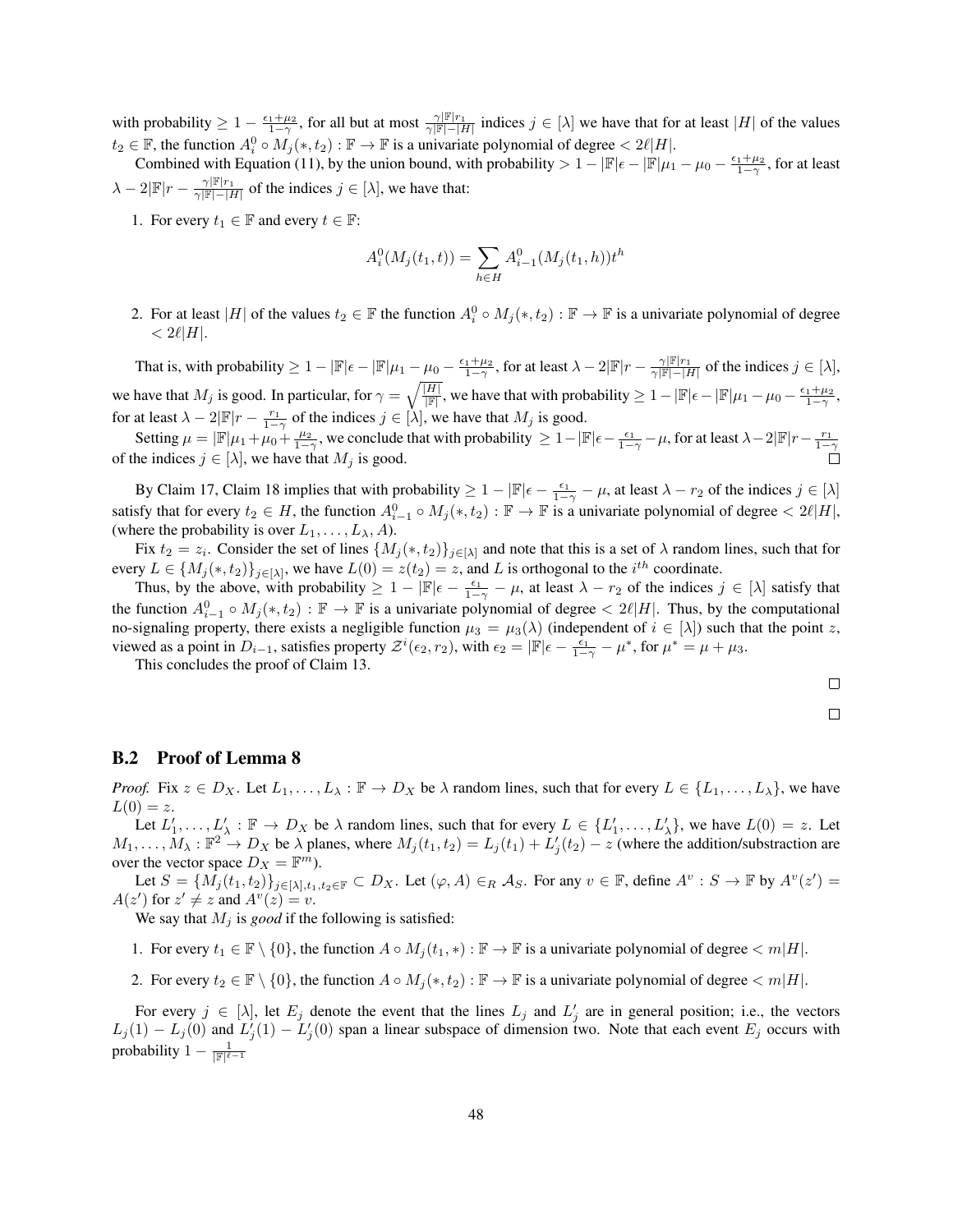with probability  $\geq 1 - \frac{\epsilon_1 + \mu_2}{1 - \gamma}$ , for all but at most  $\frac{\gamma |\mathbb{F}| r_1}{\gamma |\mathbb{F}| - |H|}$  indices  $j \in [\lambda]$  we have that for at least  $|H|$  of the values  $t_2 \in \mathbb{F}$ , the function  $A_i^0 \circ M_j(*, t_2) : \mathbb{F} \to \mathbb{F}$  is a univariate polynomial of degree  $\langle 2\ell | H |$ .

Combined with Equation [\(11\)](#page-46-1), by the union bound, with probability  $> 1 - |\mathbb{F}| \epsilon - |\mathbb{F}| \mu_1 - \mu_0 - \frac{\epsilon_1 + \mu_2}{1 - \gamma}$ , for at least  $\lambda - 2|\mathbb{F}|r - \frac{\gamma|\mathbb{F}|r_1}{\gamma|\mathbb{F}|-|H|}$  of the indices  $j \in [\lambda]$ , we have that:

1. For every  $t_1 \in \mathbb{F}$  and every  $t \in \mathbb{F}$ :

$$
A_i^0(M_j(t_1, t)) = \sum_{h \in H} A_{i-1}^0(M_j(t_1, h)) t^h
$$

2. For at least |H| of the values  $t_2 \in \mathbb{F}$  the function  $A_i^0 \circ M_j(*, t_2) : \mathbb{F} \to \mathbb{F}$  is a univariate polynomial of degree  $< 2\ell |H|.$ 

That is, with probability  $\geq 1 - |\mathbb{F}| \epsilon - |\mathbb{F}| \mu_1 - \mu_0 - \frac{\epsilon_1 + \mu_2}{1 - \gamma}$ , for at least  $\lambda - 2|\mathbb{F}|r - \frac{\gamma |\mathbb{F}| r_1}{\gamma |\mathbb{F}| - |H|}$  of the indices  $j \in [\lambda]$ , we have that  $M_j$  is good. In particular, for  $\gamma = \sqrt{\frac{|H|}{\mathbb{F}|}}$ , we have that with probability  $\geq 1 - |\mathbb{F}| \epsilon - |\mathbb{F}| \mu_1 - \mu_0 - \frac{\epsilon_1 + \mu_2}{1 - \gamma}$ , for at least  $\lambda - 2|\mathbb{F}|r - \frac{r_1}{1-r_1}$  of the indices  $j \in [\lambda]$ , we have that  $M_j$  is good.

Setting  $\mu = |\mathbb{F}|\mu_1 + \mu_0 + \frac{\mu_2}{1-\gamma}$ , we conclude that with probability  $\geq 1 - |\mathbb{F}|\epsilon - \frac{\epsilon_1}{1-\gamma} - \mu$ , for at least  $\lambda - 2|\mathbb{F}|r - \frac{r_1}{1-\gamma}$ of the indices  $j \in [\lambda]$ , we have that  $M_j$  is good.

By Claim [17,](#page-45-0) Claim [18](#page-45-1) implies that with probability  $\geq 1 - |\mathbb{F}| \epsilon - \frac{\epsilon_1}{1-\gamma} - \mu$ , at least  $\lambda - r_2$  of the indices  $j \in [\lambda]$ satisfy that for every  $t_2 \in H$ , the function  $A_{i-1}^0 \circ M_j(*, t_2) : \mathbb{F} \to \mathbb{F}$  is a univariate polynomial of degree  $\langle 2\ell | H |$ , (where the probability is over  $L_1, \ldots, L_{\lambda}, A$ ).

Fix  $t_2 = z_i$ . Consider the set of lines  $\{M_j(*, t_2)\}_{j \in [\lambda]}$  and note that this is a set of  $\lambda$  random lines, such that for every  $L \in \{M_j(*, t_2)\}_{j \in [\lambda]}$ , we have  $L(0) = z(t_2) = z$ , and L is orthogonal to the  $i^{th}$  coordinate.

Thus, by the above, with probability  $\geq 1 - |\mathbb{F}| \epsilon - \frac{\epsilon_1}{1-\gamma} - \mu$ , at least  $\lambda - r_2$  of the indices  $j \in [\lambda]$  satisfy that the function  $A_{i-1}^0 \circ M_j(*, t_2) : \mathbb{F} \to \mathbb{F}$  is a univariate polynomial of degree  $\lt 2\ell|H|$ . Thus, by the computational no-signaling property, there exists a negligible function  $\mu_3 = \mu_3(\lambda)$  (independent of  $i \in [\lambda]$ ) such that the point z, viewed as a point in  $D_{i-1}$ , satisfies property  $\mathcal{Z}^i(\epsilon_2, r_2)$ , with  $\epsilon_2 = |\mathbb{F}|\epsilon - \frac{\epsilon_1}{1-\gamma} - \mu^*$ , for  $\mu^* = \mu + \mu_3$ .

This concludes the proof of Claim [13.](#page-42-3)

 $\Box$ 

$$
\qquad \qquad \Box
$$

#### <span id="page-47-0"></span>B.2 Proof of Lemma [8](#page-41-1)

*Proof.* Fix  $z \in D_X$ . Let  $L_1, \ldots, L_\lambda : \mathbb{F} \to D_X$  be  $\lambda$  random lines, such that for every  $L \in \{L_1, \ldots, L_\lambda\}$ , we have  $L(0) = z.$ 

Let  $L'_1, \ldots, L'_{\lambda} : \mathbb{F} \to D_X$  be  $\lambda$  random lines, such that for every  $L \in \{L'_1, \ldots, L'_{\lambda}\}\$ , we have  $L(0) = z$ . Let  $M_1, \ldots, M_\lambda : \mathbb{F}^2 \to D_X$  be  $\lambda$  planes, where  $M_j(t_1, t_2) = L_j(t_1) + L'_j(t_2) - z$  (where the addition/substraction are over the vector space  $D_X = \mathbb{F}^m$ ).

Let  $S = \{M_j(t_1, t_2)\}_{j \in [\lambda], t_1, t_2 \in \mathbb{F}} \subset D_X$ . Let  $(\varphi, A) \in_R \mathcal{A}_S$ . For any  $v \in \mathbb{F}$ , define  $A^v : S \to \mathbb{F}$  by  $A^v(z') =$  $A(z')$  for  $z' \neq z$  and  $A^{v}(z) = v$ .

We say that  $M_i$  is *good* if the following is satisfied:

1. For every  $t_1 \in \mathbb{F} \setminus \{0\}$ , the function  $A \circ M_j(t_1, *) : \mathbb{F} \to \mathbb{F}$  is a univariate polynomial of degree  $\langle m|H|$ .

2. For every  $t_2 \in \mathbb{F} \setminus \{0\}$ , the function  $A \circ M_i(*, t_2) : \mathbb{F} \to \mathbb{F}$  is a univariate polynomial of degree  $\lt m|H|$ .

For every  $j \in [\lambda]$ , let  $E_j$  denote the event that the lines  $L_j$  and  $L'_j$  are in general position; i.e., the vectors  $L_j(1) - L_j(0)$  and  $L'_j(1) - L'_j(0)$  span a linear subspace of dimension two. Note that each event  $E_j$  occurs with probability  $1 - \frac{1}{|\mathbb{F}|^{\ell-1}}$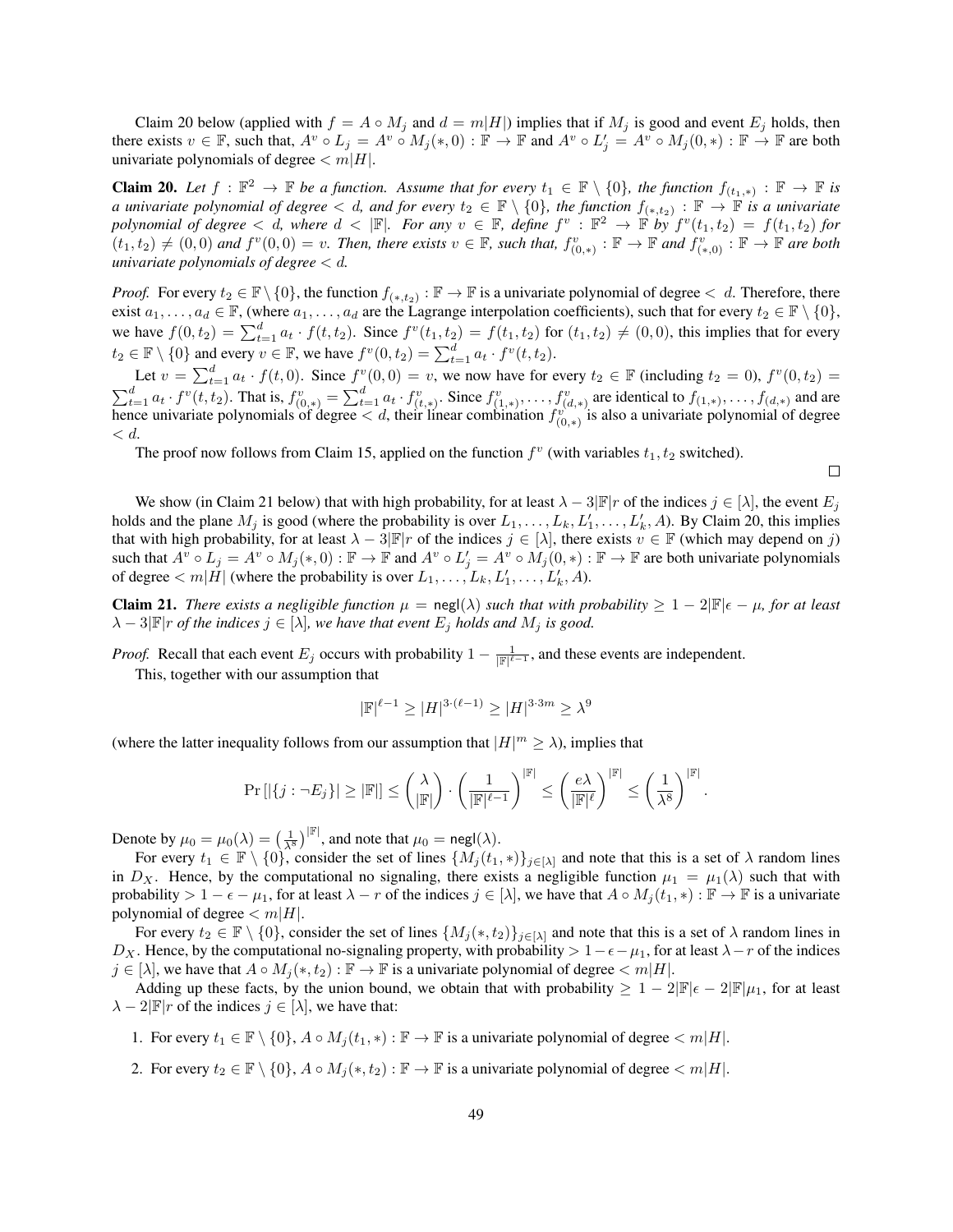Claim [20](#page-48-0) below (applied with  $f = A \circ M_j$  and  $d = m|H|$ ) implies that if  $M_j$  is good and event  $E_j$  holds, then there exists  $v \in \mathbb{F}$ , such that,  $A^v \circ L_j = A^v \circ M_j(*,0) : \mathbb{F} \to \mathbb{F}$  and  $A^v \circ L_j' = A^v \circ M_j(0,*) : \mathbb{F} \to \mathbb{F}$  are both univariate polynomials of degree  $\lt m|H|$ .

<span id="page-48-0"></span>**Claim 20.** Let  $f : \mathbb{F}^2 \to \mathbb{F}$  be a function. Assume that for every  $t_1 \in \mathbb{F} \setminus \{0\}$ , the function  $f_{(t_1,*)} : \mathbb{F} \to \mathbb{F}$  is *a univariate polynomial of degree*  $< d$ , and for every  $t_2 \in \mathbb{F} \setminus \{0\}$ , the function  $f_{(*,t_2)} : \mathbb{F} \to \mathbb{F}$  is a univariate *polynomial of degree*  $\lt d$ , where  $d \lt |\mathbb{F}|$ . For any  $v \in \mathbb{F}$ , define  $f^v : \mathbb{F}^2 \to \mathbb{F}$  by  $f^v(t_1, t_2) = f(t_1, t_2)$  for  $(t_1, t_2) \neq (0, 0)$  and  $f^v(0, 0) = v$ . Then, there exists  $v \in \mathbb{F}$ , such that,  $f^v_{(0, *)} : \mathbb{F} \to \mathbb{F}$  and  $f^v_{(*, 0)} : \mathbb{F} \to \mathbb{F}$  are both *univariate polynomials of degree* < d*.*

*Proof.* For every  $t_2 \in \mathbb{F} \setminus \{0\}$ , the function  $f_{(*,t_2)} : \mathbb{F} \to \mathbb{F}$  is a univariate polynomial of degree  $\lt d$ . Therefore, there exist  $a_1, \ldots, a_d \in \mathbb{F}$ , (where  $a_1, \ldots, a_d$  are the Lagrange interpolation coefficients), such that for every  $t_2 \in \mathbb{F} \setminus \{0\}$ , we have  $f(0, t_2) = \sum_{t=1}^d a_t \cdot f(t, t_2)$ . Since  $f^v(t_1, t_2) = f(t_1, t_2)$  for  $(t_1, t_2) \neq (0, 0)$ , this implies that for every  $t_2 \in \mathbb{F} \setminus \{0\}$  and every  $v \in \mathbb{F}$ , we have  $f^v(0, t_2) = \sum_{t=1}^d a_t \cdot f^v(t, t_2)$ .

Let  $v = \sum_{t=1}^{d} a_t \cdot f(t,0)$ . Since  $f^v(0,0) = v$ , we now have for every  $t_2 \in \mathbb{F}$  (including  $t_2 = 0$ ),  $f^v(0,t_2) =$  $\sum_{t=1}^{d} a_t \cdot f^v(t, t_2)$ . That is,  $f^v_{(0,*)} = \sum_{t=1}^{d} a_t \cdot f^v_{(t,*)}$ . Since  $f^v_{(1,*)}, \ldots, f^v_{(d,*)}$  are identical to  $f_{(1,*)}, \ldots, f_{(d,*)}$  and are hence univariate polynomials of degree  $\lt d$ , their linear combination  $f_{(0,*)}^{v^{(1)}}$  is also a univariate polynomial of degree  $\langle d.$ 

The proof now follows from Claim [15,](#page-43-0) applied on the function  $f^v$  (with variables  $t_1, t_2$  switched).

 $\Box$ 

We show (in Claim [21](#page-48-1) below) that with high probability, for at least  $\lambda - 3|\mathbb{F}|r$  of the indices  $j \in [\lambda]$ , the event  $E_j$ holds and the plane  $M_j$  is good (where the probability is over  $L_1, \ldots, L_k, L'_1, \ldots, L'_k, A$ ). By Claim [20,](#page-48-0) this implies that with high probability, for at least  $\lambda - 3|\mathbb{F}|r$  of the indices  $j \in [\lambda]$ , there exists  $v \in \mathbb{F}$  (which may depend on j) such that  $A^v \circ L_j = A^v \circ M_j(*,0) : \mathbb{F} \to \mathbb{F}$  and  $A^v \circ L'_j = A^v \circ M_j(0,*) : \mathbb{F} \to \mathbb{F}$  are both univariate polynomials of degree  $\lt m|\dot{H}|$  (where the probability is over  $L_1, \ldots, L_k, L'_1, \ldots, L'_k, A$ ).

<span id="page-48-1"></span>**Claim 21.** *There exists a negligible function*  $\mu = \text{negl}(\lambda)$  *such that with probability*  $\geq 1 - 2|\mathbb{F}|\epsilon - \mu$ *, for at least*  $\lambda - 3|\mathbb{F}|$ *r of the indices*  $j \in [\lambda]$ *, we have that event*  $E_j$  *holds and*  $M_j$  *is good.* 

*Proof.* Recall that each event  $E_j$  occurs with probability  $1 - \frac{1}{|\mathbb{F}|^{\ell-1}}$ , and these events are independent.

This, together with our assumption that

$$
|\mathbb{F}|^{\ell-1} \ge |H|^{3\cdot(\ell-1)} \ge |H|^{3\cdot 3m} \ge \lambda^9
$$

(where the latter inequality follows from our assumption that  $|H|^m \ge \lambda$ ), implies that

$$
\Pr\left[|\{j: \neg E_j\}| \geq |\mathbb{F}|\right] \leq \binom{\lambda}{|\mathbb{F}|} \cdot \left(\frac{1}{|\mathbb{F}|^{\ell-1}}\right)^{|\mathbb{F}|} \leq \left(\frac{e\lambda}{|\mathbb{F}|^{\ell}}\right)^{|\mathbb{F}|} \leq \left(\frac{1}{\lambda^8}\right)^{|\mathbb{F}|}.
$$

Denote by  $\mu_0 = \mu_0(\lambda) = \left(\frac{1}{\lambda^8}\right)^{|\mathbb{F}|}$ , and note that  $\mu_0 = \text{negl}(\lambda)$ .

For every  $t_1 \in \mathbb{F} \setminus \{0\}$ , consider the set of lines  $\{M_j(t_1,*)\}_{j\in[\lambda]}$  and note that this is a set of  $\lambda$  random lines in  $D_X$ . Hence, by the computational no signaling, there exists a negligible function  $\mu_1 = \mu_1(\lambda)$  such that with probability  $> 1 - \epsilon - \mu_1$ , for at least  $\lambda - r$  of the indices  $j \in [\lambda]$ , we have that  $A \circ M_j(t_1, *) : \mathbb{F} \to \mathbb{F}$  is a univariate polynomial of degree  $\langle m|H|$ .

For every  $t_2 \in \mathbb{F} \setminus \{0\}$ , consider the set of lines  $\{M_j(*, t_2)\}_{j\in[\lambda]}$  and note that this is a set of  $\lambda$  random lines in  $D_X$ . Hence, by the computational no-signaling property, with probability > 1− $\epsilon - \mu_1$ , for at least  $\lambda - r$  of the indices  $j \in [\lambda]$ , we have that  $A \circ M_j(*, t_2) : \mathbb{F} \to \mathbb{F}$  is a univariate polynomial of degree  $\langle m|H|$ .

Adding up these facts, by the union bound, we obtain that with probability  $\geq 1 - 2|\mathbb{F}|\epsilon - 2|\mathbb{F}|\mu_1$ , for at least  $\lambda - 2|\mathbb{F}|r$  of the indices  $j \in [\lambda]$ , we have that:

- 1. For every  $t_1 \in \mathbb{F} \setminus \{0\}, A \circ M_i(t_1, *) : \mathbb{F} \to \mathbb{F}$  is a univariate polynomial of degree  $\lt m|H|$ .
- 2. For every  $t_2 \in \mathbb{F} \setminus \{0\}, A \circ M_j(*, t_2) : \mathbb{F} \to \mathbb{F}$  is a univariate polynomial of degree  $\lt m|H|$ .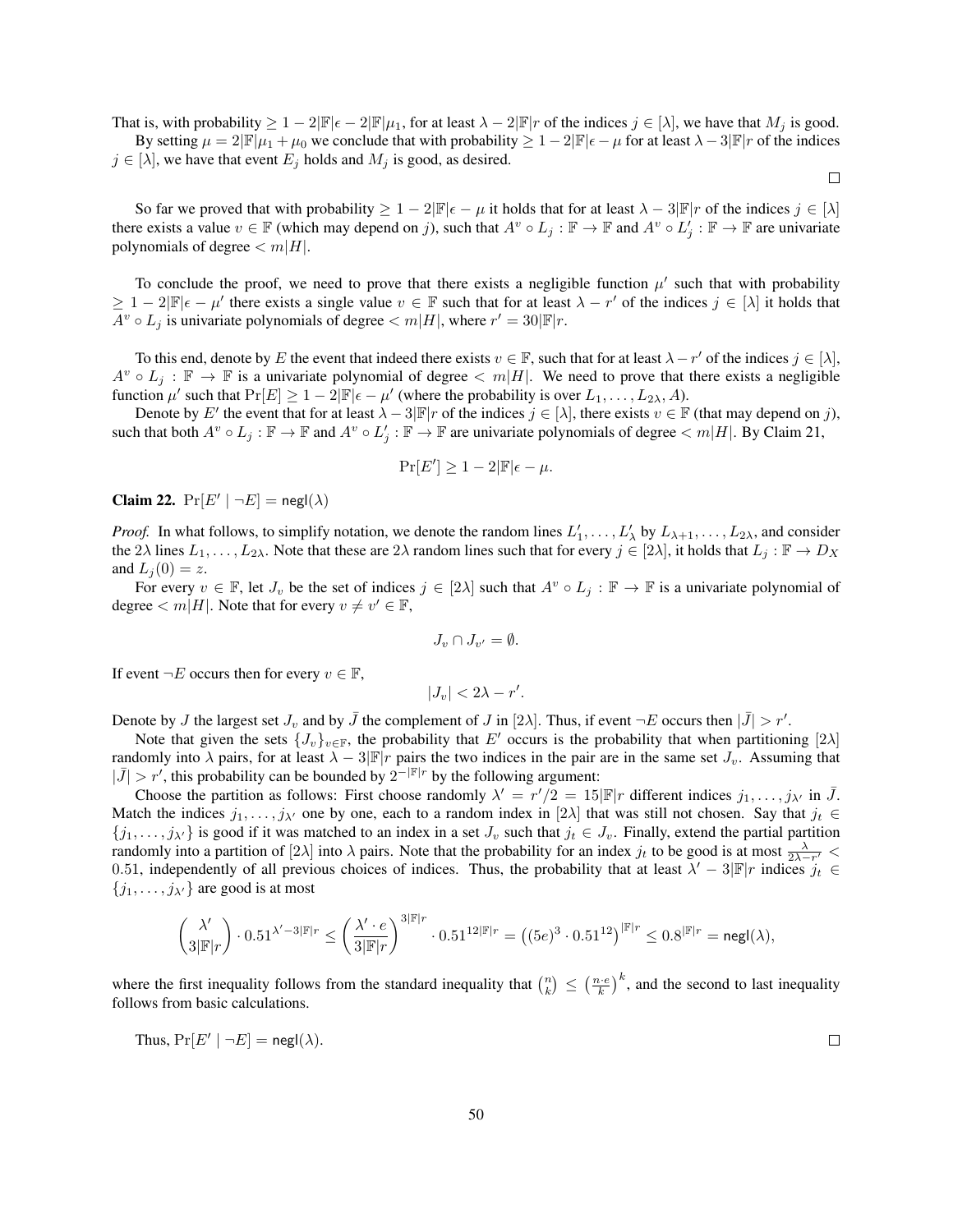That is, with probability  $\geq 1-2|\mathbb{F}|\epsilon-2|\mathbb{F}|\mu_1$ , for at least  $\lambda-2|\mathbb{F}|r$  of the indices  $j \in [\lambda]$ , we have that  $M_j$  is good. By setting  $\mu = 2|\mathbb{F}|\mu_1 + \mu_0$  we conclude that with probability  $\geq 1 - 2|\mathbb{F}|\epsilon - \mu$  for at least  $\lambda - 3|\mathbb{F}|r$  of the indices

 $\Box$ 

 $j \in [\lambda]$ , we have that event  $E_j$  holds and  $M_j$  is good, as desired.

So far we proved that with probability  $\geq 1 - 2|\mathbb{F}|\epsilon - \mu$  it holds that for at least  $\lambda - 3|\mathbb{F}|r$  of the indices  $j \in [\lambda]$ there exists a value  $v \in \mathbb{F}$  (which may depend on j), such that  $A^v \circ L_j : \mathbb{F} \to \mathbb{F}$  and  $A^v \circ L'_j : \mathbb{F} \to \mathbb{F}$  are univariate polynomials of degree  $\langle m|H|$ .

To conclude the proof, we need to prove that there exists a negligible function  $\mu'$  such that with probability  $\geq 1-2|\mathbb{F}|\epsilon-\mu'$  there exists a single value  $v \in \mathbb{F}$  such that for at least  $\lambda-r'$  of the indices  $j \in [\lambda]$  it holds that  $A^v \circ L_j$  is univariate polynomials of degree  $\langle m|H|$ , where  $r' = 30|\mathbb{F}|r$ .

To this end, denote by E the event that indeed there exists  $v \in \mathbb{F}$ , such that for at least  $\lambda - r'$  of the indices  $j \in [\lambda]$ ,  $A^v \circ L_j : \mathbb{F} \to \mathbb{F}$  is a univariate polynomial of degree  $\langle m|H|$ . We need to prove that there exists a negligible function  $\mu'$  such that  $Pr[E] \ge 1 - 2|\mathbb{F}|\epsilon - \mu'$  (where the probability is over  $L_1, \ldots, L_{2\lambda}, A$ ).

Denote by E' the event that for at least  $\lambda - 3|\mathbb{F}|r$  of the indices  $j \in [\lambda]$ , there exists  $v \in \mathbb{F}$  (that may depend on j), such that both  $A^v \circ L_j : \mathbb{F} \to \mathbb{F}$  and  $A^v \circ L'_j : \mathbb{F} \to \mathbb{F}$  are univariate polynomials of degree  $\lt m|H|$ . By Claim [21,](#page-48-1)

$$
\Pr[E'] \ge 1 - 2|\mathbb{F}|\epsilon - \mu.
$$

<span id="page-49-0"></span>Claim 22.  $Pr[E' | \neg E] = negl(\lambda)$ 

*Proof.* In what follows, to simplify notation, we denote the random lines  $L'_1, \ldots, L'_\lambda$  by  $L_{\lambda+1}, \ldots, L_{2\lambda}$ , and consider the  $2\lambda$  lines  $L_1, \ldots, L_{2\lambda}$ . Note that these are  $2\lambda$  random lines such that for every  $j \in [2\lambda]$ , it holds that  $L_j : \mathbb{F} \to D_X$ and  $L_i(0) = z$ .

For every  $v \in \mathbb{F}$ , let  $J_v$  be the set of indices  $j \in [2\lambda]$  such that  $A^v \circ L_j : \mathbb{F} \to \mathbb{F}$  is a univariate polynomial of degree  $\langle m|H|$ . Note that for every  $v \neq v' \in \mathbb{F}$ ,

$$
J_v \cap J_{v'} = \emptyset.
$$

If event  $\neg E$  occurs then for every  $v \in \mathbb{F}$ ,

$$
|J_v| < 2\lambda - r'.
$$

Denote by J the largest set  $J_v$  and by  $\bar{J}$  the complement of J in [2 $\lambda$ ]. Thus, if event  $\neg E$  occurs then  $|\bar{J}| > r'$ .

Note that given the sets  $\{J_v\}_{v\in\mathbb{F}}$ , the probability that E' occurs is the probability that when partitioning [2 $\lambda$ ] randomly into  $\lambda$  pairs, for at least  $\lambda - 3|\mathbb{F}|r$  pairs the two indices in the pair are in the same set  $J_v$ . Assuming that  $|\bar{J}| > r'$ , this probability can be bounded by  $2^{-|\mathbb{F}|r}$  by the following argument:

Choose the partition as follows: First choose randomly  $\lambda' = r'/2 = 15|\mathbb{F}|r$  different indices  $j_1, \ldots, j_{\lambda'}$  in  $\bar{J}$ . Match the indices  $j_1, \ldots, j_{\lambda'}$  one by one, each to a random index in [2 $\lambda$ ] that was still not chosen. Say that  $j_t \in$  ${j_1, \ldots, j_{\lambda'}}$  is good if it was matched to an index in a set  $J_v$  such that  $j_t \in J_v$ . Finally, extend the partial partition randomly into a partition of [2 $\lambda$ ] into  $\lambda$  pairs. Note that the probability for an index  $j_t$  to be good is at most  $\frac{\lambda}{2\lambda - r'}$ 0.51, independently of all previous choices of indices. Thus, the probability that at least  $\lambda' - 3|\mathbb{F}|r$  indices  $j_t \in$  $\{j_1, \ldots, j_{\lambda'}\}$  are good is at most

$$
\binom{\lambda'}{3|\mathbb F|r}\cdot 0.51^{\lambda'-3|\mathbb F|r}\le \left(\frac{\lambda'\cdot e}{3|\mathbb F|r}\right)^{3|\mathbb F|r}\cdot 0.51^{12|\mathbb F|r}=\left((5e)^3\cdot 0.51^{12}\right)^{|\mathbb F|r}\le 0.8^{|\mathbb F|r}=\mathsf{negl}(\lambda),
$$

where the first inequality follows from the standard inequality that  $\binom{n}{k} \leq \left(\frac{n \cdot e}{k}\right)^k$ , and the second to last inequality follows from basic calculations.

Thus, 
$$
Pr[E' | \neg E] = negl(\lambda)
$$
.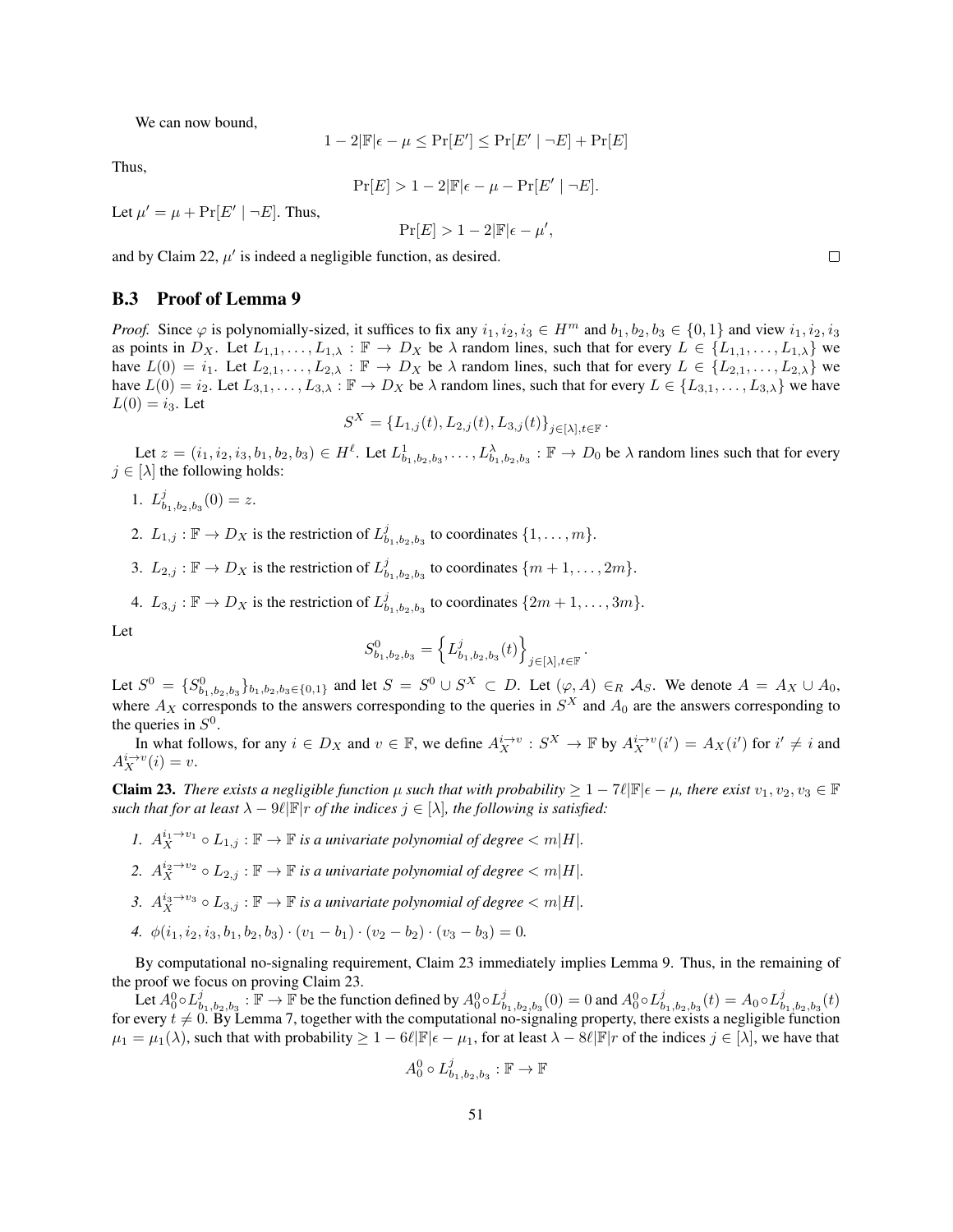We can now bound,

$$
1 - 2|\mathbb{F}|\epsilon - \mu \le \Pr[E'] \le \Pr[E' | \neg E] + \Pr[E]
$$

Thus,

$$
\Pr[E] > 1 - 2|\mathbb{F}|\epsilon - \mu - \Pr[E' \mid \neg E].
$$

Let  $\mu' = \mu + \Pr[E' \mid \neg E]$ . Thus,

$$
\Pr[E] > 1 - 2|\mathbb{F}|\epsilon - \mu',
$$

and by Claim [22,](#page-49-0)  $\mu'$  is indeed a negligible function, as desired.

#### <span id="page-50-0"></span>B.3 Proof of Lemma [9](#page-41-2)

*Proof.* Since  $\varphi$  is polynomially-sized, it suffices to fix any  $i_1, i_2, i_3 \in H^m$  and  $b_1, b_2, b_3 \in \{0, 1\}$  and view  $i_1, i_2, i_3$ as points in  $D_X$ . Let  $L_{1,1}, \ldots, L_{1,\lambda} : \mathbb{F} \to D_X$  be  $\lambda$  random lines, such that for every  $L \in \{L_{1,1}, \ldots, L_{1,\lambda}\}$  we have  $L(0) = i_1$ . Let  $L_{2,1}, \ldots, L_{2,\lambda} : \mathbb{F} \to D_X$  be  $\lambda$  random lines, such that for every  $L \in \{L_{2,1}, \ldots, L_{2,\lambda}\}\$  we have  $L(0) = i_2$ . Let  $L_{3,1}, \ldots, L_{3,\lambda}$ :  $\mathbb{F} \to D_X$  be  $\lambda$  random lines, such that for every  $L \in \{L_{3,1}, \ldots, L_{3,\lambda}\}$  we have  $L(0) = i_3$ . Let

$$
S^X = \{L_{1,j}(t), L_{2,j}(t), L_{3,j}(t)\}_{j \in [\lambda], t \in \mathbb{F}}.
$$

Let  $z = (i_1, i_2, i_3, b_1, b_2, b_3) \in H^{\ell}$ . Let  $L^1_{b_1, b_2, b_3}, \ldots, L^{\lambda}_{b_1, b_2, b_3} : \mathbb{F} \to D_0$  be  $\lambda$  random lines such that for every  $j \in [\lambda]$  the following holds:

- 1.  $L_{b_1,b_2,b_3}^j(0) = z.$
- 2.  $L_{1,j} : \mathbb{F} \to D_X$  is the restriction of  $L^j_{b_1,b_2,b_3}$  to coordinates  $\{1,\ldots,m\}$ .
- 3.  $L_{2,j} : \mathbb{F} \to D_X$  is the restriction of  $L^j_{b_1, b_2, b_3}$  to coordinates  $\{m+1, \ldots, 2m\}$ .
- 4.  $L_{3,j} : \mathbb{F} \to D_X$  is the restriction of  $L^j_{b_1,b_2,b_3}$  to coordinates  $\{2m+1,\ldots,3m\}.$

Let

$$
S^0_{b_1,b_2,b_3}=\left\{L^j_{b_1,b_2,b_3}(t)\right\}_{j\in[\lambda],t\in\mathbb{F}}.
$$

Let  $S^0 = \{S_{b_1,b_2,b_3}^0\}_{b_1,b_2,b_3 \in \{0,1\}}$  and let  $S = S^0 \cup S^X \subset D$ . Let  $(\varphi, A) \in_R \mathcal{A}_S$ . We denote  $A = A_X \cup A_0$ , where  $A_X$  corresponds to the answers corresponding to the queries in  $S^X$  and  $A_0$  are the answers corresponding to the queries in  $S^0$ .

In what follows, for any  $i \in D_X$  and  $v \in \mathbb{F}$ , we define  $A_X^{i\to v} : S^X \to \mathbb{F}$  by  $A_X^{i\to v}(i') = A_X(i')$  for  $i' \neq i$  and  $A_X^{i\to v}(i) = v.$ 

<span id="page-50-1"></span>**Claim 23.** There exists a negligible function  $\mu$  such that with probability  $\geq 1 - 7\ell |\mathbb{F}|\epsilon - \mu$ , there exist  $v_1, v_2, v_3 \in \mathbb{F}$ *such that for at least*  $\lambda - \vartheta \ell \mathbb{F}$  *r of the indices*  $j \in [\lambda]$ *, the following is satisfied:* 

- *1.*  $A_X^{i_1 \to v_1} \circ L_{1,j} : \mathbb{F} \to \mathbb{F}$  *is a univariate polynomial of degree*  $\langle m | H |$ *.*
- 2.  $A_X^{i_2 \to v_2} \circ L_{2,j} : \mathbb{F} \to \mathbb{F}$  *is a univariate polynomial of degree*  $\langle m|H|$ *.*
- 3.  $A_X^{i_3 \to v_3} \circ L_{3,j} : \mathbb{F} \to \mathbb{F}$  *is a univariate polynomial of degree*  $< m|H|$ *.*
- *4.*  $\phi(i_1, i_2, i_3, b_1, b_2, b_3) \cdot (v_1 b_1) \cdot (v_2 b_2) \cdot (v_3 b_3) = 0.$

By computational no-signaling requirement, Claim [23](#page-50-1) immediately implies Lemma [9.](#page-41-2) Thus, in the remaining of the proof we focus on proving Claim [23.](#page-50-1)

Let  $A_0^0 \circ L_{b_1,b_2,b_3}^j$ :  $\mathbb{F} \to \mathbb{F}$  be the function defined by  $A_0^0 \circ L_{b_1,b_2,b_3}^j(0) = 0$  and  $A_0^0 \circ L_{b_1,b_2,b_3}^j(t) = A_0 \circ L_{b_1,b_2,b_3}^j(t)$ for every  $t \neq 0$ . By Lemma [7,](#page-41-0) together with the computational no-signaling property, there exists a negligible function  $\mu_1 = \mu_1(\lambda)$ , such that with probability  $\geq 1 - 6\ell |\mathbb{F}|\epsilon - \mu_1$ , for at least  $\lambda - 8\ell |\mathbb{F}|r$  of the indices  $j \in [\lambda]$ , we have that

$$
A_0^0 \circ L_{b_1,b_2,b_3}^j : \mathbb{F} \to \mathbb{F}
$$

 $\Box$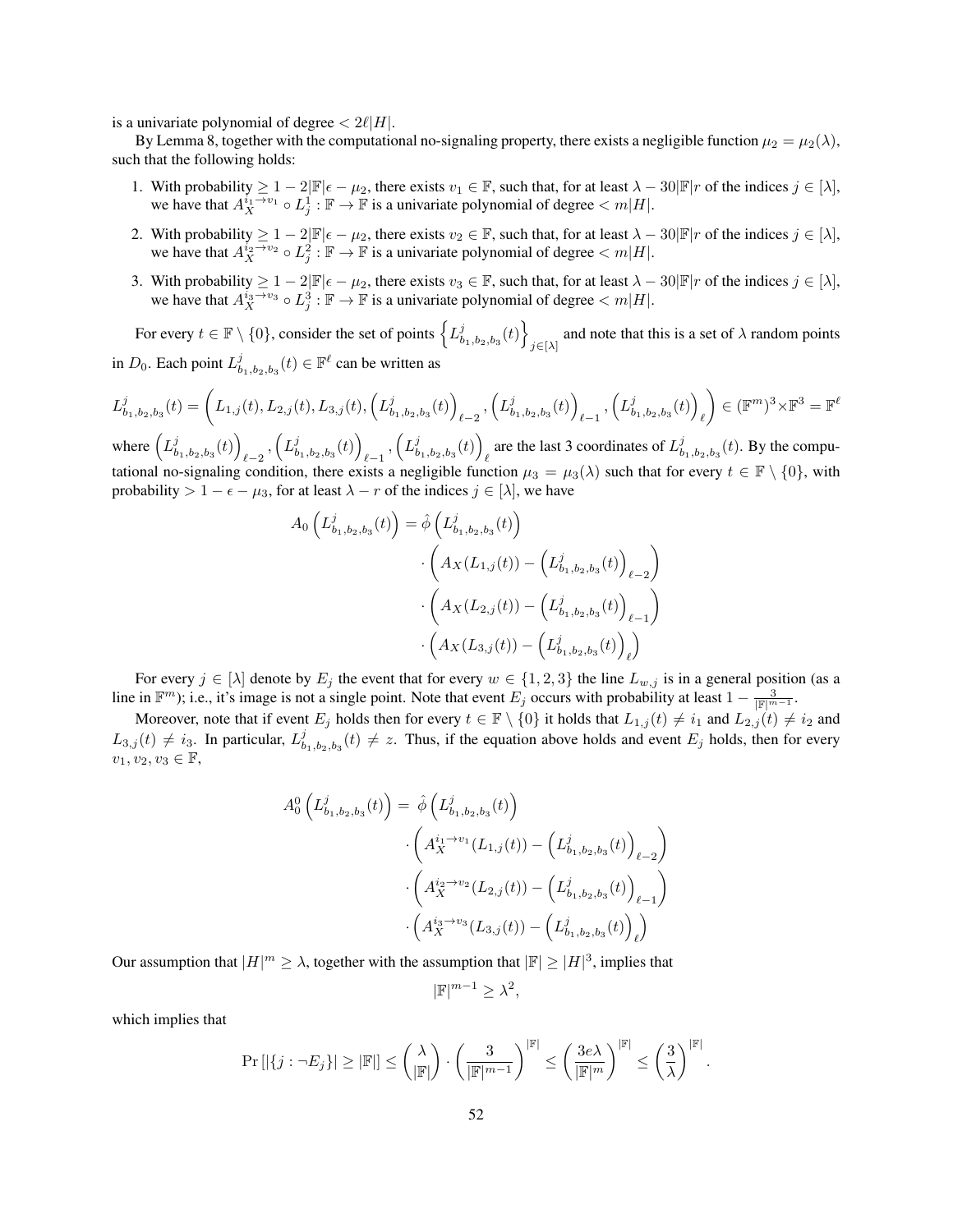is a univariate polynomial of degree  $\langle 2\ell|H|$ .

 $\overline{ }$ 

By Lemma [8,](#page-41-1) together with the computational no-signaling property, there exists a negligible function  $\mu_2 = \mu_2(\lambda)$ , such that the following holds:

- 1. With probability  $\geq 1 2|\mathbb{F}|\epsilon \mu_2$ , there exists  $v_1 \in \mathbb{F}$ , such that, for at least  $\lambda 30|\mathbb{F}|r$  of the indices  $j \in [\lambda]$ , we have that  $A_X^{i_1 \to v_1} \circ L_j^1 : \mathbb{F} \to \mathbb{F}$  is a univariate polynomial of degree  $\lt m|H|$ .
- 2. With probability  $\geq 1 2|\mathbb{F}|\epsilon \mu_2$ , there exists  $v_2 \in \mathbb{F}$ , such that, for at least  $\lambda 30|\mathbb{F}|r$  of the indices  $j \in [\lambda]$ , we have that  $A_X^{i_2 \to v_2} \circ L_j^2 : \mathbb{F} \to \mathbb{F}$  is a univariate polynomial of degree  $\lt m|H|$ .
- 3. With probability  $\geq 1 2|\mathbb{F}|\epsilon \mu_2$ , there exists  $v_3 \in \mathbb{F}$ , such that, for at least  $\lambda 30|\mathbb{F}|r$  of the indices  $j \in [\lambda]$ , we have that  $A_X^{i_3 \to v_3} \circ L_j^3 : \mathbb{F} \to \mathbb{F}$  is a univariate polynomial of degree  $\lt m|H|$ .

For every  $t \in \mathbb{F} \setminus \{0\}$ , consider the set of points  $\left\{ L^j_{b_1,b_2,b_3}(t) \right\}$ and note that this is a set of  $\lambda$  random points  $j \in [\lambda]$ in  $D_0$ . Each point  $L^j_{b_1,b_2,b_3}(t) \in \mathbb{F}^{\ell}$  can be written as

 $L^j_{b_1,b_2,b_3}(t) = \left(L_{1,j}(t), L_{2,j}(t), L_{3,j}(t), \left(L^j_{b_1,b_2,b_3}(t)\right)\right)$  $_{\ell=2}$ ,  $\left( L_{b_{1},b_{2},b_{3}}^{j}(t)\right)$  $\binom{L^j_{b_1,b_2,b_3}(t)}{t}$  $\ell$  $\Big) \in (\mathbb{F}^m)^3 \times \mathbb{F}^3 = \mathbb{F}^{\ell}$ 

where  $\left(L_{b_1,b_2,b_3}^j(t)\right)$  $\left(L_{b_1,b_2,b_3}^j(t)\right)$  $\binom{\int_{\ell-1}^j, \left( L^j_{b_1,b_2,b_3}(t) \right)}$ are the last 3 coordinates of  $L^j_{b_1,b_2,b_3}(t)$ . By the computational no-signaling condition, there exists a negligible function  $\mu_3 = \mu_3(\lambda)$  such that for every  $t \in \mathbb{F} \setminus \{0\}$ , with probability >  $1 - \epsilon - \mu_3$ , for at least  $\lambda - r$  of the indices  $j \in [\lambda]$ , we have

$$
A_0 \left( L_{b_1, b_2, b_3}^j(t) \right) = \hat{\phi} \left( L_{b_1, b_2, b_3}^j(t) \right)
$$

$$
\cdot \left( A_X(L_{1,j}(t)) - \left( L_{b_1, b_2, b_3}^j(t) \right)_{\ell - 2} \right)
$$

$$
\cdot \left( A_X(L_{2,j}(t)) - \left( L_{b_1, b_2, b_3}^j(t) \right)_{\ell - 1} \right)
$$

$$
\cdot \left( A_X(L_{3,j}(t)) - \left( L_{b_1, b_2, b_3}^j(t) \right)_{\ell} \right)
$$

For every  $j \in [\lambda]$  denote by  $E_j$  the event that for every  $w \in \{1, 2, 3\}$  the line  $L_{w,j}$  is in a general position (as a line in  $\mathbb{F}^m$ ); i.e., it's image is not a single point. Note that event  $E_j$  occurs with probability at least  $1 - \frac{3}{\mathbb{F}\binom{m-1}{m}}$ .

Moreover, note that if event  $E_j$  holds then for every  $t \in \mathbb{F} \setminus \{0\}$  it holds that  $L_{1,j}(t) \neq i_1$  and  $L_{2,j}(t) \neq i_2$  and  $L_{3,j}(t) \neq i_3$ . In particular,  $L^j_{b_1,b_2,b_3}(t) \neq z$ . Thus, if the equation above holds and event  $E_j$  holds, then for every  $v_1, v_2, v_3 \in \mathbb{F}$ ,

$$
A_0^0 \left( L_{b_1, b_2, b_3}^j(t) \right) = \hat{\phi} \left( L_{b_1, b_2, b_3}^j(t) \right)
$$

$$
\cdot \left( A_X^{i_1 \to v_1} (L_{1,j}(t)) - \left( L_{b_1, b_2, b_3}^j(t) \right)_{\ell-2} \right)
$$

$$
\cdot \left( A_X^{i_2 \to v_2} (L_{2,j}(t)) - \left( L_{b_1, b_2, b_3}^j(t) \right)_{\ell-1} \right)
$$

$$
\cdot \left( A_X^{i_3 \to v_3} (L_{3,j}(t)) - \left( L_{b_1, b_2, b_3}^j(t) \right)_{\ell} \right)
$$

Our assumption that  $|H|^m \geq \lambda$ , together with the assumption that  $|\mathbb{F}| \geq |H|^3$ , implies that

$$
|\mathbb{F}|^{m-1} \ge \lambda^2,
$$

which implies that

$$
\Pr\left[|\{j:\neg E_j\}|\geq |\mathbb{F}|\right]\leq \binom{\lambda}{|\mathbb{F}|}\cdot \left(\frac{3}{|\mathbb{F}|^{m-1}}\right)^{|\mathbb{F}|}\leq \left(\frac{3e\lambda}{|\mathbb{F}|^m}\right)^{|\mathbb{F}|}\leq \left(\frac{3}{\lambda}\right)^{|\mathbb{F}|}.
$$